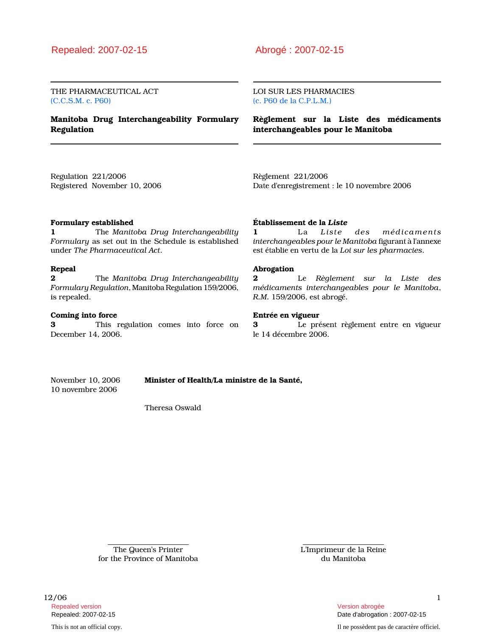THE PHARMACEUTICAL ACT (C.C.S.M. c. P60)

Manitoba Drug Interchangeability Formulary Regulation

LOI SUR LES PHARMACIES (c. P60 de la C.P.L.M.)

Règlement sur la Liste des médicaments interchangeables pour le Manitoba

Regulation 221/2006 Registered November 10, 2006 Règlement 221/2006 Date d'enregistrement : le 10 novembre 2006

### Formulary established

1 The Manitoba Drug Interchangeability Formulary as set out in the Schedule is established under The Pharmaceutical Act.

### Repeal

**2** The Manitoba Drug Interchangeability Formulary Regulation, Manitoba Regulation 159/2006, is repealed.

### Coming into force

3 This regulation comes into force on December 14, 2006.

#### Établissement de la Liste

1 La Liste des médicaments interchangeables pour le Manitoba figurant à l'annexe est établie en vertu de la Loi sur les pharmacies.

### Abrogation

2 Le Règlement sur la Liste des médicaments interchangeables pour le Manitoba, R.M. 159/2006, est abrogé.

## Entrée en vigueur

3 Le présent règlement entre en vigueur le 14 décembre 2006.

10 novembre 2006

November 10, 2006 Minister of Health/La ministre de la Santé,

Theresa Oswald

The Queen's Printer for the Province of Manitoba L'Imprimeur de la Reine du Manitoba

12/06 1 Repealed version abrogée et al. Alian abrogée et al. Alian abrogée et al. Alian abrogée et al. Alian abrogée e

This is not an official copy. Il ne possèdent pas de caractère officiel.

Repealed: 2007-02-15 Date d'abrogation : 2007-02-15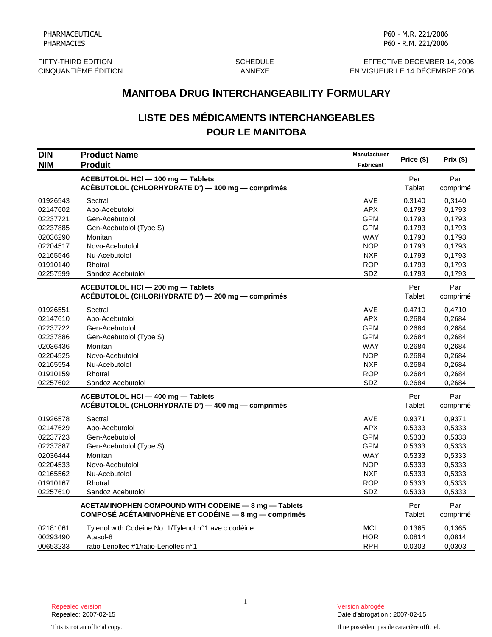FIFTY-THIRD EDITION GONE SCHEDULE EFFECTIVE DECEMBER 14, 2006<br>CINQUANTIÈME ÉDITION CONTROLLER ANNEXE ANNEXE EN VIGUEUR LE 14 DÉCEMBRE 2006 EN VIGUEUR LE 14 DÉCEMBRE 2006

# **LISTE DES MÉDICAMENTS INTERCHANGEABLES POUR LE MANITOBA**

|                                                                                                          | <b>MANITOBA DRUG INTERCHANGEABILITY FORMULARY</b>                                                                                                     |                                                                                                              |                                                                                        |                                                                                        |  |
|----------------------------------------------------------------------------------------------------------|-------------------------------------------------------------------------------------------------------------------------------------------------------|--------------------------------------------------------------------------------------------------------------|----------------------------------------------------------------------------------------|----------------------------------------------------------------------------------------|--|
|                                                                                                          | <b>LISTE DES MÉDICAMENTS INTERCHANGEABLES</b><br><b>POUR LE MANITOBA</b>                                                                              |                                                                                                              |                                                                                        |                                                                                        |  |
| <b>DIN</b><br><b>NIM</b>                                                                                 | <b>Product Name</b><br><b>Produit</b>                                                                                                                 | Manufacturer<br>Fabricant                                                                                    | Price (\$)                                                                             | Prix(\$)                                                                               |  |
|                                                                                                          | ACEBUTOLOL HCI-100 mg-Tablets<br>ACÉBUTOLOL (CHLORHYDRATE D') - 100 mg - comprimés                                                                    |                                                                                                              | Per<br>Tablet                                                                          | Par<br>comprimé                                                                        |  |
| 01926543<br>02147602<br>02237721<br>02237885<br>02036290<br>02204517<br>02165546<br>01910140             | Sectral<br>Apo-Acebutolol<br>Gen-Acebutolol<br>Gen-Acebutolol (Type S)<br>Monitan<br>Novo-Acebutolol<br>Nu-Acebutolol<br>Rhotral                      | AVE<br><b>APX</b><br><b>GPM</b><br><b>GPM</b><br><b>WAY</b><br><b>NOP</b><br><b>NXP</b><br><b>ROP</b>        | 0.3140<br>0.1793<br>0.1793<br>0.1793<br>0.1793<br>0.1793<br>0.1793<br>0.1793           | 0,3140<br>0,1793<br>0,1793<br>0,1793<br>0,1793<br>0,1793<br>0,1793<br>0,1793           |  |
| 02257599                                                                                                 | Sandoz Acebutolol<br>ACEBUTOLOL HCI-200 mg-Tablets<br>ACÉBUTOLOL (CHLORHYDRATE D') - 200 mg - comprimés                                               | SDZ                                                                                                          | 0.1793<br>Per<br>Tablet                                                                | 0,1793<br>Par<br>comprimé                                                              |  |
| 01926551<br>02147610<br>02237722<br>02237886<br>02036436<br>02204525<br>02165554<br>01910159<br>02257602 | Sectral<br>Apo-Acebutolol<br>Gen-Acebutolol<br>Gen-Acebutolol (Type S)<br>Monitan<br>Novo-Acebutolol<br>Nu-Acebutolol<br>Rhotral<br>Sandoz Acebutolol | AVE<br><b>APX</b><br><b>GPM</b><br><b>GPM</b><br><b>WAY</b><br><b>NOP</b><br><b>NXP</b><br><b>ROP</b><br>SDZ | 0.4710<br>0.2684<br>0.2684<br>0.2684<br>0.2684<br>0.2684<br>0.2684<br>0.2684<br>0.2684 | 0,4710<br>0,2684<br>0,2684<br>0,2684<br>0,2684<br>0,2684<br>0,2684<br>0,2684<br>0,2684 |  |
|                                                                                                          | ACEBUTOLOL HCI - 400 mg - Tablets<br>ACÉBUTOLOL (CHLORHYDRATE D') - 400 mg - comprimés                                                                |                                                                                                              | Per<br>Tablet                                                                          | Par<br>comprimé                                                                        |  |
| 01926578<br>02147629<br>02237723<br>02237887<br>02036444<br>02204533<br>02165562<br>01910167<br>02257610 | Sectral<br>Apo-Acebutolol<br>Gen-Acebutolol<br>Gen-Acebutolol (Type S)<br>Monitan<br>Novo-Acebutolol<br>Nu-Acebutolol<br>Rhotral<br>Sandoz Acebutolol | AVE<br><b>APX</b><br><b>GPM</b><br><b>GPM</b><br><b>WAY</b><br><b>NOP</b><br><b>NXP</b><br><b>ROP</b><br>SDZ | 0.9371<br>0.5333<br>0.5333<br>0.5333<br>0.5333<br>0.5333<br>0.5333<br>0.5333<br>0.5333 | 0,9371<br>0,5333<br>0,5333<br>0,5333<br>0,5333<br>0,5333<br>0,5333<br>0,5333<br>0,5333 |  |
|                                                                                                          | ACETAMINOPHEN COMPOUND WITH CODEINE - 8 mg - Tablets<br><b>COMPOSÉ ACÉTAMINOPHÈNE ET CODÉINE - 8 mg - comprimés</b>                                   |                                                                                                              | Per<br>Tablet                                                                          | Par<br>comprimé                                                                        |  |
| 02181061<br>00293490<br>00653233                                                                         | Tylenol with Codeine No. 1/Tylenol n°1 ave c codéine<br>Atasol-8<br>ratio-Lenoltec #1/ratio-Lenoltec n°1                                              | <b>MCL</b><br><b>HOR</b><br><b>RPH</b>                                                                       | 0.1365<br>0.0814<br>0.0303                                                             | 0,1365<br>0,0814<br>0,0303                                                             |  |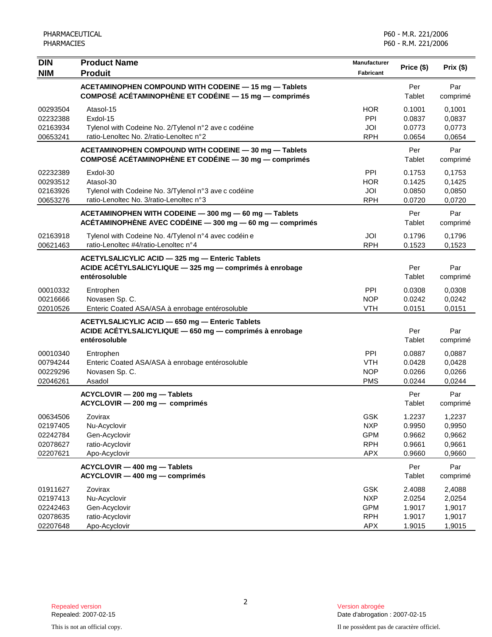| <b>DIN</b>                                               | <b>Product Name</b>                                                                                                         | <b>Manufacturer</b>                                                | Price (\$)                                     | Prix(\$)                                       |
|----------------------------------------------------------|-----------------------------------------------------------------------------------------------------------------------------|--------------------------------------------------------------------|------------------------------------------------|------------------------------------------------|
| <b>NIM</b>                                               | <b>Produit</b>                                                                                                              | Fabricant                                                          |                                                |                                                |
|                                                          | ACETAMINOPHEN COMPOUND WITH CODEINE - 15 mg - Tablets<br>COMPOSÉ ACÉTAMINOPHÈNE ET CODÉINE — 15 mg — comprimés              |                                                                    | Per<br>Tablet                                  | Par<br>comprimé                                |
| 00293504<br>02232388<br>02163934<br>00653241             | Atasol-15<br>Exdol-15<br>Tylenol with Codeine No. 2/Tylenol n°2 ave c codéine<br>ratio-Lenoltec No. 2/ratio-Lenoltec n°2    | <b>HOR</b><br><b>PPI</b><br>JOI<br><b>RPH</b>                      | 0.1001<br>0.0837<br>0.0773<br>0.0654           | 0.1001<br>0,0837<br>0,0773<br>0,0654           |
|                                                          | ACETAMINOPHEN COMPOUND WITH CODEINE - 30 mg - Tablets<br>COMPOSÉ ACÉTAMINOPHÈNE ET CODÉINE — 30 mg — comprimés              |                                                                    | Per<br>Tablet                                  | Par<br>comprimé                                |
| 02232389<br>00293512<br>02163926<br>00653276             | Exdol-30<br>Atasol-30<br>Tylenol with Codeine No. 3/Tylenol n°3 ave c codéine<br>ratio-Lenoltec No. 3/ratio-Lenoltec n°3    | PPI<br><b>HOR</b><br>JOI<br><b>RPH</b>                             | 0.1753<br>0.1425<br>0.0850<br>0.0720           | 0,1753<br>0,1425<br>0,0850<br>0,0720           |
|                                                          | ACETAMINOPHEN WITH CODEINE - 300 mg - 60 mg - Tablets<br>ACÉTAMINOPHÈNE AVEC CODÉINE $-$ 300 mg $-$ 60 mg $-$ comprimés     |                                                                    | Per<br>Tablet                                  | Par<br>comprimé                                |
| 02163918<br>00621463                                     | Tylenol with Codeine No. 4/Tylenol n°4 avec codéin e<br>ratio-Lenoltec #4/ratio-Lenoltec n°4                                | JOI<br><b>RPH</b>                                                  | 0.1796<br>0.1523                               | 0,1796<br>0,1523                               |
|                                                          | ACETYLSALICYLIC ACID - 325 mg - Enteric Tablets<br>ACIDE ACÉTYLSALICYLIQUE - 325 mg - comprimés à enrobage<br>entérosoluble |                                                                    | Per<br>Tablet                                  | Par<br>comprimé                                |
| 00010332<br>00216666<br>02010526                         | Entrophen<br>Novasen Sp. C.<br>Enteric Coated ASA/ASA à enrobage entérosoluble                                              | PPI<br><b>NOP</b><br><b>VTH</b>                                    | 0.0308<br>0.0242<br>0.0151                     | 0,0308<br>0,0242<br>0,0151                     |
|                                                          | ACETYLSALICYLIC ACID - 650 mg - Enteric Tablets<br>ACIDE ACÉTYLSALICYLIQUE - 650 mg - comprimés à enrobage<br>entérosoluble |                                                                    | Per<br>Tablet                                  | Par<br>comprimé                                |
| 00010340<br>00794244<br>00229296<br>02046261             | Entrophen<br>Enteric Coated ASA/ASA à enrobage entérosoluble<br>Novasen Sp. C.<br>Asadol                                    | <b>PPI</b><br><b>VTH</b><br><b>NOP</b><br><b>PMS</b>               | 0.0887<br>0.0428<br>0.0266<br>0.0244           | 0,0887<br>0,0428<br>0,0266<br>0,0244           |
|                                                          | ACYCLOVIR - 200 mg - Tablets<br>ACYCLOVIR - 200 mg - comprimés                                                              |                                                                    | Per<br><b>Tablet</b>                           | Par<br>comprimé                                |
| 00634506<br>02197405<br>02242784<br>02078627<br>02207621 | Zovirax<br>Nu-Acyclovir<br>Gen-Acyclovir<br>ratio-Acyclovir<br>Apo-Acyclovir                                                | GSK<br><b>NXP</b><br><b>GPM</b><br><b>RPH</b><br><b>APX</b>        | 1.2237<br>0.9950<br>0.9662<br>0.9661<br>0.9660 | 1,2237<br>0,9950<br>0,9662<br>0,9661<br>0,9660 |
|                                                          | ACYCLOVIR - 400 mg - Tablets<br>ACYCLOVIR - 400 mg - comprimés                                                              |                                                                    | Per<br>Tablet                                  | Par<br>comprimé                                |
| 01911627<br>02197413<br>02242463<br>02078635<br>02207648 | Zovirax<br>Nu-Acyclovir<br>Gen-Acyclovir<br>ratio-Acyclovir<br>Apo-Acyclovir                                                | <b>GSK</b><br><b>NXP</b><br><b>GPM</b><br><b>RPH</b><br><b>APX</b> | 2.4088<br>2.0254<br>1.9017<br>1.9017<br>1.9015 | 2,4088<br>2,0254<br>1,9017<br>1,9017<br>1,9015 |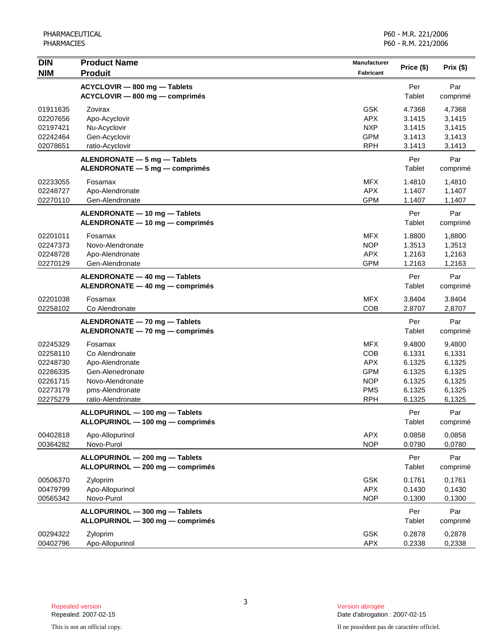| <b>DIN</b><br><b>NIM</b>                                                         | <b>Product Name</b><br><b>Produit</b>                                                                                        | Manufacturer<br><b>Fabricant</b>                                                        | Price (\$)                                                         | Prix (\$)                                                          |
|----------------------------------------------------------------------------------|------------------------------------------------------------------------------------------------------------------------------|-----------------------------------------------------------------------------------------|--------------------------------------------------------------------|--------------------------------------------------------------------|
|                                                                                  | ACYCLOVIR - 800 mg - Tablets<br>ACYCLOVIR - 800 mg - comprimés                                                               |                                                                                         | Per<br>Tablet                                                      | Par<br>comprimé                                                    |
| 01911635<br>02207656<br>02197421<br>02242464<br>02078651                         | Zovirax<br>Apo-Acyclovir<br>Nu-Acyclovir<br>Gen-Acyclovir<br>ratio-Acyclovir                                                 | <b>GSK</b><br><b>APX</b><br><b>NXP</b><br><b>GPM</b><br><b>RPH</b>                      | 4.7368<br>3.1415<br>3.1415<br>3.1413<br>3.1413                     | 4.7368<br>3,1415<br>3,1415<br>3,1413<br>3,1413                     |
|                                                                                  | ALENDRONATE - 5 mg - Tablets<br>ALENDRONATE - 5 mg - comprimés                                                               |                                                                                         | Per<br>Tablet                                                      | Par<br>comprimé                                                    |
| 02233055<br>02248727<br>02270110                                                 | Fosamax<br>Apo-Alendronate<br>Gen-Alendronate                                                                                | <b>MFX</b><br><b>APX</b><br><b>GPM</b>                                                  | 1.4810<br>1.1407<br>1.1407                                         | 1,4810<br>1,1407<br>1,1407                                         |
|                                                                                  | ALENDRONATE - 10 mg - Tablets<br>ALENDRONATE - 10 mg - comprimés                                                             |                                                                                         | Per<br>Tablet                                                      | Par<br>comprimé                                                    |
| 02201011<br>02247373<br>02248728<br>02270129                                     | Fosamax<br>Novo-Alendronate<br>Apo-Alendronate<br>Gen-Alendronate                                                            | <b>MFX</b><br><b>NOP</b><br><b>APX</b><br><b>GPM</b>                                    | 1.8800<br>1.3513<br>1.2163<br>1.2163                               | 1,8800<br>1,3513<br>1,2163<br>1,2163                               |
|                                                                                  | ALENDRONATE - 40 mg - Tablets<br>ALENDRONATE - 40 mg - comprimés                                                             |                                                                                         | Per<br>Tablet                                                      | Par<br>comprimé                                                    |
| 02201038<br>02258102                                                             | Fosamax<br>Co Alendronate                                                                                                    | <b>MFX</b><br>COB                                                                       | 3.8404<br>2.8707                                                   | 3.8404<br>2,8707                                                   |
|                                                                                  | ALENDRONATE - 70 mg - Tablets<br>ALENDRONATE - 70 mg - comprimés                                                             |                                                                                         | Per<br>Tablet                                                      | Par<br>comprimé                                                    |
| 02245329<br>02258110<br>02248730<br>02286335<br>02261715<br>02273179<br>02275279 | Fosamax<br>Co Alendronate<br>Apo-Alendronate<br>Gen-Alenedronate<br>Novo-Alendronate<br>pms-Alendronate<br>ratio-Alendronate | <b>MFX</b><br>COB<br><b>APX</b><br><b>GPM</b><br><b>NOP</b><br><b>PMS</b><br><b>RPH</b> | 9.4800<br>6.1331<br>6.1325<br>6.1325<br>6.1325<br>6.1325<br>6.1325 | 9,4800<br>6,1331<br>6,1325<br>6,1325<br>6,1325<br>6,1325<br>6,1325 |
|                                                                                  | ALLOPURINOL - 100 mg - Tablets<br>ALLOPURINOL - 100 mg - comprimés                                                           |                                                                                         | Per<br>Tablet                                                      | Par<br>comprimé                                                    |
| 00402818<br>00364282                                                             | Apo-Allopurinol<br>Novo-Purol                                                                                                | <b>APX</b><br><b>NOP</b>                                                                | 0.0858<br>0.0780                                                   | 0,0858<br>0,0780                                                   |
|                                                                                  | ALLOPURINOL - 200 mg - Tablets<br>ALLOPURINOL - 200 mg - comprimés                                                           |                                                                                         | Per<br>Tablet                                                      | Par<br>comprimé                                                    |
| 00506370<br>00479799<br>00565342                                                 | Zyloprim<br>Apo-Allopurinol<br>Novo-Purol                                                                                    | <b>GSK</b><br><b>APX</b><br><b>NOP</b>                                                  | 0.1761<br>0.1430<br>0.1300                                         | 0,1761<br>0,1430<br>0,1300                                         |
|                                                                                  | ALLOPURINOL - 300 mg - Tablets<br>ALLOPURINOL - 300 mg - comprimés                                                           |                                                                                         | Per<br>Tablet                                                      | Par<br>comprimé                                                    |
| 00294322<br>00402796                                                             | Zyloprim<br>Apo-Allopurinol                                                                                                  | <b>GSK</b><br>APX                                                                       | 0.2878<br>0.2338                                                   | 0,2878<br>0,2338                                                   |

Date d'abrogation : 2007-02-15

3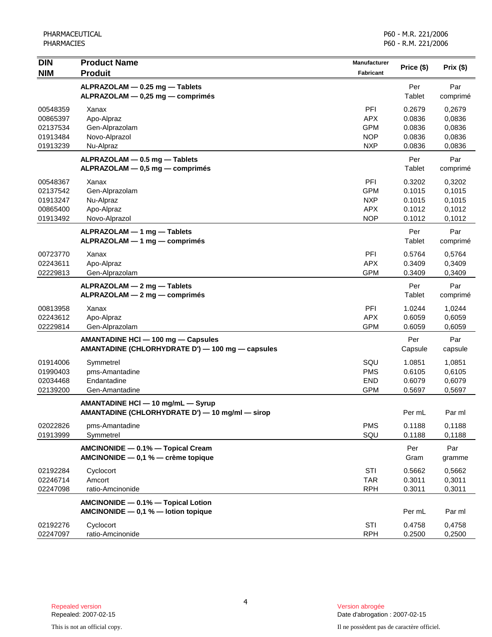| <b>DIN</b> | <b>Product Name</b>                              | <b>Manufacturer</b> |            |           |
|------------|--------------------------------------------------|---------------------|------------|-----------|
| <b>NIM</b> | <b>Produit</b>                                   | Fabricant           | Price (\$) | Prix (\$) |
|            | ALPRAZOLAM - 0.25 mg - Tablets                   |                     | Per        | Par       |
|            | ALPRAZOLAM - 0,25 mg - comprimés                 |                     | Tablet     | comprimé  |
| 00548359   | Xanax                                            | PFI                 | 0.2679     | 0,2679    |
| 00865397   | Apo-Alpraz                                       | <b>APX</b>          | 0.0836     | 0,0836    |
| 02137534   | Gen-Alprazolam                                   | <b>GPM</b>          | 0.0836     | 0,0836    |
| 01913484   | Novo-Alprazol                                    | <b>NOP</b>          | 0.0836     | 0,0836    |
| 01913239   | Nu-Alpraz                                        | <b>NXP</b>          | 0.0836     | 0,0836    |
|            | ALPRAZOLAM - 0.5 mg - Tablets                    |                     | Per        | Par       |
|            | ALPRAZOLAM - 0,5 mg - comprimés                  |                     | Tablet     | comprimé  |
| 00548367   | Xanax                                            | PFI                 | 0.3202     | 0,3202    |
| 02137542   | Gen-Alprazolam                                   | <b>GPM</b>          | 0.1015     | 0,1015    |
| 01913247   | Nu-Alpraz                                        | <b>NXP</b>          | 0.1015     | 0,1015    |
| 00865400   | Apo-Alpraz                                       | <b>APX</b>          | 0.1012     | 0,1012    |
| 01913492   | Novo-Alprazol                                    | <b>NOP</b>          | 0.1012     | 0,1012    |
|            | ALPRAZOLAM - 1 mg - Tablets                      |                     | Per        | Par       |
|            | ALPRAZOLAM - 1 mg - comprimés                    |                     | Tablet     | comprimé  |
| 00723770   | Xanax                                            | PFI                 | 0.5764     | 0.5764    |
| 02243611   | Apo-Alpraz                                       | <b>APX</b>          | 0.3409     | 0,3409    |
| 02229813   | Gen-Alprazolam                                   | <b>GPM</b>          | 0.3409     | 0,3409    |
|            | ALPRAZOLAM - 2 mg - Tablets                      |                     | Per        | Par       |
|            | ALPRAZOLAM - 2 mg - comprimés                    |                     | Tablet     | comprimé  |
| 00813958   | Xanax                                            | PFI                 | 1.0244     | 1,0244    |
| 02243612   | Apo-Alpraz                                       | <b>APX</b>          | 0.6059     | 0,6059    |
| 02229814   | Gen-Alprazolam                                   | <b>GPM</b>          | 0.6059     | 0,6059    |
|            | AMANTADINE HCI - 100 mg - Capsules               |                     | Per        | Par       |
|            | AMANTADINE (CHLORHYDRATE D') - 100 mg - capsules |                     | Capsule    | capsule   |
| 01914006   | Symmetrel                                        | SQU                 | 1.0851     | 1,0851    |
| 01990403   | pms-Amantadine                                   | <b>PMS</b>          | 0.6105     | 0,6105    |
| 02034468   | Endantadine                                      | <b>END</b>          | 0.6079     | 0,6079    |
| 02139200   | Gen-Amantadine                                   | <b>GPM</b>          | 0.5697     | 0,5697    |
|            | AMANTADINE HCI - 10 mg/mL - Syrup                |                     |            |           |
|            | AMANTADINE (CHLORHYDRATE D') - 10 mg/ml - sirop  |                     | Per mL     | Par ml    |
| 02022826   | pms-Amantadine                                   | <b>PMS</b>          | 0.1188     | 0,1188    |
| 01913999   | Symmetrel                                        | SQU                 | 0.1188     | 0,1188    |
|            | AMCINONIDE - 0.1% - Topical Cream                |                     | Per        | Par       |
|            | AMCINONIDE - 0,1 % - crème topique               |                     | Gram       | gramme    |
| 02192284   | Cyclocort                                        | STI                 | 0.5662     | 0,5662    |
| 02246714   | Amcort                                           | <b>TAR</b>          | 0.3011     | 0,3011    |
| 02247098   | ratio-Amcinonide                                 | <b>RPH</b>          | 0.3011     | 0,3011    |
|            | AMCINONIDE - 0.1% - Topical Lotion               |                     |            |           |
|            | AMCINONIDE $-$ 0,1 % $-$ lotion topique          |                     | Per mL     | Par ml    |
| 02192276   | Cyclocort                                        | STI                 | 0.4758     | 0,4758    |
| 02247097   | ratio-Amcinonide                                 | <b>RPH</b>          | 0.2500     | 0,2500    |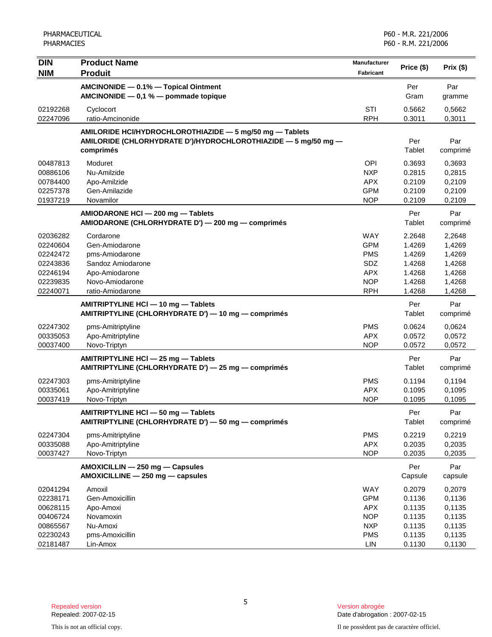| <b>DIN</b> | <b>Product Name</b>                                            | Manufacturer |               |          |
|------------|----------------------------------------------------------------|--------------|---------------|----------|
| <b>NIM</b> | <b>Produit</b>                                                 | Fabricant    | Price (\$)    | Prix(\$) |
|            | AMCINONIDE - 0.1% - Topical Ointment                           |              | Per           | Par      |
|            | AMCINONIDE $-$ 0,1 % $-$ pommade topique                       |              | Gram          | gramme   |
| 02192268   | Cyclocort                                                      | STI          | 0.5662        | 0,5662   |
| 02247096   | ratio-Amcinonide                                               | <b>RPH</b>   | 0.3011        | 0,3011   |
|            | AMILORIDE HCI/HYDROCHLOROTHIAZIDE - 5 mg/50 mg - Tablets       |              |               |          |
|            | AMILORIDE (CHLORHYDRATE D')/HYDROCHLOROTHIAZIDE - 5 mg/50 mg - |              | Per           | Par      |
|            | comprimés                                                      |              | Tablet        | comprimé |
| 00487813   | Moduret                                                        | <b>OPI</b>   | 0.3693        | 0,3693   |
| 00886106   | Nu-Amilzide                                                    | <b>NXP</b>   | 0.2815        | 0,2815   |
| 00784400   | Apo-Amilzide                                                   | <b>APX</b>   | 0.2109        | 0,2109   |
| 02257378   | Gen-Amilazide                                                  | <b>GPM</b>   | 0.2109        | 0,2109   |
| 01937219   | Novamilor                                                      | <b>NOP</b>   | 0.2109        | 0,2109   |
|            | AMIODARONE HCI - 200 mg - Tablets                              |              | Per           | Par      |
|            | AMIODARONE (CHLORHYDRATE D') - 200 mg - comprimés              |              | Tablet        | comprimé |
| 02036282   | Cordarone                                                      | <b>WAY</b>   | 2.2648        | 2,2648   |
| 02240604   | Gen-Amiodarone                                                 | <b>GPM</b>   | 1.4269        | 1,4269   |
| 02242472   | pms-Amiodarone                                                 | <b>PMS</b>   | 1.4269        | 1,4269   |
| 02243836   | Sandoz Amiodarone                                              | SDZ          | 1.4268        | 1,4268   |
| 02246194   | Apo-Amiodarone                                                 | <b>APX</b>   | 1.4268        | 1,4268   |
| 02239835   | Novo-Amiodarone                                                | <b>NOP</b>   | 1.4268        | 1,4268   |
| 02240071   | ratio-Amiodarone                                               | <b>RPH</b>   | 1.4268        | 1,4268   |
|            | AMITRIPTYLINE HCI-10 mg-Tablets                                |              | Per           | Par      |
|            | AMITRIPTYLINE (CHLORHYDRATE D') - 10 mg - comprimés            |              | Tablet        | comprimé |
| 02247302   | pms-Amitriptyline                                              | <b>PMS</b>   | 0.0624        | 0,0624   |
| 00335053   | Apo-Amitriptyline                                              | <b>APX</b>   | 0.0572        | 0,0572   |
| 00037400   | Novo-Triptyn                                                   | <b>NOP</b>   | 0.0572        | 0,0572   |
|            | AMITRIPTYLINE HCI - 25 mg - Tablets                            |              | Per           | Par      |
|            | AMITRIPTYLINE (CHLORHYDRATE D') - 25 mg - comprimés            |              | <b>Tablet</b> | comprimé |
| 02247303   | pms-Amitriptyline                                              | <b>PMS</b>   | 0.1194        | 0,1194   |
| 00335061   | Apo-Amitriptyline                                              | <b>APX</b>   | 0.1095        | 0,1095   |
| 00037419   | Novo-Triptyn                                                   | <b>NOP</b>   | 0.1095        | 0,1095   |
|            | AMITRIPTYLINE HCI - 50 mg - Tablets                            |              | Per           | Par      |
|            | AMITRIPTYLINE (CHLORHYDRATE D') - 50 mg - comprimés            |              | Tablet        | comprimé |
| 02247304   | pms-Amitriptyline                                              | <b>PMS</b>   | 0.2219        | 0,2219   |
| 00335088   | Apo-Amitriptyline                                              | <b>APX</b>   | 0.2035        | 0,2035   |
| 00037427   | Novo-Triptyn                                                   | <b>NOP</b>   | 0.2035        | 0,2035   |
|            | AMOXICILLIN - 250 mg - Capsules                                |              | Per           | Par      |
|            | AMOXICILLINE - 250 mg - capsules                               |              | Capsule       | capsule  |
| 02041294   | Amoxil                                                         | WAY          | 0.2079        | 0,2079   |
| 02238171   | Gen-Amoxicillin                                                | <b>GPM</b>   | 0.1136        | 0,1136   |
| 00628115   | Apo-Amoxi                                                      | <b>APX</b>   | 0.1135        | 0,1135   |
| 00406724   | Novamoxin                                                      | <b>NOP</b>   | 0.1135        | 0,1135   |
| 00865567   | Nu-Amoxi                                                       | <b>NXP</b>   | 0.1135        | 0,1135   |
| 02230243   | pms-Amoxicillin                                                | <b>PMS</b>   | 0.1135        | 0,1135   |
| 02181487   | Lin-Amox                                                       | LIN          | 0.1130        | 0,1130   |

Date d'abrogation : 2007-02-15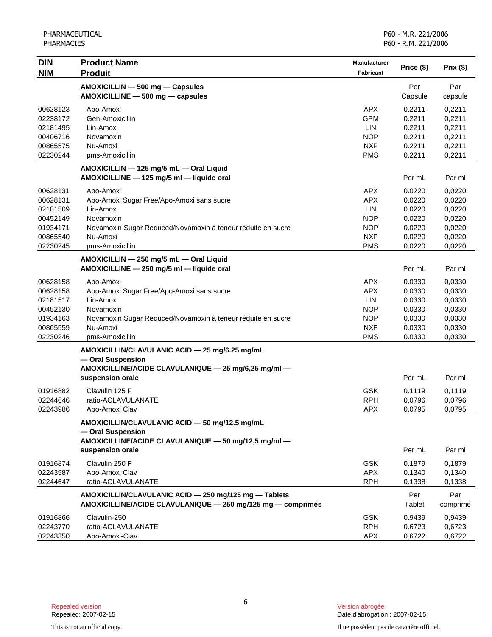| <b>DIN</b> | <b>Product Name</b>                                         | Manufacturer |            |           |
|------------|-------------------------------------------------------------|--------------|------------|-----------|
| <b>NIM</b> | <b>Produit</b>                                              | Fabricant    | Price (\$) | Prix (\$) |
|            | AMOXICILLIN - 500 mg - Capsules                             |              | Per        | Par       |
|            | AMOXICILLINE - 500 mg - capsules                            |              | Capsule    | capsule   |
| 00628123   | Apo-Amoxi                                                   | <b>APX</b>   | 0.2211     | 0,2211    |
| 02238172   | Gen-Amoxicillin                                             | <b>GPM</b>   | 0.2211     | 0,2211    |
| 02181495   | Lin-Amox                                                    | LIN          | 0.2211     | 0,2211    |
| 00406716   | Novamoxin                                                   | <b>NOP</b>   | 0.2211     | 0,2211    |
| 00865575   | Nu-Amoxi                                                    | <b>NXP</b>   | 0.2211     | 0,2211    |
| 02230244   | pms-Amoxicillin                                             | <b>PMS</b>   | 0.2211     | 0,2211    |
|            | AMOXICILLIN - 125 mg/5 mL - Oral Liquid                     |              |            |           |
|            | AMOXICILLINE - 125 mg/5 ml - liquide oral                   |              | Per mL     | Par ml    |
| 00628131   | Apo-Amoxi                                                   | <b>APX</b>   | 0.0220     | 0,0220    |
| 00628131   | Apo-Amoxi Sugar Free/Apo-Amoxi sans sucre                   | APX          | 0.0220     | 0,0220    |
| 02181509   | Lin-Amox                                                    | LIN          | 0.0220     | 0,0220    |
| 00452149   | Novamoxin                                                   | <b>NOP</b>   | 0.0220     | 0,0220    |
| 01934171   | Novamoxin Sugar Reduced/Novamoxin à teneur réduite en sucre | <b>NOP</b>   | 0.0220     | 0,0220    |
| 00865540   | Nu-Amoxi                                                    | <b>NXP</b>   | 0.0220     | 0,0220    |
| 02230245   | pms-Amoxicillin                                             | <b>PMS</b>   | 0.0220     | 0,0220    |
|            | AMOXICILLIN - 250 mg/5 mL - Oral Liquid                     |              |            |           |
|            | AMOXICILLINE - 250 mg/5 ml - liquide oral                   |              | Per mL     | Par ml    |
| 00628158   | Apo-Amoxi                                                   | <b>APX</b>   | 0.0330     | 0,0330    |
| 00628158   | Apo-Amoxi Sugar Free/Apo-Amoxi sans sucre                   | <b>APX</b>   | 0.0330     | 0,0330    |
| 02181517   | Lin-Amox                                                    | <b>LIN</b>   | 0.0330     | 0,0330    |
| 00452130   | Novamoxin                                                   | <b>NOP</b>   | 0.0330     | 0,0330    |
| 01934163   | Novamoxin Sugar Reduced/Novamoxin à teneur réduite en sucre | <b>NOP</b>   | 0.0330     | 0,0330    |
| 00865559   | Nu-Amoxi                                                    | <b>NXP</b>   | 0.0330     | 0,0330    |
| 02230246   | pms-Amoxicillin                                             | <b>PMS</b>   | 0.0330     | 0,0330    |
|            | AMOXICILLIN/CLAVULANIC ACID - 25 mg/6.25 mg/mL              |              |            |           |
|            | - Oral Suspension                                           |              |            |           |
|            | AMOXICILLINE/ACIDE CLAVULANIQUE - 25 mg/6,25 mg/ml -        |              |            |           |
|            | suspension orale                                            |              | Per mL     | Par ml    |
| 01916882   | Clavulin 125 F                                              | <b>GSK</b>   | 0.1119     | 0,1119    |
| 02244646   | ratio-ACLAVULANATE                                          | <b>RPH</b>   | 0.0796     | 0,0796    |
| 02243986   | Apo-Amoxi Clav                                              | <b>APX</b>   | 0.0795     | 0,0795    |
|            | AMOXICILLIN/CLAVULANIC ACID - 50 mg/12.5 mg/mL              |              |            |           |
|            | - Oral Suspension                                           |              |            |           |
|            | AMOXICILLINE/ACIDE CLAVULANIQUE - 50 mg/12,5 mg/ml -        |              |            |           |
|            | suspension orale                                            |              | Per mL     | Par ml    |
| 01916874   | Clavulin 250 F                                              | <b>GSK</b>   | 0.1879     | 0,1879    |
| 02243987   | Apo-Amoxi Clav                                              | <b>APX</b>   | 0.1340     | 0,1340    |
| 02244647   | ratio-ACLAVULANATE                                          | <b>RPH</b>   | 0.1338     | 0,1338    |
|            | AMOXICILLIN/CLAVULANIC ACID - 250 mg/125 mg - Tablets       |              | Per        | Par       |
|            | AMOXICILLINE/ACIDE CLAVULANIQUE - 250 mg/125 mg - comprimés |              | Tablet     | comprimé  |
| 01916866   | Clavulin-250                                                | <b>GSK</b>   | 0.9439     | 0,9439    |
| 02243770   | ratio-ACLAVULANATE                                          | <b>RPH</b>   | 0.6723     | 0,6723    |
| 02243350   | Apo-Amoxi-Clav                                              | APX          | 0.6722     | 0,6722    |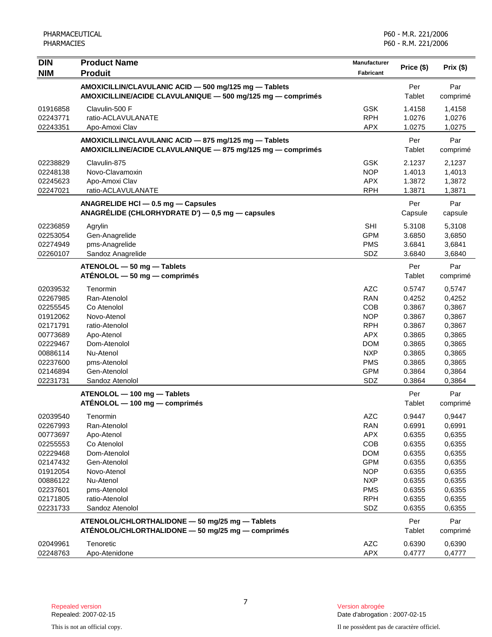| <b>DIN</b> | <b>Product Name</b>                                                                                                  | <b>Manufacturer</b> |                |                 |
|------------|----------------------------------------------------------------------------------------------------------------------|---------------------|----------------|-----------------|
| <b>NIM</b> | <b>Produit</b>                                                                                                       | Fabricant           | Price (\$)     | Prix(\$)        |
|            | AMOXICILLIN/CLAVULANIC ACID - 500 mg/125 mg - Tablets<br>AMOXICILLINE/ACIDE CLAVULANIQUE - 500 mg/125 mg - comprimés |                     | Per<br>Tablet  | Par<br>comprimé |
| 01916858   | Clavulin-500 F                                                                                                       | <b>GSK</b>          | 1.4158         | 1,4158          |
| 02243771   | ratio-ACLAVULANATE                                                                                                   | <b>RPH</b>          | 1.0276         | 1,0276          |
| 02243351   | Apo-Amoxi Clav                                                                                                       | <b>APX</b>          | 1.0275         | 1,0275          |
|            | AMOXICILLIN/CLAVULANIC ACID - 875 mg/125 mg - Tablets<br>AMOXICILLINE/ACIDE CLAVULANIQUE - 875 mg/125 mg - comprimés |                     | Per<br>Tablet  | Par<br>comprimé |
| 02238829   | Clavulin-875                                                                                                         | <b>GSK</b>          | 2.1237         | 2,1237          |
| 02248138   | Novo-Clavamoxin                                                                                                      | <b>NOP</b>          | 1.4013         | 1,4013          |
| 02245623   | Apo-Amoxi Clav                                                                                                       | <b>APX</b>          | 1.3872         | 1,3872          |
| 02247021   | ratio-ACLAVULANATE                                                                                                   | <b>RPH</b>          | 1.3871         | 1,3871          |
|            | ANAGRELIDE HCI - 0.5 mg - Capsules<br>ANAGRÉLIDE (CHLORHYDRATE D') - 0,5 mg - capsules                               |                     | Per<br>Capsule | Par<br>capsule  |
| 02236859   | Agrylin                                                                                                              | <b>SHI</b>          | 5.3108         | 5,3108          |
| 02253054   | Gen-Anagrelide                                                                                                       | <b>GPM</b>          | 3.6850         | 3,6850          |
| 02274949   | pms-Anagrelide                                                                                                       | <b>PMS</b>          | 3.6841         | 3,6841          |
| 02260107   | Sandoz Anagrelide                                                                                                    | SDZ                 | 3.6840         | 3,6840          |
|            | ATENOLOL - 50 mg - Tablets<br>ATÉNOLOL - 50 mg - comprimés                                                           |                     | Per<br>Tablet  | Par<br>comprimé |
| 02039532   | Tenormin                                                                                                             | <b>AZC</b>          | 0.5747         | 0,5747          |
| 02267985   | Ran-Atenolol                                                                                                         | <b>RAN</b>          | 0.4252         | 0,4252          |
| 02255545   | Co Atenolol                                                                                                          | COB                 | 0.3867         | 0,3867          |
| 01912062   | Novo-Atenol                                                                                                          | <b>NOP</b>          | 0.3867         | 0,3867          |
| 02171791   | ratio-Atenolol                                                                                                       | <b>RPH</b>          | 0.3867         | 0,3867          |
| 00773689   | Apo-Atenol                                                                                                           | <b>APX</b>          | 0.3865         | 0,3865          |
| 02229467   | Dom-Atenolol                                                                                                         | <b>DOM</b>          | 0.3865         | 0,3865          |
| 00886114   | Nu-Atenol                                                                                                            | <b>NXP</b>          | 0.3865         | 0,3865          |
| 02237600   | pms-Atenolol                                                                                                         | <b>PMS</b>          | 0.3865         | 0,3865          |
| 02146894   | Gen-Atenolol                                                                                                         | <b>GPM</b>          | 0.3864         | 0,3864          |
| 02231731   | Sandoz Atenolol                                                                                                      | SDZ                 | 0.3864         | 0,3864          |
|            | ATENOLOL - 100 mg - Tablets<br>ATÉNOLOL - 100 mg - comprimés                                                         |                     | Per<br>Tablet  | Par<br>comprimé |
| 02039540   | Tenormin                                                                                                             | <b>AZC</b>          | 0.9447         | 0,9447          |
| 02267993   | Ran-Atenolol                                                                                                         | <b>RAN</b>          | 0.6991         | 0,6991          |
| 00773697   | Apo-Atenol                                                                                                           | <b>APX</b>          | 0.6355         | 0,6355          |
| 02255553   | Co Atenolol                                                                                                          | <b>COB</b>          | 0.6355         | 0,6355          |
| 02229468   | Dom-Atenolol                                                                                                         | <b>DOM</b>          | 0.6355         | 0,6355          |
| 02147432   | Gen-Atenolol                                                                                                         | <b>GPM</b>          | 0.6355         | 0,6355          |
| 01912054   | Novo-Atenol                                                                                                          | <b>NOP</b>          | 0.6355         | 0,6355          |
| 00886122   | Nu-Atenol                                                                                                            | <b>NXP</b>          | 0.6355         | 0,6355          |
| 02237601   | pms-Atenolol                                                                                                         | <b>PMS</b>          | 0.6355         | 0,6355          |
| 02171805   | ratio-Atenolol                                                                                                       | <b>RPH</b>          | 0.6355         | 0,6355          |
| 02231733   | Sandoz Atenolol                                                                                                      | SDZ                 | 0.6355         | 0,6355          |
|            | ATENOLOL/CHLORTHALIDONE - 50 mg/25 mg - Tablets<br>ATÉNOLOL/CHLORTHALIDONE - 50 mg/25 mg - comprimés                 |                     | Per<br>Tablet  | Par<br>comprimé |
| 02049961   | Tenoretic                                                                                                            | AZC                 | 0.6390         | 0,6390          |
| 02248763   | Apo-Atenidone                                                                                                        | <b>APX</b>          | 0.4777         | 0,4777          |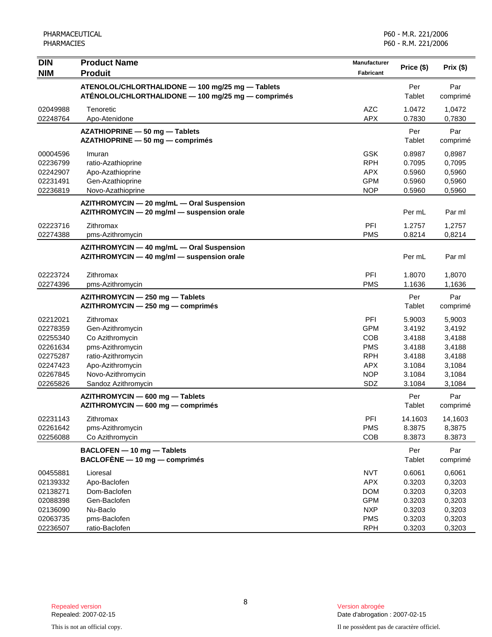| <b>DIN</b>                                                                       | <b>Product Name</b>                                                                                                                 | Manufacturer                                                                                   | Price (\$)                                                         | Prix (\$)                                                          |
|----------------------------------------------------------------------------------|-------------------------------------------------------------------------------------------------------------------------------------|------------------------------------------------------------------------------------------------|--------------------------------------------------------------------|--------------------------------------------------------------------|
| <b>NIM</b>                                                                       | <b>Produit</b>                                                                                                                      | Fabricant                                                                                      |                                                                    |                                                                    |
|                                                                                  | ATENOLOL/CHLORTHALIDONE - 100 mg/25 mg - Tablets<br>ATÉNOLOL/CHLORTHALIDONE - 100 mg/25 mg - comprimés                              |                                                                                                | Per<br>Tablet                                                      | Par<br>comprimé                                                    |
| 02049988<br>02248764                                                             | Tenoretic<br>Apo-Atenidone                                                                                                          | <b>AZC</b><br><b>APX</b>                                                                       | 1.0472<br>0.7830                                                   | 1,0472<br>0,7830                                                   |
|                                                                                  | AZATHIOPRINE - 50 mg - Tablets<br>AZATHIOPRINE - 50 mg - comprimés                                                                  |                                                                                                | Per<br>Tablet                                                      | Par<br>comprimé                                                    |
| 00004596<br>02236799<br>02242907<br>02231491<br>02236819                         | Imuran<br>ratio-Azathioprine<br>Apo-Azathioprine<br>Gen-Azathioprine<br>Novo-Azathioprine                                           | <b>GSK</b><br><b>RPH</b><br><b>APX</b><br><b>GPM</b><br><b>NOP</b>                             | 0.8987<br>0.7095<br>0.5960<br>0.5960<br>0.5960                     | 0,8987<br>0,7095<br>0,5960<br>0,5960<br>0,5960                     |
|                                                                                  | AZITHROMYCIN - 20 mg/mL - Oral Suspension<br>AZITHROMYCIN - 20 mg/ml - suspension orale                                             |                                                                                                | Per mL                                                             | Par ml                                                             |
| 02223716<br>02274388                                                             | Zithromax<br>pms-Azithromycin                                                                                                       | PFI<br><b>PMS</b>                                                                              | 1.2757<br>0.8214                                                   | 1,2757<br>0,8214                                                   |
|                                                                                  | AZITHROMYCIN - 40 mg/mL - Oral Suspension<br>AZITHROMYCIN - 40 mg/ml - suspension orale                                             |                                                                                                | Per mL                                                             | Par ml                                                             |
| 02223724<br>02274396                                                             | Zithromax<br>pms-Azithromycin                                                                                                       | PFI<br><b>PMS</b>                                                                              | 1.8070<br>1.1636                                                   | 1,8070<br>1,1636                                                   |
|                                                                                  | AZITHROMYCIN - 250 mg - Tablets<br>AZITHROMYCIN - 250 mg - comprimés                                                                |                                                                                                | Per<br>Tablet                                                      | Par<br>comprimé                                                    |
| 02212021<br>02278359<br>02255340<br>02261634<br>02275287<br>02247423<br>02267845 | Zithromax<br>Gen-Azithromycin<br>Co Azithromycin<br>pms-Azithromycin<br>ratio-Azithromycin<br>Apo-Azithromycin<br>Novo-Azithromycin | PFI<br><b>GPM</b><br><b>COB</b><br><b>PMS</b><br><b>RPH</b><br><b>APX</b><br><b>NOP</b>        | 5.9003<br>3.4192<br>3.4188<br>3.4188<br>3.4188<br>3.1084<br>3.1084 | 5,9003<br>3,4192<br>3,4188<br>3,4188<br>3,4188<br>3,1084<br>3,1084 |
| 02265826                                                                         | Sandoz Azithromycin<br>AZITHROMYCIN - 600 mg - Tablets                                                                              | SDZ                                                                                            | 3.1084<br>Per                                                      | 3,1084<br>Par                                                      |
| 02231143<br>02261642<br>02256088                                                 | AZITHROMYCIN - 600 mg - comprimés<br>Zithromax<br>pms-Azithromycin<br>Co Azithromycin                                               | PFI<br><b>PMS</b><br>COB                                                                       | Tablet<br>14.1603<br>8.3875<br>8.3873                              | comprimé<br>14,1603<br>8,3875<br>8.3873                            |
|                                                                                  | BACLOFEN - 10 mg - Tablets<br>BACLOFÈNE - 10 mg - comprimés                                                                         |                                                                                                | Per<br>Tablet                                                      | Par<br>comprimé                                                    |
| 00455881<br>02139332<br>02138271<br>02088398<br>02136090<br>02063735<br>02236507 | Lioresal<br>Apo-Baclofen<br>Dom-Baclofen<br>Gen-Baclofen<br>Nu-Baclo<br>pms-Baclofen<br>ratio-Baclofen                              | <b>NVT</b><br><b>APX</b><br><b>DOM</b><br><b>GPM</b><br><b>NXP</b><br><b>PMS</b><br><b>RPH</b> | 0.6061<br>0.3203<br>0.3203<br>0.3203<br>0.3203<br>0.3203<br>0.3203 | 0,6061<br>0,3203<br>0,3203<br>0,3203<br>0,3203<br>0,3203<br>0,3203 |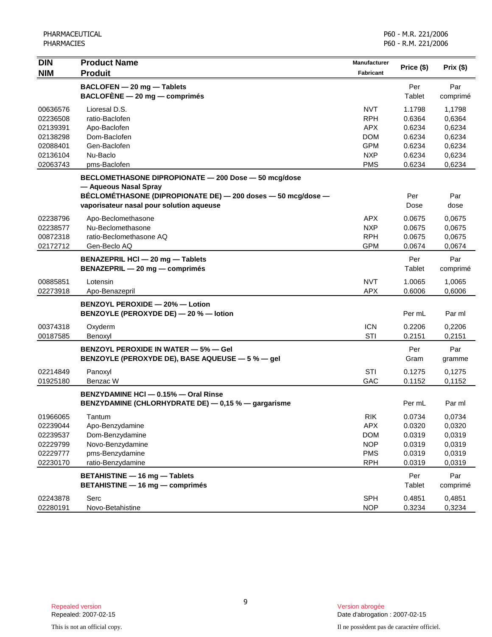| <b>DIN</b><br><b>NIM</b>                                                         | <b>Product Name</b><br><b>Produit</b>                                                                                                                                                     | <b>Manufacturer</b><br><b>Fabricant</b>                                                           | Price (\$)                                                         | Prix(\$)                                                           |
|----------------------------------------------------------------------------------|-------------------------------------------------------------------------------------------------------------------------------------------------------------------------------------------|---------------------------------------------------------------------------------------------------|--------------------------------------------------------------------|--------------------------------------------------------------------|
|                                                                                  | BACLOFEN - 20 mg - Tablets<br>$BACLOFÈNE - 20 mg - comprimés$                                                                                                                             |                                                                                                   | Per<br>Tablet                                                      | Par<br>comprimé                                                    |
| 00636576<br>02236508<br>02139391<br>02138298<br>02088401<br>02136104<br>02063743 | Lioresal D.S.<br>ratio-Baclofen<br>Apo-Baclofen<br>Dom-Baclofen<br>Gen-Baclofen<br>Nu-Baclo<br>pms-Baclofen                                                                               | <b>NVT</b><br><b>RPH</b><br><b>APX</b><br><b>DOM</b><br><b>GPM</b><br><b>NXP</b><br><b>PMS</b>    | 1.1798<br>0.6364<br>0.6234<br>0.6234<br>0.6234<br>0.6234<br>0.6234 | 1,1798<br>0,6364<br>0,6234<br>0,6234<br>0,6234<br>0,6234<br>0,6234 |
|                                                                                  | BECLOMETHASONE DIPROPIONATE - 200 Dose - 50 mcg/dose<br>- Aqueous Nasal Spray<br>BÉCLOMÉTHASONE (DIPROPIONATE DE) - 200 doses - 50 mcg/dose -<br>vaporisateur nasal pour solution aqueuse |                                                                                                   | Per<br>Dose                                                        | Par<br>dose                                                        |
| 02238796<br>02238577<br>00872318<br>02172712                                     | Apo-Beclomethasone<br>Nu-Beclomethasone<br>ratio-Beclomethasone AQ<br>Gen-Beclo AQ                                                                                                        | APX<br><b>NXP</b><br><b>RPH</b><br><b>GPM</b>                                                     | 0.0675<br>0.0675<br>0.0675<br>0.0674                               | 0,0675<br>0,0675<br>0,0675<br>0,0674                               |
|                                                                                  | BENAZEPRIL HCl - 20 mg - Tablets<br>BENAZEPRIL - 20 mg - comprimés                                                                                                                        |                                                                                                   | Per<br>Tablet                                                      | Par<br>comprimé                                                    |
| 00885851<br>02273918                                                             | Lotensin<br>Apo-Benazepril                                                                                                                                                                | <b>NVT</b><br><b>APX</b>                                                                          | 1.0065<br>0.6006                                                   | 1,0065<br>0,6006                                                   |
|                                                                                  | BENZOYL PEROXIDE - 20% - Lotion<br>BENZOYLE (PEROXYDE DE) - 20 % - lotion                                                                                                                 |                                                                                                   | Per mL                                                             | Par ml                                                             |
| 00374318<br>00187585                                                             | Oxyderm<br>Benoxyl                                                                                                                                                                        | <b>ICN</b><br><b>STI</b>                                                                          | 0.2206<br>0.2151                                                   | 0,2206<br>0,2151                                                   |
|                                                                                  | <b>BENZOYL PEROXIDE IN WATER - 5% - Gel</b><br>BENZOYLE (PEROXYDE DE), BASE AQUEUSE - 5 % - gel                                                                                           |                                                                                                   | Per<br>Gram                                                        | Par<br>gramme                                                      |
| 02214849<br>01925180                                                             | Panoxyl<br>Benzac W                                                                                                                                                                       | <b>STI</b><br>GAC                                                                                 | 0.1275<br>0.1152                                                   | 0,1275<br>0,1152                                                   |
|                                                                                  | BENZYDAMINE HCI - 0.15% - Oral Rinse<br>BENZYDAMINE (CHLORHYDRATE DE) - 0,15 % - gargarisme                                                                                               |                                                                                                   | Per mL                                                             | Par ml                                                             |
| 01966065<br>02239044<br>02239537<br>02229799<br>02229777<br>02230170             | Tantum<br>Apo-Benzydamine<br>Dom-Benzydamine<br>Novo-Benzydamine<br>pms-Benzydamine<br>ratio-Benzydamine                                                                                  | $\ensuremath{\mathsf{RIK}}$<br><b>APX</b><br><b>DOM</b><br><b>NOP</b><br><b>PMS</b><br><b>RPH</b> | 0.0734<br>0.0320<br>0.0319<br>0.0319<br>0.0319<br>0.0319           | 0,0734<br>0,0320<br>0,0319<br>0,0319<br>0,0319<br>0,0319           |
|                                                                                  | <b>BETAHISTINE - 16 mg - Tablets</b><br><b>BETAHISTINE - 16 mg - comprimés</b>                                                                                                            |                                                                                                   | Per<br>Tablet                                                      | Par<br>comprimé                                                    |
| 02243878<br>02280191                                                             | Serc<br>Novo-Betahistine                                                                                                                                                                  | <b>SPH</b><br><b>NOP</b>                                                                          | 0.4851<br>0.3234                                                   | 0,4851<br>0,3234                                                   |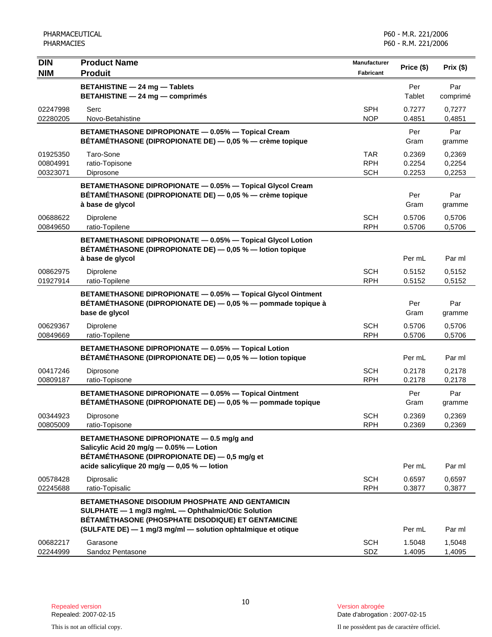| <b>DIN</b>                       | <b>Product Name</b>                                                                                                                                         | <b>Manufacturer</b>                    |                            |                            |
|----------------------------------|-------------------------------------------------------------------------------------------------------------------------------------------------------------|----------------------------------------|----------------------------|----------------------------|
| <b>NIM</b>                       | <b>Produit</b>                                                                                                                                              | <b>Fabricant</b>                       | Price (\$)                 | Prix(\$)                   |
|                                  | <b>BETAHISTINE - 24 mg - Tablets</b><br><b>BETAHISTINE - 24 mg - comprimés</b>                                                                              |                                        | Per<br>Tablet              | Par<br>comprimé            |
| 02247998<br>02280205             | Serc<br>Novo-Betahistine                                                                                                                                    | <b>SPH</b><br><b>NOP</b>               | 0.7277<br>0.4851           | 0.7277<br>0,4851           |
|                                  | BETAMETHASONE DIPROPIONATE - 0.05% - Topical Cream<br>BÉTAMÉTHASONE (DIPROPIONATE DE) — 0,05 % — crème topique                                              |                                        | Per<br>Gram                | Par<br>gramme              |
| 01925350<br>00804991<br>00323071 | Taro-Sone<br>ratio-Topisone<br>Diprosone                                                                                                                    | <b>TAR</b><br><b>RPH</b><br><b>SCH</b> | 0.2369<br>0.2254<br>0.2253 | 0,2369<br>0,2254<br>0,2253 |
|                                  | BETAMETHASONE DIPROPIONATE - 0.05% - Topical Glycol Cream<br>BÉTAMÉTHASONE (DIPROPIONATE DE) - 0,05 % - crème topique<br>à base de glycol                   |                                        | Per<br>Gram                | Par<br>gramme              |
| 00688622<br>00849650             | Diprolene<br>ratio-Topilene                                                                                                                                 | <b>SCH</b><br><b>RPH</b>               | 0.5706<br>0.5706           | 0,5706<br>0,5706           |
|                                  | BETAMETHASONE DIPROPIONATE - 0.05% - Topical Glycol Lotion<br>BÉTAMÉTHASONE (DIPROPIONATE DE) - 0,05 % - lotion topique<br>à base de glycol                 |                                        | Per mL                     | Par ml                     |
| 00862975<br>01927914             | Diprolene<br>ratio-Topilene                                                                                                                                 | <b>SCH</b><br><b>RPH</b>               | 0.5152<br>0.5152           | 0,5152<br>0,5152           |
|                                  | BETAMETHASONE DIPROPIONATE - 0.05% - Topical Glycol Ointment<br>BÉTAMÉTHASONE (DIPROPIONATE DE) — 0,05 % — pommade topique à<br>base de glycol              |                                        | Per<br>Gram                | Par<br>gramme              |
| 00629367<br>00849669             | Diprolene<br>ratio-Topilene                                                                                                                                 | <b>SCH</b><br><b>RPH</b>               | 0.5706<br>0.5706           | 0,5706<br>0,5706           |
|                                  | BETAMETHASONE DIPROPIONATE - 0.05% - Topical Lotion<br>BÉTAMÉTHASONE (DIPROPIONATE DE) - 0,05 % - lotion topique                                            |                                        | Per mL                     | Par ml                     |
| 00417246<br>00809187             | Diprosone<br>ratio-Topisone                                                                                                                                 | <b>SCH</b><br><b>RPH</b>               | 0.2178<br>0.2178           | 0,2178<br>0,2178           |
|                                  | BETAMETHASONE DIPROPIONATE - 0.05% - Topical Ointment<br>BÉTAMÉTHASONE (DIPROPIONATE DE) - 0,05 % - pommade topique                                         |                                        | Per<br>Gram                | Par<br>gramme              |
| 00344923<br>00805009             | Diprosone<br>ratio-Topisone                                                                                                                                 | <b>SCH</b><br><b>RPH</b>               | 0.2369<br>0.2369           | 0,2369<br>0,2369           |
|                                  | BETAMETHASONE DIPROPIONATE - 0.5 mg/g and<br>Salicylic Acid 20 mg/g - 0.05% - Lotion<br>BÉTAMÉTHASONE (DIPROPIONATE DE) - 0,5 mg/g et                       |                                        |                            |                            |
| 00578428<br>02245688             | acide salicylique 20 mg/g $-$ 0,05 % $-$ lotion<br>Diprosalic<br>ratio-Topisalic                                                                            | <b>SCH</b><br><b>RPH</b>               | Per mL<br>0.6597<br>0.3877 | Par ml<br>0,6597<br>0,3877 |
|                                  | BETAMETHASONE DISODIUM PHOSPHATE AND GENTAMICIN<br>SULPHATE - 1 mg/3 mg/mL - Ophthalmic/Otic Solution<br>BÉTAMÉTHASONE (PHOSPHATE DISODIQUE) ET GENTAMICINE |                                        |                            |                            |
| 00682217<br>02244999             | (SULFATE DE) - 1 mg/3 mg/ml - solution ophtalmique et otique<br>Garasone<br>Sandoz Pentasone                                                                | <b>SCH</b><br>SDZ                      | Per mL<br>1.5048<br>1.4095 | Par ml<br>1,5048<br>1,4095 |

Date d'abrogation : 2007-02-15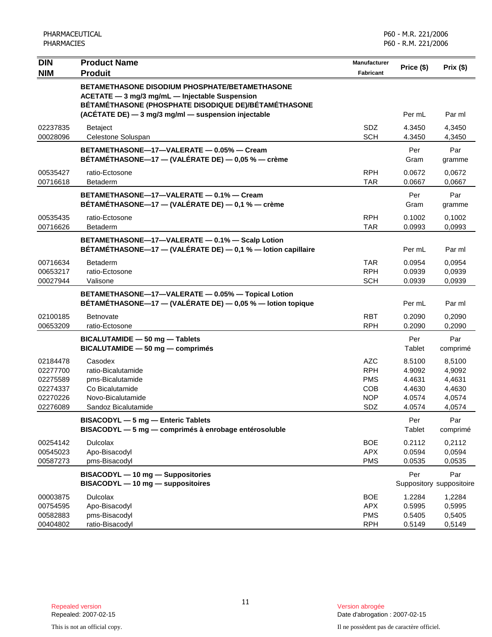| <b>DIN</b>                                                           | <b>Product Name</b>                                                                                                                                                                                             | <b>Manufacturer</b>                                                | Price (\$)                                               | Prix (\$)                                                |
|----------------------------------------------------------------------|-----------------------------------------------------------------------------------------------------------------------------------------------------------------------------------------------------------------|--------------------------------------------------------------------|----------------------------------------------------------|----------------------------------------------------------|
| <b>NIM</b>                                                           | <b>Produit</b>                                                                                                                                                                                                  | <b>Fabricant</b>                                                   |                                                          |                                                          |
|                                                                      | BETAMETHASONE DISODIUM PHOSPHATE/BETAMETHASONE<br>ACETATE - 3 mg/3 mg/mL - Injectable Suspension<br>BÉTAMÉTHASONE (PHOSPHATE DISODIQUE DE)/BÉTAMÉTHASONE<br>(ACÉTATE DE) - 3 mg/3 mg/ml - suspension injectable |                                                                    | Per mL                                                   | Par ml                                                   |
| 02237835<br>00028096                                                 | <b>Betaject</b><br>Celestone Soluspan                                                                                                                                                                           | <b>SDZ</b><br><b>SCH</b>                                           | 4.3450<br>4.3450                                         | 4,3450<br>4,3450                                         |
|                                                                      | BETAMETHASONE-17-VALERATE - 0.05% - Cream<br>BÉTAMÉTHASONE—17 — (VALÉRATE DE) — 0,05 % — crème                                                                                                                  |                                                                    | Per<br>Gram                                              | Par<br>gramme                                            |
| 00535427<br>00716618                                                 | ratio-Ectosone<br>Betaderm                                                                                                                                                                                      | <b>RPH</b><br><b>TAR</b>                                           | 0.0672<br>0.0667                                         | 0,0672<br>0,0667                                         |
|                                                                      | BETAMETHASONE-17-VALERATE - 0.1% - Cream<br>BÉTAMÉTHASONE-17 - (VALÉRATE DE) - 0,1 % - crème                                                                                                                    |                                                                    | Per<br>Gram                                              | Par<br>gramme                                            |
| 00535435<br>00716626                                                 | ratio-Ectosone<br><b>Betaderm</b>                                                                                                                                                                               | <b>RPH</b><br><b>TAR</b>                                           | 0.1002<br>0.0993                                         | 0,1002<br>0.0993                                         |
|                                                                      | BETAMETHASONE-17-VALERATE - 0.1% - Scalp Lotion<br>BÉTAMÉTHASONE-17 - (VALÉRATE DE) - 0,1 % - lotion capillaire                                                                                                 |                                                                    | Per mL                                                   | Par ml                                                   |
| 00716634<br>00653217<br>00027944                                     | <b>Betaderm</b><br>ratio-Ectosone<br>Valisone                                                                                                                                                                   | <b>TAR</b><br><b>RPH</b><br><b>SCH</b>                             | 0.0954<br>0.0939<br>0.0939                               | 0,0954<br>0,0939<br>0,0939                               |
|                                                                      | BETAMETHASONE-17-VALERATE - 0.05% - Topical Lotion<br>BÉTAMÉTHASONE-17 - (VALÉRATE DE) - 0,05 % - lotion topique                                                                                                |                                                                    | Per mL                                                   | Par ml                                                   |
| 02100185<br>00653209                                                 | Betnovate<br>ratio-Ectosone                                                                                                                                                                                     | RBT<br><b>RPH</b>                                                  | 0.2090<br>0.2090                                         | 0,2090<br>0,2090                                         |
|                                                                      | BICALUTAMIDE - 50 mg - Tablets<br>BICALUTAMIDE - 50 mg - comprimés                                                                                                                                              |                                                                    | Per<br>Tablet                                            | Par<br>comprimé                                          |
| 02184478<br>02277700<br>02275589<br>02274337<br>02270226<br>02276089 | Casodex<br>ratio-Bicalutamide<br>pms-Bicalutamide<br>Co Bicalutamide<br>Novo-Bicalutamide<br>Sandoz Bicalutamide                                                                                                | AZC<br><b>RPH</b><br><b>PMS</b><br><b>COB</b><br><b>NOP</b><br>SDZ | 8.5100<br>4.9092<br>4.4631<br>4.4630<br>4.0574<br>4.0574 | 8,5100<br>4,9092<br>4,4631<br>4,4630<br>4,0574<br>4,0574 |
|                                                                      | BISACODYL - 5 mg - Enteric Tablets<br>BISACODYL - 5 mg - comprimés à enrobage entérosoluble                                                                                                                     |                                                                    | Per<br>Tablet                                            | Par<br>comprimé                                          |
| 00254142<br>00545023<br>00587273                                     | <b>Dulcolax</b><br>Apo-Bisacodyl<br>pms-Bisacodyl                                                                                                                                                               | <b>BOE</b><br><b>APX</b><br><b>PMS</b>                             | 0.2112<br>0.0594<br>0.0535                               | 0,2112<br>0,0594<br>0,0535                               |
|                                                                      | BISACODYL - 10 mg - Suppositories<br>BISACODYL - 10 mg - suppositoires                                                                                                                                          |                                                                    | Per                                                      | Par<br>Suppository suppositoire                          |
| 00003875<br>00754595<br>00582883<br>00404802                         | <b>Dulcolax</b><br>Apo-Bisacodyl<br>pms-Bisacodyl<br>ratio-Bisacodyl                                                                                                                                            | <b>BOE</b><br><b>APX</b><br><b>PMS</b><br><b>RPH</b>               | 1.2284<br>0.5995<br>0.5405<br>0.5149                     | 1,2284<br>0,5995<br>0,5405<br>0,5149                     |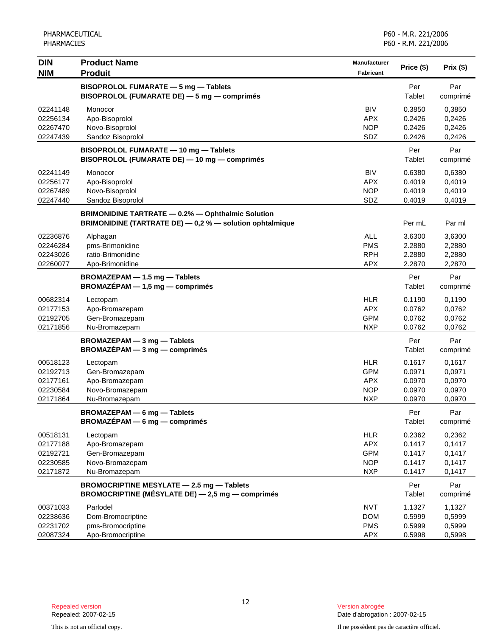| <b>DIN</b> | <b>Product Name</b>                                      | <b>Manufacturer</b> |            | Prix(\$) |
|------------|----------------------------------------------------------|---------------------|------------|----------|
| <b>NIM</b> | <b>Produit</b>                                           | Fabricant           | Price (\$) |          |
|            | BISOPROLOL FUMARATE - 5 mg - Tablets                     |                     | Per        | Par      |
|            | BISOPROLOL (FUMARATE DE) - 5 mg - comprimés              |                     | Tablet     | comprimé |
| 02241148   | Monocor                                                  | <b>BIV</b>          | 0.3850     | 0,3850   |
| 02256134   | Apo-Bisoprolol                                           | <b>APX</b>          | 0.2426     | 0,2426   |
| 02267470   | Novo-Bisoprolol                                          | <b>NOP</b>          | 0.2426     | 0,2426   |
| 02247439   | Sandoz Bisoprolol                                        | SDZ                 | 0.2426     | 0,2426   |
|            | BISOPROLOL FUMARATE - 10 mg - Tablets                    |                     | Per        | Par      |
|            | BISOPROLOL (FUMARATE DE) - 10 mg - comprimés             |                     | Tablet     | comprimé |
| 02241149   | Monocor                                                  | <b>BIV</b>          | 0.6380     | 0,6380   |
| 02256177   | Apo-Bisoprolol                                           | <b>APX</b>          | 0.4019     | 0,4019   |
| 02267489   | Novo-Bisoprolol                                          | <b>NOP</b>          | 0.4019     | 0,4019   |
| 02247440   | Sandoz Bisoprolol                                        | SDZ                 | 0.4019     | 0,4019   |
|            | <b>BRIMONIDINE TARTRATE - 0.2% - Ophthalmic Solution</b> |                     |            |          |
|            | BRIMONIDINE (TARTRATE DE) - 0,2 % - solution ophtalmique |                     | Per mL     | Par ml   |
| 02236876   | Alphagan                                                 | <b>ALL</b>          | 3.6300     | 3,6300   |
| 02246284   | pms-Brimonidine                                          | <b>PMS</b>          | 2.2880     | 2,2880   |
| 02243026   | ratio-Brimonidine                                        | <b>RPH</b>          | 2.2880     | 2,2880   |
| 02260077   | Apo-Brimonidine                                          | <b>APX</b>          | 2.2870     | 2,2870   |
|            | BROMAZEPAM - 1.5 mg - Tablets                            |                     | Per        | Par      |
|            | $BROMAZÉPAM - 1,5 mg - comprimés$                        |                     | Tablet     | comprimé |
| 00682314   | Lectopam                                                 | <b>HLR</b>          | 0.1190     | 0,1190   |
| 02177153   | Apo-Bromazepam                                           | <b>APX</b>          | 0.0762     | 0,0762   |
| 02192705   | Gen-Bromazepam                                           | <b>GPM</b>          | 0.0762     | 0,0762   |
| 02171856   | Nu-Bromazepam                                            | <b>NXP</b>          | 0.0762     | 0,0762   |
|            | BROMAZEPAM - 3 mg - Tablets                              |                     | Per        | Par      |
|            | BROMAZÉPAM - 3 mg - comprimés                            |                     | Tablet     | comprimé |
| 00518123   | Lectopam                                                 | <b>HLR</b>          | 0.1617     | 0,1617   |
| 02192713   | Gen-Bromazepam                                           | <b>GPM</b>          | 0.0971     | 0,0971   |
| 02177161   | Apo-Bromazepam                                           | <b>APX</b>          | 0.0970     | 0,0970   |
| 02230584   | Novo-Bromazepam                                          | <b>NOP</b>          | 0.0970     | 0,0970   |
| 02171864   | Nu-Bromazepam                                            | <b>NXP</b>          | 0.0970     | 0,0970   |
|            | <b>BROMAZEPAM - 6 mg - Tablets</b>                       |                     | Per        | Par      |
|            | $BROMAZEPAM - 6 mg - comprimés$                          |                     | Tablet     | comprimé |
| 00518131   | Lectopam                                                 | <b>HLR</b>          | 0.2362     | 0,2362   |
| 02177188   | Apo-Bromazepam                                           | <b>APX</b>          | 0.1417     | 0,1417   |
| 02192721   | Gen-Bromazepam                                           | <b>GPM</b>          | 0.1417     | 0,1417   |
| 02230585   | Novo-Bromazepam                                          | <b>NOP</b>          | 0.1417     | 0,1417   |
| 02171872   | Nu-Bromazepam                                            | <b>NXP</b>          | 0.1417     | 0,1417   |
|            | BROMOCRIPTINE MESYLATE - 2.5 mg - Tablets                |                     | Per        | Par      |
|            | BROMOCRIPTINE (MÉSYLATE DE) - 2,5 mg - comprimés         |                     | Tablet     | comprimé |
| 00371033   | Parlodel                                                 | <b>NVT</b>          | 1.1327     | 1,1327   |
| 02238636   | Dom-Bromocriptine                                        | <b>DOM</b>          | 0.5999     | 0,5999   |
| 02231702   | pms-Bromocriptine                                        | <b>PMS</b>          | 0.5999     | 0,5999   |
| 02087324   | Apo-Bromocriptine                                        | <b>APX</b>          | 0.5998     | 0,5998   |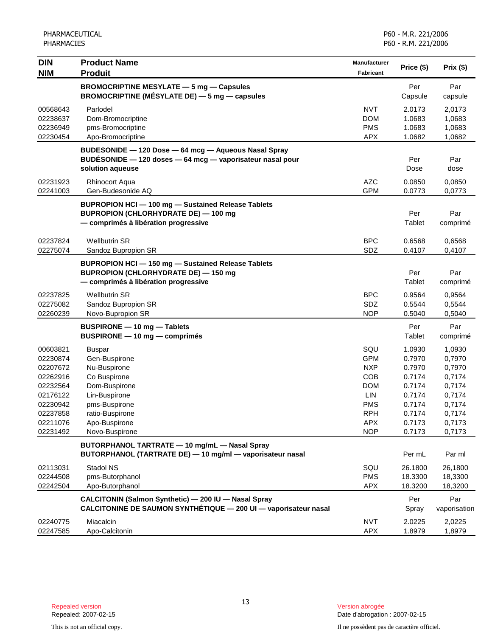| <b>DIN</b> | <b>Product Name</b>                                                                                        | Manufacturer | Price (\$) | Prix (\$)    |
|------------|------------------------------------------------------------------------------------------------------------|--------------|------------|--------------|
| <b>NIM</b> | <b>Produit</b>                                                                                             | Fabricant    |            |              |
|            | <b>BROMOCRIPTINE MESYLATE - 5 mg - Capsules</b>                                                            |              | Per        | Par          |
|            | <b>BROMOCRIPTINE (MÉSYLATE DE)</b> $-$ 5 mg $-$ capsules                                                   |              | Capsule    | capsule      |
| 00568643   | Parlodel                                                                                                   | <b>NVT</b>   | 2.0173     | 2,0173       |
| 02238637   | Dom-Bromocriptine                                                                                          | <b>DOM</b>   | 1.0683     | 1,0683       |
| 02236949   | pms-Bromocriptine                                                                                          | <b>PMS</b>   | 1.0683     | 1,0683       |
| 02230454   | Apo-Bromocriptine                                                                                          | <b>APX</b>   | 1.0682     | 1,0682       |
|            | BUDESONIDE - 120 Dose - 64 mcg - Aqueous Nasal Spray                                                       |              |            |              |
|            | BUDESONIDE - 120 doses - 64 mcg - vaporisateur nasal pour                                                  |              | Per        | Par          |
|            | solution aqueuse                                                                                           |              | Dose       | dose         |
| 02231923   | <b>Rhinocort Aqua</b>                                                                                      | <b>AZC</b>   | 0.0850     | 0,0850       |
| 02241003   | Gen-Budesonide AQ                                                                                          | <b>GPM</b>   | 0.0773     | 0,0773       |
|            | <b>BUPROPION HCI-100 mg-Sustained Release Tablets</b>                                                      |              |            |              |
|            | <b>BUPROPION (CHLORHYDRATE DE) - 100 mg</b>                                                                |              | Per        | Par          |
|            | - comprimés à libération progressive                                                                       |              | Tablet     | comprimé     |
|            |                                                                                                            |              |            |              |
| 02237824   | <b>Wellbutrin SR</b>                                                                                       | <b>BPC</b>   | 0.6568     | 0,6568       |
| 02275074   | Sandoz Bupropion SR                                                                                        | SDZ          | 0.4107     | 0,4107       |
|            | <b>BUPROPION HCI-150 mg-Sustained Release Tablets</b>                                                      |              |            |              |
|            | <b>BUPROPION (CHLORHYDRATE DE) - 150 mg</b>                                                                |              | Per        | Par          |
|            | - comprimés à libération progressive                                                                       |              | Tablet     | comprimé     |
| 02237825   | <b>Wellbutrin SR</b>                                                                                       | <b>BPC</b>   | 0.9564     | 0,9564       |
| 02275082   | Sandoz Bupropion SR                                                                                        | <b>SDZ</b>   | 0.5544     | 0,5544       |
| 02260239   | Novo-Bupropion SR                                                                                          | <b>NOP</b>   | 0.5040     | 0,5040       |
|            | <b>BUSPIRONE - 10 mg - Tablets</b>                                                                         |              | Per        | Par          |
|            | <b>BUSPIRONE - 10 mg - comprimés</b>                                                                       |              | Tablet     | comprimé     |
| 00603821   | <b>Buspar</b>                                                                                              | SQU          | 1.0930     | 1,0930       |
| 02230874   | Gen-Buspirone                                                                                              | <b>GPM</b>   | 0.7970     | 0,7970       |
| 02207672   | Nu-Buspirone                                                                                               | <b>NXP</b>   | 0.7970     | 0,7970       |
| 02262916   | Co Buspirone                                                                                               | COB          | 0.7174     | 0,7174       |
| 02232564   | Dom-Buspirone                                                                                              | <b>DOM</b>   | 0.7174     | 0,7174       |
| 02176122   | Lin-Buspirone                                                                                              | LIN          | 0.7174     | 0,7174       |
| 02230942   | pms-Buspirone                                                                                              | <b>PMS</b>   | 0.7174     | 0,7174       |
| 02237858   | ratio-Buspirone                                                                                            | <b>RPH</b>   | 0.7174     | 0,7174       |
| 02211076   | Apo-Buspirone                                                                                              | <b>APX</b>   | 0.7173     | 0,7173       |
| 02231492   | Novo-Buspirone                                                                                             | <b>NOP</b>   | 0.7173     | 0,7173       |
|            | BUTORPHANOL TARTRATE - 10 mg/mL - Nasal Spray<br>BUTORPHANOL (TARTRATE DE) - 10 mg/ml - vaporisateur nasal |              | Per mL     | Par ml       |
| 02113031   | Stadol NS                                                                                                  | SQU          | 26.1800    | 26,1800      |
| 02244508   | pms-Butorphanol                                                                                            | <b>PMS</b>   | 18.3300    | 18,3300      |
| 02242504   | Apo-Butorphanol                                                                                            | <b>APX</b>   | 18.3200    | 18,3200      |
|            | CALCITONIN (Salmon Synthetic) - 200 IU - Nasal Spray                                                       |              | Per        | Par          |
|            | CALCITONINE DE SAUMON SYNTHÉTIQUE - 200 UI - vaporisateur nasal                                            |              | Spray      | vaporisation |
| 02240775   | Miacalcin                                                                                                  | <b>NVT</b>   | 2.0225     | 2,0225       |
| 02247585   | Apo-Calcitonin                                                                                             | <b>APX</b>   | 1.8979     | 1,8979       |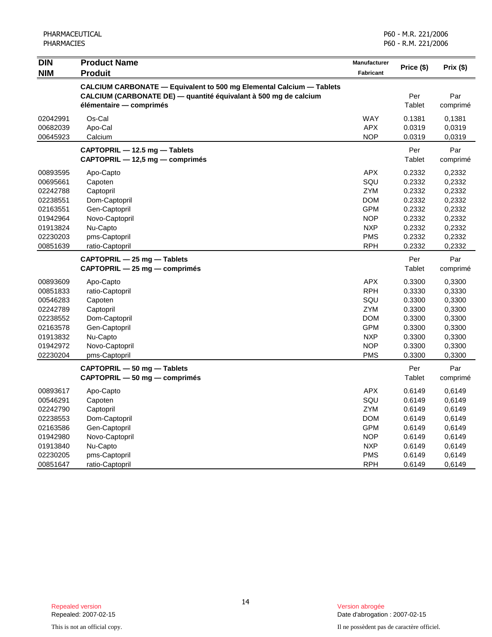| <b>DIN</b><br><b>NIM</b>                                                                                 | <b>Product Name</b><br><b>Produit</b>                                                                                                                               | Manufacturer<br><b>Fabricant</b>                                                                                    | Price (\$)                                                                             | Prix (\$)                                                                              |
|----------------------------------------------------------------------------------------------------------|---------------------------------------------------------------------------------------------------------------------------------------------------------------------|---------------------------------------------------------------------------------------------------------------------|----------------------------------------------------------------------------------------|----------------------------------------------------------------------------------------|
|                                                                                                          | CALCIUM CARBONATE - Equivalent to 500 mg Elemental Calcium - Tablets<br>CALCIUM (CARBONATE DE) — quantité équivalant à 500 mg de calcium<br>élémentaire - comprimés |                                                                                                                     | Per<br>Tablet                                                                          | Par<br>comprimé                                                                        |
| 02042991<br>00682039<br>00645923                                                                         | Os-Cal<br>Apo-Cal<br>Calcium                                                                                                                                        | <b>WAY</b><br><b>APX</b><br><b>NOP</b>                                                                              | 0.1381<br>0.0319<br>0.0319                                                             | 0,1381<br>0,0319<br>0,0319                                                             |
|                                                                                                          | CAPTOPRIL - 12.5 mg - Tablets<br>CAPTOPRIL - 12,5 mg - comprimés                                                                                                    |                                                                                                                     | Per<br>Tablet                                                                          | Par<br>comprimé                                                                        |
| 00893595<br>00695661<br>02242788<br>02238551<br>02163551<br>01942964<br>01913824<br>02230203<br>00851639 | Apo-Capto<br>Capoten<br>Captopril<br>Dom-Captopril<br>Gen-Captopril<br>Novo-Captopril<br>Nu-Capto<br>pms-Captopril<br>ratio-Captopril                               | APX<br>SQU<br><b>ZYM</b><br><b>DOM</b><br><b>GPM</b><br><b>NOP</b><br><b>NXP</b><br><b>PMS</b><br><b>RPH</b>        | 0.2332<br>0.2332<br>0.2332<br>0.2332<br>0.2332<br>0.2332<br>0.2332<br>0.2332<br>0.2332 | 0,2332<br>0,2332<br>0,2332<br>0,2332<br>0,2332<br>0,2332<br>0,2332<br>0,2332<br>0,2332 |
|                                                                                                          | CAPTOPRIL - 25 mg - Tablets<br>CAPTOPRIL - 25 mg - comprimés                                                                                                        |                                                                                                                     | Per<br>Tablet                                                                          | Par<br>comprimé                                                                        |
| 00893609<br>00851833<br>00546283<br>02242789<br>02238552<br>02163578<br>01913832<br>01942972<br>02230204 | Apo-Capto<br>ratio-Captopril<br>Capoten<br>Captopril<br>Dom-Captopril<br>Gen-Captopril<br>Nu-Capto<br>Novo-Captopril<br>pms-Captopril                               | <b>APX</b><br><b>RPH</b><br>SQU<br><b>ZYM</b><br><b>DOM</b><br><b>GPM</b><br><b>NXP</b><br><b>NOP</b><br><b>PMS</b> | 0.3300<br>0.3330<br>0.3300<br>0.3300<br>0.3300<br>0.3300<br>0.3300<br>0.3300<br>0.3300 | 0,3300<br>0,3330<br>0,3300<br>0,3300<br>0,3300<br>0,3300<br>0,3300<br>0,3300<br>0,3300 |
|                                                                                                          | CAPTOPRIL - 50 mg - Tablets<br>$CAPTOPRIL - 50 mg - comprimés$                                                                                                      |                                                                                                                     | Per<br>Tablet                                                                          | Par<br>comprimé                                                                        |
| 00893617<br>00546291<br>02242790<br>02238553<br>02163586<br>01942980<br>01913840<br>02230205<br>00851647 | Apo-Capto<br>Capoten<br>Captopril<br>Dom-Captopril<br>Gen-Captopril<br>Novo-Captopril<br>Nu-Capto<br>pms-Captopril<br>ratio-Captopril                               | <b>APX</b><br>SQU<br><b>ZYM</b><br><b>DOM</b><br><b>GPM</b><br><b>NOP</b><br><b>NXP</b><br><b>PMS</b><br><b>RPH</b> | 0.6149<br>0.6149<br>0.6149<br>0.6149<br>0.6149<br>0.6149<br>0.6149<br>0.6149<br>0.6149 | 0,6149<br>0,6149<br>0,6149<br>0,6149<br>0,6149<br>0,6149<br>0,6149<br>0,6149<br>0,6149 |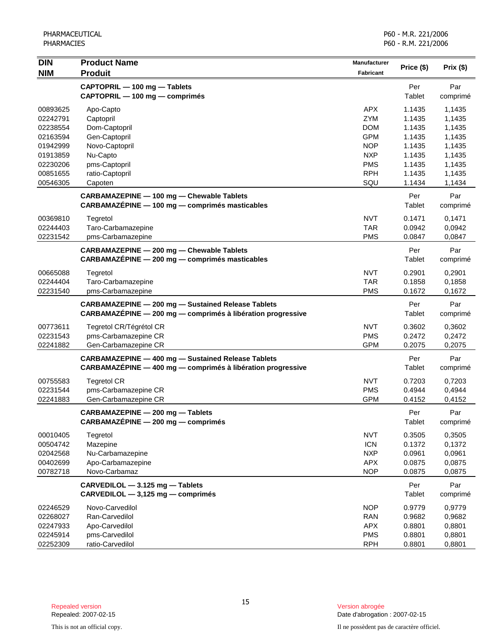| <b>DIN</b>           | <b>Product Name</b>                                         | <b>Manufacturer</b> | Price (\$)       | Prix (\$)        |
|----------------------|-------------------------------------------------------------|---------------------|------------------|------------------|
| <b>NIM</b>           | <b>Produit</b>                                              | Fabricant           |                  |                  |
|                      | CAPTOPRIL - 100 mg - Tablets                                |                     | Per              | Par              |
|                      | CAPTOPRIL - 100 mg - comprimés                              |                     | Tablet           | comprimé         |
| 00893625             | Apo-Capto                                                   | <b>APX</b>          | 1.1435           | 1,1435           |
| 02242791             | Captopril                                                   | ZYM                 | 1.1435           | 1,1435           |
| 02238554             | Dom-Captopril                                               | <b>DOM</b>          | 1.1435           | 1,1435           |
| 02163594             | Gen-Captopril                                               | <b>GPM</b>          | 1.1435           | 1,1435           |
| 01942999             | Novo-Captopril                                              | <b>NOP</b>          | 1.1435           | 1,1435           |
| 01913859             | Nu-Capto                                                    | <b>NXP</b>          | 1.1435           | 1,1435           |
| 02230206             | pms-Captopril                                               | <b>PMS</b>          | 1.1435           | 1,1435           |
| 00851655<br>00546305 | ratio-Captopril<br>Capoten                                  | <b>RPH</b><br>SQU   | 1.1435<br>1.1434 | 1,1435<br>1,1434 |
|                      | <b>CARBAMAZEPINE - 100 mg - Chewable Tablets</b>            |                     | Per              | Par              |
|                      | CARBAMAZÉPINE - 100 mg - comprimés masticables              |                     | Tablet           | comprimé         |
| 00369810             | Tegretol                                                    | <b>NVT</b>          | 0.1471           | 0,1471           |
| 02244403             | Taro-Carbamazepine                                          | <b>TAR</b>          | 0.0942           | 0,0942           |
| 02231542             | pms-Carbamazepine                                           | <b>PMS</b>          | 0.0847           | 0,0847           |
|                      | CARBAMAZEPINE - 200 mg - Chewable Tablets                   |                     | Per              | Par              |
|                      | CARBAMAZÉPINE - 200 mg - comprimés masticables              |                     | Tablet           | comprimé         |
| 00665088             | Tegretol                                                    | <b>NVT</b>          | 0.2901           | 0,2901           |
| 02244404             | Taro-Carbamazepine                                          | <b>TAR</b>          | 0.1858           | 0,1858           |
| 02231540             | pms-Carbamazepine                                           | <b>PMS</b>          | 0.1672           | 0,1672           |
|                      | <b>CARBAMAZEPINE - 200 mg - Sustained Release Tablets</b>   |                     | Per              | Par              |
|                      | CARBAMAZÉPINE - 200 mg - comprimés à libération progressive |                     | Tablet           | comprimé         |
| 00773611             | Tegretol CR/Tégrétol CR                                     | <b>NVT</b>          | 0.3602           | 0,3602           |
| 02231543             | pms-Carbamazepine CR                                        | <b>PMS</b>          | 0.2472           | 0,2472           |
| 02241882             | Gen-Carbamazepine CR                                        | <b>GPM</b>          | 0.2075           | 0,2075           |
|                      | <b>CARBAMAZEPINE - 400 mg - Sustained Release Tablets</b>   |                     | Per              | Par              |
|                      | CARBAMAZÉPINE - 400 mg - comprimés à libération progressive |                     | Tablet           | comprimé         |
| 00755583             | <b>Tegretol CR</b>                                          | <b>NVT</b>          | 0.7203           | 0,7203           |
| 02231544             | pms-Carbamazepine CR                                        | <b>PMS</b>          | 0.4944           | 0,4944           |
| 02241883             | Gen-Carbamazepine CR                                        | <b>GPM</b>          | 0.4152           | 0,4152           |
|                      | CARBAMAZEPINE - 200 mg - Tablets                            |                     | Per              | Par              |
|                      | CARBAMAZÉPINE - 200 mg - comprimés                          |                     | Tablet           | comprimé         |
| 00010405             | Tegretol                                                    | <b>NVT</b>          | 0.3505           | 0,3505           |
| 00504742             | Mazepine                                                    | <b>ICN</b>          | 0.1372           | 0,1372           |
| 02042568             | Nu-Carbamazepine                                            | <b>NXP</b>          | 0.0961           | 0,0961           |
| 00402699             | Apo-Carbamazepine                                           | <b>APX</b>          | 0.0875           | 0,0875           |
| 00782718             | Novo-Carbamaz                                               | <b>NOP</b>          | 0.0875           | 0,0875           |
|                      | CARVEDILOL - 3.125 mg - Tablets                             |                     | Per              | Par              |
|                      | CARVEDILOL - 3,125 mg - comprimés                           |                     | Tablet           | comprimé         |
| 02246529             | Novo-Carvedilol                                             | <b>NOP</b>          | 0.9779           | 0,9779           |
| 02268027             | Ran-Carvedilol                                              | <b>RAN</b>          | 0.9682           | 0,9682           |
| 02247933             | Apo-Carvedilol                                              | <b>APX</b>          | 0.8801           | 0,8801           |
| 02245914             | pms-Carvedilol                                              | <b>PMS</b>          | 0.8801           | 0,8801           |
| 02252309             | ratio-Carvedilol                                            | <b>RPH</b>          | 0.8801           | 0,8801           |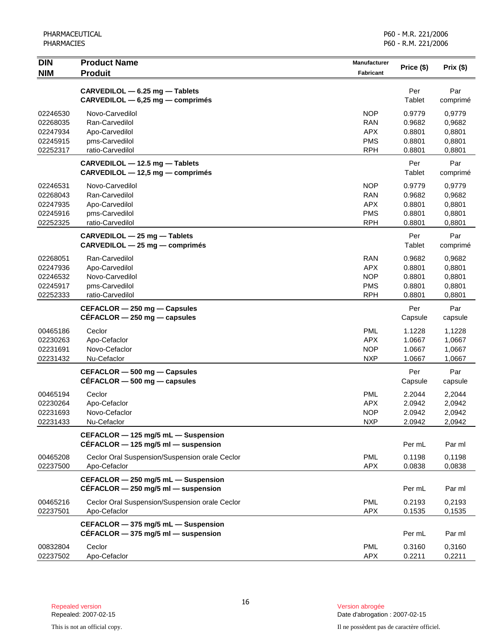| <b>DIN</b>                                               | <b>Product Name</b>                                                                       | <b>Manufacturer</b>                                                | Price (\$)                                     | Prix (\$)                                      |
|----------------------------------------------------------|-------------------------------------------------------------------------------------------|--------------------------------------------------------------------|------------------------------------------------|------------------------------------------------|
| <b>NIM</b>                                               | <b>Produit</b>                                                                            | <b>Fabricant</b>                                                   |                                                |                                                |
|                                                          | CARVEDILOL - 6.25 mg - Tablets<br>CARVEDILOL - 6,25 mg - comprimés                        |                                                                    | Per<br>Tablet                                  | Par<br>comprimé                                |
| 02246530<br>02268035<br>02247934<br>02245915<br>02252317 | Novo-Carvedilol<br>Ran-Carvedilol<br>Apo-Carvedilol<br>pms-Carvedilol<br>ratio-Carvedilol | <b>NOP</b><br><b>RAN</b><br><b>APX</b><br><b>PMS</b><br><b>RPH</b> | 0.9779<br>0.9682<br>0.8801<br>0.8801<br>0.8801 | 0,9779<br>0,9682<br>0,8801<br>0,8801<br>0,8801 |
|                                                          | CARVEDILOL - 12.5 mg - Tablets<br>CARVEDILOL - 12,5 mg - comprimés                        |                                                                    | Per<br>Tablet                                  | Par<br>comprimé                                |
| 02246531<br>02268043<br>02247935<br>02245916<br>02252325 | Novo-Carvedilol<br>Ran-Carvedilol<br>Apo-Carvedilol<br>pms-Carvedilol<br>ratio-Carvedilol | <b>NOP</b><br><b>RAN</b><br><b>APX</b><br><b>PMS</b><br><b>RPH</b> | 0.9779<br>0.9682<br>0.8801<br>0.8801<br>0.8801 | 0,9779<br>0,9682<br>0,8801<br>0,8801<br>0,8801 |
|                                                          | CARVEDILOL - 25 mg - Tablets<br>CARVEDILOL - 25 mg - comprimés                            |                                                                    | Per<br>Tablet                                  | Par<br>comprimé                                |
| 02268051<br>02247936<br>02246532<br>02245917<br>02252333 | Ran-Carvedilol<br>Apo-Carvedilol<br>Novo-Carvedilol<br>pms-Carvedilol<br>ratio-Carvedilol | <b>RAN</b><br><b>APX</b><br><b>NOP</b><br><b>PMS</b><br><b>RPH</b> | 0.9682<br>0.8801<br>0.8801<br>0.8801<br>0.8801 | 0,9682<br>0,8801<br>0,8801<br>0,8801<br>0,8801 |
|                                                          | CEFACLOR - 250 mg - Capsules<br>$CEFACLOR - 250$ mg $-$ capsules                          |                                                                    | Per<br>Capsule                                 | Par<br>capsule                                 |
| 00465186<br>02230263<br>02231691<br>02231432             | Ceclor<br>Apo-Cefaclor<br>Novo-Cefaclor<br>Nu-Cefaclor                                    | <b>PML</b><br><b>APX</b><br><b>NOP</b><br><b>NXP</b>               | 1.1228<br>1.0667<br>1.0667<br>1.0667           | 1,1228<br>1,0667<br>1,0667<br>1,0667           |
|                                                          | CEFACLOR - 500 mg - Capsules<br>$CEFACLOR - 500$ mg $-$ capsules                          |                                                                    | Per<br>Capsule                                 | Par<br>capsule                                 |
| 00465194<br>02230264<br>02231693<br>02231433             | Ceclor<br>Apo-Cefaclor<br>Novo-Cefaclor<br>Nu-Cefaclor                                    | <b>PML</b><br><b>APX</b><br><b>NOP</b><br><b>NXP</b>               | 2.2044<br>2.0942<br>2.0942<br>2.0942           | 2,2044<br>2,0942<br>2,0942<br>2,0942           |
|                                                          | CEFACLOR - 125 mg/5 mL - Suspension<br>CÉFACLOR $-$ 125 mg/5 ml $-$ suspension            |                                                                    | Per mL                                         | Par ml                                         |
| 00465208<br>02237500                                     | Ceclor Oral Suspension/Suspension orale Ceclor<br>Apo-Cefaclor                            | <b>PML</b><br><b>APX</b>                                           | 0.1198<br>0.0838                               | 0,1198<br>0,0838                               |
|                                                          | CEFACLOR - 250 mg/5 mL - Suspension<br>CÉFACLOR $-$ 250 mg/5 ml $-$ suspension            |                                                                    | Per mL                                         | Par ml                                         |
| 00465216<br>02237501                                     | Ceclor Oral Suspension/Suspension orale Ceclor<br>Apo-Cefaclor                            | <b>PML</b><br><b>APX</b>                                           | 0.2193<br>0.1535                               | 0,2193<br>0,1535                               |
|                                                          | CEFACLOR - 375 mg/5 mL - Suspension<br>CÉFACLOR $-$ 375 mg/5 ml $-$ suspension            |                                                                    | Per mL                                         | Par ml                                         |
| 00832804<br>02237502                                     | Ceclor<br>Apo-Cefaclor                                                                    | <b>PML</b><br><b>APX</b>                                           | 0.3160<br>0.2211                               | 0,3160<br>0,2211                               |

Date d'abrogation : 2007-02-15

This is not an official copy. Il ne possèdent pas de caractère officiel.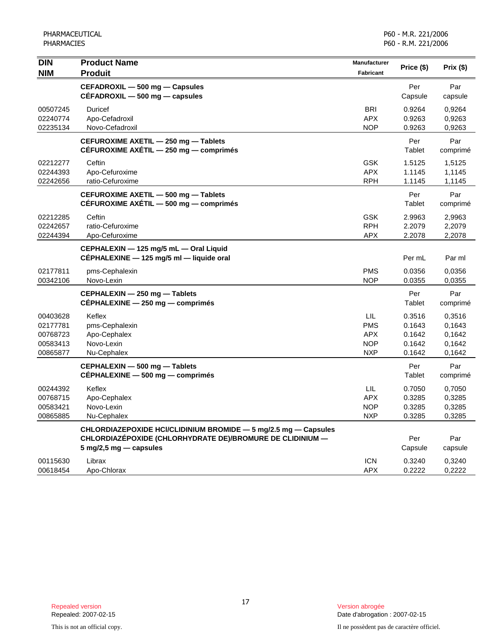| <b>DIN</b><br><b>NIM</b>                                 | <b>Product Name</b><br><b>Produit</b>                                                                                                                                     | <b>Manufacturer</b><br><b>Fabricant</b>                     | Price (\$)                                     | Prix (\$)                                      |
|----------------------------------------------------------|---------------------------------------------------------------------------------------------------------------------------------------------------------------------------|-------------------------------------------------------------|------------------------------------------------|------------------------------------------------|
|                                                          | CEFADROXIL - 500 mg - Capsules<br>$CEFADROXIL - 500 mg - capsules$                                                                                                        |                                                             | Per<br>Capsule                                 | Par<br>capsule                                 |
| 00507245<br>02240774<br>02235134                         | Duricef<br>Apo-Cefadroxil<br>Novo-Cefadroxil                                                                                                                              | <b>BRI</b><br><b>APX</b><br><b>NOP</b>                      | 0.9264<br>0.9263<br>0.9263                     | 0,9264<br>0,9263<br>0,9263                     |
|                                                          | CEFUROXIME AXETIL - 250 mg - Tablets<br>CÉFUROXIME AXÉTIL - 250 mg - comprimés                                                                                            |                                                             | Per<br>Tablet                                  | Par<br>comprimé                                |
| 02212277<br>02244393<br>02242656                         | Ceftin<br>Apo-Cefuroxime<br>ratio-Cefuroxime                                                                                                                              | <b>GSK</b><br><b>APX</b><br><b>RPH</b>                      | 1.5125<br>1.1145<br>1.1145                     | 1,5125<br>1,1145<br>1,1145                     |
|                                                          | CEFUROXIME AXETIL - 500 mg - Tablets<br>CÉFUROXIME AXÉTIL - 500 mg - comprimés                                                                                            |                                                             | Per<br>Tablet                                  | Par<br>comprimé                                |
| 02212285<br>02242657<br>02244394                         | Ceftin<br>ratio-Cefuroxime<br>Apo-Cefuroxime                                                                                                                              | <b>GSK</b><br><b>RPH</b><br><b>APX</b>                      | 2.9963<br>2.2079<br>2.2078                     | 2,9963<br>2,2079<br>2,2078                     |
|                                                          | CEPHALEXIN - 125 mg/5 mL - Oral Liquid<br>CÉPHALEXINE - 125 mg/5 ml - liquide oral                                                                                        |                                                             | Per mL                                         | Par ml                                         |
| 02177811<br>00342106                                     | pms-Cephalexin<br>Novo-Lexin                                                                                                                                              | <b>PMS</b><br><b>NOP</b>                                    | 0.0356<br>0.0355                               | 0.0356<br>0,0355                               |
|                                                          | CEPHALEXIN - 250 mg - Tablets<br>CÉPHALEXINE - 250 mg - comprimés                                                                                                         |                                                             | Per<br>Tablet                                  | Par<br>comprimé                                |
| 00403628<br>02177781<br>00768723<br>00583413<br>00865877 | Keflex<br>pms-Cephalexin<br>Apo-Cephalex<br>Novo-Lexin<br>Nu-Cephalex                                                                                                     | LIL<br><b>PMS</b><br><b>APX</b><br><b>NOP</b><br><b>NXP</b> | 0.3516<br>0.1643<br>0.1642<br>0.1642<br>0.1642 | 0,3516<br>0.1643<br>0,1642<br>0,1642<br>0,1642 |
|                                                          | CEPHALEXIN - 500 mg - Tablets<br>CEPHALEXINE - 500 mg - comprimés                                                                                                         |                                                             | Per<br>Tablet                                  | Par<br>comprimé                                |
| 00244392<br>00768715<br>00583421<br>00865885             | Keflex<br>Apo-Cephalex<br>Novo-Lexin<br>Nu-Cephalex                                                                                                                       | LIL<br><b>APX</b><br><b>NOP</b><br><b>NXP</b>               | 0.7050<br>0.3285<br>0.3285<br>0.3285           | 0,7050<br>0,3285<br>0,3285<br>0,3285           |
|                                                          | CHLORDIAZEPOXIDE HCI/CLIDINIUM BROMIDE - 5 mg/2.5 mg - Capsules<br>CHLORDIAZÉPOXIDE (CHLORHYDRATE DE)/BROMURE DE CLIDINIUM -<br>$5 \text{ mg}/2, 5 \text{ mg}$ - capsules |                                                             | Per<br>Capsule                                 | Par<br>capsule                                 |
| 00115630<br>00618454                                     | Librax<br>Apo-Chlorax                                                                                                                                                     | <b>ICN</b><br><b>APX</b>                                    | 0.3240<br>0.2222                               | 0,3240<br>0,2222                               |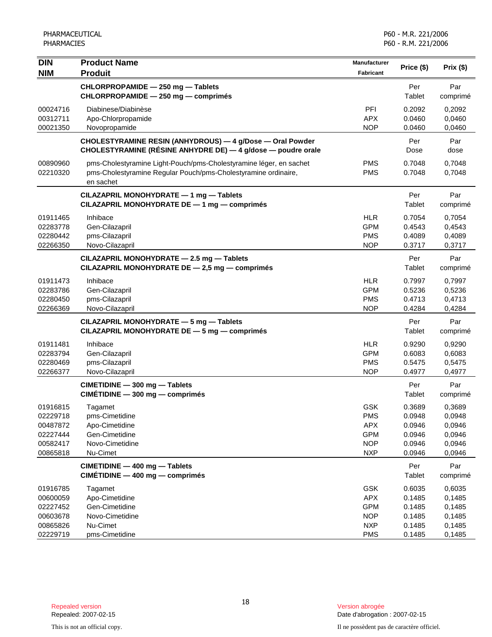| <b>DIN</b><br><b>NIM</b>                                             | <b>Product Name</b><br><b>Produit</b>                                                                                                             | <b>Manufacturer</b><br>Fabricant                                                 | Price (\$)                                               | Prix(\$)                                                 |
|----------------------------------------------------------------------|---------------------------------------------------------------------------------------------------------------------------------------------------|----------------------------------------------------------------------------------|----------------------------------------------------------|----------------------------------------------------------|
|                                                                      | CHLORPROPAMIDE - 250 mg - Tablets<br>CHLORPROPAMIDE - 250 mg - comprimés                                                                          |                                                                                  | Per<br>Tablet                                            | Par<br>comprimé                                          |
| 00024716<br>00312711<br>00021350                                     | Diabinese/Diabinèse<br>Apo-Chlorpropamide<br>Novopropamide                                                                                        | PFI<br><b>APX</b><br><b>NOP</b>                                                  | 0.2092<br>0.0460<br>0.0460                               | 0,2092<br>0,0460<br>0,0460                               |
|                                                                      | CHOLESTYRAMINE RESIN (ANHYDROUS) - 4 g/Dose - Oral Powder<br>CHOLESTYRAMINE (RÉSINE ANHYDRE DE) — 4 g/dose — poudre orale                         |                                                                                  | Per<br>Dose                                              | Par<br>dose                                              |
| 00890960<br>02210320                                                 | pms-Cholestyramine Light-Pouch/pms-Cholestyramine léger, en sachet<br>pms-Cholestyramine Regular Pouch/pms-Cholestyramine ordinaire,<br>en sachet | <b>PMS</b><br><b>PMS</b>                                                         | 0.7048<br>0.7048                                         | 0,7048<br>0,7048                                         |
|                                                                      | CILAZAPRIL MONOHYDRATE - 1 mg - Tablets<br>CILAZAPRIL MONOHYDRATE DE - 1 mg - comprimés                                                           |                                                                                  | Per<br>Tablet                                            | Par<br>comprimé                                          |
| 01911465<br>02283778<br>02280442<br>02266350                         | Inhibace<br>Gen-Cilazapril<br>pms-Cilazapril<br>Novo-Cilazapril                                                                                   | <b>HLR</b><br><b>GPM</b><br><b>PMS</b><br><b>NOP</b>                             | 0.7054<br>0.4543<br>0.4089<br>0.3717                     | 0,7054<br>0,4543<br>0,4089<br>0,3717                     |
|                                                                      | CILAZAPRIL MONOHYDRATE - 2.5 mg - Tablets<br>CILAZAPRIL MONOHYDRATE DE - 2,5 mg - comprimés                                                       |                                                                                  | Per<br>Tablet                                            | Par<br>comprimé                                          |
| 01911473<br>02283786<br>02280450<br>02266369                         | Inhibace<br>Gen-Cilazapril<br>pms-Cilazapril<br>Novo-Cilazapril                                                                                   | <b>HLR</b><br><b>GPM</b><br><b>PMS</b><br><b>NOP</b>                             | 0.7997<br>0.5236<br>0.4713<br>0.4284                     | 0.7997<br>0,5236<br>0,4713<br>0,4284                     |
|                                                                      | CILAZAPRIL MONOHYDRATE - 5 mg - Tablets<br>CILAZAPRIL MONOHYDRATE DE - 5 mg - comprimés                                                           |                                                                                  | Per<br>Tablet                                            | Par<br>comprimé                                          |
| 01911481<br>02283794<br>02280469<br>02266377                         | Inhibace<br>Gen-Cilazapril<br>pms-Cilazapril<br>Novo-Cilazapril                                                                                   | <b>HLR</b><br><b>GPM</b><br><b>PMS</b><br><b>NOP</b>                             | 0.9290<br>0.6083<br>0.5475<br>0.4977                     | 0,9290<br>0,6083<br>0,5475<br>0,4977                     |
|                                                                      | CIMETIDINE - 300 mg - Tablets<br>$CIMÉTIDINE - 300 mg - comprimés$                                                                                |                                                                                  | Per<br>Tablet                                            | Par<br>comprimé                                          |
| 01916815<br>02229718<br>00487872<br>02227444<br>00582417<br>00865818 | Tagamet<br>pms-Cimetidine<br>Apo-Cimetidine<br>Gen-Cimetidine<br>Novo-Cimetidine<br>Nu-Cimet                                                      | <b>GSK</b><br><b>PMS</b><br><b>APX</b><br><b>GPM</b><br><b>NOP</b><br><b>NXP</b> | 0.3689<br>0.0948<br>0.0946<br>0.0946<br>0.0946<br>0.0946 | 0,3689<br>0,0948<br>0,0946<br>0,0946<br>0,0946<br>0,0946 |
|                                                                      | CIMETIDINE - 400 mg - Tablets<br>$CIMÉTIDINE - 400 mg - comprimés$                                                                                |                                                                                  | Per<br><b>Tablet</b>                                     | Par<br>comprimé                                          |
| 01916785<br>00600059<br>02227452<br>00603678<br>00865826<br>02229719 | Tagamet<br>Apo-Cimetidine<br>Gen-Cimetidine<br>Novo-Cimetidine<br>Nu-Cimet<br>pms-Cimetidine                                                      | <b>GSK</b><br><b>APX</b><br><b>GPM</b><br><b>NOP</b><br><b>NXP</b><br><b>PMS</b> | 0.6035<br>0.1485<br>0.1485<br>0.1485<br>0.1485<br>0.1485 | 0,6035<br>0,1485<br>0,1485<br>0,1485<br>0,1485<br>0,1485 |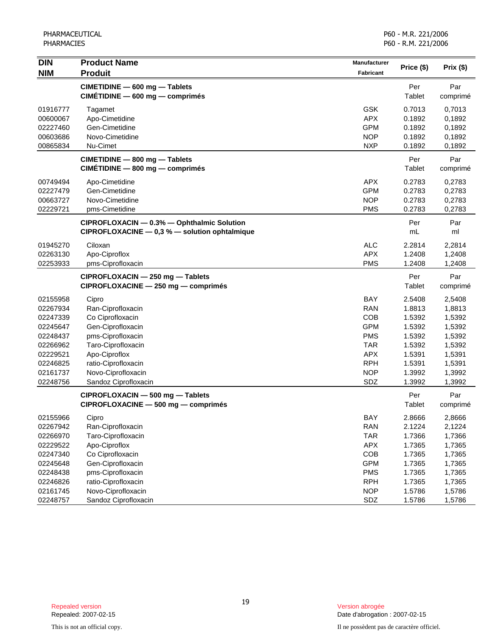| <b>DIN</b> | <b>Product Name</b>                           | Manufacturer     | Price (\$) | Prix (\$) |
|------------|-----------------------------------------------|------------------|------------|-----------|
| <b>NIM</b> | <b>Produit</b>                                | <b>Fabricant</b> |            |           |
|            | CIMETIDINE - 600 mg - Tablets                 |                  | Per        | Par       |
|            | CIMÉTIDINE - 600 mg - comprimés               |                  | Tablet     | comprimé  |
| 01916777   | Tagamet                                       | <b>GSK</b>       | 0.7013     | 0,7013    |
| 00600067   | Apo-Cimetidine                                | <b>APX</b>       | 0.1892     | 0,1892    |
| 02227460   | Gen-Cimetidine                                | <b>GPM</b>       | 0.1892     | 0,1892    |
| 00603686   | Novo-Cimetidine                               | <b>NOP</b>       | 0.1892     | 0,1892    |
| 00865834   | Nu-Cimet                                      | <b>NXP</b>       | 0.1892     | 0,1892    |
|            | CIMETIDINE - 800 mg - Tablets                 |                  | Per        | Par       |
|            | CIMÉTIDINE - 800 mg - comprimés               |                  | Tablet     | comprimé  |
| 00749494   | Apo-Cimetidine                                | <b>APX</b>       | 0.2783     | 0,2783    |
| 02227479   | Gen-Cimetidine                                | <b>GPM</b>       | 0.2783     | 0,2783    |
| 00663727   | Novo-Cimetidine                               | <b>NOP</b>       | 0.2783     | 0,2783    |
| 02229721   | pms-Cimetidine                                | <b>PMS</b>       | 0.2783     | 0,2783    |
|            | CIPROFLOXACIN - 0.3% - Ophthalmic Solution    |                  | Per        | Par       |
|            | CIPROFLOXACINE - 0,3 % - solution ophtalmique |                  | mL         | ml        |
| 01945270   | Ciloxan                                       | <b>ALC</b>       | 2.2814     | 2,2814    |
| 02263130   | Apo-Ciproflox                                 | <b>APX</b>       | 1.2408     | 1,2408    |
| 02253933   | pms-Ciprofloxacin                             | <b>PMS</b>       | 1.2408     | 1,2408    |
|            | CIPROFLOXACIN - 250 mg - Tablets              |                  | Per        | Par       |
|            | CIPROFLOXACINE - 250 mg - comprimés           |                  | Tablet     | comprimé  |
| 02155958   | Cipro                                         | <b>BAY</b>       | 2.5408     | 2,5408    |
| 02267934   | Ran-Ciprofloxacin                             | <b>RAN</b>       | 1.8813     | 1,8813    |
| 02247339   | Co Ciprofloxacin                              | COB              | 1.5392     | 1,5392    |
| 02245647   | Gen-Ciprofloxacin                             | <b>GPM</b>       | 1.5392     | 1,5392    |
| 02248437   | pms-Ciprofloxacin                             | <b>PMS</b>       | 1.5392     | 1,5392    |
| 02266962   | Taro-Ciprofloxacin                            | <b>TAR</b>       | 1.5392     | 1,5392    |
| 02229521   | Apo-Ciproflox                                 | <b>APX</b>       | 1.5391     | 1,5391    |
| 02246825   | ratio-Ciprofloxacin                           | <b>RPH</b>       | 1.5391     | 1,5391    |
| 02161737   | Novo-Ciprofloxacin                            | <b>NOP</b>       | 1.3992     | 1,3992    |
| 02248756   | Sandoz Ciprofloxacin                          | SDZ              | 1.3992     | 1,3992    |
|            | CIPROFLOXACIN - 500 mg - Tablets              |                  | Per        | Par       |
|            | CIPROFLOXACINE - 500 mg - comprimés           |                  | Tablet     | comprimé  |
| 02155966   | Cipro                                         | BAY              | 2.8666     | 2,8666    |
| 02267942   | Ran-Ciprofloxacin                             | <b>RAN</b>       | 2.1224     | 2,1224    |
| 02266970   | Taro-Ciprofloxacin                            | <b>TAR</b>       | 1.7366     | 1,7366    |
| 02229522   | Apo-Ciproflox                                 | <b>APX</b>       | 1.7365     | 1,7365    |
| 02247340   | Co Ciprofloxacin                              | COB              | 1.7365     | 1,7365    |
| 02245648   | Gen-Ciprofloxacin                             | <b>GPM</b>       | 1.7365     | 1,7365    |
| 02248438   | pms-Ciprofloxacin                             | <b>PMS</b>       | 1.7365     | 1,7365    |
| 02246826   | ratio-Ciprofloxacin                           | <b>RPH</b>       | 1.7365     | 1,7365    |
| 02161745   | Novo-Ciprofloxacin                            | <b>NOP</b>       | 1.5786     | 1,5786    |
| 02248757   | Sandoz Ciprofloxacin                          | SDZ              | 1.5786     | 1,5786    |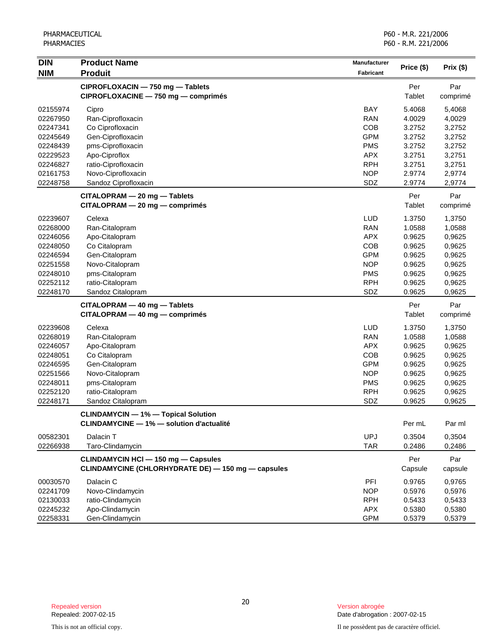| <b>DIN</b> | <b>Product Name</b>                                | Manufacturer     | Price (\$) |           |
|------------|----------------------------------------------------|------------------|------------|-----------|
| <b>NIM</b> | <b>Produit</b>                                     | <b>Fabricant</b> |            | Prix (\$) |
|            | CIPROFLOXACIN - 750 mg - Tablets                   |                  | Per        | Par       |
|            | CIPROFLOXACINE - 750 mg - comprimés                |                  | Tablet     | comprimé  |
| 02155974   | Cipro                                              | <b>BAY</b>       | 5.4068     | 5,4068    |
| 02267950   | Ran-Ciprofloxacin                                  | <b>RAN</b>       | 4.0029     | 4,0029    |
| 02247341   | Co Ciprofloxacin                                   | COB              | 3.2752     | 3,2752    |
| 02245649   | Gen-Ciprofloxacin                                  | <b>GPM</b>       | 3.2752     | 3,2752    |
| 02248439   | pms-Ciprofloxacin                                  | <b>PMS</b>       | 3.2752     | 3,2752    |
| 02229523   | Apo-Ciproflox                                      | <b>APX</b>       | 3.2751     | 3,2751    |
| 02246827   | ratio-Ciprofloxacin                                | <b>RPH</b>       | 3.2751     | 3,2751    |
| 02161753   | Novo-Ciprofloxacin                                 | <b>NOP</b>       | 2.9774     | 2,9774    |
| 02248758   | Sandoz Ciprofloxacin                               | SDZ              | 2.9774     | 2,9774    |
|            | CITALOPRAM - 20 mg - Tablets                       |                  | Per        | Par       |
|            | CITALOPRAM - 20 mg - comprimés                     |                  | Tablet     | comprimé  |
| 02239607   | Celexa                                             | <b>LUD</b>       | 1.3750     | 1,3750    |
| 02268000   | Ran-Citalopram                                     | <b>RAN</b>       | 1.0588     | 1,0588    |
| 02246056   | Apo-Citalopram                                     | <b>APX</b>       | 0.9625     | 0,9625    |
| 02248050   | Co Citalopram                                      | COB              | 0.9625     | 0,9625    |
| 02246594   | Gen-Citalopram                                     | <b>GPM</b>       | 0.9625     | 0,9625    |
| 02251558   | Novo-Citalopram                                    | <b>NOP</b>       | 0.9625     | 0,9625    |
| 02248010   | pms-Citalopram                                     | <b>PMS</b>       | 0.9625     | 0,9625    |
| 02252112   | ratio-Citalopram                                   | <b>RPH</b>       | 0.9625     | 0,9625    |
| 02248170   | Sandoz Citalopram                                  | SDZ              | 0.9625     | 0,9625    |
|            | CITALOPRAM - 40 mg - Tablets                       |                  | Per        | Par       |
|            | $CITALOPRAM - 40 mg - comprimés$                   |                  | Tablet     | comprimé  |
| 02239608   | Celexa                                             | <b>LUD</b>       | 1.3750     | 1,3750    |
| 02268019   | Ran-Citalopram                                     | <b>RAN</b>       | 1.0588     | 1,0588    |
| 02246057   | Apo-Citalopram                                     | <b>APX</b>       | 0.9625     | 0,9625    |
| 02248051   | Co Citalopram                                      | COB              | 0.9625     | 0,9625    |
| 02246595   | Gen-Citalopram                                     | <b>GPM</b>       | 0.9625     | 0,9625    |
| 02251566   | Novo-Citalopram                                    | <b>NOP</b>       | 0.9625     | 0,9625    |
| 02248011   | pms-Citalopram                                     | <b>PMS</b>       | 0.9625     | 0,9625    |
| 02252120   | ratio-Citalopram                                   | <b>RPH</b>       | 0.9625     | 0,9625    |
| 02248171   | Sandoz Citalopram                                  | SDZ              | 0.9625     | 0,9625    |
|            | <b>CLINDAMYCIN</b> — 1% — Topical Solution         |                  |            |           |
|            | <b>CLINDAMYCINE - 1% - solution d'actualité</b>    |                  | Per mL     | Par ml    |
| 00582301   | Dalacin T                                          | <b>UPJ</b>       | 0.3504     | 0,3504    |
| 02266938   | Taro-Clindamycin                                   | <b>TAR</b>       | 0.2486     | 0,2486    |
|            | <b>CLINDAMYCIN HCI - 150 mg - Capsules</b>         |                  | Per        | Par       |
|            | CLINDAMYCINE (CHLORHYDRATE DE) - 150 mg - capsules |                  | Capsule    | capsule   |
| 00030570   | Dalacin C                                          | PFI              | 0.9765     | 0,9765    |
| 02241709   | Novo-Clindamycin                                   | <b>NOP</b>       | 0.5976     | 0,5976    |
| 02130033   | ratio-Clindamycin                                  | <b>RPH</b>       | 0.5433     | 0,5433    |
| 02245232   | Apo-Clindamycin                                    | <b>APX</b>       | 0.5380     | 0,5380    |
| 02258331   | Gen-Clindamycin                                    | <b>GPM</b>       | 0.5379     | 0,5379    |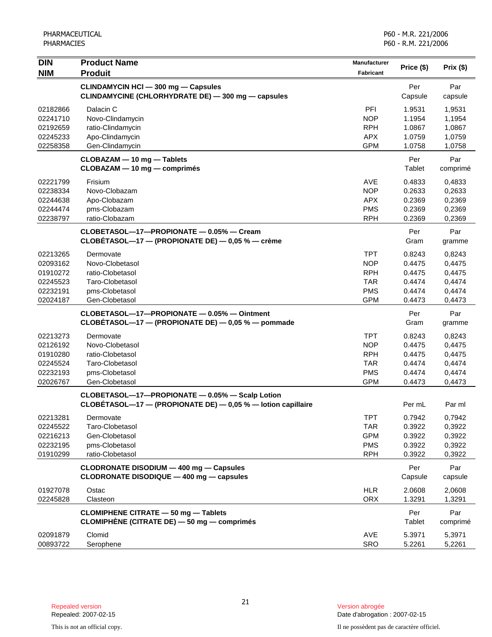| <b>DIN</b>                                                           | <b>Product Name</b>                                                                                             | Manufacturer                                                                     | Price (\$)                                               | Prix (\$)                                                |
|----------------------------------------------------------------------|-----------------------------------------------------------------------------------------------------------------|----------------------------------------------------------------------------------|----------------------------------------------------------|----------------------------------------------------------|
| <b>NIM</b>                                                           | <b>Produit</b>                                                                                                  | Fabricant                                                                        |                                                          |                                                          |
|                                                                      | CLINDAMYCIN HCI - 300 mg - Capsules<br>CLINDAMYCINE (CHLORHYDRATE DE) - 300 mg - capsules                       |                                                                                  | Per<br>Capsule                                           | Par<br>capsule                                           |
| 02182866<br>02241710<br>02192659<br>02245233<br>02258358             | Dalacin C<br>Novo-Clindamycin<br>ratio-Clindamycin<br>Apo-Clindamycin<br>Gen-Clindamycin                        | PFI<br><b>NOP</b><br><b>RPH</b><br><b>APX</b><br><b>GPM</b>                      | 1.9531<br>1.1954<br>1.0867<br>1.0759<br>1.0758           | 1,9531<br>1,1954<br>1,0867<br>1,0759<br>1,0758           |
|                                                                      | CLOBAZAM - 10 mg - Tablets<br>CLOBAZAM - 10 mg - comprimés                                                      |                                                                                  | Per<br>Tablet                                            | Par<br>comprimé                                          |
| 02221799<br>02238334<br>02244638<br>02244474<br>02238797             | Frisium<br>Novo-Clobazam<br>Apo-Clobazam<br>pms-Clobazam<br>ratio-Clobazam                                      | <b>AVE</b><br><b>NOP</b><br><b>APX</b><br><b>PMS</b><br><b>RPH</b>               | 0.4833<br>0.2633<br>0.2369<br>0.2369<br>0.2369           | 0,4833<br>0,2633<br>0,2369<br>0,2369<br>0,2369           |
|                                                                      | CLOBETASOL-17-PROPIONATE - 0.05% - Cream<br>$CLOBÉTASOL-17 - (PROPIONATE DE) - 0,05 % - crème$                  |                                                                                  | Per<br>Gram                                              | Par<br>gramme                                            |
| 02213265<br>02093162<br>01910272<br>02245523<br>02232191<br>02024187 | Dermovate<br>Novo-Clobetasol<br>ratio-Clobetasol<br>Taro-Clobetasol<br>pms-Clobetasol<br>Gen-Clobetasol         | <b>TPT</b><br><b>NOP</b><br><b>RPH</b><br><b>TAR</b><br><b>PMS</b><br><b>GPM</b> | 0.8243<br>0.4475<br>0.4475<br>0.4474<br>0.4474<br>0.4473 | 0,8243<br>0,4475<br>0,4475<br>0,4474<br>0,4474<br>0,4473 |
|                                                                      | CLOBETASOL-17-PROPIONATE - 0.05% - Ointment<br>CLOBÉTASOL-17 - (PROPIONATE DE) - 0,05 % - pommade               |                                                                                  | Per<br>Gram                                              | Par<br>gramme                                            |
| 02213273<br>02126192<br>01910280<br>02245524<br>02232193<br>02026767 | Dermovate<br>Novo-Clobetasol<br>ratio-Clobetasol<br>Taro-Clobetasol<br>pms-Clobetasol<br>Gen-Clobetasol         | <b>TPT</b><br><b>NOP</b><br><b>RPH</b><br><b>TAR</b><br><b>PMS</b><br><b>GPM</b> | 0.8243<br>0.4475<br>0.4475<br>0.4474<br>0.4474<br>0.4473 | 0,8243<br>0,4475<br>0,4475<br>0,4474<br>0,4474<br>0,4473 |
|                                                                      | CLOBETASOL-17-PROPIONATE - 0.05% - Scalp Lotion<br>CLOBÉTASOL-17 - (PROPIONATE DE) - 0,05 % - lotion capillaire |                                                                                  | Per mL                                                   | Par ml                                                   |
| 02213281<br>02245522<br>02216213<br>02232195<br>01910299             | Dermovate<br>Taro-Clobetasol<br>Gen-Clobetasol<br>pms-Clobetasol<br>ratio-Clobetasol                            | <b>TPT</b><br><b>TAR</b><br><b>GPM</b><br><b>PMS</b><br><b>RPH</b>               | 0.7942<br>0.3922<br>0.3922<br>0.3922<br>0.3922           | 0,7942<br>0,3922<br>0,3922<br>0,3922<br>0,3922           |
|                                                                      | CLODRONATE DISODIUM - 400 mg - Capsules<br>CLODRONATE DISODIQUE - 400 mg - capsules                             |                                                                                  | Per<br>Capsule                                           | Par<br>capsule                                           |
| 01927078<br>02245828                                                 | Ostac<br>Clasteon                                                                                               | <b>HLR</b><br><b>ORX</b>                                                         | 2.0608<br>1.3291                                         | 2,0608<br>1,3291                                         |
|                                                                      | <b>CLOMIPHENE CITRATE - 50 mg - Tablets</b><br>CLOMIPHÈNE (CITRATE DE) - 50 mg - comprimés                      |                                                                                  | Per<br>Tablet                                            | Par<br>comprimé                                          |
| 02091879<br>00893722                                                 | Clomid<br>Serophene                                                                                             | AVE<br><b>SRO</b>                                                                | 5.3971<br>5.2261                                         | 5,3971<br>5,2261                                         |

This is not an official copy. Il ne possèdent pas de caractère officiel.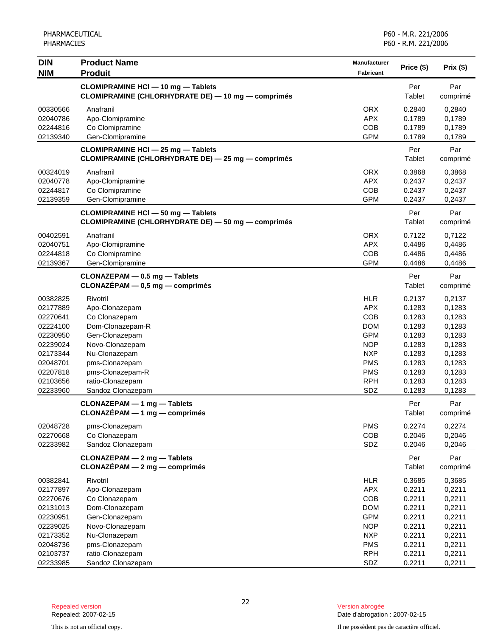| <b>DIN</b>                                                                                                                       | <b>Product Name</b>                                                                                                                                                                                  | <b>Manufacturer</b>                                                                                                                      |                                                                                                            |                                                                                                            |
|----------------------------------------------------------------------------------------------------------------------------------|------------------------------------------------------------------------------------------------------------------------------------------------------------------------------------------------------|------------------------------------------------------------------------------------------------------------------------------------------|------------------------------------------------------------------------------------------------------------|------------------------------------------------------------------------------------------------------------|
| <b>NIM</b>                                                                                                                       | <b>Produit</b>                                                                                                                                                                                       | Fabricant                                                                                                                                | Price (\$)                                                                                                 | Prix (\$)                                                                                                  |
|                                                                                                                                  | <b>CLOMIPRAMINE HCI - 10 mg - Tablets</b><br>CLOMIPRAMINE (CHLORHYDRATE DE) - 10 mg - comprimés                                                                                                      |                                                                                                                                          | Per<br>Tablet                                                                                              | Par<br>comprimé                                                                                            |
| 00330566<br>02040786<br>02244816<br>02139340                                                                                     | Anafranil<br>Apo-Clomipramine<br>Co Clomipramine<br>Gen-Clomipramine                                                                                                                                 | <b>ORX</b><br><b>APX</b><br>COB<br><b>GPM</b>                                                                                            | 0.2840<br>0.1789<br>0.1789<br>0.1789                                                                       | 0,2840<br>0,1789<br>0,1789<br>0,1789                                                                       |
|                                                                                                                                  | <b>CLOMIPRAMINE HCI - 25 mg - Tablets</b><br>CLOMIPRAMINE (CHLORHYDRATE DE) - 25 mg - comprimés                                                                                                      |                                                                                                                                          | Per<br>Tablet                                                                                              | Par<br>comprimé                                                                                            |
| 00324019<br>02040778<br>02244817<br>02139359                                                                                     | Anafranil<br>Apo-Clomipramine<br>Co Clomipramine<br>Gen-Clomipramine                                                                                                                                 | <b>ORX</b><br><b>APX</b><br>COB<br><b>GPM</b>                                                                                            | 0.3868<br>0.2437<br>0.2437<br>0.2437                                                                       | 0,3868<br>0,2437<br>0,2437<br>0,2437                                                                       |
|                                                                                                                                  | <b>CLOMIPRAMINE HCI - 50 mg - Tablets</b><br>CLOMIPRAMINE (CHLORHYDRATE DE) - 50 mg - comprimés                                                                                                      |                                                                                                                                          | Per<br>Tablet                                                                                              | Par<br>comprimé                                                                                            |
| 00402591<br>02040751<br>02244818<br>02139367                                                                                     | Anafranil<br>Apo-Clomipramine<br>Co Clomipramine<br>Gen-Clomipramine                                                                                                                                 | <b>ORX</b><br><b>APX</b><br>COB<br><b>GPM</b>                                                                                            | 0.7122<br>0.4486<br>0.4486<br>0.4486                                                                       | 0,7122<br>0,4486<br>0,4486<br>0,4486                                                                       |
|                                                                                                                                  | CLONAZEPAM - 0.5 mg - Tablets<br>$CLONAZÉPAM - 0,5 mg - comprimés$                                                                                                                                   |                                                                                                                                          | Per<br>Tablet                                                                                              | Par<br>comprimé                                                                                            |
| 00382825<br>02177889<br>02270641<br>02224100<br>02230950<br>02239024<br>02173344<br>02048701<br>02207818<br>02103656<br>02233960 | Rivotril<br>Apo-Clonazepam<br>Co Clonazepam<br>Dom-Clonazepam-R<br>Gen-Clonazepam<br>Novo-Clonazepam<br>Nu-Clonazepam<br>pms-Clonazepam<br>pms-Clonazepam-R<br>ratio-Clonazepam<br>Sandoz Clonazepam | <b>HLR</b><br><b>APX</b><br>COB<br><b>DOM</b><br><b>GPM</b><br><b>NOP</b><br><b>NXP</b><br><b>PMS</b><br><b>PMS</b><br><b>RPH</b><br>SDZ | 0.2137<br>0.1283<br>0.1283<br>0.1283<br>0.1283<br>0.1283<br>0.1283<br>0.1283<br>0.1283<br>0.1283<br>0.1283 | 0,2137<br>0,1283<br>0,1283<br>0,1283<br>0,1283<br>0,1283<br>0,1283<br>0,1283<br>0,1283<br>0,1283<br>0,1283 |
|                                                                                                                                  | CLONAZEPAM - 1 mg - Tablets<br>$CLONAZÉPAM - 1 mg - comprimés$                                                                                                                                       |                                                                                                                                          | Per<br>Tablet                                                                                              | Par<br>comprimé                                                                                            |
| 02048728<br>02270668<br>02233982                                                                                                 | pms-Clonazepam<br>Co Clonazepam<br>Sandoz Clonazepam                                                                                                                                                 | <b>PMS</b><br>COB<br>SDZ                                                                                                                 | 0.2274<br>0.2046<br>0.2046                                                                                 | 0,2274<br>0,2046<br>0,2046                                                                                 |
|                                                                                                                                  | CLONAZEPAM - 2 mg - Tablets<br>$CLONAZÉPAM - 2 mg - comprimés$                                                                                                                                       |                                                                                                                                          | Per<br>Tablet                                                                                              | Par<br>comprimé                                                                                            |
| 00382841<br>02177897<br>02270676<br>02131013<br>02230951<br>02239025<br>02173352                                                 | Rivotril<br>Apo-Clonazepam<br>Co Clonazepam<br>Dom-Clonazepam<br>Gen-Clonazepam<br>Novo-Clonazepam<br>Nu-Clonazepam                                                                                  | <b>HLR</b><br><b>APX</b><br><b>COB</b><br><b>DOM</b><br><b>GPM</b><br><b>NOP</b><br><b>NXP</b>                                           | 0.3685<br>0.2211<br>0.2211<br>0.2211<br>0.2211<br>0.2211<br>0.2211                                         | 0,3685<br>0,2211<br>0,2211<br>0,2211<br>0,2211<br>0,2211<br>0,2211                                         |
| 02048736<br>02103737<br>02233985                                                                                                 | pms-Clonazepam<br>ratio-Clonazepam<br>Sandoz Clonazepam                                                                                                                                              | <b>PMS</b><br><b>RPH</b><br>SDZ                                                                                                          | 0.2211<br>0.2211<br>0.2211                                                                                 | 0,2211<br>0,2211<br>0,2211                                                                                 |

Date d'abrogation : 2007-02-15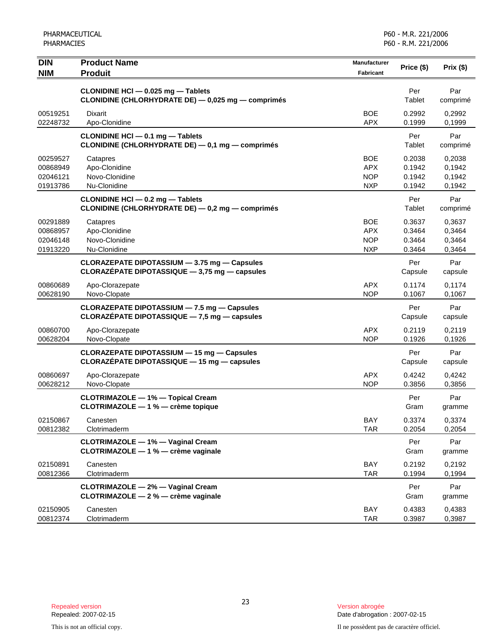| <b>DIN</b><br><b>NIM</b>                     | <b>Product Name</b><br><b>Produit</b>                                                            | Manufacturer<br>Fabricant                            | Price (\$)                           | Prix (\$)                            |
|----------------------------------------------|--------------------------------------------------------------------------------------------------|------------------------------------------------------|--------------------------------------|--------------------------------------|
|                                              | CLONIDINE HCI - 0.025 mg - Tablets<br>CLONIDINE (CHLORHYDRATE DE) - 0,025 mg - comprimés         |                                                      | Per<br>Tablet                        | Par<br>comprimé                      |
| 00519251<br>02248732                         | Dixarit<br>Apo-Clonidine                                                                         | <b>BOE</b><br><b>APX</b>                             | 0.2992<br>0.1999                     | 0,2992<br>0,1999                     |
|                                              | CLONIDINE HCI - 0.1 mg - Tablets<br>CLONIDINE (CHLORHYDRATE DE) - 0,1 mg - comprimés             |                                                      | Per<br>Tablet                        | Par<br>comprimé                      |
| 00259527<br>00868949<br>02046121<br>01913786 | Catapres<br>Apo-Clonidine<br>Novo-Clonidine<br>Nu-Clonidine                                      | <b>BOE</b><br><b>APX</b><br><b>NOP</b><br><b>NXP</b> | 0.2038<br>0.1942<br>0.1942<br>0.1942 | 0,2038<br>0,1942<br>0,1942<br>0,1942 |
|                                              | CLONIDINE HCI - 0.2 mg - Tablets<br>CLONIDINE (CHLORHYDRATE DE) - 0,2 mg - comprimés             |                                                      | Per<br>Tablet                        | Par<br>comprimé                      |
| 00291889<br>00868957<br>02046148<br>01913220 | Catapres<br>Apo-Clonidine<br>Novo-Clonidine<br>Nu-Clonidine                                      | <b>BOE</b><br>APX<br><b>NOP</b><br><b>NXP</b>        | 0.3637<br>0.3464<br>0.3464<br>0.3464 | 0,3637<br>0,3464<br>0,3464<br>0,3464 |
|                                              | CLORAZEPATE DIPOTASSIUM - 3.75 mg - Capsules<br>CLORAZÉPATE DIPOTASSIQUE - 3,75 mg - capsules    |                                                      | Per<br>Capsule                       | Par<br>capsule                       |
| 00860689<br>00628190                         | Apo-Clorazepate<br>Novo-Clopate                                                                  | APX<br><b>NOP</b>                                    | 0.1174<br>0.1067                     | 0,1174<br>0,1067                     |
|                                              | CLORAZEPATE DIPOTASSIUM - 7.5 mg - Capsules<br>CLORAZÉPATE DIPOTASSIQUE $-7,5$ mg $-$ capsules   |                                                      | Per<br>Capsule                       | Par<br>capsule                       |
| 00860700<br>00628204                         | Apo-Clorazepate<br>Novo-Clopate                                                                  | <b>APX</b><br><b>NOP</b>                             | 0.2119<br>0.1926                     | 0,2119<br>0,1926                     |
|                                              | <b>CLORAZEPATE DIPOTASSIUM - 15 mg - Capsules</b><br>CLORAZÉPATE DIPOTASSIQUE - 15 mg - capsules |                                                      | Per<br>Capsule                       | Par<br>capsule                       |
| 00860697<br>00628212                         | Apo-Clorazepate<br>Novo-Clopate                                                                  | <b>APX</b><br><b>NOP</b>                             | 0.4242<br>0.3856                     | 0,4242<br>0,3856                     |
|                                              | <b>CLOTRIMAZOLE - 1% - Topical Cream</b><br>CLOTRIMAZOLE - 1 % - crème topique                   |                                                      | Per<br>Gram                          | Par<br>gramme                        |
| 02150867<br>00812382                         | Canesten<br>Clotrimaderm                                                                         | BAY<br><b>TAR</b>                                    | 0.3374<br>0.2054                     | 0,3374<br>0,2054                     |
|                                              | <b>CLOTRIMAZOLE - 1% - Vaginal Cream</b><br>CLOTRIMAZOLE - 1 % - crème vaginale                  |                                                      | Per<br>Gram                          | Par<br>gramme                        |
| 02150891<br>00812366                         | Canesten<br>Clotrimaderm                                                                         | <b>BAY</b><br><b>TAR</b>                             | 0.2192<br>0.1994                     | 0,2192<br>0,1994                     |
|                                              | <b>CLOTRIMAZOLE - 2% - Vaginal Cream</b><br>CLOTRIMAZOLE - 2 % - crème vaginale                  |                                                      | Per<br>Gram                          | Par<br>gramme                        |
| 02150905<br>00812374                         | Canesten<br>Clotrimaderm                                                                         | BAY<br><b>TAR</b>                                    | 0.4383<br>0.3987                     | 0,4383<br>0,3987                     |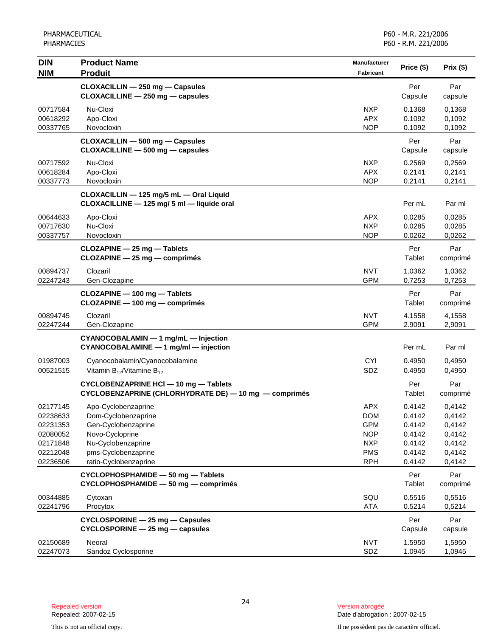| <b>DIN</b> | <b>Product Name</b>                                   | <b>Manufacturer</b> |               | Prix (\$) |
|------------|-------------------------------------------------------|---------------------|---------------|-----------|
| <b>NIM</b> | <b>Produit</b>                                        | Fabricant           | Price (\$)    |           |
|            | CLOXACILLIN - 250 mg - Capsules                       |                     | Per           | Par       |
|            | CLOXACILLINE - 250 mg - capsules                      |                     | Capsule       | capsule   |
| 00717584   | Nu-Cloxi                                              | <b>NXP</b>          | 0.1368        | 0,1368    |
| 00618292   | Apo-Cloxi                                             | <b>APX</b>          | 0.1092        | 0,1092    |
| 00337765   | Novocloxin                                            | <b>NOP</b>          | 0.1092        | 0,1092    |
|            | CLOXACILLIN - 500 mg - Capsules                       |                     | Per           | Par       |
|            | CLOXACILLINE - 500 mg - capsules                      |                     | Capsule       | capsule   |
| 00717592   | Nu-Cloxi                                              | <b>NXP</b>          | 0.2569        | 0,2569    |
| 00618284   | Apo-Cloxi                                             | <b>APX</b>          | 0.2141        | 0,2141    |
| 00337773   | Novocloxin                                            | <b>NOP</b>          | 0.2141        | 0,2141    |
|            | CLOXACILLIN - 125 mg/5 mL - Oral Liquid               |                     |               |           |
|            | CLOXACILLINE - 125 mg/ 5 ml - liquide oral            |                     | Per mL        | Par ml    |
| 00644633   | Apo-Cloxi                                             | <b>APX</b>          | 0.0285        | 0,0285    |
| 00717630   | Nu-Cloxi                                              | <b>NXP</b>          | 0.0285        | 0,0285    |
| 00337757   | Novocloxin                                            | <b>NOP</b>          | 0.0262        | 0,0262    |
|            | CLOZAPINE - 25 mg - Tablets                           |                     | Per           | Par       |
|            | CLOZAPINE - 25 mg - comprimés                         |                     | Tablet        | comprimé  |
| 00894737   | Clozaril                                              | <b>NVT</b>          | 1.0362        | 1,0362    |
| 02247243   | Gen-Clozapine                                         | <b>GPM</b>          | 0.7253        | 0,7253    |
|            | CLOZAPINE - 100 mg - Tablets                          |                     | Per           | Par       |
|            | CLOZAPINE - 100 mg - comprimés                        |                     | Tablet        | comprimé  |
| 00894745   | Clozaril                                              | <b>NVT</b>          | 4.1558        | 4,1558    |
| 02247244   | Gen-Clozapine                                         | <b>GPM</b>          | 2.9091        | 2,9091    |
|            | CYANOCOBALAMIN - 1 mg/mL - Injection                  |                     |               |           |
|            | CYANOCOBALAMINE - 1 mg/ml - injection                 |                     | Per mL        | Par ml    |
| 01987003   | Cyanocobalamin/Cyanocobalamine                        | <b>CYI</b>          | 0.4950        | 0,4950    |
| 00521515   | Vitamin $B_{12}$ /Vitamine $B_{12}$                   | SDZ                 | 0.4950        | 0,4950    |
|            | CYCLOBENZAPRINE HCI - 10 mg - Tablets                 |                     | Per           | Par       |
|            | CYCLOBENZAPRINE (CHLORHYDRATE DE) - 10 mg - comprimés |                     | Tablet        | comprimé  |
| 02177145   | Apo-Cyclobenzaprine                                   | <b>APX</b>          | 0.4142        | 0,4142    |
| 02238633   | Dom-Cyclobenzaprine                                   | <b>DOM</b>          | 0.4142        | 0,4142    |
| 02231353   | Gen-Cyclobenzaprine                                   | <b>GPM</b>          | 0.4142        | 0,4142    |
| 02080052   | Novo-Cycloprine                                       | <b>NOP</b>          | 0.4142        | 0,4142    |
| 02171848   | Nu-Cyclobenzaprine                                    | <b>NXP</b>          | 0.4142        | 0,4142    |
| 02212048   | pms-Cyclobenzaprine                                   | <b>PMS</b>          | 0.4142        | 0,4142    |
| 02236506   | ratio-Cyclobenzaprine                                 | <b>RPH</b>          | 0.4142        | 0,4142    |
|            | CYCLOPHOSPHAMIDE - 50 mg - Tablets                    |                     | Per           | Par       |
|            | CYCLOPHOSPHAMIDE - 50 mg - comprimés                  |                     | <b>Tablet</b> | comprimé  |
| 00344885   | Cytoxan                                               | SQU                 | 0.5516        | 0,5516    |
| 02241796   | Procytox                                              | <b>ATA</b>          | 0.5214        | 0,5214    |
|            | CYCLOSPORINE - 25 mg - Capsules                       |                     | Per           | Par       |
|            | CYCLOSPORINE - 25 mg - capsules                       |                     | Capsule       | capsule   |
| 02150689   | Neoral                                                | <b>NVT</b>          | 1.5950        | 1,5950    |
| 02247073   | Sandoz Cyclosporine                                   | SDZ                 | 1.0945        | 1,0945    |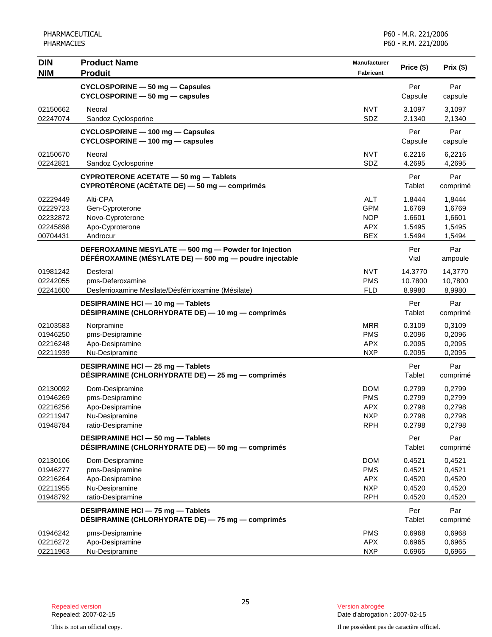| <b>DIN</b><br><b>NIM</b> | <b>Product Name</b><br><b>Produit</b>                                                 | Manufacturer<br><b>Fabricant</b> | Price (\$)       | Prix $($ \$)     |
|--------------------------|---------------------------------------------------------------------------------------|----------------------------------|------------------|------------------|
|                          | CYCLOSPORINE - 50 mg - Capsules                                                       |                                  | Per              | Par              |
|                          | CYCLOSPORINE - 50 mg - capsules                                                       |                                  | Capsule          | capsule          |
| 02150662                 | Neoral                                                                                | <b>NVT</b>                       | 3.1097           | 3,1097           |
| 02247074                 | Sandoz Cyclosporine                                                                   | SDZ                              | 2.1340           | 2,1340           |
|                          | CYCLOSPORINE - 100 mg - Capsules                                                      |                                  | Per              | Par              |
|                          | CYCLOSPORINE - 100 mg - capsules                                                      |                                  | Capsule          | capsule          |
| 02150670                 | Neoral                                                                                | <b>NVT</b>                       | 6.2216           | 6,2216           |
| 02242821                 | Sandoz Cyclosporine                                                                   | SDZ                              | 4.2695           | 4,2695           |
|                          | CYPROTERONE ACETATE - 50 mg - Tablets<br>CYPROTÉRONE (ACÉTATE DE) - 50 mg - comprimés |                                  | Per<br>Tablet    | Par<br>comprimé  |
|                          |                                                                                       |                                  |                  |                  |
| 02229449<br>02229723     | Alti-CPA<br>Gen-Cyproterone                                                           | <b>ALT</b><br><b>GPM</b>         | 1.8444<br>1.6769 | 1,8444<br>1,6769 |
| 02232872                 | Novo-Cyproterone                                                                      | <b>NOP</b>                       | 1.6601           | 1,6601           |
| 02245898                 | Apo-Cyproterone                                                                       | <b>APX</b>                       | 1.5495           | 1,5495           |
| 00704431                 | Androcur                                                                              | <b>BEX</b>                       | 1.5494           | 1,5494           |
|                          | DEFEROXAMINE MESYLATE - 500 mg - Powder for Injection                                 |                                  | Per              | Par              |
|                          | DÉFÉROXAMINE (MÉSYLATE DE) - 500 mg - poudre injectable                               |                                  | Vial             | ampoule          |
| 01981242                 | Desferal                                                                              | <b>NVT</b>                       | 14.3770          | 14,3770          |
| 02242055                 | pms-Deferoxamine                                                                      | <b>PMS</b>                       | 10.7800          | 10,7800          |
| 02241600                 | Desferrioxamine Mesilate/Désférrioxamine (Mésilate)                                   | <b>FLD</b>                       | 8.9980           | 8,9980           |
|                          | DESIPRAMINE HCI-10 mg-Tablets                                                         |                                  | Per              | Par              |
|                          | DÉSIPRAMINE (CHLORHYDRATE DE) — 10 mg — comprimés                                     |                                  | Tablet           | comprimé         |
| 02103583                 | Norpramine                                                                            | <b>MRR</b>                       | 0.3109           | 0,3109           |
| 01946250                 | pms-Desipramine                                                                       | <b>PMS</b>                       | 0.2096           | 0,2096           |
| 02216248                 | Apo-Desipramine                                                                       | <b>APX</b>                       | 0.2095           | 0,2095           |
| 02211939                 | Nu-Desipramine                                                                        | <b>NXP</b>                       | 0.2095           | 0,2095           |
|                          | DESIPRAMINE HCI - 25 mg - Tablets                                                     |                                  | Per              | Par              |
|                          | DÉSIPRAMINE (CHLORHYDRATE DE) - 25 mg - comprimés                                     |                                  | Tablet           | comprimé         |
| 02130092                 | Dom-Desipramine                                                                       | <b>DOM</b>                       | 0.2799           | 0,2799           |
| 01946269                 | pms-Desipramine                                                                       | <b>PMS</b>                       | 0.2799           | 0,2799           |
| 02216256                 | Apo-Desipramine                                                                       | <b>APX</b>                       | 0.2798           | 0,2798           |
| 02211947<br>01948784     | Nu-Desipramine<br>ratio-Desipramine                                                   | <b>NXP</b><br><b>RPH</b>         | 0.2798<br>0.2798 | 0,2798<br>0,2798 |
|                          | DESIPRAMINE HCI-50 mg-Tablets                                                         |                                  | Per              | Par              |
|                          | DÉSIPRAMINE (CHLORHYDRATE DE) - 50 mg - comprimés                                     |                                  | Tablet           | comprimé         |
| 02130106                 | Dom-Desipramine                                                                       | <b>DOM</b>                       | 0.4521           | 0,4521           |
| 01946277                 | pms-Desipramine                                                                       | <b>PMS</b>                       | 0.4521           | 0,4521           |
| 02216264                 | Apo-Desipramine                                                                       | <b>APX</b>                       | 0.4520           | 0,4520           |
| 02211955                 | Nu-Desipramine                                                                        | <b>NXP</b>                       | 0.4520           | 0,4520           |
| 01948792                 | ratio-Desipramine                                                                     | <b>RPH</b>                       | 0.4520           | 0,4520           |
|                          | DESIPRAMINE HCI - 75 mg - Tablets                                                     |                                  | Per              | Par              |
|                          | DÉSIPRAMINE (CHLORHYDRATE DE) - 75 mg - comprimés                                     |                                  | <b>Tablet</b>    | comprimé         |
| 01946242                 | pms-Desipramine                                                                       | <b>PMS</b>                       | 0.6968           | 0,6968           |
| 02216272                 | Apo-Desipramine                                                                       | <b>APX</b>                       | 0.6965           | 0,6965           |
| 02211963                 | Nu-Desipramine                                                                        | <b>NXP</b>                       | 0.6965           | 0,6965           |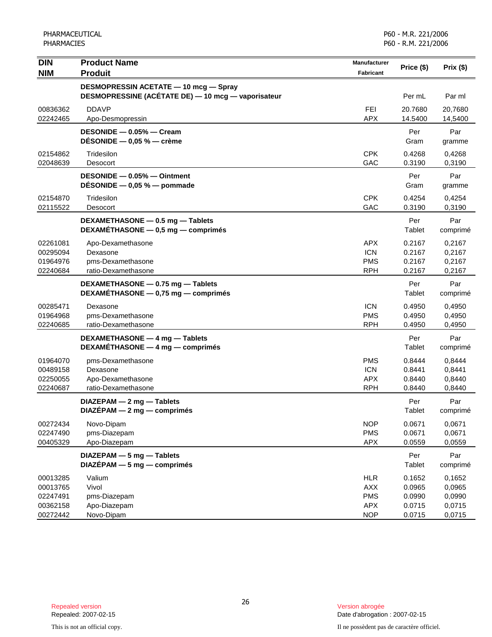| <b>DIN</b><br><b>NIM</b>                                 | <b>Product Name</b><br><b>Produit</b>                                     | Manufacturer<br><b>Fabricant</b>                                   | Price (\$)                                     | Prix (\$)                                      |
|----------------------------------------------------------|---------------------------------------------------------------------------|--------------------------------------------------------------------|------------------------------------------------|------------------------------------------------|
|                                                          | <b>DESMOPRESSIN ACETATE - 10 mcg - Spray</b>                              |                                                                    |                                                |                                                |
|                                                          | DESMOPRESSINE (ACÉTATE DE) - 10 mcg - vaporisateur                        |                                                                    | Per mL                                         | Par ml                                         |
| 00836362                                                 | <b>DDAVP</b>                                                              | FEI                                                                | 20.7680                                        | 20,7680                                        |
| 02242465                                                 | Apo-Desmopressin                                                          | <b>APX</b>                                                         | 14.5400                                        | 14,5400                                        |
|                                                          | DESONIDE - 0.05% - Cream<br>DÉSONIDE $-$ 0,05 % $-$ crème                 |                                                                    | Per<br>Gram                                    | Par<br>gramme                                  |
| 02154862<br>02048639                                     | Tridesilon<br>Desocort                                                    | <b>CPK</b><br>GAC                                                  | 0.4268<br>0.3190                               | 0,4268<br>0,3190                               |
|                                                          | DESONIDE - 0.05% - Ointment<br>DESONIDE $-$ 0,05 % $-$ pommade            |                                                                    | Per<br>Gram                                    | Par<br>gramme                                  |
| 02154870<br>02115522                                     | Tridesilon<br>Desocort                                                    | <b>CPK</b><br>GAC                                                  | 0.4254<br>0.3190                               | 0,4254<br>0,3190                               |
|                                                          | DEXAMETHASONE - 0.5 mg - Tablets<br>DEXAMÉTHASONE - 0,5 mg - comprimés    |                                                                    | Per<br>Tablet                                  | Par<br>comprimé                                |
| 02261081<br>00295094<br>01964976<br>02240684             | Apo-Dexamethasone<br>Dexasone<br>pms-Dexamethasone<br>ratio-Dexamethasone | <b>APX</b><br><b>ICN</b><br><b>PMS</b><br><b>RPH</b>               | 0.2167<br>0.2167<br>0.2167<br>0.2167           | 0,2167<br>0,2167<br>0,2167<br>0,2167           |
|                                                          | DEXAMETHASONE - 0.75 mg - Tablets<br>DEXAMÉTHASONE - 0,75 mg - comprimés  |                                                                    | Per<br>Tablet                                  | Par<br>comprimé                                |
| 00285471<br>01964968<br>02240685                         | Dexasone<br>pms-Dexamethasone<br>ratio-Dexamethasone                      | <b>ICN</b><br><b>PMS</b><br><b>RPH</b>                             | 0.4950<br>0.4950<br>0.4950                     | 0,4950<br>0,4950<br>0,4950                     |
|                                                          | DEXAMETHASONE - 4 mg - Tablets<br>DEXAMÉTHASONE - 4 mg - comprimés        |                                                                    | Per<br>Tablet                                  | Par<br>comprimé                                |
| 01964070<br>00489158<br>02250055<br>02240687             | pms-Dexamethasone<br>Dexasone<br>Apo-Dexamethasone<br>ratio-Dexamethasone | <b>PMS</b><br><b>ICN</b><br><b>APX</b><br><b>RPH</b>               | 0.8444<br>0.8441<br>0.8440<br>0.8440           | 0,8444<br>0,8441<br>0,8440<br>0,8440           |
|                                                          | DIAZEPAM - 2 mg - Tablets<br>$DIAZÉPAM - 2 mg - comprimés$                |                                                                    | Per<br>Tablet                                  | Par<br>comprimé                                |
| 00272434<br>02247490<br>00405329                         | Novo-Dipam<br>pms-Diazepam<br>Apo-Diazepam                                | <b>NOP</b><br><b>PMS</b><br><b>APX</b>                             | 0.0671<br>0.0671<br>0.0559                     | 0,0671<br>0,0671<br>0,0559                     |
|                                                          | DIAZEPAM - 5 mg - Tablets<br>$DIAZÉPAM - 5 mg - comprimés$                |                                                                    | Per<br>Tablet                                  | Par<br>comprimé                                |
| 00013285<br>00013765<br>02247491<br>00362158<br>00272442 | Valium<br>Vivol<br>pms-Diazepam<br>Apo-Diazepam<br>Novo-Dipam             | <b>HLR</b><br><b>AXX</b><br><b>PMS</b><br><b>APX</b><br><b>NOP</b> | 0.1652<br>0.0965<br>0.0990<br>0.0715<br>0.0715 | 0,1652<br>0,0965<br>0,0990<br>0,0715<br>0,0715 |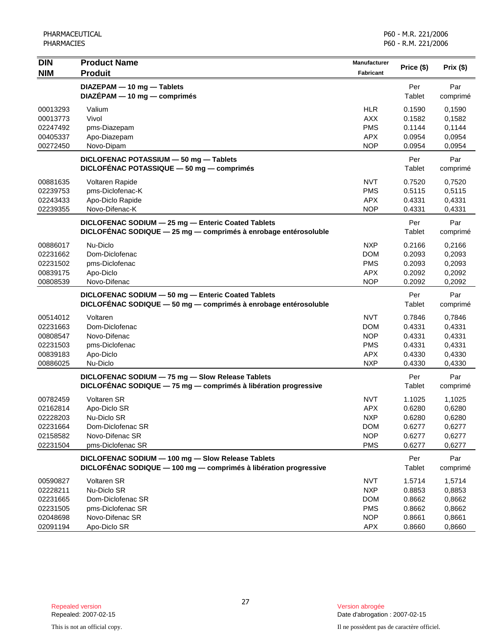| <b>DIN</b><br><b>NIM</b>                                             | <b>Product Name</b><br><b>Produit</b>                                                                                 | Manufacturer<br>Fabricant                                                        | Price (\$)                                               | Prix(\$)                                                 |
|----------------------------------------------------------------------|-----------------------------------------------------------------------------------------------------------------------|----------------------------------------------------------------------------------|----------------------------------------------------------|----------------------------------------------------------|
|                                                                      | DIAZEPAM - 10 mg - Tablets<br>DIAZÉPAM - 10 mg - comprimés                                                            |                                                                                  | Per<br>Tablet                                            | Par<br>comprimé                                          |
| 00013293<br>00013773<br>02247492<br>00405337<br>00272450             | Valium<br>Vivol<br>pms-Diazepam<br>Apo-Diazepam<br>Novo-Dipam                                                         | <b>HLR</b><br><b>AXX</b><br><b>PMS</b><br><b>APX</b><br><b>NOP</b>               | 0.1590<br>0.1582<br>0.1144<br>0.0954<br>0.0954           | 0,1590<br>0,1582<br>0,1144<br>0,0954<br>0,0954           |
|                                                                      | DICLOFENAC POTASSIUM - 50 mg - Tablets<br>DICLOFÉNAC POTASSIQUE - 50 mg - comprimés                                   |                                                                                  | Per<br>Tablet                                            | Par<br>comprimé                                          |
| 00881635<br>02239753<br>02243433<br>02239355                         | Voltaren Rapide<br>pms-Diclofenac-K<br>Apo-Diclo Rapide<br>Novo-Difenac-K                                             | <b>NVT</b><br><b>PMS</b><br><b>APX</b><br><b>NOP</b>                             | 0.7520<br>0.5115<br>0.4331<br>0.4331                     | 0,7520<br>0,5115<br>0,4331<br>0,4331                     |
|                                                                      | DICLOFENAC SODIUM - 25 mg - Enteric Coated Tablets<br>DICLOFÉNAC SODIQUE - 25 mg - comprimés à enrobage entérosoluble |                                                                                  | Per<br>Tablet                                            | Par<br>comprimé                                          |
| 00886017<br>02231662<br>02231502<br>00839175<br>00808539             | Nu-Diclo<br>Dom-Diclofenac<br>pms-Diclofenac<br>Apo-Diclo<br>Novo-Difenac                                             | <b>NXP</b><br><b>DOM</b><br><b>PMS</b><br><b>APX</b><br><b>NOP</b>               | 0.2166<br>0.2093<br>0.2093<br>0.2092<br>0.2092           | 0,2166<br>0,2093<br>0,2093<br>0,2092<br>0,2092           |
|                                                                      | DICLOFENAC SODIUM - 50 mg - Enteric Coated Tablets<br>DICLOFENAC SODIQUE - 50 mg - comprimés à enrobage entérosoluble |                                                                                  | Per<br>Tablet                                            | Par<br>comprimé                                          |
| 00514012<br>02231663<br>00808547<br>02231503<br>00839183<br>00886025 | Voltaren<br>Dom-Diclofenac<br>Novo-Difenac<br>pms-Diclofenac<br>Apo-Diclo<br>Nu-Diclo                                 | <b>NVT</b><br><b>DOM</b><br><b>NOP</b><br><b>PMS</b><br><b>APX</b><br><b>NXP</b> | 0.7846<br>0.4331<br>0.4331<br>0.4331<br>0.4330<br>0.4330 | 0,7846<br>0,4331<br>0,4331<br>0,4331<br>0,4330<br>0,4330 |
|                                                                      | DICLOFENAC SODIUM - 75 mg - Slow Release Tablets<br>DICLOFÉNAC SODIQUE - 75 mg - comprimés à libération progressive   |                                                                                  | Per<br>Tablet                                            | Par<br>comprimé                                          |
| 00782459<br>02162814<br>02228203<br>02231664<br>02158582<br>02231504 | <b>Voltaren SR</b><br>Apo-Diclo SR<br>Nu-Diclo SR<br>Dom-Diclofenac SR<br>Novo-Difenac SR<br>pms-Diclofenac SR        | <b>NVT</b><br><b>APX</b><br><b>NXP</b><br><b>DOM</b><br><b>NOP</b><br><b>PMS</b> | 1.1025<br>0.6280<br>0.6280<br>0.6277<br>0.6277<br>0.6277 | 1,1025<br>0,6280<br>0,6280<br>0,6277<br>0,6277<br>0,6277 |
|                                                                      | DICLOFENAC SODIUM - 100 mg - Slow Release Tablets<br>DICLOFÉNAC SODIQUE - 100 mg - comprimés à libération progressive |                                                                                  | Per<br>Tablet                                            | Par<br>comprimé                                          |
| 00590827<br>02228211<br>02231665<br>02231505<br>02048698<br>02091194 | Voltaren SR<br>Nu-Diclo SR<br>Dom-Diclofenac SR<br>pms-Diclofenac SR<br>Novo-Difenac SR<br>Apo-Diclo SR               | <b>NVT</b><br><b>NXP</b><br><b>DOM</b><br><b>PMS</b><br><b>NOP</b><br>APX        | 1.5714<br>0.8853<br>0.8662<br>0.8662<br>0.8661<br>0.8660 | 1,5714<br>0,8853<br>0,8662<br>0,8662<br>0,8661<br>0,8660 |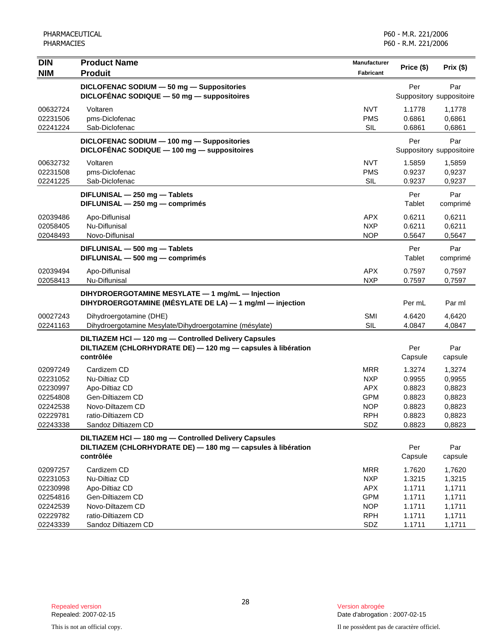| <b>DIN</b><br><b>NIM</b>                                                         | <b>Product Name</b><br><b>Produit</b>                                                                                               | <b>Manufacturer</b><br><b>Fabricant</b>                                                 | Price (\$)                                                         | Prix(\$)                                                           |
|----------------------------------------------------------------------------------|-------------------------------------------------------------------------------------------------------------------------------------|-----------------------------------------------------------------------------------------|--------------------------------------------------------------------|--------------------------------------------------------------------|
|                                                                                  | DICLOFENAC SODIUM - 50 mg - Suppositories<br>DICLOFÉNAC SODIQUE $-50$ mg $-$ suppositoires                                          |                                                                                         | Per                                                                | Par<br>Suppository suppositoire                                    |
| 00632724<br>02231506<br>02241224                                                 | Voltaren<br>pms-Diclofenac<br>Sab-Diclofenac                                                                                        | <b>NVT</b><br><b>PMS</b><br><b>SIL</b>                                                  | 1.1778<br>0.6861<br>0.6861                                         | 1,1778<br>0,6861<br>0,6861                                         |
|                                                                                  | DICLOFENAC SODIUM - 100 mg - Suppositories<br>DICLOFÉNAC SODIQUE - 100 mg - suppositoires                                           |                                                                                         | Per                                                                | Par<br>Suppository suppositoire                                    |
| 00632732<br>02231508<br>02241225                                                 | Voltaren<br>pms-Diclofenac<br>Sab-Diclofenac                                                                                        | <b>NVT</b><br><b>PMS</b><br>SIL                                                         | 1.5859<br>0.9237<br>0.9237                                         | 1,5859<br>0,9237<br>0,9237                                         |
|                                                                                  | DIFLUNISAL - 250 mg - Tablets<br>DIFLUNISAL - 250 mg - comprimés                                                                    |                                                                                         | Per<br>Tablet                                                      | Par<br>comprimé                                                    |
| 02039486<br>02058405<br>02048493                                                 | Apo-Diflunisal<br>Nu-Diflunisal<br>Novo-Diflunisal                                                                                  | <b>APX</b><br><b>NXP</b><br><b>NOP</b>                                                  | 0.6211<br>0.6211<br>0.5647                                         | 0,6211<br>0.6211<br>0,5647                                         |
|                                                                                  | DIFLUNISAL - 500 mg - Tablets<br>DIFLUNISAL - 500 mg - comprimés                                                                    |                                                                                         | Per<br>Tablet                                                      | Par<br>comprimé                                                    |
| 02039494<br>02058413                                                             | Apo-Diflunisal<br>Nu-Diflunisal                                                                                                     | <b>APX</b><br><b>NXP</b>                                                                | 0.7597<br>0.7597                                                   | 0,7597<br>0,7597                                                   |
|                                                                                  | DIHYDROERGOTAMINE MESYLATE - 1 mg/mL - Injection<br>DIHYDROERGOTAMINE (MÉSYLATE DE LA) - 1 mg/ml - injection                        |                                                                                         | Per mL                                                             | Par ml                                                             |
| 00027243<br>02241163                                                             | Dihydroergotamine (DHE)<br>Dihydroergotamine Mesylate/Dihydroergotamine (mésylate)                                                  | SMI<br><b>SIL</b>                                                                       | 4.6420<br>4.0847                                                   | 4,6420<br>4,0847                                                   |
|                                                                                  | DILTIAZEM HCI-120 mg-Controlled Delivery Capsules<br>DILTIAZEM (CHLORHYDRATE DE) - 120 mg - capsules à libération<br>contrôlée      |                                                                                         | Per<br>Capsule                                                     | Par<br>capsule                                                     |
| 02097249<br>02231052<br>02230997<br>02254808<br>02242538<br>02229781<br>02243338 | Cardizem CD<br>Nu-Diltiaz CD<br>Apo-Diltiaz CD<br>Gen-Diltiazem CD<br>Novo-Diltazem CD<br>ratio-Diltiazem CD<br>Sandoz Diltiazem CD | <b>MRR</b><br><b>NXP</b><br><b>APX</b><br><b>GPM</b><br><b>NOP</b><br><b>RPH</b><br>SDZ | 1.3274<br>0.9955<br>0.8823<br>0.8823<br>0.8823<br>0.8823<br>0.8823 | 1,3274<br>0,9955<br>0,8823<br>0,8823<br>0,8823<br>0,8823<br>0,8823 |
|                                                                                  | DILTIAZEM HCI-180 mg-Controlled Delivery Capsules<br>DILTIAZEM (CHLORHYDRATE DE) - 180 mg - capsules à libération<br>contrôlée      |                                                                                         | Per<br>Capsule                                                     | Par<br>capsule                                                     |
| 02097257<br>02231053<br>02230998<br>02254816<br>02242539<br>02229782<br>02243339 | Cardizem CD<br>Nu-Diltiaz CD<br>Apo-Diltiaz CD<br>Gen-Diltiazem CD<br>Novo-Diltazem CD<br>ratio-Diltiazem CD<br>Sandoz Diltiazem CD | MRR<br><b>NXP</b><br><b>APX</b><br><b>GPM</b><br><b>NOP</b><br><b>RPH</b><br>SDZ        | 1.7620<br>1.3215<br>1.1711<br>1.1711<br>1.1711<br>1.1711<br>1.1711 | 1,7620<br>1,3215<br>1,1711<br>1,1711<br>1,1711<br>1,1711<br>1,1711 |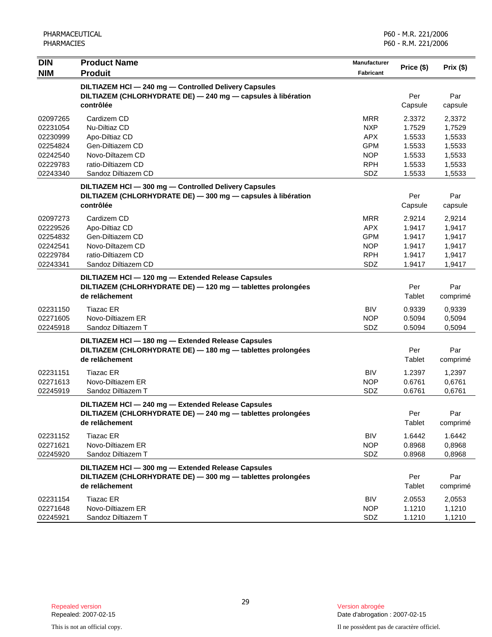| <b>DIN</b>           | <b>Product Name</b>                                                                                           | <b>Manufacturer</b>      | Price (\$)       | Prix (\$)        |
|----------------------|---------------------------------------------------------------------------------------------------------------|--------------------------|------------------|------------------|
| <b>NIM</b>           | <b>Produit</b>                                                                                                | Fabricant                |                  |                  |
|                      | DILTIAZEM HCI-240 mg-Controlled Delivery Capsules                                                             |                          |                  |                  |
|                      | DILTIAZEM (CHLORHYDRATE DE) - 240 mg - capsules à libération                                                  |                          | Per              | Par              |
|                      | contrôlée                                                                                                     |                          | Capsule          | capsule          |
| 02097265             | Cardizem CD                                                                                                   | <b>MRR</b>               | 2.3372           | 2,3372           |
| 02231054             | Nu-Diltiaz CD                                                                                                 | <b>NXP</b>               | 1.7529           | 1,7529           |
| 02230999             | Apo-Diltiaz CD                                                                                                | <b>APX</b>               | 1.5533           | 1,5533           |
| 02254824             | Gen-Diltiazem CD                                                                                              | <b>GPM</b>               | 1.5533           | 1,5533           |
| 02242540<br>02229783 | Novo-Diltazem CD<br>ratio-Diltiazem CD                                                                        | <b>NOP</b><br><b>RPH</b> | 1.5533<br>1.5533 | 1,5533<br>1,5533 |
| 02243340             | Sandoz Diltiazem CD                                                                                           | SDZ                      | 1.5533           | 1,5533           |
|                      |                                                                                                               |                          |                  |                  |
|                      | DILTIAZEM HCI-300 mg-Controlled Delivery Capsules                                                             |                          |                  |                  |
|                      | DILTIAZEM (CHLORHYDRATE DE) - 300 mg - capsules à libération<br>contrôlée                                     |                          | Per<br>Capsule   | Par              |
|                      |                                                                                                               |                          |                  | capsule          |
| 02097273             | Cardizem CD                                                                                                   | <b>MRR</b>               | 2.9214           | 2,9214           |
| 02229526             | Apo-Diltiaz CD                                                                                                | <b>APX</b>               | 1.9417           | 1,9417           |
| 02254832<br>02242541 | Gen-Diltiazem CD<br>Novo-Diltazem CD                                                                          | <b>GPM</b><br><b>NOP</b> | 1.9417<br>1.9417 | 1,9417<br>1,9417 |
| 02229784             | ratio-Diltiazem CD                                                                                            | <b>RPH</b>               | 1.9417           | 1,9417           |
| 02243341             | Sandoz Diltiazem CD                                                                                           | SDZ                      | 1.9417           | 1,9417           |
|                      | DILTIAZEM HCI - 120 mg - Extended Release Capsules                                                            |                          |                  |                  |
|                      | DILTIAZEM (CHLORHYDRATE DE) - 120 mg - tablettes prolongées                                                   |                          | Per              | Par              |
|                      | de relâchement                                                                                                |                          | Tablet           | comprimé         |
|                      |                                                                                                               | <b>BIV</b>               |                  |                  |
| 02231150<br>02271605 | <b>Tiazac ER</b><br>Novo-Diltiazem ER                                                                         | <b>NOP</b>               | 0.9339<br>0.5094 | 0,9339<br>0,5094 |
| 02245918             | Sandoz Diltiazem T                                                                                            | SDZ                      | 0.5094           | 0,5094           |
|                      |                                                                                                               |                          |                  |                  |
|                      | DILTIAZEM HCI-180 mg-Extended Release Capsules<br>DILTIAZEM (CHLORHYDRATE DE) - 180 mg - tablettes prolongées |                          | Per              | Par              |
|                      | de relâchement                                                                                                |                          | Tablet           | comprimé         |
|                      |                                                                                                               |                          |                  |                  |
| 02231151             | <b>Tiazac ER</b><br>Novo-Diltiazem ER                                                                         | <b>BIV</b>               | 1.2397           | 1,2397           |
| 02271613<br>02245919 | Sandoz Diltiazem T                                                                                            | <b>NOP</b><br>SDZ        | 0.6761<br>0.6761 | 0,6761<br>0,6761 |
|                      |                                                                                                               |                          |                  |                  |
|                      | DILTIAZEM HCl - 240 mg - Extended Release Capsules                                                            |                          |                  |                  |
|                      | DILTIAZEM (CHLORHYDRATE DE) - 240 mg - tablettes prolongées<br>de relâchement                                 |                          | Per<br>Tablet    | Par              |
|                      |                                                                                                               |                          |                  | comprimé         |
| 02231152             | <b>Tiazac ER</b>                                                                                              | <b>BIV</b>               | 1.6442           | 1.6442           |
| 02271621             | Novo-Diltiazem ER                                                                                             | <b>NOP</b>               | 0.8968           | 0,8968           |
| 02245920             | Sandoz Diltiazem T                                                                                            | SDZ                      | 0.8968           | 0,8968           |
|                      | DILTIAZEM HCI - 300 mg - Extended Release Capsules                                                            |                          |                  |                  |
|                      | DILTIAZEM (CHLORHYDRATE DE) - 300 mg - tablettes prolongées                                                   |                          | Per              | Par              |
|                      | de relâchement                                                                                                |                          | Tablet           | comprimé         |
| 02231154             | <b>Tiazac ER</b>                                                                                              | <b>BIV</b>               | 2.0553           | 2,0553           |
| 02271648             | Novo-Diltiazem ER                                                                                             | <b>NOP</b>               | 1.1210           | 1,1210           |
| 02245921             | Sandoz Diltiazem T                                                                                            | SDZ                      | 1.1210           | 1,1210           |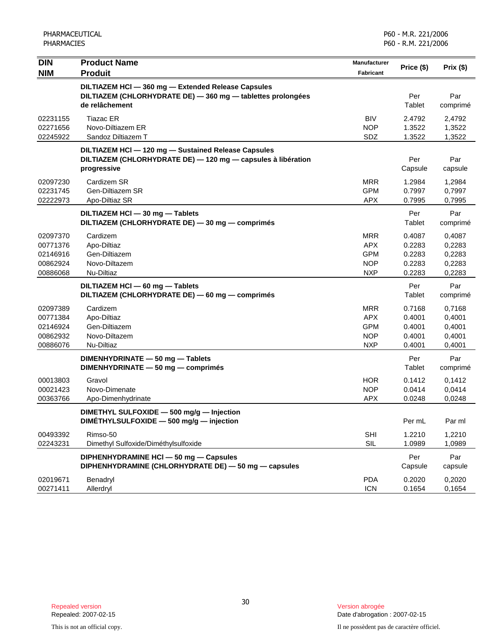| <b>DIN</b>                                               | <b>Product Name</b>                                                                                                                 | <b>Manufacturer</b>                                                | Price (\$)                                     | Prix (\$)                                      |
|----------------------------------------------------------|-------------------------------------------------------------------------------------------------------------------------------------|--------------------------------------------------------------------|------------------------------------------------|------------------------------------------------|
| <b>NIM</b>                                               | <b>Produit</b>                                                                                                                      | Fabricant                                                          |                                                |                                                |
|                                                          | DILTIAZEM HCI - 360 mg - Extended Release Capsules<br>DILTIAZEM (CHLORHYDRATE DE) - 360 mg - tablettes prolongées<br>de relâchement |                                                                    | Per<br>Tablet                                  | Par<br>comprimé                                |
| 02231155<br>02271656<br>02245922                         | Tiazac ER<br>Novo-Diltiazem ER<br>Sandoz Diltiazem T                                                                                | <b>BIV</b><br><b>NOP</b><br>SDZ                                    | 2.4792<br>1.3522<br>1.3522                     | 2,4792<br>1,3522<br>1,3522                     |
|                                                          | DILTIAZEM HCI - 120 mg - Sustained Release Capsules<br>DILTIAZEM (CHLORHYDRATE DE) - 120 mg - capsules à libération<br>progressive  |                                                                    | Per<br>Capsule                                 | Par<br>capsule                                 |
| 02097230<br>02231745<br>02222973                         | Cardizem SR<br>Gen-Diltiazem SR<br>Apo-Diltiaz SR                                                                                   | <b>MRR</b><br><b>GPM</b><br><b>APX</b>                             | 1.2984<br>0.7997<br>0.7995                     | 1,2984<br>0,7997<br>0,7995                     |
|                                                          | DILTIAZEM HCI - 30 mg - Tablets<br>DILTIAZEM (CHLORHYDRATE DE) - 30 mg - comprimés                                                  |                                                                    | Per<br>Tablet                                  | Par<br>comprimé                                |
| 02097370<br>00771376<br>02146916<br>00862924<br>00886068 | Cardizem<br>Apo-Diltiaz<br>Gen-Diltiazem<br>Novo-Diltazem<br>Nu-Diltiaz                                                             | <b>MRR</b><br><b>APX</b><br><b>GPM</b><br><b>NOP</b><br><b>NXP</b> | 0.4087<br>0.2283<br>0.2283<br>0.2283<br>0.2283 | 0,4087<br>0,2283<br>0,2283<br>0,2283<br>0,2283 |
|                                                          | DILTIAZEM HCI - 60 mg - Tablets<br>DILTIAZEM (CHLORHYDRATE DE) - 60 mg - comprimés                                                  |                                                                    | Per<br>Tablet                                  | Par<br>comprimé                                |
| 02097389<br>00771384<br>02146924<br>00862932<br>00886076 | Cardizem<br>Apo-Diltiaz<br>Gen-Diltiazem<br>Novo-Diltazem<br>Nu-Diltiaz                                                             | <b>MRR</b><br><b>APX</b><br><b>GPM</b><br><b>NOP</b><br><b>NXP</b> | 0.7168<br>0.4001<br>0.4001<br>0.4001<br>0.4001 | 0,7168<br>0,4001<br>0,4001<br>0,4001<br>0,4001 |
|                                                          | DIMENHYDRINATE - 50 mg - Tablets<br>DIMENHYDRINATE - 50 mg - comprimés                                                              |                                                                    | Per<br>Tablet                                  | Par<br>comprimé                                |
| 00013803<br>00021423<br>00363766                         | Gravol<br>Novo-Dimenate<br>Apo-Dimenhydrinate                                                                                       | <b>HOR</b><br><b>NOP</b><br><b>APX</b>                             | 0.1412<br>0.0414<br>0.0248                     | 0,1412<br>0,0414<br>0,0248                     |
|                                                          | DIMETHYL SULFOXIDE - 500 mg/g - Injection<br>DIMÉTHYLSULFOXIDE - 500 mg/g - injection                                               |                                                                    | Per mL                                         | Par ml                                         |
| 00493392<br>02243231                                     | Rimso-50<br>Dimethyl Sulfoxide/Diméthylsulfoxide                                                                                    | <b>SHI</b><br>SIL                                                  | 1.2210<br>1.0989                               | 1,2210<br>1,0989                               |
|                                                          | DIPHENHYDRAMINE HCI - 50 mg - Capsules<br>DIPHENHYDRAMINE (CHLORHYDRATE DE) - 50 mg - capsules                                      |                                                                    | Per<br>Capsule                                 | Par<br>capsule                                 |
| 02019671<br>00271411                                     | Benadryl<br>Allerdryl                                                                                                               | <b>PDA</b><br><b>ICN</b>                                           | 0.2020<br>0.1654                               | 0,2020<br>0,1654                               |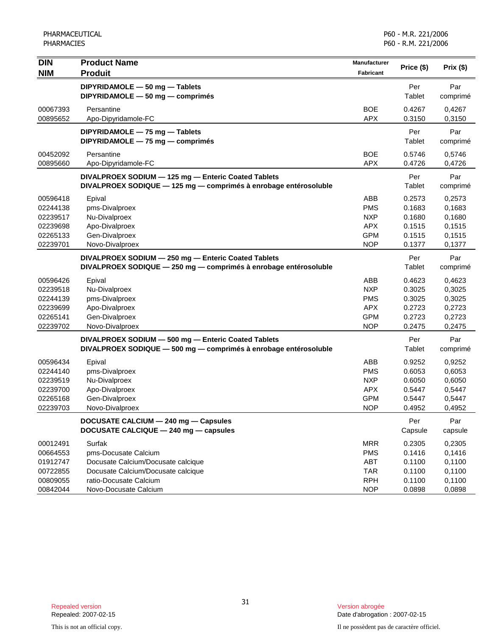| <b>DIN</b><br><b>NIM</b>                                             | <b>Product Name</b><br><b>Produit</b>                                                                                                | Manufacturer<br><b>Fabricant</b>                                          | Price (\$)                                               | Prix (\$)                                                |
|----------------------------------------------------------------------|--------------------------------------------------------------------------------------------------------------------------------------|---------------------------------------------------------------------------|----------------------------------------------------------|----------------------------------------------------------|
|                                                                      | DIPYRIDAMOLE - 50 mg - Tablets<br>DIPYRIDAMOLE - 50 mg - comprimés                                                                   |                                                                           | Per<br>Tablet                                            | Par<br>comprimé                                          |
| 00067393<br>00895652                                                 | Persantine<br>Apo-Dipyridamole-FC                                                                                                    | <b>BOE</b><br><b>APX</b>                                                  | 0.4267<br>0.3150                                         | 0,4267<br>0,3150                                         |
|                                                                      | DIPYRIDAMOLE - 75 mg - Tablets<br>DIPYRIDAMOLE - 75 mg - comprimés                                                                   |                                                                           | Per<br>Tablet                                            | Par<br>comprimé                                          |
| 00452092<br>00895660                                                 | Persantine<br>Apo-Dipyridamole-FC                                                                                                    | <b>BOE</b><br><b>APX</b>                                                  | 0.5746<br>0.4726                                         | 0,5746<br>0,4726                                         |
|                                                                      | DIVALPROEX SODIUM - 125 mg - Enteric Coated Tablets<br>DIVALPROEX SODIQUE - 125 mg - comprimés à enrobage entérosoluble              |                                                                           | Per<br>Tablet                                            | Par<br>comprimé                                          |
| 00596418<br>02244138<br>02239517<br>02239698<br>02265133<br>02239701 | Epival<br>pms-Divalproex<br>Nu-Divalproex<br>Apo-Divalproex<br>Gen-Divalproex<br>Novo-Divalproex                                     | ABB<br><b>PMS</b><br><b>NXP</b><br><b>APX</b><br><b>GPM</b><br><b>NOP</b> | 0.2573<br>0.1683<br>0.1680<br>0.1515<br>0.1515<br>0.1377 | 0,2573<br>0,1683<br>0,1680<br>0,1515<br>0,1515<br>0,1377 |
|                                                                      | DIVALPROEX SODIUM - 250 mg - Enteric Coated Tablets<br>DIVALPROEX SODIQUE - 250 mg - comprimés à enrobage entérosoluble              |                                                                           | Per<br>Tablet                                            | Par<br>comprimé                                          |
| 00596426<br>02239518<br>02244139<br>02239699<br>02265141<br>02239702 | Epival<br>Nu-Divalproex<br>pms-Divalproex<br>Apo-Divalproex<br>Gen-Divalproex<br>Novo-Divalproex                                     | ABB<br><b>NXP</b><br><b>PMS</b><br><b>APX</b><br><b>GPM</b><br><b>NOP</b> | 0.4623<br>0.3025<br>0.3025<br>0.2723<br>0.2723<br>0.2475 | 0,4623<br>0,3025<br>0,3025<br>0,2723<br>0,2723<br>0,2475 |
|                                                                      | DIVALPROEX SODIUM - 500 mg - Enteric Coated Tablets<br>DIVALPROEX SODIQUE - 500 mg - comprimés à enrobage entérosoluble              |                                                                           | Per<br>Tablet                                            | Par<br>comprimé                                          |
| 00596434<br>02244140<br>02239519<br>02239700<br>02265168<br>02239703 | Epival<br>pms-Divalproex<br>Nu-Divalproex<br>Apo-Divalproex<br>Gen-Divalproex<br>Novo-Divalproex                                     | ABB<br><b>PMS</b><br><b>NXP</b><br><b>APX</b><br><b>GPM</b><br><b>NOP</b> | 0.9252<br>0.6053<br>0.6050<br>0.5447<br>0.5447<br>0.4952 | 0,9252<br>0,6053<br>0,6050<br>0,5447<br>0,5447<br>0,4952 |
|                                                                      | DOCUSATE CALCIUM - 240 mg - Capsules<br>DOCUSATE CALCIQUE - 240 mg - capsules                                                        |                                                                           | Per<br>Capsule                                           | Par<br>capsule                                           |
| 00012491<br>00664553<br>01912747<br>00722855<br>00809055             | Surfak<br>pms-Docusate Calcium<br>Docusate Calcium/Docusate calcique<br>Docusate Calcium/Docusate calcique<br>ratio-Docusate Calcium | <b>MRR</b><br><b>PMS</b><br>ABT<br><b>TAR</b><br><b>RPH</b>               | 0.2305<br>0.1416<br>0.1100<br>0.1100<br>0.1100           | 0,2305<br>0,1416<br>0,1100<br>0,1100<br>0,1100           |
| 00842044                                                             | Novo-Docusate Calcium                                                                                                                | <b>NOP</b>                                                                | 0.0898                                                   | 0,0898                                                   |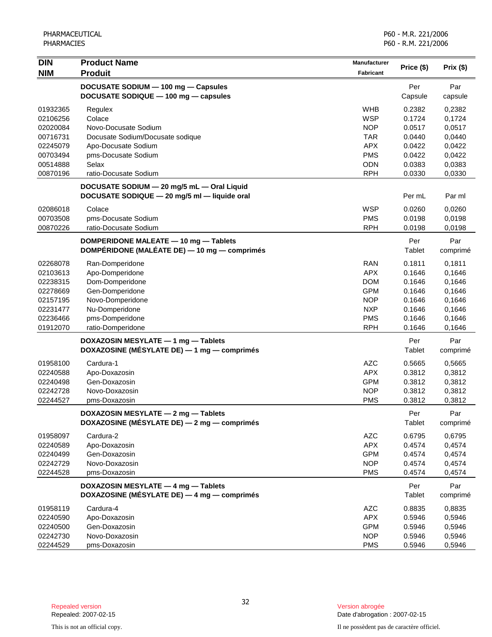| <b>DIN</b> | <b>Product Name</b>                          | <b>Manufacturer</b> | Price (\$) |          |
|------------|----------------------------------------------|---------------------|------------|----------|
| <b>NIM</b> | <b>Produit</b>                               | Fabricant           |            | Prix(\$) |
|            | DOCUSATE SODIUM - 100 mg - Capsules          |                     | Per        | Par      |
|            | DOCUSATE SODIQUE - 100 mg - capsules         |                     | Capsule    | capsule  |
| 01932365   | Regulex                                      | <b>WHB</b>          | 0.2382     | 0,2382   |
| 02106256   | Colace                                       | <b>WSP</b>          | 0.1724     | 0,1724   |
| 02020084   | Novo-Docusate Sodium                         | <b>NOP</b>          | 0.0517     | 0,0517   |
| 00716731   | Docusate Sodium/Docusate sodique             | <b>TAR</b>          | 0.0440     | 0,0440   |
| 02245079   | Apo-Docusate Sodium                          | <b>APX</b>          | 0.0422     | 0,0422   |
| 00703494   | pms-Docusate Sodium                          | <b>PMS</b>          | 0.0422     | 0,0422   |
| 00514888   | Selax                                        | <b>ODN</b>          | 0.0383     | 0,0383   |
| 00870196   | ratio-Docusate Sodium                        | <b>RPH</b>          | 0.0330     | 0,0330   |
|            | DOCUSATE SODIUM - 20 mg/5 mL - Oral Liquid   |                     |            |          |
|            | DOCUSATE SODIQUE - 20 mg/5 ml - liquide oral |                     | Per mL     | Par ml   |
| 02086018   | Colace                                       | <b>WSP</b>          | 0.0260     | 0,0260   |
| 00703508   | pms-Docusate Sodium                          | <b>PMS</b>          | 0.0198     | 0,0198   |
| 00870226   | ratio-Docusate Sodium                        | <b>RPH</b>          | 0.0198     | 0,0198   |
|            | DOMPERIDONE MALEATE - 10 mg - Tablets        |                     | Per        | Par      |
|            | DOMPÉRIDONE (MALÉATE DE) — 10 mg — comprimés |                     | Tablet     | comprimé |
| 02268078   | Ran-Domperidone                              | <b>RAN</b>          | 0.1811     | 0,1811   |
| 02103613   | Apo-Domperidone                              | <b>APX</b>          | 0.1646     | 0,1646   |
| 02238315   | Dom-Domperidone                              | <b>DOM</b>          | 0.1646     | 0,1646   |
| 02278669   | Gen-Domperidone                              | <b>GPM</b>          | 0.1646     | 0,1646   |
| 02157195   | Novo-Domperidone                             | <b>NOP</b>          | 0.1646     | 0,1646   |
| 02231477   | Nu-Domperidone                               | <b>NXP</b>          | 0.1646     | 0,1646   |
| 02236466   | pms-Domperidone                              | <b>PMS</b>          | 0.1646     | 0,1646   |
| 01912070   | ratio-Domperidone                            | <b>RPH</b>          | 0.1646     | 0,1646   |
|            | DOXAZOSIN MESYLATE - 1 mg - Tablets          |                     | Per        | Par      |
|            | DOXAZOSINE (MÉSYLATE DE) — 1 mg — comprimés  |                     | Tablet     | comprimé |
| 01958100   | Cardura-1                                    | <b>AZC</b>          | 0.5665     | 0,5665   |
| 02240588   | Apo-Doxazosin                                | <b>APX</b>          | 0.3812     | 0,3812   |
| 02240498   | Gen-Doxazosin                                | <b>GPM</b>          | 0.3812     | 0,3812   |
| 02242728   | Novo-Doxazosin                               | <b>NOP</b>          | 0.3812     | 0,3812   |
| 02244527   | pms-Doxazosin                                | <b>PMS</b>          | 0.3812     | 0,3812   |
|            | DOXAZOSIN MESYLATE - 2 mg - Tablets          |                     | Per        | Par      |
|            | DOXAZOSINE (MÉSYLATE DE) — 2 mg — comprimés  |                     | Tablet     | comprimé |
| 01958097   | Cardura-2                                    | <b>AZC</b>          | 0.6795     | 0,6795   |
| 02240589   | Apo-Doxazosin                                | <b>APX</b>          | 0.4574     | 0,4574   |
| 02240499   | Gen-Doxazosin                                | <b>GPM</b>          | 0.4574     | 0,4574   |
| 02242729   | Novo-Doxazosin                               | <b>NOP</b>          | 0.4574     | 0,4574   |
| 02244528   | pms-Doxazosin                                | <b>PMS</b>          | 0.4574     | 0,4574   |
|            | DOXAZOSIN MESYLATE - 4 mg - Tablets          |                     | Per        | Par      |
|            | DOXAZOSINE (MÉSYLATE DE) - 4 mg - comprimés  |                     | Tablet     | comprimé |
| 01958119   | Cardura-4                                    | <b>AZC</b>          | 0.8835     | 0,8835   |
| 02240590   | Apo-Doxazosin                                | <b>APX</b>          | 0.5946     | 0,5946   |
| 02240500   | Gen-Doxazosin                                | <b>GPM</b>          | 0.5946     | 0,5946   |
| 02242730   | Novo-Doxazosin                               | <b>NOP</b>          | 0.5946     | 0,5946   |
| 02244529   | pms-Doxazosin                                | <b>PMS</b>          | 0.5946     | 0,5946   |

Date d'abrogation : 2007-02-15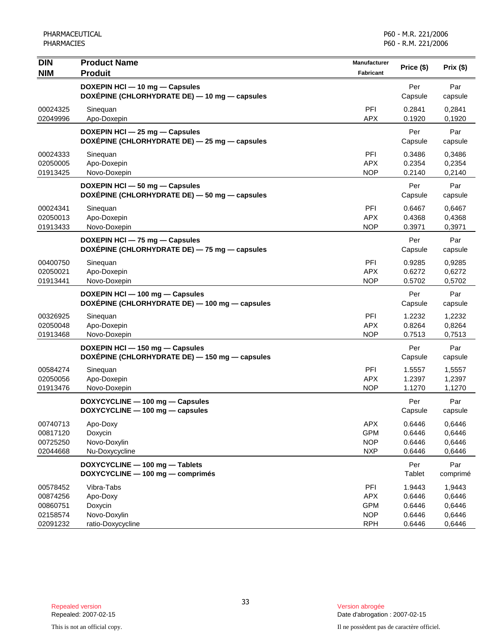| <b>DIN</b><br><b>NIM</b>                                 | <b>Product Name</b><br><b>Produit</b>                                             | Manufacturer<br>Fabricant                                   | Price (\$)                                     | Prix(\$)                                       |
|----------------------------------------------------------|-----------------------------------------------------------------------------------|-------------------------------------------------------------|------------------------------------------------|------------------------------------------------|
|                                                          | DOXEPIN HCI - 10 mg - Capsules<br>DOXÉPINE (CHLORHYDRATE DE) — 10 mg — capsules   |                                                             | Per<br>Capsule                                 | Par<br>capsule                                 |
| 00024325<br>02049996                                     | Sinequan<br>Apo-Doxepin                                                           | PFI<br><b>APX</b>                                           | 0.2841<br>0.1920                               | 0,2841<br>0,1920                               |
|                                                          | DOXEPIN HCl - 25 mg - Capsules<br>DOXÉPINE (CHLORHYDRATE DE) - 25 mg - capsules   |                                                             | Per<br>Capsule                                 | Par<br>capsule                                 |
| 00024333<br>02050005<br>01913425                         | Sinequan<br>Apo-Doxepin<br>Novo-Doxepin                                           | PFI<br><b>APX</b><br><b>NOP</b>                             | 0.3486<br>0.2354<br>0.2140                     | 0,3486<br>0,2354<br>0,2140                     |
|                                                          | DOXEPIN HCI - 50 mg - Capsules<br>DOXÉPINE (CHLORHYDRATE DE) - 50 mg - capsules   |                                                             | Per<br>Capsule                                 | Par<br>capsule                                 |
| 00024341<br>02050013<br>01913433                         | Sinequan<br>Apo-Doxepin<br>Novo-Doxepin                                           | PFI<br><b>APX</b><br><b>NOP</b>                             | 0.6467<br>0.4368<br>0.3971                     | 0,6467<br>0,4368<br>0,3971                     |
|                                                          | DOXEPIN HCI - 75 mg - Capsules<br>DOXÉPINE (CHLORHYDRATE DE) - 75 mg - capsules   |                                                             | Per<br>Capsule                                 | Par<br>capsule                                 |
| 00400750<br>02050021<br>01913441                         | Sinequan<br>Apo-Doxepin<br>Novo-Doxepin                                           | PFI<br><b>APX</b><br><b>NOP</b>                             | 0.9285<br>0.6272<br>0.5702                     | 0,9285<br>0,6272<br>0,5702                     |
|                                                          | DOXEPIN HCI - 100 mg - Capsules<br>DOXÉPINE (CHLORHYDRATE DE) — 100 mg — capsules |                                                             | Per<br>Capsule                                 | Par<br>capsule                                 |
| 00326925<br>02050048<br>01913468                         | Sinequan<br>Apo-Doxepin<br>Novo-Doxepin                                           | PFI<br><b>APX</b><br><b>NOP</b>                             | 1.2232<br>0.8264<br>0.7513                     | 1,2232<br>0,8264<br>0,7513                     |
|                                                          | DOXEPIN HCI - 150 mg - Capsules<br>DOXÉPINE (CHLORHYDRATE DE) - 150 mg - capsules |                                                             | Per<br>Capsule                                 | Par<br>capsule                                 |
| 00584274<br>02050056<br>01913476                         | Sinequan<br>Apo-Doxepin<br>Novo-Doxepin                                           | PFI<br><b>APX</b><br><b>NOP</b>                             | 1.5557<br>1.2397<br>1.1270                     | 1,5557<br>1,2397<br>1,1270                     |
|                                                          | DOXYCYCLINE - 100 mg - Capsules<br>DOXYCYCLINE - 100 mg - capsules                |                                                             | Per<br>Capsule                                 | Par<br>capsule                                 |
| 00740713<br>00817120<br>00725250<br>02044668             | Apo-Doxy<br>Doxycin<br>Novo-Doxylin<br>Nu-Doxycycline                             | <b>APX</b><br><b>GPM</b><br><b>NOP</b><br><b>NXP</b>        | 0.6446<br>0.6446<br>0.6446<br>0.6446           | 0,6446<br>0,6446<br>0,6446<br>0,6446           |
|                                                          | DOXYCYCLINE - 100 mg - Tablets<br>DOXYCYCLINE - 100 mg - comprimés                |                                                             | Per<br>Tablet                                  | Par<br>comprimé                                |
| 00578452<br>00874256<br>00860751<br>02158574<br>02091232 | Vibra-Tabs<br>Apo-Doxy<br>Doxycin<br>Novo-Doxylin<br>ratio-Doxycycline            | PFI<br><b>APX</b><br><b>GPM</b><br><b>NOP</b><br><b>RPH</b> | 1.9443<br>0.6446<br>0.6446<br>0.6446<br>0.6446 | 1,9443<br>0,6446<br>0,6446<br>0,6446<br>0,6446 |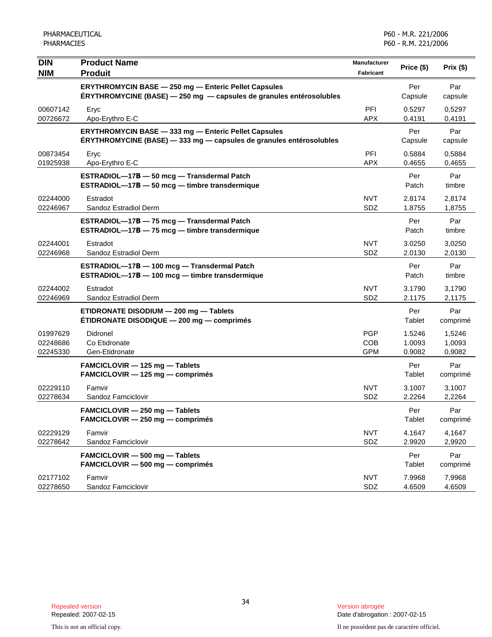| <b>DIN</b><br><b>NIM</b>         | <b>Product Name</b><br><b>Produit</b>                                                                                       | Manufacturer<br><b>Fabricant</b>       | Price (\$)                 | Prix (\$)                  |
|----------------------------------|-----------------------------------------------------------------------------------------------------------------------------|----------------------------------------|----------------------------|----------------------------|
|                                  | ERYTHROMYCIN BASE - 250 mg - Enteric Pellet Capsules<br>ERYTHROMYCINE (BASE) - 250 mg - capsules de granules entérosolubles |                                        | Per<br>Capsule             | Par<br>capsule             |
| 00607142<br>00726672             | Eryc<br>Apo-Erythro E-C                                                                                                     | <b>PFI</b><br><b>APX</b>               | 0.5297<br>0.4191           | 0,5297<br>0,4191           |
|                                  | ERYTHROMYCIN BASE - 333 mg - Enteric Pellet Capsules<br>ERYTHROMYCINE (BASE) - 333 mg - capsules de granules entérosolubles |                                        | Per<br>Capsule             | Par<br>capsule             |
| 00873454<br>01925938             | Eryc<br>Apo-Erythro E-C                                                                                                     | PFI<br><b>APX</b>                      | 0.5884<br>0.4655           | 0,5884<br>0,4655           |
|                                  | ESTRADIOL-17B - 50 mcg - Transdermal Patch<br>ESTRADIOL-17B - 50 mcg - timbre transdermique                                 |                                        | Per<br>Patch               | Par<br>timbre              |
| 02244000<br>02246967             | Estradot<br>Sandoz Estradiol Derm                                                                                           | <b>NVT</b><br>SDZ                      | 2.8174<br>1.8755           | 2,8174<br>1,8755           |
|                                  | ESTRADIOL-17B - 75 mcg - Transdermal Patch<br>ESTRADIOL-17B - 75 mcg - timbre transdermique                                 |                                        | Per<br>Patch               | Par<br>timbre              |
| 02244001<br>02246968             | Estradot<br>Sandoz Estradiol Derm                                                                                           | <b>NVT</b><br>SDZ                      | 3.0250<br>2.0130           | 3,0250<br>2,0130           |
|                                  | ESTRADIOL-17B - 100 mcg - Transdermal Patch<br>ESTRADIOL-17B - 100 mcg - timbre transdermique                               |                                        | Per<br>Patch               | Par<br>timbre              |
| 02244002<br>02246969             | Estradot<br>Sandoz Estradiol Derm                                                                                           | <b>NVT</b><br>SDZ                      | 3.1790<br>2.1175           | 3,1790<br>2,1175           |
|                                  | ETIDRONATE DISODIUM - 200 mg - Tablets<br><b>ETIDRONATE DISODIQUE - 200 mg - comprimés</b>                                  |                                        | Per<br>Tablet              | Par<br>comprimé            |
| 01997629<br>02248686<br>02245330 | Didronel<br>Co Etidronate<br>Gen-Etidronate                                                                                 | <b>PGP</b><br><b>COB</b><br><b>GPM</b> | 1.5246<br>1.0093<br>0.9082 | 1,5246<br>1,0093<br>0,9082 |
|                                  | FAMCICLOVIR - 125 mg - Tablets<br>FAMCICLOVIR - 125 mg - comprimés                                                          |                                        | Per<br>Tablet              | Par<br>comprimé            |
| 02229110<br>02278634             | Famvir<br>Sandoz Famciclovir                                                                                                | <b>NVT</b><br>SDZ                      | 3.1007<br>2.2264           | 3,1007<br>2,2264           |
|                                  | FAMCICLOVIR - 250 mg - Tablets<br>FAMCICLOVIR - 250 mg - comprimés                                                          |                                        | Per<br>Tablet              | Par<br>comprimé            |
| 02229129<br>02278642             | Famvir<br>Sandoz Famciclovir                                                                                                | <b>NVT</b><br>SDZ                      | 4.1647<br>2.9920           | 4,1647<br>2,9920           |
|                                  | FAMCICLOVIR - 500 mg - Tablets<br>FAMCICLOVIR - 500 mg - comprimés                                                          |                                        | Per<br>Tablet              | Par<br>comprimé            |
| 02177102<br>02278650             | Famvir<br>Sandoz Famciclovir                                                                                                | <b>NVT</b><br>SDZ                      | 7.9968<br>4.6509           | 7,9968<br>4,6509           |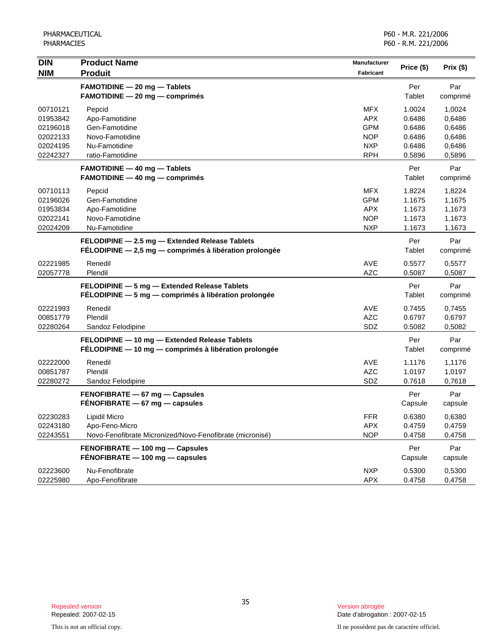| <b>DIN</b><br><b>NIM</b>                                             | <b>Product Name</b><br><b>Produit</b>                                                                    | <b>Manufacturer</b><br><b>Fabricant</b>                                          | Price (\$)                                               | Prix (\$)                                                |
|----------------------------------------------------------------------|----------------------------------------------------------------------------------------------------------|----------------------------------------------------------------------------------|----------------------------------------------------------|----------------------------------------------------------|
|                                                                      | <b>FAMOTIDINE - 20 mg - Tablets</b><br><b>FAMOTIDINE - 20 mg - comprimés</b>                             |                                                                                  | Per<br>Tablet                                            | Par<br>comprimé                                          |
| 00710121<br>01953842<br>02196018<br>02022133<br>02024195<br>02242327 | Pepcid<br>Apo-Famotidine<br>Gen-Famotidine<br>Novo-Famotidine<br>Nu-Famotidine<br>ratio-Famotidine       | <b>MFX</b><br><b>APX</b><br><b>GPM</b><br><b>NOP</b><br><b>NXP</b><br><b>RPH</b> | 1.0024<br>0.6486<br>0.6486<br>0.6486<br>0.6486<br>0.5896 | 1,0024<br>0,6486<br>0,6486<br>0,6486<br>0,6486<br>0,5896 |
|                                                                      | <b>FAMOTIDINE - 40 mg - Tablets</b><br>FAMOTIDINE - 40 mg - comprimés                                    |                                                                                  | Per<br>Tablet                                            | Par<br>comprimé                                          |
| 00710113<br>02196026<br>01953834<br>02022141<br>02024209             | Pepcid<br>Gen-Famotidine<br>Apo-Famotidine<br>Novo-Famotidine<br>Nu-Famotidine                           | <b>MFX</b><br><b>GPM</b><br><b>APX</b><br><b>NOP</b><br><b>NXP</b>               | 1.8224<br>1.1675<br>1.1673<br>1.1673<br>1.1673           | 1,8224<br>1,1675<br>1,1673<br>1,1673<br>1,1673           |
|                                                                      | FELODIPINE - 2.5 mg - Extended Release Tablets<br>FÉLODIPINE - 2,5 mg - comprimés à libération prolongée |                                                                                  | Per<br>Tablet                                            | Par<br>comprimé                                          |
| 02221985<br>02057778                                                 | Renedil<br>Plendil                                                                                       | <b>AVE</b><br><b>AZC</b>                                                         | 0.5577<br>0.5087                                         | 0,5577<br>0,5087                                         |
|                                                                      | FELODIPINE - 5 mg - Extended Release Tablets<br>FÉLODIPINE - 5 mg - comprimés à libération prolongée     |                                                                                  | Per<br>Tablet                                            | Par<br>comprimé                                          |
| 02221993<br>00851779<br>02280264                                     | Renedil<br>Plendil<br>Sandoz Felodipine                                                                  | <b>AVE</b><br><b>AZC</b><br>SDZ                                                  | 0.7455<br>0.6797<br>0.5082                               | 0,7455<br>0,6797<br>0,5082                               |
|                                                                      | FELODIPINE - 10 mg - Extended Release Tablets<br>FÉLODIPINE - 10 mg - comprimés à libération prolongée   |                                                                                  | Per<br>Tablet                                            | Par<br>comprimé                                          |
| 02222000<br>00851787<br>02280272                                     | Renedil<br>Plendil<br>Sandoz Felodipine                                                                  | AVE<br><b>AZC</b><br>SDZ                                                         | 1.1176<br>1.0197<br>0.7618                               | 1,1176<br>1,0197<br>0,7618                               |
|                                                                      | FENOFIBRATE - 67 mg - Capsules<br>$FÉNOFIBRATE - 67 mg - capsules$                                       |                                                                                  | Per<br>Capsule                                           | Par<br>capsule                                           |
| 02230283<br>02243180<br>02243551                                     | <b>Lipidil Micro</b><br>Apo-Feno-Micro<br>Novo-Fenofibrate Micronized/Novo-Fenofibrate (micronisé)       | <b>FFR</b><br><b>APX</b><br><b>NOP</b>                                           | 0.6380<br>0.4759<br>0.4758                               | 0,6380<br>0,4759<br>0,4758                               |
|                                                                      | FENOFIBRATE - 100 mg - Capsules<br>$FÉNOFIBRATE - 100 mg - capsules$                                     |                                                                                  | Per<br>Capsule                                           | Par<br>capsule                                           |
| 02223600<br>02225980                                                 | Nu-Fenofibrate<br>Apo-Fenofibrate                                                                        | <b>NXP</b><br><b>APX</b>                                                         | 0.5300<br>0.4758                                         | 0,5300<br>0,4758                                         |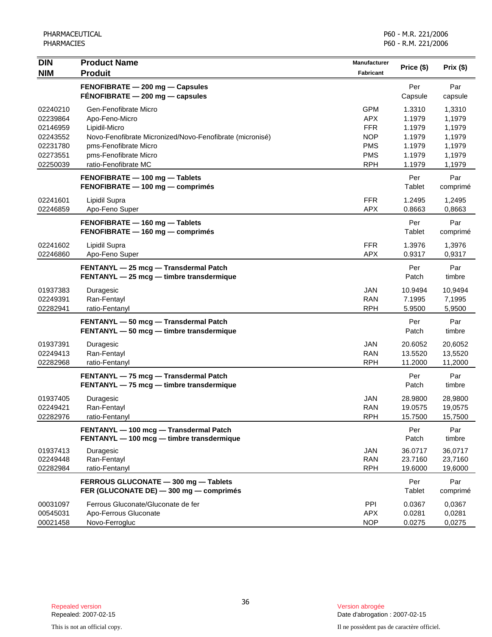| <b>DIN</b><br><b>NIM</b>                                                         | <b>Product Name</b><br><b>Produit</b>                                                                                                                                                          | <b>Manufacturer</b><br>Fabricant                                                               | Price (\$)                                                         | Prix(\$)                                                           |
|----------------------------------------------------------------------------------|------------------------------------------------------------------------------------------------------------------------------------------------------------------------------------------------|------------------------------------------------------------------------------------------------|--------------------------------------------------------------------|--------------------------------------------------------------------|
|                                                                                  | FENOFIBRATE - 200 mg - Capsules<br>$FÉNOFIBRATE - 200 mg - capsules$                                                                                                                           |                                                                                                | Per<br>Capsule                                                     | Par<br>capsule                                                     |
| 02240210<br>02239864<br>02146959<br>02243552<br>02231780<br>02273551<br>02250039 | Gen-Fenofibrate Micro<br>Apo-Feno-Micro<br>Lipidil-Micro<br>Novo-Fenofibrate Micronized/Novo-Fenofibrate (micronisé)<br>pms-Fenofibrate Micro<br>pms-Fenofibrate Micro<br>ratio-Fenofibrate MC | <b>GPM</b><br><b>APX</b><br><b>FFR</b><br><b>NOP</b><br><b>PMS</b><br><b>PMS</b><br><b>RPH</b> | 1.3310<br>1.1979<br>1.1979<br>1.1979<br>1.1979<br>1.1979<br>1.1979 | 1,3310<br>1,1979<br>1,1979<br>1,1979<br>1,1979<br>1,1979<br>1,1979 |
|                                                                                  | FENOFIBRATE - 100 mg - Tablets<br>FENOFIBRATE - 100 mg - comprimés                                                                                                                             |                                                                                                | Per<br>Tablet                                                      | Par<br>comprimé                                                    |
| 02241601<br>02246859                                                             | Lipidil Supra<br>Apo-Feno Super                                                                                                                                                                | <b>FFR</b><br><b>APX</b>                                                                       | 1.2495<br>0.8663                                                   | 1,2495<br>0,8663                                                   |
|                                                                                  | FENOFIBRATE - 160 mg - Tablets<br>FENOFIBRATE - 160 mg - comprimés                                                                                                                             |                                                                                                | Per<br>Tablet                                                      | Par<br>comprimé                                                    |
| 02241602<br>02246860                                                             | Lipidil Supra<br>Apo-Feno Super                                                                                                                                                                | <b>FFR</b><br><b>APX</b>                                                                       | 1.3976<br>0.9317                                                   | 1,3976<br>0,9317                                                   |
|                                                                                  | FENTANYL - 25 mcg - Transdermal Patch<br>FENTANYL - 25 mcg - timbre transdermique                                                                                                              |                                                                                                | Per<br>Patch                                                       | Par<br>timbre                                                      |
| 01937383<br>02249391<br>02282941                                                 | Duragesic<br>Ran-Fentayl<br>ratio-Fentanyl                                                                                                                                                     | <b>JAN</b><br><b>RAN</b><br><b>RPH</b>                                                         | 10.9494<br>7.1995<br>5.9500                                        | 10,9494<br>7,1995<br>5,9500                                        |
|                                                                                  | FENTANYL - 50 mcg - Transdermal Patch<br>FENTANYL - 50 mcg - timbre transdermique                                                                                                              |                                                                                                | Per<br>Patch                                                       | Par<br>timbre                                                      |
| 01937391<br>02249413<br>02282968                                                 | Duragesic<br>Ran-Fentayl<br>ratio-Fentanyl                                                                                                                                                     | <b>JAN</b><br><b>RAN</b><br><b>RPH</b>                                                         | 20.6052<br>13.5520<br>11.2000                                      | 20,6052<br>13,5520<br>11,2000                                      |
|                                                                                  | FENTANYL - 75 mcg - Transdermal Patch<br>FENTANYL - 75 mcg - timbre transdermique                                                                                                              |                                                                                                | Per<br>Patch                                                       | Par<br>timbre                                                      |
| 01937405<br>02249421<br>02282976                                                 | Duragesic<br>Ran-Fentayl<br>ratio-Fentanyl                                                                                                                                                     | <b>JAN</b><br>RAN<br><b>RPH</b>                                                                | 28.9800<br>19.0575<br>15.7500                                      | 28,9800<br>19,0575<br>15,7500                                      |
|                                                                                  | FENTANYL - 100 mcg - Transdermal Patch<br>FENTANYL - 100 mcg - timbre transdermique                                                                                                            |                                                                                                | Per<br>Patch                                                       | Par<br>timbre                                                      |
| 01937413<br>02249448<br>02282984                                                 | Duragesic<br>Ran-Fentayl<br>ratio-Fentanyl                                                                                                                                                     | <b>JAN</b><br><b>RAN</b><br><b>RPH</b>                                                         | 36.0717<br>23.7160<br>19.6000                                      | 36,0717<br>23,7160<br>19,6000                                      |
|                                                                                  | FERROUS GLUCONATE - 300 mg - Tablets<br>FER (GLUCONATE DE) - 300 mg - comprimés                                                                                                                |                                                                                                | Per<br>Tablet                                                      | Par<br>comprimé                                                    |
| 00031097<br>00545031<br>00021458                                                 | Ferrous Gluconate/Gluconate de fer<br>Apo-Ferrous Gluconate<br>Novo-Ferrogluc                                                                                                                  | <b>PPI</b><br><b>APX</b><br><b>NOP</b>                                                         | 0.0367<br>0.0281<br>0.0275                                         | 0,0367<br>0,0281<br>0,0275                                         |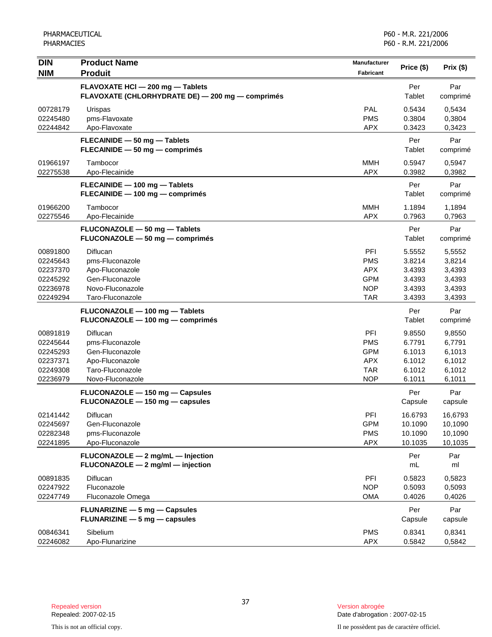| <b>DIN</b>                                                           | <b>Product Name</b>                                                                                       | <b>Manufacturer</b>                                                       | Price (\$)                                               | Prix (\$)                                                |
|----------------------------------------------------------------------|-----------------------------------------------------------------------------------------------------------|---------------------------------------------------------------------------|----------------------------------------------------------|----------------------------------------------------------|
| <b>NIM</b>                                                           | <b>Produit</b>                                                                                            | Fabricant                                                                 |                                                          |                                                          |
|                                                                      | FLAVOXATE HCI - 200 mg - Tablets<br>FLAVOXATE (CHLORHYDRATE DE) - 200 mg - comprimés                      |                                                                           | Per<br>Tablet                                            | Par<br>comprimé                                          |
| 00728179<br>02245480<br>02244842                                     | Urispas<br>pms-Flavoxate<br>Apo-Flavoxate                                                                 | PAL<br><b>PMS</b><br><b>APX</b>                                           | 0.5434<br>0.3804<br>0.3423                               | 0,5434<br>0,3804<br>0,3423                               |
|                                                                      | FLECAINIDE - 50 mg - Tablets<br>FLECAINIDE - 50 mg - comprimés                                            |                                                                           | Per<br>Tablet                                            | Par<br>comprimé                                          |
| 01966197<br>02275538                                                 | Tambocor<br>Apo-Flecainide                                                                                | <b>MMH</b><br><b>APX</b>                                                  | 0.5947<br>0.3982                                         | 0,5947<br>0,3982                                         |
|                                                                      | FLECAINIDE - 100 mg - Tablets<br>FLECAINIDE - 100 mg - comprimés                                          |                                                                           | Per<br>Tablet                                            | Par<br>comprimé                                          |
| 01966200<br>02275546                                                 | Tambocor<br>Apo-Flecainide                                                                                | <b>MMH</b><br><b>APX</b>                                                  | 1.1894<br>0.7963                                         | 1,1894<br>0,7963                                         |
|                                                                      | FLUCONAZOLE - 50 mg - Tablets<br>FLUCONAZOLE - 50 mg - comprimés                                          |                                                                           | Per<br>Tablet                                            | Par<br>comprimé                                          |
| 00891800<br>02245643<br>02237370<br>02245292<br>02236978<br>02249294 | Diflucan<br>pms-Fluconazole<br>Apo-Fluconazole<br>Gen-Fluconazole<br>Novo-Fluconazole<br>Taro-Fluconazole | PFI<br><b>PMS</b><br><b>APX</b><br><b>GPM</b><br><b>NOP</b><br><b>TAR</b> | 5.5552<br>3.8214<br>3.4393<br>3.4393<br>3.4393<br>3.4393 | 5,5552<br>3,8214<br>3,4393<br>3,4393<br>3,4393<br>3,4393 |
|                                                                      | FLUCONAZOLE - 100 mg - Tablets<br>FLUCONAZOLE - 100 mg - comprimés                                        |                                                                           | Per<br>Tablet                                            | Par<br>comprimé                                          |
| 00891819<br>02245644<br>02245293<br>02237371<br>02249308<br>02236979 | Diflucan<br>pms-Fluconazole<br>Gen-Fluconazole<br>Apo-Fluconazole<br>Taro-Fluconazole<br>Novo-Fluconazole | PFI<br><b>PMS</b><br><b>GPM</b><br><b>APX</b><br><b>TAR</b><br><b>NOP</b> | 9.8550<br>6.7791<br>6.1013<br>6.1012<br>6.1012<br>6.1011 | 9,8550<br>6,7791<br>6,1013<br>6,1012<br>6,1012<br>6,1011 |
|                                                                      | FLUCONAZOLE - 150 mg - Capsules<br>FLUCONAZOLE - 150 mg - capsules                                        |                                                                           | Per<br>Capsule                                           | Par<br>capsule                                           |
| 02141442<br>02245697<br>02282348<br>02241895                         | Diflucan<br>Gen-Fluconazole<br>pms-Fluconazole<br>Apo-Fluconazole                                         | PFI<br><b>GPM</b><br><b>PMS</b><br><b>APX</b>                             | 16.6793<br>10.1090<br>10.1090<br>10.1035                 | 16,6793<br>10,1090<br>10,1090<br>10,1035                 |
|                                                                      | FLUCONAZOLE - 2 mg/mL - Injection<br>FLUCONAZOLE - 2 mg/ml - injection                                    |                                                                           | Per<br>mL                                                | Par<br>ml                                                |
| 00891835<br>02247922<br>02247749                                     | Diflucan<br>Fluconazole<br>Fluconazole Omega                                                              | PFI<br><b>NOP</b><br><b>OMA</b>                                           | 0.5823<br>0.5093<br>0.4026                               | 0,5823<br>0,5093<br>0,4026                               |
|                                                                      | <b>FLUNARIZINE - 5 mg - Capsules</b><br>FLUNARIZINE - 5 mg - capsules                                     |                                                                           | Per<br>Capsule                                           | Par<br>capsule                                           |
| 00846341<br>02246082                                                 | Sibelium<br>Apo-Flunarizine                                                                               | <b>PMS</b><br><b>APX</b>                                                  | 0.8341<br>0.5842                                         | 0,8341<br>0,5842                                         |

This is not an official copy. Il ne possèdent pas de caractère officiel.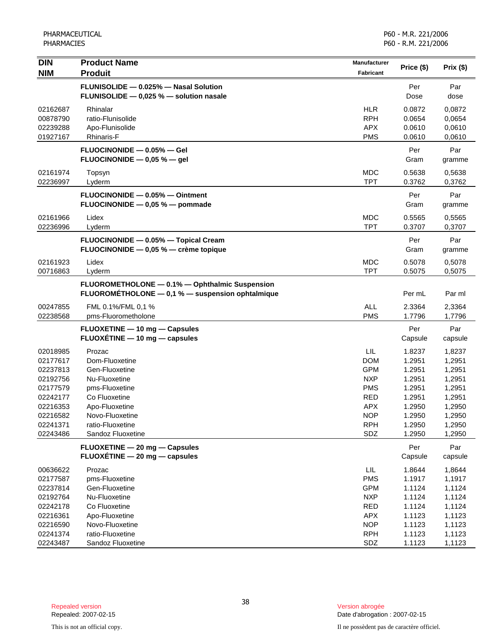| <b>DIN</b>           | <b>Product Name</b>                                                           | Manufacturer             | Price (\$)       | Prix (\$)        |
|----------------------|-------------------------------------------------------------------------------|--------------------------|------------------|------------------|
| <b>NIM</b>           | <b>Produit</b>                                                                | Fabricant                |                  |                  |
|                      | FLUNISOLIDE - 0.025% - Nasal Solution                                         |                          | Per              | Par              |
|                      | FLUNISOLIDE - 0,025 % - solution nasale                                       |                          | Dose             | dose             |
| 02162687             | Rhinalar                                                                      | <b>HLR</b>               | 0.0872           | 0,0872           |
| 00878790             | ratio-Flunisolide                                                             | <b>RPH</b>               | 0.0654           | 0,0654           |
| 02239288             | Apo-Flunisolide                                                               | <b>APX</b>               | 0.0610           | 0,0610           |
| 01927167             | Rhinaris-F                                                                    | <b>PMS</b>               | 0.0610           | 0,0610           |
|                      | FLUOCINONIDE - 0.05% - Gel                                                    |                          | Per              | Par              |
|                      | FLUOCINONIDE $-$ 0,05 % $-$ gel                                               |                          | Gram             | gramme           |
| 02161974             | Topsyn                                                                        | <b>MDC</b>               | 0.5638           | 0,5638           |
| 02236997             | Lyderm                                                                        | <b>TPT</b>               | 0.3762           | 0,3762           |
|                      | FLUOCINONIDE - 0.05% - Ointment                                               |                          | Per              | Par              |
|                      | FLUOCINONIDE - 0,05 % - pommade                                               |                          | Gram             | gramme           |
| 02161966             | Lidex                                                                         | <b>MDC</b>               | 0.5565           | 0,5565           |
| 02236996             | Lyderm                                                                        | <b>TPT</b>               | 0.3707           | 0,3707           |
|                      |                                                                               |                          |                  |                  |
|                      | FLUOCINONIDE - 0.05% - Topical Cream<br>FLUOCINONIDE - 0,05 % - crème topique |                          | Per<br>Gram      | Par              |
|                      |                                                                               |                          |                  | gramme           |
| 02161923             | Lidex                                                                         | <b>MDC</b>               | 0.5078           | 0,5078           |
| 00716863             | Lyderm                                                                        | <b>TPT</b>               | 0.5075           | 0,5075           |
|                      | FLUOROMETHOLONE - 0.1% - Ophthalmic Suspension                                |                          |                  |                  |
|                      | FLUOROMÉTHOLONE - 0,1 % - suspension ophtalmique                              |                          | Per mL           | Par ml           |
| 00247855             | FML 0.1%/FML 0,1 %                                                            | <b>ALL</b>               | 2.3364           | 2,3364           |
| 02238568             | pms-Fluorometholone                                                           | <b>PMS</b>               | 1.7796           | 1,7796           |
|                      | FLUOXETINE - 10 mg - Capsules                                                 |                          | Per              | Par              |
|                      | FLUOXÉTINE - 10 mg - capsules                                                 |                          | Capsule          | capsule          |
| 02018985             | Prozac                                                                        | LIL.                     | 1.8237           | 1,8237           |
| 02177617             | Dom-Fluoxetine                                                                | <b>DOM</b>               | 1.2951           | 1,2951           |
| 02237813             | Gen-Fluoxetine                                                                | <b>GPM</b>               | 1.2951           | 1,2951           |
| 02192756             | Nu-Fluoxetine                                                                 | <b>NXP</b>               | 1.2951           | 1,2951           |
| 02177579             | pms-Fluoxetine                                                                | <b>PMS</b>               | 1.2951           | 1,2951           |
| 02242177             | Co Fluoxetine                                                                 | <b>RED</b>               | 1.2951           | 1,2951           |
| 02216353             | Apo-Fluoxetine                                                                | <b>APX</b>               | 1.2950           | 1,2950           |
| 02216582             | Novo-Fluoxetine                                                               | <b>NOP</b>               | 1.2950           | 1,2950           |
| 02241371             | ratio-Fluoxetine<br>Sandoz Fluoxetine                                         | <b>RPH</b><br>SDZ        | 1.2950<br>1.2950 | 1,2950           |
| 02243486             |                                                                               |                          |                  | 1,2950           |
|                      | FLUOXETINE - 20 mg - Capsules                                                 |                          | Per              | Par              |
|                      | FLUOXÉTINE - 20 mg - capsules                                                 |                          | Capsule          | capsule          |
| 00636622             | Prozac                                                                        | LIL.                     | 1.8644           | 1,8644           |
| 02177587             | pms-Fluoxetine                                                                | <b>PMS</b>               | 1.1917           | 1,1917           |
| 02237814             | Gen-Fluoxetine                                                                | <b>GPM</b>               | 1.1124           | 1,1124           |
| 02192764             | Nu-Fluoxetine                                                                 | <b>NXP</b>               | 1.1124           | 1,1124           |
| 02242178             | Co Fluoxetine                                                                 | RED                      | 1.1124           | 1,1124           |
| 02216361             | Apo-Fluoxetine                                                                | <b>APX</b>               | 1.1123           | 1,1123           |
| 02216590<br>02241374 | Novo-Fluoxetine<br>ratio-Fluoxetine                                           | <b>NOP</b><br><b>RPH</b> | 1.1123<br>1.1123 | 1,1123<br>1,1123 |
| 02243487             | Sandoz Fluoxetine                                                             | SDZ                      | 1.1123           | 1,1123           |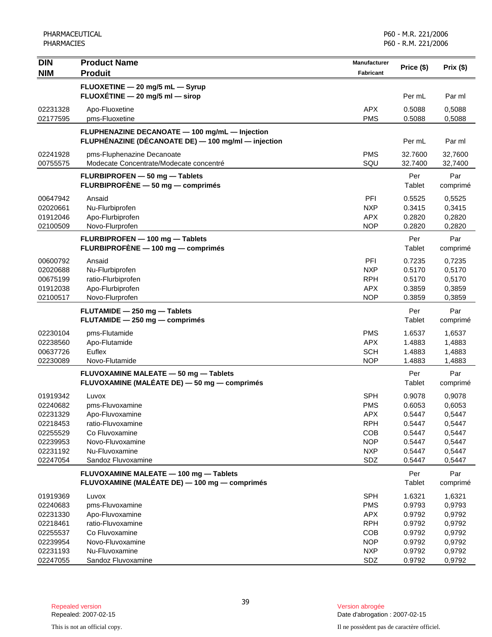| <b>DIN</b>           | <b>Product Name</b>                                 | <b>Manufacturer</b>      |                  |                  |
|----------------------|-----------------------------------------------------|--------------------------|------------------|------------------|
| <b>NIM</b>           | <b>Produit</b>                                      | Fabricant                | Price (\$)       | Prix (\$)        |
|                      | FLUOXETINE - 20 mg/5 mL - Syrup                     |                          |                  |                  |
|                      | FLUOXÉTINE - 20 mg/5 ml - sirop                     |                          | Per mL           | Par ml           |
|                      |                                                     |                          |                  |                  |
| 02231328             | Apo-Fluoxetine                                      | <b>APX</b><br><b>PMS</b> | 0.5088           | 0,5088           |
| 02177595             | pms-Fluoxetine                                      |                          | 0.5088           | 0,5088           |
|                      | FLUPHENAZINE DECANOATE - 100 mg/mL - Injection      |                          |                  |                  |
|                      | FLUPHÉNAZINE (DÉCANOATE DE) — 100 mg/ml — injection |                          | Per mL           | Par ml           |
| 02241928             | pms-Fluphenazine Decanoate                          | <b>PMS</b>               | 32.7600          | 32,7600          |
| 00755575             | Modecate Concentrate/Modecate concentré             | SQU                      | 32.7400          | 32,7400          |
|                      | FLURBIPROFEN - 50 mg - Tablets                      |                          | Per              | Par              |
|                      | FLURBIPROFÈNE - 50 mg - comprimés                   |                          | Tablet           | comprimé         |
| 00647942             | Ansaid                                              | PFI                      | 0.5525           | 0,5525           |
| 02020661             | Nu-Flurbiprofen                                     | <b>NXP</b>               | 0.3415           | 0,3415           |
| 01912046             | Apo-Flurbiprofen                                    | <b>APX</b>               | 0.2820           | 0,2820           |
| 02100509             | Novo-Flurprofen                                     | <b>NOP</b>               | 0.2820           | 0,2820           |
|                      | FLURBIPROFEN - 100 mg - Tablets                     |                          | Per              | Par              |
|                      | FLURBIPROFÈNE - 100 mg - comprimés                  |                          | Tablet           | comprimé         |
|                      |                                                     |                          |                  |                  |
| 00600792             | Ansaid                                              | PFI                      | 0.7235           | 0,7235           |
| 02020688             | Nu-Flurbiprofen<br>ratio-Flurbiprofen               | <b>NXP</b><br><b>RPH</b> | 0.5170<br>0.5170 | 0,5170           |
| 00675199             | Apo-Flurbiprofen                                    | <b>APX</b>               | 0.3859           | 0,5170           |
| 01912038<br>02100517 | Novo-Flurprofen                                     | <b>NOP</b>               | 0.3859           | 0,3859<br>0,3859 |
|                      |                                                     |                          |                  |                  |
|                      | FLUTAMIDE - 250 mg - Tablets                        |                          | Per              | Par              |
|                      | FLUTAMIDE - 250 mg - comprimés                      |                          | Tablet           | comprimé         |
| 02230104             | pms-Flutamide                                       | <b>PMS</b>               | 1.6537           | 1,6537           |
| 02238560             | Apo-Flutamide                                       | <b>APX</b>               | 1.4883           | 1,4883           |
| 00637726             | Euflex                                              | <b>SCH</b>               | 1.4883           | 1,4883           |
| 02230089             | Novo-Flutamide                                      | <b>NOP</b>               | 1.4883           | 1,4883           |
|                      | FLUVOXAMINE MALEATE - 50 mg - Tablets               |                          | Per              | Par              |
|                      | FLUVOXAMINE (MALÉATE DE) - 50 mg - comprimés        |                          | Tablet           | comprimé         |
| 01919342             | Luvox                                               | <b>SPH</b>               | 0.9078           | 0,9078           |
| 02240682             | pms-Fluvoxamine                                     | <b>PMS</b>               | 0.6053           | 0,6053           |
| 02231329             | Apo-Fluvoxamine                                     | <b>APX</b>               | 0.5447           | 0,5447           |
| 02218453             | ratio-Fluvoxamine                                   | <b>RPH</b>               | 0.5447           | 0,5447           |
| 02255529             | Co Fluvoxamine                                      | COB                      | 0.5447           | 0,5447           |
| 02239953             | Novo-Fluvoxamine                                    | <b>NOP</b>               | 0.5447           | 0,5447           |
| 02231192             | Nu-Fluvoxamine                                      | <b>NXP</b>               | 0.5447           | 0,5447           |
| 02247054             | Sandoz Fluvoxamine                                  | SDZ                      | 0.5447           | 0,5447           |
|                      | FLUVOXAMINE MALEATE - 100 mg - Tablets              |                          | Per              | Par              |
|                      | FLUVOXAMINE (MALÉATE DE) - 100 mg - comprimés       |                          | Tablet           | comprimé         |
| 01919369             | Luvox                                               | <b>SPH</b>               | 1.6321           | 1,6321           |
| 02240683             | pms-Fluvoxamine                                     | <b>PMS</b>               | 0.9793           | 0,9793           |
| 02231330             | Apo-Fluvoxamine                                     | <b>APX</b>               | 0.9792           | 0,9792           |
| 02218461             | ratio-Fluvoxamine                                   | <b>RPH</b>               | 0.9792           | 0,9792           |
| 02255537             | Co Fluvoxamine                                      | COB                      | 0.9792           | 0,9792           |
| 02239954             | Novo-Fluvoxamine                                    | <b>NOP</b>               | 0.9792           | 0,9792           |
| 02231193             | Nu-Fluvoxamine                                      | <b>NXP</b>               | 0.9792           | 0,9792           |
| 02247055             | Sandoz Fluvoxamine                                  | SDZ                      | 0.9792           | 0,9792           |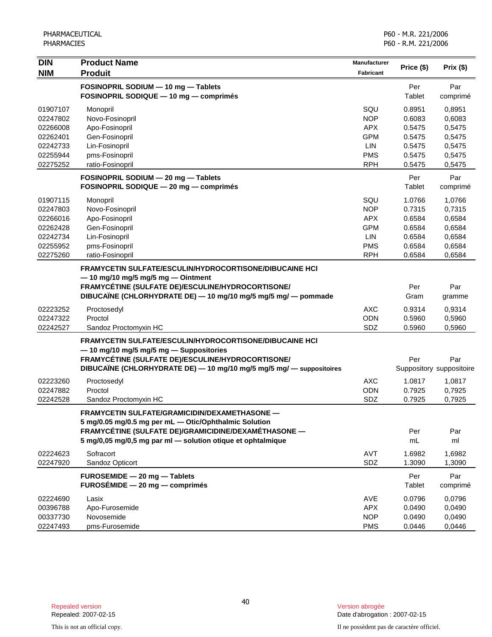| <b>DIN</b> | <b>Product Name</b>                                                  | Manufacturer     | Price (\$) | Prix (\$)                |
|------------|----------------------------------------------------------------------|------------------|------------|--------------------------|
| <b>NIM</b> | <b>Produit</b>                                                       | <b>Fabricant</b> |            |                          |
|            | FOSINOPRIL SODIUM - 10 mg - Tablets                                  |                  | Per        | Par                      |
|            | FOSINOPRIL SODIQUE - 10 mg - comprimés                               |                  | Tablet     | comprimé                 |
| 01907107   | Monopril                                                             | SQU              | 0.8951     | 0,8951                   |
| 02247802   | Novo-Fosinopril                                                      | <b>NOP</b>       | 0.6083     | 0,6083                   |
| 02266008   | Apo-Fosinopril                                                       | <b>APX</b>       | 0.5475     | 0,5475                   |
| 02262401   | Gen-Fosinopril                                                       | <b>GPM</b>       | 0.5475     | 0,5475                   |
| 02242733   | Lin-Fosinopril                                                       | LIN              | 0.5475     | 0,5475                   |
| 02255944   | pms-Fosinopril                                                       | <b>PMS</b>       | 0.5475     | 0,5475                   |
| 02275252   | ratio-Fosinopril                                                     | <b>RPH</b>       | 0.5475     | 0,5475                   |
|            | FOSINOPRIL SODIUM - 20 mg - Tablets                                  |                  | Per        | Par                      |
|            | FOSINOPRIL SODIQUE - 20 mg - comprimés                               |                  | Tablet     | comprimé                 |
| 01907115   | Monopril                                                             | SQU              | 1.0766     | 1,0766                   |
| 02247803   | Novo-Fosinopril                                                      | <b>NOP</b>       | 0.7315     | 0,7315                   |
| 02266016   | Apo-Fosinopril                                                       | <b>APX</b>       | 0.6584     | 0,6584                   |
| 02262428   | Gen-Fosinopril                                                       | <b>GPM</b>       | 0.6584     | 0,6584                   |
| 02242734   | Lin-Fosinopril                                                       | <b>LIN</b>       | 0.6584     | 0,6584                   |
| 02255952   | pms-Fosinopril                                                       | <b>PMS</b>       | 0.6584     | 0,6584                   |
| 02275260   | ratio-Fosinopril                                                     | <b>RPH</b>       | 0.6584     | 0,6584                   |
|            | <b>FRAMYCETIN SULFATE/ESCULIN/HYDROCORTISONE/DIBUCAINE HCI</b>       |                  |            |                          |
|            | $-$ 10 mg/10 mg/5 mg/5 mg $-$ Ointment                               |                  |            |                          |
|            | FRAMYCÉTINE (SULFATE DE)/ESCULINE/HYDROCORTISONE/                    |                  | Per        | Par                      |
|            | DIBUCAÏNE (CHLORHYDRATE DE) - 10 mg/10 mg/5 mg/5 mg/ - pommade       |                  | Gram       | gramme                   |
| 02223252   | Proctosedyl                                                          | <b>AXC</b>       | 0.9314     | 0,9314                   |
| 02247322   | Proctol                                                              | <b>ODN</b>       | 0.5960     | 0,5960                   |
| 02242527   | Sandoz Proctomyxin HC                                                | SDZ              | 0.5960     | 0,5960                   |
|            | <b>FRAMYCETIN SULFATE/ESCULIN/HYDROCORTISONE/DIBUCAINE HCI</b>       |                  |            |                          |
|            | -10 mg/10 mg/5 mg/5 mg - Suppositories                               |                  |            |                          |
|            | FRAMYCÉTINE (SULFATE DE)/ESCULINE/HYDROCORTISONE/                    |                  | Per        | Par                      |
|            | DIBUCAÏNE (CHLORHYDRATE DE) - 10 mg/10 mg/5 mg/5 mg/ - suppositoires |                  |            | Suppository suppositoire |
| 02223260   | Proctosedyl                                                          | <b>AXC</b>       | 1.0817     | 1,0817                   |
| 02247882   | Proctol                                                              | <b>ODN</b>       | 0.7925     | 0,7925                   |
| 02242528   | Sandoz Proctomyxin HC                                                | SDZ              | 0.7925     | 0,7925                   |
|            | FRAMYCETIN SULFATE/GRAMICIDIN/DEXAMETHASONE -                        |                  |            |                          |
|            | 5 mg/0.05 mg/0.5 mg per mL - Otic/Ophthalmic Solution                |                  |            |                          |
|            | FRAMYCÉTINE (SULFATE DE)/GRAMICIDINE/DEXAMÉTHASONE —                 |                  | Per        | Par                      |
|            | 5 mg/0,05 mg/0,5 mg par ml - solution otique et ophtalmique          |                  | mL         | ml                       |
| 02224623   | Sofracort                                                            | AVT              | 1.6982     | 1,6982                   |
| 02247920   | Sandoz Opticort                                                      | SDZ              | 1.3090     | 1,3090                   |
|            | FUROSEMIDE - 20 mg - Tablets                                         |                  | Per        | Par                      |
|            | $FUROSÉMIDE - 20 mg - comprimés$                                     |                  | Tablet     | comprimé                 |
| 02224690   | Lasix                                                                | AVE              | 0.0796     | 0,0796                   |
| 00396788   | Apo-Furosemide                                                       | <b>APX</b>       | 0.0490     | 0,0490                   |
| 00337730   | Novosemide                                                           | <b>NOP</b>       | 0.0490     | 0,0490                   |
| 02247493   | pms-Furosemide                                                       | <b>PMS</b>       | 0.0446     | 0,0446                   |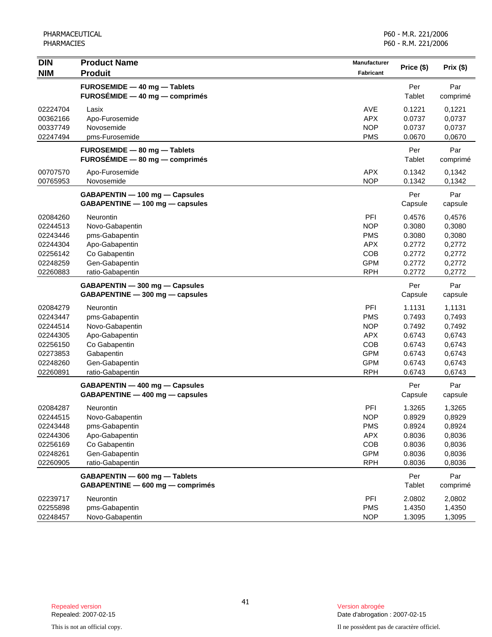| <b>DIN</b> | <b>Product Name</b>              | <b>Manufacturer</b> | Price (\$) | Prix(\$) |
|------------|----------------------------------|---------------------|------------|----------|
| <b>NIM</b> | <b>Produit</b>                   | <b>Fabricant</b>    |            |          |
|            | FUROSEMIDE - 40 mg - Tablets     |                     | Per        | Par      |
|            | $FUROSÉMIDE - 40 mg - comprimés$ |                     | Tablet     | comprimé |
| 02224704   | Lasix                            | <b>AVE</b>          | 0.1221     | 0,1221   |
| 00362166   | Apo-Furosemide                   | <b>APX</b>          | 0.0737     | 0,0737   |
| 00337749   | Novosemide                       | <b>NOP</b>          | 0.0737     | 0,0737   |
| 02247494   | pms-Furosemide                   | <b>PMS</b>          | 0.0670     | 0,0670   |
|            | FUROSEMIDE - 80 mg - Tablets     |                     | Per        | Par      |
|            | $FUROSÉMIDE - 80 mg - comprimés$ |                     | Tablet     | comprimé |
| 00707570   | Apo-Furosemide                   | <b>APX</b>          | 0.1342     | 0,1342   |
| 00765953   | Novosemide                       | <b>NOP</b>          | 0.1342     | 0,1342   |
|            | GABAPENTIN - 100 mg - Capsules   |                     | Per        | Par      |
|            | GABAPENTINE - 100 mg - capsules  |                     | Capsule    | capsule  |
| 02084260   | Neurontin                        | PFI                 | 0.4576     | 0,4576   |
| 02244513   | Novo-Gabapentin                  | <b>NOP</b>          | 0.3080     | 0,3080   |
| 02243446   | pms-Gabapentin                   | <b>PMS</b>          | 0.3080     | 0,3080   |
| 02244304   | Apo-Gabapentin                   | <b>APX</b>          | 0.2772     | 0,2772   |
| 02256142   | Co Gabapentin                    | COB                 | 0.2772     | 0,2772   |
| 02248259   | Gen-Gabapentin                   | <b>GPM</b>          | 0.2772     | 0,2772   |
| 02260883   | ratio-Gabapentin                 | <b>RPH</b>          | 0.2772     | 0,2772   |
|            | GABAPENTIN - 300 mg - Capsules   |                     | Per        | Par      |
|            | GABAPENTINE - 300 mg - capsules  |                     | Capsule    | capsule  |
| 02084279   | Neurontin                        | PFI                 | 1.1131     | 1,1131   |
| 02243447   | pms-Gabapentin                   | <b>PMS</b>          | 0.7493     | 0,7493   |
| 02244514   | Novo-Gabapentin                  | <b>NOP</b>          | 0.7492     | 0,7492   |
| 02244305   | Apo-Gabapentin                   | <b>APX</b>          | 0.6743     | 0,6743   |
| 02256150   | Co Gabapentin                    | COB                 | 0.6743     | 0,6743   |
| 02273853   | Gabapentin                       | <b>GPM</b>          | 0.6743     | 0,6743   |
| 02248260   | Gen-Gabapentin                   | <b>GPM</b>          | 0.6743     | 0,6743   |
| 02260891   | ratio-Gabapentin                 | <b>RPH</b>          | 0.6743     | 0,6743   |
|            | GABAPENTIN - 400 mg - Capsules   |                     | Per        | Par      |
|            | GABAPENTINE - 400 mg - capsules  |                     | Capsule    | capsule  |
| 02084287   | Neurontin                        | PFI                 | 1.3265     | 1,3265   |
| 02244515   | Novo-Gabapentin                  | <b>NOP</b>          | 0.8929     | 0,8929   |
| 02243448   | pms-Gabapentin                   | <b>PMS</b>          | 0.8924     | 0,8924   |
| 02244306   | Apo-Gabapentin                   | <b>APX</b>          | 0.8036     | 0,8036   |
| 02256169   | Co Gabapentin                    | COB                 | 0.8036     | 0,8036   |
| 02248261   | Gen-Gabapentin                   | <b>GPM</b>          | 0.8036     | 0,8036   |
| 02260905   | ratio-Gabapentin                 | <b>RPH</b>          | 0.8036     | 0,8036   |
|            | GABAPENTIN - 600 mg - Tablets    |                     | Per        | Par      |
|            | GABAPENTINE - 600 mg - comprimés |                     | Tablet     | comprimé |
| 02239717   | Neurontin                        | PFI                 | 2.0802     | 2,0802   |
| 02255898   | pms-Gabapentin                   | <b>PMS</b>          | 1.4350     | 1,4350   |
| 02248457   | Novo-Gabapentin                  | <b>NOP</b>          | 1.3095     | 1,3095   |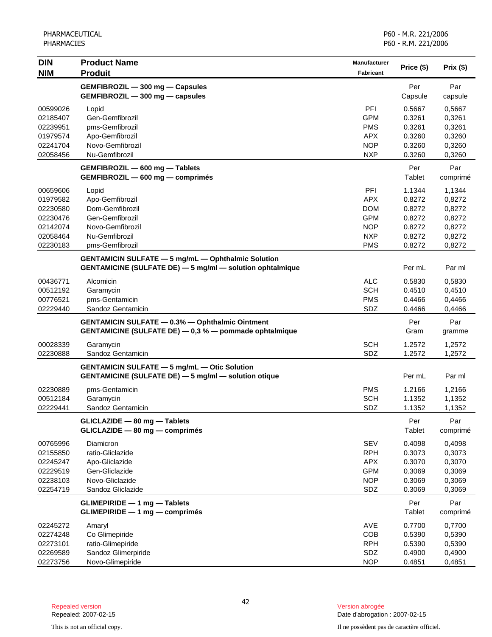| <b>DIN</b> | <b>Product Name</b>                                                                                              | Manufacturer | Price (\$)  | Prix $(\$)$   |
|------------|------------------------------------------------------------------------------------------------------------------|--------------|-------------|---------------|
| <b>NIM</b> | <b>Produit</b>                                                                                                   | Fabricant    |             |               |
|            | GEMFIBROZIL - 300 mg - Capsules                                                                                  |              | Per         | Par           |
|            | GEMFIBROZIL - 300 mg - capsules                                                                                  |              | Capsule     | capsule       |
| 00599026   | Lopid                                                                                                            | PFI          | 0.5667      | 0,5667        |
| 02185407   | Gen-Gemfibrozil                                                                                                  | <b>GPM</b>   | 0.3261      | 0,3261        |
| 02239951   | pms-Gemfibrozil                                                                                                  | <b>PMS</b>   | 0.3261      | 0,3261        |
| 01979574   | Apo-Gemfibrozil                                                                                                  | <b>APX</b>   | 0.3260      | 0,3260        |
| 02241704   | Novo-Gemfibrozil                                                                                                 | <b>NOP</b>   | 0.3260      | 0,3260        |
| 02058456   | Nu-Gemfibrozil                                                                                                   | <b>NXP</b>   | 0.3260      | 0,3260        |
|            | GEMFIBROZIL - 600 mg - Tablets                                                                                   |              | Per         | Par           |
|            | GEMFIBROZIL - 600 mg - comprimés                                                                                 |              | Tablet      | comprimé      |
| 00659606   | Lopid                                                                                                            | PFI          | 1.1344      | 1,1344        |
| 01979582   | Apo-Gemfibrozil                                                                                                  | <b>APX</b>   | 0.8272      | 0,8272        |
| 02230580   | Dom-Gemfibrozil                                                                                                  | <b>DOM</b>   | 0.8272      | 0,8272        |
| 02230476   | Gen-Gemfibrozil                                                                                                  | <b>GPM</b>   | 0.8272      | 0,8272        |
| 02142074   | Novo-Gemfibrozil                                                                                                 | <b>NOP</b>   | 0.8272      | 0,8272        |
| 02058464   | Nu-Gemfibrozil                                                                                                   | <b>NXP</b>   | 0.8272      | 0,8272        |
| 02230183   | pms-Gemfibrozil                                                                                                  | <b>PMS</b>   | 0.8272      | 0,8272        |
|            | <b>GENTAMICIN SULFATE - 5 mg/mL - Ophthalmic Solution</b>                                                        |              |             |               |
|            | <b>GENTAMICINE (SULFATE DE) - 5 mg/ml - solution ophtalmique</b>                                                 |              | Per mL      | Par ml        |
| 00436771   | Alcomicin                                                                                                        | <b>ALC</b>   | 0.5830      | 0,5830        |
| 00512192   | Garamycin                                                                                                        | <b>SCH</b>   | 0.4510      | 0,4510        |
| 00776521   | pms-Gentamicin                                                                                                   | <b>PMS</b>   | 0.4466      | 0,4466        |
| 02229440   | Sandoz Gentamicin                                                                                                | SDZ          | 0.4466      | 0,4466        |
|            | <b>GENTAMICIN SULFATE - 0.3% - Ophthalmic Ointment</b><br>GENTAMICINE (SULFATE DE) - 0,3 % - pommade ophtalmique |              | Per<br>Gram | Par<br>gramme |
| 00028339   | Garamycin                                                                                                        | <b>SCH</b>   | 1.2572      | 1,2572        |
| 02230888   | Sandoz Gentamicin                                                                                                | SDZ          | 1.2572      | 1,2572        |
|            | <b>GENTAMICIN SULFATE - 5 mg/mL - Otic Solution</b>                                                              |              |             |               |
|            | <b>GENTAMICINE (SULFATE DE) - 5 mg/ml - solution otique</b>                                                      |              | Per mL      | Par ml        |
| 02230889   | pms-Gentamicin                                                                                                   | <b>PMS</b>   | 1.2166      | 1,2166        |
| 00512184   | Garamycin                                                                                                        | <b>SCH</b>   | 1.1352      | 1,1352        |
| 02229441   | Sandoz Gentamicin                                                                                                | SDZ          | 1.1352      | 1,1352        |
|            | GLICLAZIDE - 80 mg - Tablets                                                                                     |              | Per         | Par           |
|            | GLICLAZIDE - 80 mg - comprimés                                                                                   |              | Tablet      | comprimé      |
| 00765996   | Diamicron                                                                                                        | <b>SEV</b>   | 0.4098      | 0,4098        |
| 02155850   | ratio-Gliclazide                                                                                                 | <b>RPH</b>   | 0.3073      | 0,3073        |
| 02245247   | Apo-Gliclazide                                                                                                   | <b>APX</b>   | 0.3070      | 0,3070        |
| 02229519   | Gen-Gliclazide                                                                                                   | <b>GPM</b>   | 0.3069      | 0,3069        |
| 02238103   | Novo-Gliclazide                                                                                                  | <b>NOP</b>   | 0.3069      | 0,3069        |
| 02254719   | Sandoz Gliclazide                                                                                                | SDZ          | 0.3069      | 0,3069        |
|            | <b>GLIMEPIRIDE - 1 mg - Tablets</b>                                                                              |              | Per         | Par           |
|            | GLIMEPIRIDE - 1 mg - comprimés                                                                                   |              | Tablet      | comprimé      |
| 02245272   | Amaryl                                                                                                           | AVE          | 0.7700      | 0,7700        |
| 02274248   | Co Glimepiride                                                                                                   | COB          | 0.5390      | 0,5390        |
| 02273101   | ratio-Glimepiride                                                                                                | <b>RPH</b>   | 0.5390      | 0,5390        |
| 02269589   | Sandoz Glimerpiride                                                                                              | SDZ          | 0.4900      | 0,4900        |
| 02273756   | Novo-Glimepiride                                                                                                 | <b>NOP</b>   | 0.4851      | 0,4851        |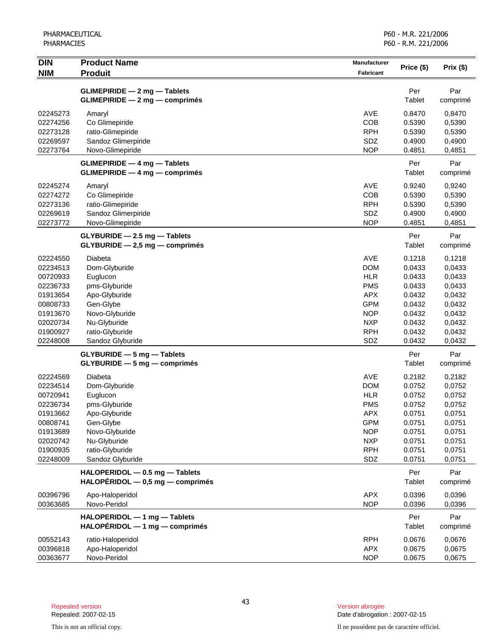| <b>DIN</b><br><b>NIM</b> | <b>Product Name</b><br><b>Produit</b>                                        | Manufacturer<br><b>Fabricant</b> | Price (\$)       | Prix(\$)         |
|--------------------------|------------------------------------------------------------------------------|----------------------------------|------------------|------------------|
|                          |                                                                              |                                  |                  |                  |
|                          | GLIMEPIRIDE - 2 mg - Tablets                                                 |                                  | Per<br>Tablet    | Par              |
|                          | <b>GLIMEPIRIDE - 2 mg - comprimés</b>                                        |                                  |                  | comprimé         |
| 02245273                 | Amaryl                                                                       | <b>AVE</b>                       | 0.8470           | 0,8470           |
| 02274256                 | Co Glimepiride                                                               | COB                              | 0.5390           | 0,5390           |
| 02273128                 | ratio-Glimepiride                                                            | <b>RPH</b>                       | 0.5390           | 0,5390           |
| 02269597<br>02273764     | Sandoz Glimerpiride<br>Novo-Glimepiride                                      | SDZ<br><b>NOP</b>                | 0.4900<br>0.4851 | 0,4900<br>0,4851 |
|                          |                                                                              |                                  |                  |                  |
|                          | <b>GLIMEPIRIDE - 4 mg - Tablets</b><br><b>GLIMEPIRIDE - 4 mg - comprimés</b> |                                  | Per<br>Tablet    | Par<br>comprimé  |
| 02245274                 | Amaryl                                                                       | <b>AVE</b>                       | 0.9240           | 0,9240           |
| 02274272                 | Co Glimepiride                                                               | COB                              | 0.5390           | 0,5390           |
| 02273136                 | ratio-Glimepiride                                                            | <b>RPH</b>                       | 0.5390           | 0,5390           |
| 02269619                 | Sandoz Glimerpiride                                                          | SDZ                              | 0.4900           | 0,4900           |
| 02273772                 | Novo-Glimepiride                                                             | <b>NOP</b>                       | 0.4851           | 0,4851           |
|                          | GLYBURIDE - 2.5 mg - Tablets                                                 |                                  | Per              | Par              |
|                          | GLYBURIDE - 2,5 mg - comprimés                                               |                                  | Tablet           | comprimé         |
| 02224550                 | Diabeta                                                                      | <b>AVE</b>                       | 0.1218           | 0,1218           |
| 02234513                 | Dom-Glyburide                                                                | <b>DOM</b>                       | 0.0433           | 0,0433           |
| 00720933                 | Euglucon                                                                     | <b>HLR</b>                       | 0.0433           | 0,0433           |
| 02236733                 | pms-Glyburide                                                                | <b>PMS</b>                       | 0.0433           | 0,0433           |
| 01913654                 | Apo-Glyburide                                                                | <b>APX</b>                       | 0.0432           | 0,0432           |
| 00808733                 | Gen-Glybe                                                                    | <b>GPM</b>                       | 0.0432           | 0,0432           |
| 01913670                 | Novo-Glyburide                                                               | <b>NOP</b>                       | 0.0432           | 0,0432           |
| 02020734                 | Nu-Glyburide                                                                 | <b>NXP</b>                       | 0.0432           | 0,0432           |
| 01900927                 | ratio-Glyburide                                                              | <b>RPH</b>                       | 0.0432           | 0,0432           |
| 02248008                 | Sandoz Glyburide                                                             | SDZ                              | 0.0432           | 0,0432           |
|                          | <b>GLYBURIDE - 5 mg - Tablets</b>                                            |                                  | Per              | Par              |
|                          | $GLYBURIDE - 5 mg - comprimés$                                               |                                  | Tablet           | comprimé         |
| 02224569                 | Diabeta                                                                      | <b>AVE</b>                       | 0.2182           | 0,2182           |
| 02234514                 | Dom-Glyburide                                                                | <b>DOM</b>                       | 0.0752           | 0,0752           |
| 00720941                 | Euglucon                                                                     | <b>HLR</b>                       | 0.0752           | 0,0752           |
| 02236734                 | pms-Glyburide                                                                | <b>PMS</b>                       | 0.0752           | 0,0752           |
| 01913662                 | Apo-Glyburide                                                                | <b>APX</b>                       | 0.0751           | 0,0751           |
| 00808741                 | Gen-Glybe                                                                    | <b>GPM</b>                       | 0.0751           | 0,0751           |
| 01913689                 | Novo-Glyburide                                                               | <b>NOP</b>                       | 0.0751           | 0,0751           |
| 02020742<br>01900935     | Nu-Glyburide<br>ratio-Glyburide                                              | <b>NXP</b>                       | 0.0751<br>0.0751 | 0,0751           |
| 02248009                 | Sandoz Glyburide                                                             | <b>RPH</b><br>SDZ                | 0.0751           | 0,0751<br>0,0751 |
|                          |                                                                              |                                  |                  |                  |
|                          | HALOPERIDOL - 0.5 mg - Tablets<br>$HALOPÉRIDOL - 0,5 mg - comprimés$         |                                  | Per<br>Tablet    | Par<br>comprimé  |
|                          |                                                                              |                                  |                  |                  |
| 00396796<br>00363685     | Apo-Haloperidol<br>Novo-Peridol                                              | <b>APX</b><br><b>NOP</b>         | 0.0396<br>0.0396 | 0,0396<br>0,0396 |
|                          | HALOPERIDOL - 1 mg - Tablets                                                 |                                  | Per              | Par              |
|                          | $HALOPÉRIDOL - 1 mg - comprimés$                                             |                                  | Tablet           | comprimé         |
| 00552143                 | ratio-Haloperidol                                                            | <b>RPH</b>                       | 0.0676           | 0,0676           |
| 00396818                 | Apo-Haloperidol                                                              | <b>APX</b>                       | 0.0675           | 0,0675           |
| 00363677                 | Novo-Peridol                                                                 | <b>NOP</b>                       | 0.0675           | 0,0675           |

Date d'abrogation : 2007-02-15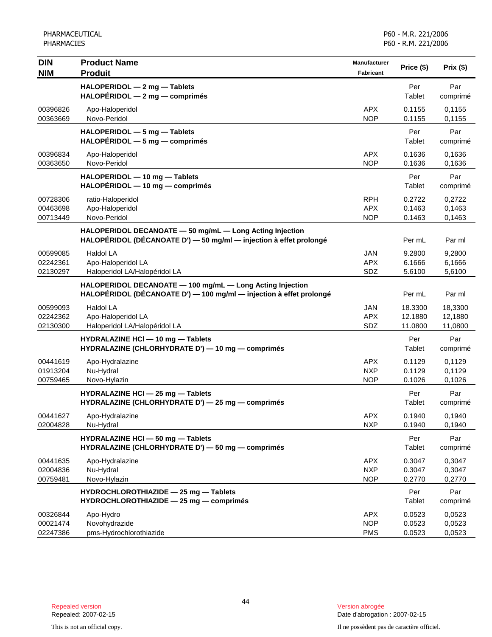| <b>DIN</b>           | <b>Product Name</b>                                                                                                              | <b>Manufacturer</b>      | Price (\$)           | Prix(\$)           |
|----------------------|----------------------------------------------------------------------------------------------------------------------------------|--------------------------|----------------------|--------------------|
| <b>NIM</b>           | <b>Produit</b>                                                                                                                   | Fabricant                |                      |                    |
|                      | HALOPERIDOL - 2 mg - Tablets<br>HALOPÉRIDOL - 2 mg - comprimés                                                                   |                          | Per<br>Tablet        | Par<br>comprimé    |
| 00396826             | Apo-Haloperidol                                                                                                                  | <b>APX</b>               | 0.1155               | 0,1155             |
| 00363669             | Novo-Peridol                                                                                                                     | <b>NOP</b>               | 0.1155               | 0,1155             |
|                      | HALOPERIDOL - 5 mg - Tablets                                                                                                     |                          | Per                  | Par                |
|                      | $HALOPÉRIDOL - 5 mg - comprimés$                                                                                                 |                          | Tablet               | comprimé           |
| 00396834<br>00363650 | Apo-Haloperidol<br>Novo-Peridol                                                                                                  | <b>APX</b><br><b>NOP</b> | 0.1636<br>0.1636     | 0,1636<br>0,1636   |
|                      | HALOPERIDOL - 10 mg - Tablets<br>HALOPÉRIDOL - 10 mg - comprimés                                                                 |                          | Per<br>Tablet        | Par<br>comprimé    |
| 00728306             | ratio-Haloperidol                                                                                                                | <b>RPH</b>               | 0.2722               | 0,2722             |
| 00463698             | Apo-Haloperidol                                                                                                                  | <b>APX</b>               | 0.1463               | 0,1463             |
| 00713449             | Novo-Peridol                                                                                                                     | <b>NOP</b>               | 0.1463               | 0,1463             |
|                      | HALOPERIDOL DECANOATE - 50 mg/mL - Long Acting Injection<br>HALOPÉRIDOL (DÉCANOATE D') - 50 mg/ml - injection à effet prolongé   |                          | Per mL               | Par ml             |
| 00599085             | <b>Haldol LA</b>                                                                                                                 | <b>JAN</b>               | 9.2800               | 9,2800             |
| 02242361             | Apo-Haloperidol LA                                                                                                               | <b>APX</b>               | 6.1666               | 6,1666             |
| 02130297             | Haloperidol LA/Halopéridol LA                                                                                                    | SDZ                      | 5.6100               | 5,6100             |
|                      | HALOPERIDOL DECANOATE - 100 mg/mL - Long Acting Injection<br>HALOPÉRIDOL (DÉCANOATE D') - 100 mg/ml - injection à effet prolongé |                          | Per mL               | Par ml             |
| 00599093             | <b>Haldol LA</b>                                                                                                                 | <b>JAN</b>               | 18.3300              | 18,3300            |
| 02242362<br>02130300 | Apo-Haloperidol LA<br>Haloperidol LA/Halopéridol LA                                                                              | <b>APX</b><br>SDZ        | 12.1880<br>11.0800   | 12,1880<br>11,0800 |
|                      | HYDRALAZINE HCI - 10 mg - Tablets                                                                                                |                          | Per                  | Par                |
|                      | HYDRALAZINE (CHLORHYDRATE D') - 10 mg - comprimés                                                                                |                          | <b>Tablet</b>        | comprimé           |
| 00441619             | Apo-Hydralazine                                                                                                                  | <b>APX</b>               | 0.1129               | 0,1129             |
| 01913204             | Nu-Hydral                                                                                                                        | <b>NXP</b>               | 0.1129               | 0,1129             |
| 00759465             | Novo-Hylazin                                                                                                                     | <b>NOP</b>               | 0.1026               | 0,1026             |
|                      | HYDRALAZINE HCI - 25 mg - Tablets<br>HYDRALAZINE (CHLORHYDRATE D') - 25 mg - comprimés                                           |                          | Per<br>Tablet        | Par<br>comprimé    |
| 00441627             | Apo-Hydralazine                                                                                                                  | <b>APX</b>               | 0.1940               | 0,1940             |
| 02004828             | Nu-Hydral                                                                                                                        | <b>NXP</b>               | 0.1940               | 0,1940             |
|                      | HYDRALAZINE HCI - 50 mg - Tablets<br>HYDRALAZINE (CHLORHYDRATE D') - 50 mg - comprimés                                           |                          | Per<br><b>Tablet</b> | Par<br>comprimé    |
| 00441635             | Apo-Hydralazine                                                                                                                  | <b>APX</b>               | 0.3047               | 0,3047             |
| 02004836             | Nu-Hydral                                                                                                                        | <b>NXP</b>               | 0.3047               | 0,3047             |
| 00759481             | Novo-Hylazin                                                                                                                     | <b>NOP</b>               | 0.2770               | 0,2770             |
|                      | HYDROCHLOROTHIAZIDE - 25 mg - Tablets<br>HYDROCHLOROTHIAZIDE - 25 mg - comprimés                                                 |                          | Per<br><b>Tablet</b> | Par<br>comprimé    |
| 00326844             | Apo-Hydro                                                                                                                        | <b>APX</b>               | 0.0523               | 0,0523             |
| 00021474<br>02247386 | Novohydrazide<br>pms-Hydrochlorothiazide                                                                                         | <b>NOP</b><br><b>PMS</b> | 0.0523<br>0.0523     | 0,0523<br>0,0523   |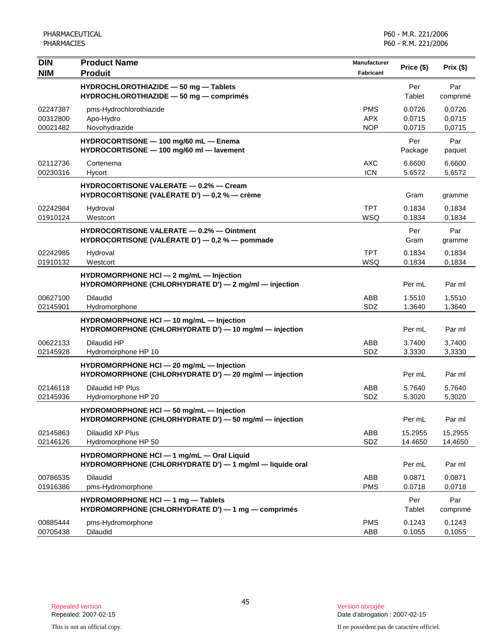| <b>DIN</b><br><b>NIM</b>         | <b>Product Name</b><br><b>Produit</b>                                                                 | Manufacturer<br>Fabricant              | Price (\$)                 | Prix(\$)                   |
|----------------------------------|-------------------------------------------------------------------------------------------------------|----------------------------------------|----------------------------|----------------------------|
|                                  | HYDROCHLOROTHIAZIDE - 50 mg - Tablets<br>HYDROCHLOROTHIAZIDE - 50 mg - comprimés                      |                                        | Per<br>Tablet              | Par<br>comprimé            |
| 02247387<br>00312800<br>00021482 | pms-Hydrochlorothiazide<br>Apo-Hydro<br>Novohydrazide                                                 | <b>PMS</b><br><b>APX</b><br><b>NOP</b> | 0.0726<br>0.0715<br>0.0715 | 0,0726<br>0,0715<br>0,0715 |
|                                  | HYDROCORTISONE - 100 mg/60 mL - Enema<br>HYDROCORTISONE - 100 mg/60 ml - lavement                     |                                        | Per<br>Package             | Par<br>paquet              |
| 02112736<br>00230316             | Cortenema<br>Hycort                                                                                   | <b>AXC</b><br><b>ICN</b>               | 6.6600<br>5.6572           | 6,6600<br>5,6572           |
|                                  | <b>HYDROCORTISONE VALERATE - 0.2% - Cream</b><br>HYDROCORTISONE (VALÉRATE D') — 0,2 % — crème         |                                        | Gram                       | gramme                     |
| 02242984<br>01910124             | Hydroval<br>Westcort                                                                                  | <b>TPT</b><br>WSQ                      | 0.1834<br>0.1834           | 0.1834<br>0,1834           |
|                                  | <b>HYDROCORTISONE VALERATE - 0.2% - Ointment</b><br>HYDROCORTISONE (VALÉRATE D') — 0,2 % — pommade    |                                        | Per<br>Gram                | Par<br>gramme              |
| 02242985<br>01910132             | Hydroval<br>Westcort                                                                                  | <b>TPT</b><br><b>WSQ</b>               | 0.1834<br>0.1834           | 0,1834<br>0,1834           |
|                                  | HYDROMORPHONE HCI - 2 mg/mL - Injection<br>HYDROMORPHONE (CHLORHYDRATE D') - 2 mg/ml - injection      |                                        | Per mL                     | Par ml                     |
| 00627100<br>02145901             | <b>Dilaudid</b><br>Hydromorphone                                                                      | ABB<br>SDZ                             | 1.5510<br>1.3640           | 1,5510<br>1,3640           |
|                                  | HYDROMORPHONE HCI - 10 mg/mL - Injection<br>HYDROMORPHONE (CHLORHYDRATE D') - 10 mg/ml - injection    |                                        | Per mL                     | Par ml                     |
| 00622133<br>02145928             | Dilaudid HP<br>Hydromorphone HP 10                                                                    | ABB<br>SDZ                             | 3.7400<br>3.3330           | 3,7400<br>3,3330           |
|                                  | HYDROMORPHONE HCI - 20 mg/mL - Injection<br>HYDROMORPHONE (CHLORHYDRATE D') - 20 mg/ml - injection    |                                        | Per mL                     | Par ml                     |
| 02146118<br>02145936             | Dilaudid HP Plus<br>Hydromorphone HP 20                                                               | ABB<br>SDZ                             | 5.7640<br>5.3020           | 5,7640<br>5,3020           |
|                                  | HYDROMORPHONE HCI - 50 mg/mL - Injection<br>HYDROMORPHONE (CHLORHYDRATE D') — 50 mg/ml — injection    |                                        | Per mL                     | Par ml                     |
| 02145863<br>02146126             | Dilaudid XP Plus<br>Hydromorphone HP 50                                                               | ABB<br>SDZ                             | 15.2955<br>14.4650         | 15,2955<br>14,4650         |
|                                  | HYDROMORPHONE HCI - 1 mg/mL - Oral Liquid<br>HYDROMORPHONE (CHLORHYDRATE D') - 1 mg/ml - liquide oral |                                        | Per mL                     | Par ml                     |
| 00786535<br>01916386             | <b>Dilaudid</b><br>pms-Hydromorphone                                                                  | ABB<br><b>PMS</b>                      | 0.0871<br>0.0718           | 0,0871<br>0,0718           |
|                                  | HYDROMORPHONE HCI - 1 mg - Tablets<br>HYDROMORPHONE (CHLORHYDRATE D') - 1 mg - comprimés              |                                        | Per<br>Tablet              | Par<br>comprimé            |
| 00885444<br>00705438             | pms-Hydromorphone<br>Dilaudid                                                                         | <b>PMS</b><br>ABB                      | 0.1243<br>0.1055           | 0,1243<br>0,1055           |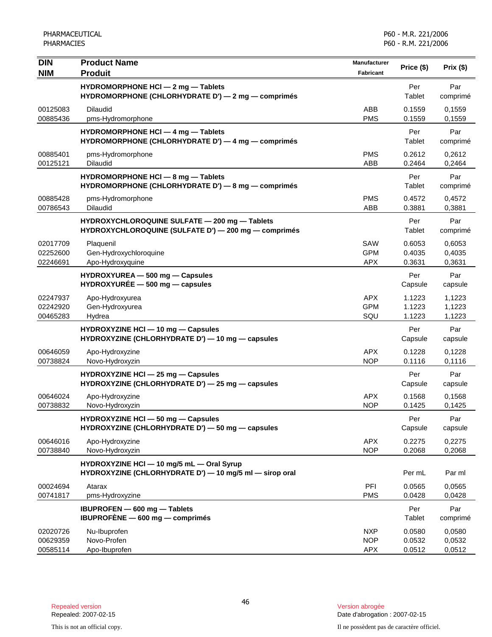| <b>DIN</b>                       | <b>Product Name</b>                                                                                   | Manufacturer                           | Price (\$)                 | Prix(\$)                   |
|----------------------------------|-------------------------------------------------------------------------------------------------------|----------------------------------------|----------------------------|----------------------------|
| <b>NIM</b>                       | <b>Produit</b>                                                                                        | Fabricant                              |                            |                            |
|                                  | HYDROMORPHONE HCI - 2 mg - Tablets<br>HYDROMORPHONE (CHLORHYDRATE D') - 2 mg - comprimés              |                                        | Per<br>Tablet              | Par<br>comprimé            |
| 00125083<br>00885436             | <b>Dilaudid</b><br>pms-Hydromorphone                                                                  | ABB<br><b>PMS</b>                      | 0.1559<br>0.1559           | 0,1559<br>0,1559           |
|                                  | HYDROMORPHONE HCI - 4 mg - Tablets<br>HYDROMORPHONE (CHLORHYDRATE D') - 4 mg - comprimés              |                                        | Per<br>Tablet              | Par<br>comprimé            |
| 00885401<br>00125121             | pms-Hydromorphone<br><b>Dilaudid</b>                                                                  | <b>PMS</b><br>ABB                      | 0.2612<br>0.2464           | 0,2612<br>0,2464           |
|                                  | HYDROMORPHONE HCI - 8 mg - Tablets<br>HYDROMORPHONE (CHLORHYDRATE D') - 8 mg - comprimés              |                                        | Per<br>Tablet              | Par<br>comprimé            |
| 00885428<br>00786543             | pms-Hydromorphone<br><b>Dilaudid</b>                                                                  | <b>PMS</b><br>ABB                      | 0.4572<br>0.3881           | 0,4572<br>0,3881           |
|                                  | HYDROXYCHLOROQUINE SULFATE - 200 mg - Tablets<br>HYDROXYCHLOROQUINE (SULFATE D') - 200 mg - comprimés |                                        | Per<br>Tablet              | Par<br>comprimé            |
| 02017709<br>02252600<br>02246691 | Plaquenil<br>Gen-Hydroxychloroquine<br>Apo-Hydroxyquine                                               | SAW<br><b>GPM</b><br><b>APX</b>        | 0.6053<br>0.4035<br>0.3631 | 0,6053<br>0,4035<br>0,3631 |
|                                  | HYDROXYUREA - 500 mg - Capsules<br>$HYDROXYURÉE - 500 mg - capsules$                                  |                                        | Per<br>Capsule             | Par<br>capsule             |
| 02247937<br>02242920<br>00465283 | Apo-Hydroxyurea<br>Gen-Hydroxyurea<br>Hydrea                                                          | <b>APX</b><br><b>GPM</b><br>SQU        | 1.1223<br>1.1223<br>1.1223 | 1,1223<br>1,1223<br>1,1223 |
|                                  | HYDROXYZINE HCI - 10 mg - Capsules<br>HYDROXYZINE (CHLORHYDRATE D') - 10 mg - capsules                |                                        | Per<br>Capsule             | Par<br>capsule             |
| 00646059<br>00738824             | Apo-Hydroxyzine<br>Novo-Hydroxyzin                                                                    | <b>APX</b><br><b>NOP</b>               | 0.1228<br>0.1116           | 0,1228<br>0,1116           |
|                                  | <b>HYDROXYZINE HCI - 25 mg - Capsules</b><br>HYDROXYZINE (CHLORHYDRATE D') - 25 mg - capsules         |                                        | Per<br>Capsule             | Par<br>capsule             |
| 00646024<br>00738832             | Apo-Hydroxyzine<br>Novo-Hydroxyzin                                                                    | <b>APX</b><br><b>NOP</b>               | 0.1568<br>0.1425           | 0,1568<br>0,1425           |
|                                  | HYDROXYZINE HCI - 50 mg - Capsules<br>HYDROXYZINE (CHLORHYDRATE D') - 50 mg - capsules                |                                        | Per<br>Capsule             | Par<br>capsule             |
| 00646016<br>00738840             | Apo-Hydroxyzine<br>Novo-Hydroxyzin                                                                    | <b>APX</b><br><b>NOP</b>               | 0.2275<br>0.2068           | 0,2275<br>0,2068           |
|                                  | HYDROXYZINE HCI - 10 mg/5 mL - Oral Syrup<br>HYDROXYZINE (CHLORHYDRATE D') - 10 mg/5 ml - sirop oral  |                                        | Per mL                     | Par ml                     |
| 00024694<br>00741817             | Atarax<br>pms-Hydroxyzine                                                                             | PFI<br><b>PMS</b>                      | 0.0565<br>0.0428           | 0,0565<br>0,0428           |
|                                  | IBUPROFEN - 600 mg - Tablets<br>IBUPROFÈNE $-$ 600 mg $-$ comprimés                                   |                                        | Per<br>Tablet              | Par<br>comprimé            |
| 02020726<br>00629359<br>00585114 | Nu-Ibuprofen<br>Novo-Profen<br>Apo-Ibuprofen                                                          | <b>NXP</b><br><b>NOP</b><br><b>APX</b> | 0.0580<br>0.0532<br>0.0512 | 0,0580<br>0,0532<br>0,0512 |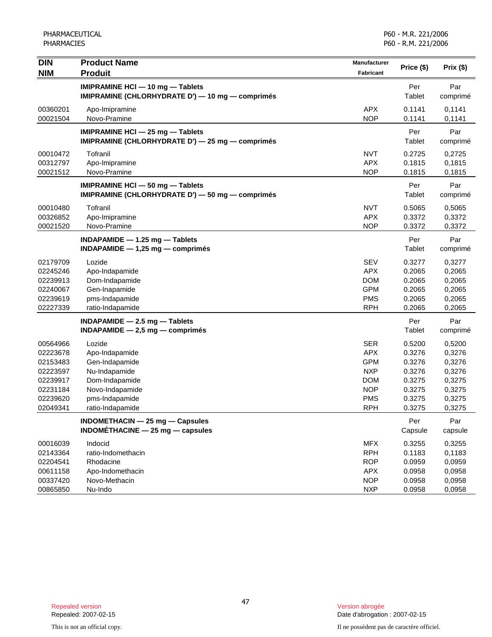| <b>DIN</b><br><b>NIM</b>                                                                     | <b>Product Name</b><br><b>Produit</b>                                                                                                  | Manufacturer<br><b>Fabricant</b>                                                                             | Price (\$)                                                                   | Prix (\$)                                                                    |
|----------------------------------------------------------------------------------------------|----------------------------------------------------------------------------------------------------------------------------------------|--------------------------------------------------------------------------------------------------------------|------------------------------------------------------------------------------|------------------------------------------------------------------------------|
|                                                                                              | IMIPRAMINE HCI - 10 mg - Tablets<br>IMIPRAMINE (CHLORHYDRATE D') - 10 mg - comprimés                                                   |                                                                                                              | Per<br>Tablet                                                                | Par<br>comprimé                                                              |
| 00360201<br>00021504                                                                         | Apo-Imipramine<br>Novo-Pramine                                                                                                         | <b>APX</b><br><b>NOP</b>                                                                                     | 0.1141<br>0.1141                                                             | 0,1141<br>0,1141                                                             |
|                                                                                              | IMIPRAMINE HCI - 25 mg - Tablets<br>IMIPRAMINE (CHLORHYDRATE D') - 25 mg - comprimés                                                   |                                                                                                              | Per<br>Tablet                                                                | Par<br>comprimé                                                              |
| 00010472<br>00312797<br>00021512                                                             | Tofranil<br>Apo-Imipramine<br>Novo-Pramine                                                                                             | <b>NVT</b><br><b>APX</b><br><b>NOP</b>                                                                       | 0.2725<br>0.1815<br>0.1815                                                   | 0,2725<br>0,1815<br>0,1815                                                   |
|                                                                                              | IMIPRAMINE HCI - 50 mg - Tablets<br>IMIPRAMINE (CHLORHYDRATE D') - 50 mg - comprimés                                                   |                                                                                                              | Per<br>Tablet                                                                | Par<br>comprimé                                                              |
| 00010480<br>00326852<br>00021520                                                             | Tofranil<br>Apo-Imipramine<br>Novo-Pramine                                                                                             | <b>NVT</b><br><b>APX</b><br><b>NOP</b>                                                                       | 0.5065<br>0.3372<br>0.3372                                                   | 0,5065<br>0,3372<br>0,3372                                                   |
|                                                                                              | INDAPAMIDE $-$ 1.25 mg $-$ Tablets<br>INDAPAMIDE $-1,25$ mg $-$ comprimés                                                              |                                                                                                              | Per<br>Tablet                                                                | Par<br>comprimé                                                              |
| 02179709<br>02245246<br>02239913<br>02240067<br>02239619<br>02227339                         | Lozide<br>Apo-Indapamide<br>Dom-Indapamide<br>Gen-Inapamide<br>pms-Indapamide<br>ratio-Indapamide                                      | <b>SEV</b><br><b>APX</b><br><b>DOM</b><br><b>GPM</b><br><b>PMS</b><br><b>RPH</b>                             | 0.3277<br>0.2065<br>0.2065<br>0.2065<br>0.2065<br>0.2065                     | 0,3277<br>0,2065<br>0,2065<br>0,2065<br>0,2065<br>0,2065                     |
|                                                                                              | INDAPAMIDE - 2.5 mg - Tablets<br>INDAPAMIDE $-2,5$ mg $-$ comprimés                                                                    |                                                                                                              | Per<br>Tablet                                                                | Par<br>comprimé                                                              |
| 00564966<br>02223678<br>02153483<br>02223597<br>02239917<br>02231184<br>02239620<br>02049341 | Lozide<br>Apo-Indapamide<br>Gen-Indapamide<br>Nu-Indapamide<br>Dom-Indapamide<br>Novo-Indapamide<br>pms-Indapamide<br>ratio-Indapamide | <b>SER</b><br><b>APX</b><br><b>GPM</b><br><b>NXP</b><br><b>DOM</b><br><b>NOP</b><br><b>PMS</b><br><b>RPH</b> | 0.5200<br>0.3276<br>0.3276<br>0.3276<br>0.3275<br>0.3275<br>0.3275<br>0.3275 | 0,5200<br>0,3276<br>0,3276<br>0,3276<br>0,3275<br>0,3275<br>0,3275<br>0,3275 |
|                                                                                              | INDOMETHACIN - 25 mg - Capsules<br>INDOMÉTHACINE - 25 mg - capsules                                                                    |                                                                                                              | Per<br>Capsule                                                               | Par<br>capsule                                                               |
| 00016039<br>02143364<br>02204541<br>00611158<br>00337420<br>00865850                         | Indocid<br>ratio-Indomethacin<br>Rhodacine<br>Apo-Indomethacin<br>Novo-Methacin<br>Nu-Indo                                             | <b>MFX</b><br><b>RPH</b><br><b>ROP</b><br><b>APX</b><br><b>NOP</b><br><b>NXP</b>                             | 0.3255<br>0.1183<br>0.0959<br>0.0958<br>0.0958<br>0.0958                     | 0,3255<br>0,1183<br>0,0959<br>0,0958<br>0,0958<br>0,0958                     |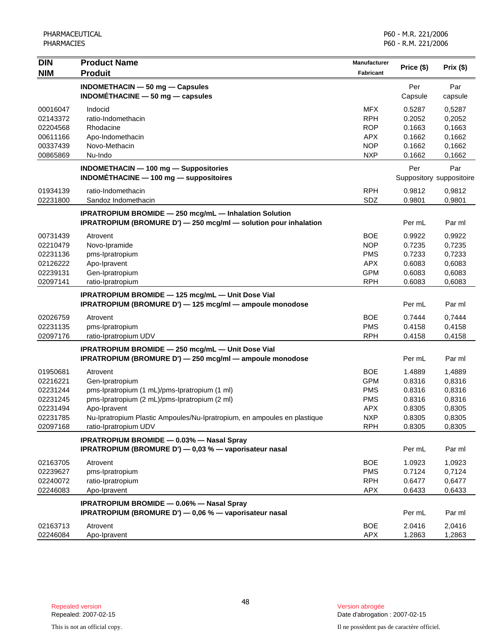| <b>DIN</b> | <b>Product Name</b>                                                                                           | <b>Manufacturer</b> |            |                          |
|------------|---------------------------------------------------------------------------------------------------------------|---------------------|------------|--------------------------|
| <b>NIM</b> | <b>Produit</b>                                                                                                | <b>Fabricant</b>    | Price (\$) | Prix (\$)                |
|            | <b>INDOMETHACIN - 50 mg - Capsules</b>                                                                        |                     | Per        | Par                      |
|            | INDOMÉTHACINE $-50$ mg $-$ capsules                                                                           |                     | Capsule    | capsule                  |
| 00016047   | Indocid                                                                                                       | <b>MFX</b>          | 0.5287     | 0,5287                   |
| 02143372   | ratio-Indomethacin                                                                                            | <b>RPH</b>          | 0.2052     | 0,2052                   |
| 02204568   | Rhodacine                                                                                                     | <b>ROP</b>          | 0.1663     | 0,1663                   |
| 00611166   | Apo-Indomethacin                                                                                              | <b>APX</b>          | 0.1662     | 0,1662                   |
| 00337439   | Novo-Methacin                                                                                                 | <b>NOP</b>          | 0.1662     | 0,1662                   |
| 00865869   | Nu-Indo                                                                                                       | <b>NXP</b>          | 0.1662     | 0,1662                   |
|            | <b>INDOMETHACIN - 100 mg - Suppositories</b>                                                                  |                     | Per        | Par                      |
|            | INDOMÉTHACINE - 100 mg - suppositoires                                                                        |                     |            | Suppository suppositoire |
| 01934139   | ratio-Indomethacin                                                                                            | <b>RPH</b>          | 0.9812     | 0,9812                   |
| 02231800   | Sandoz Indomethacin                                                                                           | SDZ                 | 0.9801     | 0,9801                   |
|            | <b>IPRATROPIUM BROMIDE - 250 mcg/mL - Inhalation Solution</b>                                                 |                     |            |                          |
|            | <b>IPRATROPIUM (BROMURE D') - 250 mcg/ml - solution pour inhalation</b>                                       |                     | Per mL     | Par ml                   |
| 00731439   | Atrovent                                                                                                      | <b>BOE</b>          | 0.9922     | 0,9922                   |
| 02210479   | Novo-Ipramide                                                                                                 | <b>NOP</b>          | 0.7235     | 0,7235                   |
| 02231136   | pms-Ipratropium                                                                                               | <b>PMS</b>          | 0.7233     | 0,7233                   |
| 02126222   | Apo-Ipravent                                                                                                  | <b>APX</b>          | 0.6083     | 0,6083                   |
| 02239131   | Gen-Ipratropium                                                                                               | <b>GPM</b>          | 0.6083     | 0,6083                   |
| 02097141   | ratio-Ipratropium                                                                                             | <b>RPH</b>          | 0.6083     | 0,6083                   |
|            | IPRATROPIUM BROMIDE - 125 mcg/mL - Unit Dose Vial<br>IPRATROPIUM (BROMURE D') - 125 mcg/ml - ampoule monodose |                     | Per mL     | Par ml                   |
| 02026759   | Atrovent                                                                                                      | <b>BOE</b>          | 0.7444     | 0,7444                   |
| 02231135   | pms-Ipratropium                                                                                               | <b>PMS</b>          | 0.4158     | 0,4158                   |
| 02097176   | ratio-Ipratropium UDV                                                                                         | <b>RPH</b>          | 0.4158     | 0,4158                   |
|            | IPRATROPIUM BROMIDE - 250 mcg/mL - Unit Dose Vial                                                             |                     |            |                          |
|            | IPRATROPIUM (BROMURE D') - 250 mcg/ml - ampoule monodose                                                      |                     | Per mL     | Par ml                   |
| 01950681   | Atrovent                                                                                                      | <b>BOE</b>          | 1.4889     | 1,4889                   |
| 02216221   | Gen-Ipratropium                                                                                               | <b>GPM</b>          | 0.8316     | 0,8316                   |
| 02231244   | pms-Ipratropium (1 mL)/pms-Ipratropium (1 ml)                                                                 | <b>PMS</b>          | 0.8316     | 0,8316                   |
| 02231245   | pms-Ipratropium (2 mL)/pms-Ipratropium (2 ml)                                                                 | <b>PMS</b>          | 0.8316     | 0,8316                   |
| 02231494   | Apo-Ipravent                                                                                                  | <b>APX</b>          | 0.8305     | 0,8305                   |
| 02231785   | Nu-Ipratropium Plastic Ampoules/Nu-Ipratropium, en ampoules en plastique                                      | <b>NXP</b>          | 0.8305     | 0,8305                   |
| 02097168   | ratio-Ipratropium UDV                                                                                         | <b>RPH</b>          | 0.8305     | 0,8305                   |
|            | <b>IPRATROPIUM BROMIDE - 0.03% - Nasal Spray</b><br>IPRATROPIUM (BROMURE D') - 0,03 % - vaporisateur nasal    |                     | Per mL     | Par ml                   |
| 02163705   | Atrovent                                                                                                      | <b>BOE</b>          | 1.0923     | 1,0923                   |
| 02239627   | pms-Ipratropium                                                                                               | <b>PMS</b>          | 0.7124     | 0,7124                   |
| 02240072   | ratio-Ipratropium                                                                                             | <b>RPH</b>          | 0.6477     | 0,6477                   |
| 02246083   | Apo-Ipravent                                                                                                  | <b>APX</b>          | 0.6433     | 0,6433                   |
|            | IPRATROPIUM BROMIDE - 0.06% - Nasal Spray                                                                     |                     |            |                          |
|            | IPRATROPIUM (BROMURE D') - 0,06 % - vaporisateur nasal                                                        |                     | Per mL     | Par ml                   |
| 02163713   | Atrovent                                                                                                      | <b>BOE</b>          | 2.0416     | 2,0416                   |
| 02246084   | Apo-Ipravent                                                                                                  | <b>APX</b>          | 1.2863     | 1,2863                   |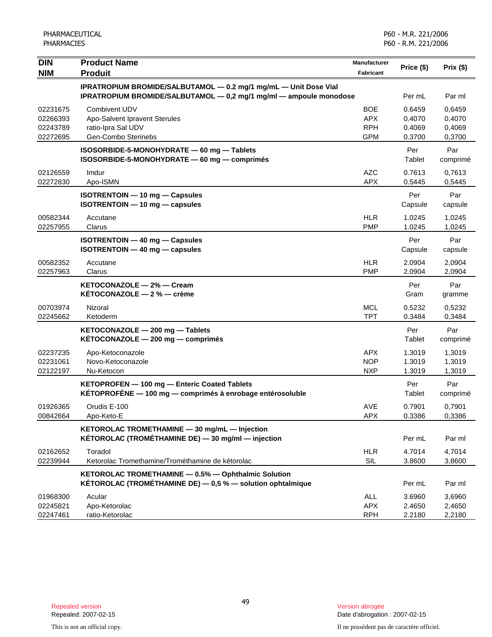| <b>DIN</b>                                   | <b>Product Name</b>                                                                                                                    | <b>Manufacturer</b>                                  | Price (\$)                           | Prix (\$)                            |
|----------------------------------------------|----------------------------------------------------------------------------------------------------------------------------------------|------------------------------------------------------|--------------------------------------|--------------------------------------|
| <b>NIM</b>                                   | <b>Produit</b>                                                                                                                         | <b>Fabricant</b>                                     |                                      |                                      |
|                                              | IPRATROPIUM BROMIDE/SALBUTAMOL - 0.2 mg/1 mg/mL - Unit Dose Vial<br>IPRATROPIUM BROMIDE/SALBUTAMOL - 0,2 mg/1 mg/ml - ampoule monodose |                                                      | Per mL                               | Par ml                               |
| 02231675<br>02266393<br>02243789<br>02272695 | <b>Combivent UDV</b><br>Apo-Salvent Ipravent Sterules<br>ratio-Ipra Sal UDV<br>Gen-Combo Sterinebs                                     | <b>BOE</b><br><b>APX</b><br><b>RPH</b><br><b>GPM</b> | 0.6459<br>0.4070<br>0.4069<br>0.3700 | 0,6459<br>0,4070<br>0,4069<br>0,3700 |
|                                              | ISOSORBIDE-5-MONOHYDRATE - 60 mg - Tablets<br>ISOSORBIDE-5-MONOHYDRATE - 60 mg - comprimés                                             |                                                      | Per<br>Tablet                        | Par<br>comprimé                      |
| 02126559<br>02272830                         | Imdur<br>Apo-ISMN                                                                                                                      | <b>AZC</b><br><b>APX</b>                             | 0.7613<br>0.5445                     | 0,7613<br>0,5445                     |
|                                              | ISOTRENTOIN - 10 mg - Capsules<br>ISOTRENTOIN - 10 mg - capsules                                                                       |                                                      | Per<br>Capsule                       | Par<br>capsule                       |
| 00582344<br>02257955                         | Accutane<br>Clarus                                                                                                                     | <b>HLR</b><br><b>PMP</b>                             | 1.0245<br>1.0245                     | 1,0245<br>1,0245                     |
|                                              | <b>ISOTRENTOIN - 40 mg - Capsules</b><br>$ISOTRENTOIN - 40 mg - capsules$                                                              |                                                      | Per<br>Capsule                       | Par<br>capsule                       |
| 00582352<br>02257963                         | Accutane<br>Clarus                                                                                                                     | <b>HLR</b><br><b>PMP</b>                             | 2.0904<br>2.0904                     | 2,0904<br>2,0904                     |
|                                              | KETOCONAZOLE - 2% - Cream<br><b>KÉTOCONAZOLE - 2 % - crème</b>                                                                         |                                                      | Per<br>Gram                          | Par<br>gramme                        |
| 00703974<br>02245662                         | Nizoral<br>Ketoderm                                                                                                                    | <b>MCL</b><br><b>TPT</b>                             | 0.5232<br>0.3484                     | 0,5232<br>0,3484                     |
|                                              | KETOCONAZOLE - 200 mg - Tablets<br>KÉTOCONAZOLE - 200 mg - comprimés                                                                   |                                                      | Per<br>Tablet                        | Par<br>comprimé                      |
| 02237235<br>02231061<br>02122197             | Apo-Ketoconazole<br>Novo-Ketoconazole<br>Nu-Ketocon                                                                                    | <b>APX</b><br><b>NOP</b><br><b>NXP</b>               | 1.3019<br>1.3019<br>1.3019           | 1,3019<br>1,3019<br>1,3019           |
|                                              | KETOPROFEN - 100 mg - Enteric Coated Tablets<br>KÉTOPROFÈNE $-$ 100 mg $-$ comprimés à enrobage entérosoluble                          |                                                      | Per<br>Tablet                        | Par<br>comprimé                      |
| 01926365<br>00842664                         | Orudis E-100<br>Apo-Keto-E                                                                                                             | AVE<br>APX                                           | 0.7901<br>0.3386                     | 0,7901<br>0,3386                     |
|                                              | KETOROLAC TROMETHAMINE - 30 mg/mL - Injection<br>KÉTOROLAC (TROMÉTHAMINE DE) - 30 mg/ml - injection                                    |                                                      | Per mL                               | Par ml                               |
| 02162652<br>02239944                         | Toradol<br>Ketorolac Tromethamine/Trométhamine de kétorolac                                                                            | <b>HLR</b><br>SIL                                    | 4.7014<br>3.8600                     | 4,7014<br>3,8600                     |
|                                              | KETOROLAC TROMETHAMINE - 0.5% - Ophthalmic Solution<br>KÉTOROLAC (TROMÉTHAMINE DE) $-0.5$ % $-$ solution ophtalmique                   |                                                      | Per mL                               | Par ml                               |
| 01968300<br>02245821<br>02247461             | Acular<br>Apo-Ketorolac<br>ratio-Ketorolac                                                                                             | ALL<br><b>APX</b><br><b>RPH</b>                      | 3.6960<br>2.4650<br>2.2180           | 3,6960<br>2,4650<br>2,2180           |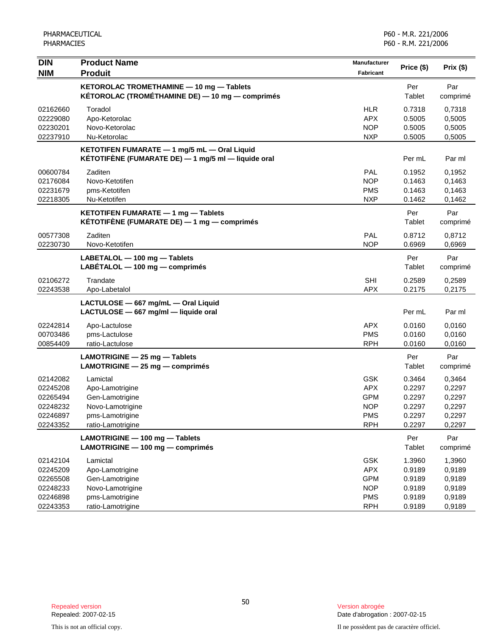| <b>DIN</b><br><b>NIM</b>                                             | <b>Product Name</b><br><b>Produit</b>                                                                      | Manufacturer<br><b>Fabricant</b>                                                 | Price (\$)                                               | Prix (\$)                                                |
|----------------------------------------------------------------------|------------------------------------------------------------------------------------------------------------|----------------------------------------------------------------------------------|----------------------------------------------------------|----------------------------------------------------------|
|                                                                      | KETOROLAC TROMETHAMINE - 10 mg - Tablets<br>KÉTOROLAC (TROMÉTHAMINE DE) — 10 mg — comprimés                |                                                                                  | Per<br>Tablet                                            | Par<br>comprimé                                          |
| 02162660<br>02229080<br>02230201<br>02237910                         | Toradol<br>Apo-Ketorolac<br>Novo-Ketorolac<br>Nu-Ketorolac                                                 | <b>HLR</b><br><b>APX</b><br><b>NOP</b><br><b>NXP</b>                             | 0.7318<br>0.5005<br>0.5005<br>0.5005                     | 0,7318<br>0,5005<br>0,5005<br>0,5005                     |
|                                                                      | KETOTIFEN FUMARATE - 1 mg/5 mL - Oral Liquid<br>KÉTOTIFÈNE (FUMARATE DE) — 1 mg/5 ml — liquide oral        |                                                                                  | Per mL                                                   | Par ml                                                   |
| 00600784<br>02176084<br>02231679<br>02218305                         | Zaditen<br>Novo-Ketotifen<br>pms-Ketotifen<br>Nu-Ketotifen                                                 | PAL<br><b>NOP</b><br><b>PMS</b><br><b>NXP</b>                                    | 0.1952<br>0.1463<br>0.1463<br>0.1462                     | 0,1952<br>0,1463<br>0,1463<br>0,1462                     |
|                                                                      | KETOTIFEN FUMARATE - 1 mg - Tablets<br>KÉTOTIFÈNE (FUMARATE DE) $-$ 1 mg $-$ comprimés                     |                                                                                  | Per<br>Tablet                                            | Par<br>comprimé                                          |
| 00577308<br>02230730                                                 | Zaditen<br>Novo-Ketotifen                                                                                  | <b>PAL</b><br><b>NOP</b>                                                         | 0.8712<br>0.6969                                         | 0,8712<br>0,6969                                         |
|                                                                      | LABETALOL - 100 mg - Tablets<br>$LABÉTALOL - 100 mg - comprimés$                                           |                                                                                  | Per<br>Tablet                                            | Par<br>comprimé                                          |
| 02106272<br>02243538                                                 | Trandate<br>Apo-Labetalol                                                                                  | <b>SHI</b><br><b>APX</b>                                                         | 0.2589<br>0.2175                                         | 0,2589<br>0,2175                                         |
|                                                                      | LACTULOSE - 667 mg/mL - Oral Liquid<br>LACTULOSE - 667 mg/ml - liquide oral                                |                                                                                  | Per mL                                                   | Par ml                                                   |
| 02242814<br>00703486<br>00854409                                     | Apo-Lactulose<br>pms-Lactulose<br>ratio-Lactulose                                                          | <b>APX</b><br><b>PMS</b><br><b>RPH</b>                                           | 0.0160<br>0.0160<br>0.0160                               | 0,0160<br>0,0160<br>0,0160                               |
|                                                                      | LAMOTRIGINE - 25 mg - Tablets<br>LAMOTRIGINE - 25 mg - comprimés                                           |                                                                                  | Per<br>Tablet                                            | Par<br>comprimé                                          |
| 02142082<br>02245208<br>02265494<br>02248232<br>02246897<br>02243352 | Lamictal<br>Apo-Lamotrigine<br>Gen-Lamotrigine<br>Novo-Lamotrigine<br>pms-Lamotrigine<br>ratio-Lamotrigine | <b>GSK</b><br><b>APX</b><br><b>GPM</b><br><b>NOP</b><br><b>PMS</b><br><b>RPH</b> | 0.3464<br>0.2297<br>0.2297<br>0.2297<br>0.2297<br>0.2297 | 0,3464<br>0,2297<br>0,2297<br>0,2297<br>0,2297<br>0,2297 |
|                                                                      | LAMOTRIGINE - 100 mg - Tablets<br>LAMOTRIGINE - 100 mg - comprimés                                         |                                                                                  | Per<br>Tablet                                            | Par<br>comprimé                                          |
| 02142104<br>02245209<br>02265508<br>02248233<br>02246898<br>02243353 | Lamictal<br>Apo-Lamotrigine<br>Gen-Lamotrigine<br>Novo-Lamotrigine<br>pms-Lamotrigine<br>ratio-Lamotrigine | GSK<br><b>APX</b><br><b>GPM</b><br><b>NOP</b><br><b>PMS</b><br><b>RPH</b>        | 1.3960<br>0.9189<br>0.9189<br>0.9189<br>0.9189<br>0.9189 | 1,3960<br>0,9189<br>0,9189<br>0,9189<br>0,9189<br>0,9189 |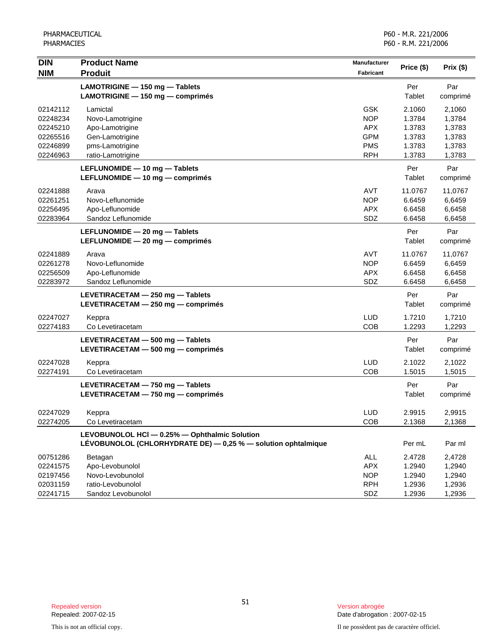| <b>DIN</b> | <b>Product Name</b>                                           | <b>Manufacturer</b> | Price (\$) | Prix (\$) |
|------------|---------------------------------------------------------------|---------------------|------------|-----------|
| <b>NIM</b> | <b>Produit</b>                                                | <b>Fabricant</b>    |            |           |
|            | LAMOTRIGINE - 150 mg - Tablets                                |                     | Per        | Par       |
|            | LAMOTRIGINE - 150 mg - comprimés                              |                     | Tablet     | comprimé  |
| 02142112   | Lamictal                                                      | GSK                 | 2.1060     | 2,1060    |
| 02248234   | Novo-Lamotrigine                                              | <b>NOP</b>          | 1.3784     | 1,3784    |
| 02245210   | Apo-Lamotrigine                                               | <b>APX</b>          | 1.3783     | 1,3783    |
| 02265516   | Gen-Lamotrigine                                               | <b>GPM</b>          | 1.3783     | 1,3783    |
| 02246899   | pms-Lamotrigine                                               | <b>PMS</b>          | 1.3783     | 1,3783    |
| 02246963   | ratio-Lamotrigine                                             | <b>RPH</b>          | 1.3783     | 1,3783    |
|            | LEFLUNOMIDE - 10 mg - Tablets                                 |                     | Per        | Par       |
|            | LEFLUNOMIDE - 10 mg - comprimés                               |                     | Tablet     | comprimé  |
| 02241888   | Arava                                                         | AVT                 | 11.0767    | 11,0767   |
| 02261251   | Novo-Leflunomide                                              | <b>NOP</b>          | 6.6459     | 6,6459    |
| 02256495   | Apo-Leflunomide                                               | <b>APX</b>          | 6.6458     | 6,6458    |
| 02283964   | Sandoz Leflunomide                                            | SDZ                 | 6.6458     | 6,6458    |
|            | LEFLUNOMIDE - 20 mg - Tablets                                 |                     | Per        | Par       |
|            | LEFLUNOMIDE - 20 mg - comprimés                               |                     | Tablet     | comprimé  |
| 02241889   | Arava                                                         | AVT                 | 11.0767    | 11,0767   |
| 02261278   | Novo-Leflunomide                                              | <b>NOP</b>          | 6.6459     | 6,6459    |
| 02256509   | Apo-Leflunomide                                               | <b>APX</b>          | 6.6458     | 6,6458    |
| 02283972   | Sandoz Leflunomide                                            | SDZ                 | 6.6458     | 6,6458    |
|            | LEVETIRACETAM - 250 mg - Tablets                              |                     | Per        | Par       |
|            | LEVETIRACETAM - 250 mg - comprimés                            |                     | Tablet     | comprimé  |
| 02247027   | Keppra                                                        | <b>LUD</b>          | 1.7210     | 1,7210    |
| 02274183   | Co Levetiracetam                                              | COB                 | 1.2293     | 1,2293    |
|            | LEVETIRACETAM - 500 mg - Tablets                              |                     | Per        | Par       |
|            | LEVETIRACETAM - 500 mg - comprimés                            |                     | Tablet     | comprimé  |
| 02247028   | Keppra                                                        | LUD                 | 2.1022     | 2,1022    |
| 02274191   | Co Levetiracetam                                              | COB                 | 1.5015     | 1,5015    |
|            | LEVETIRACETAM - 750 mg - Tablets                              |                     | Per        | Par       |
|            | LEVETIRACETAM - 750 mg - comprimés                            |                     | Tablet     | comprimé  |
| 02247029   | Keppra                                                        | <b>LUD</b>          | 2.9915     | 2,9915    |
| 02274205   | Co Levetiracetam                                              | COB                 | 2.1368     | 2,1368    |
|            | LEVOBUNOLOL HCI - 0.25% - Ophthalmic Solution                 |                     |            |           |
|            | LÉVOBUNOLOL (CHLORHYDRATE DE) - 0,25 % - solution ophtalmique |                     | Per mL     | Par ml    |
| 00751286   | Betagan                                                       | ALL                 | 2.4728     | 2,4728    |
| 02241575   | Apo-Levobunolol                                               | <b>APX</b>          | 1.2940     | 1,2940    |
| 02197456   | Novo-Levobunolol                                              | <b>NOP</b>          | 1.2940     | 1,2940    |
| 02031159   | ratio-Levobunolol                                             | <b>RPH</b>          | 1.2936     | 1,2936    |
| 02241715   | Sandoz Levobunolol                                            | SDZ                 | 1.2936     | 1,2936    |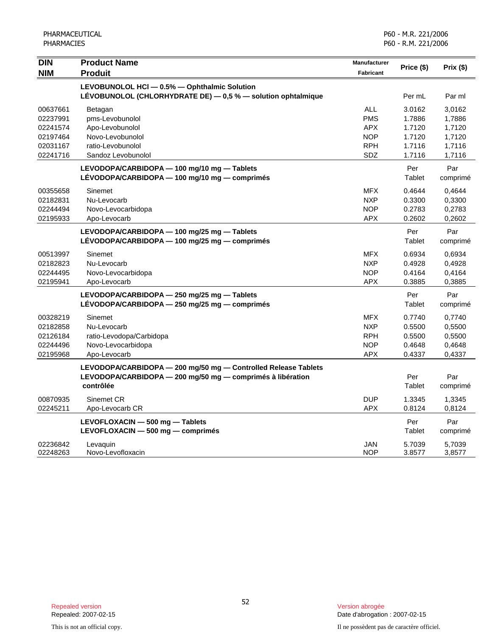| <b>DIN</b> | <b>Product Name</b>                                            | Manufacturer     |            |           |
|------------|----------------------------------------------------------------|------------------|------------|-----------|
| <b>NIM</b> | <b>Produit</b>                                                 | <b>Fabricant</b> | Price (\$) | Prix (\$) |
|            | LEVOBUNOLOL HCI - 0.5% - Ophthalmic Solution                   |                  |            |           |
|            | LÉVOBUNOLOL (CHLORHYDRATE DE) - 0,5 % - solution ophtalmique   |                  | Per mL     | Par ml    |
| 00637661   | Betagan                                                        | <b>ALL</b>       | 3.0162     | 3,0162    |
| 02237991   | pms-Levobunolol                                                | <b>PMS</b>       | 1.7886     | 1,7886    |
| 02241574   | Apo-Levobunolol                                                | <b>APX</b>       | 1.7120     | 1,7120    |
| 02197464   | Novo-Levobunolol                                               | <b>NOP</b>       | 1.7120     | 1,7120    |
| 02031167   | ratio-Levobunolol                                              | <b>RPH</b>       | 1.7116     | 1,7116    |
| 02241716   | Sandoz Levobunolol                                             | SDZ              | 1.7116     | 1,7116    |
|            | LEVODOPA/CARBIDOPA - 100 mg/10 mg - Tablets                    |                  | Per        | Par       |
|            | LÉVODOPA/CARBIDOPA - 100 mg/10 mg - comprimés                  |                  | Tablet     | comprimé  |
| 00355658   | Sinemet                                                        | <b>MFX</b>       | 0.4644     | 0.4644    |
| 02182831   | Nu-Levocarb                                                    | <b>NXP</b>       | 0.3300     | 0,3300    |
| 02244494   | Novo-Levocarbidopa                                             | <b>NOP</b>       | 0.2783     | 0,2783    |
| 02195933   | Apo-Levocarb                                                   | <b>APX</b>       | 0.2602     | 0,2602    |
|            | LEVODOPA/CARBIDOPA - 100 mg/25 mg - Tablets                    |                  | Per        | Par       |
|            | LÉVODOPA/CARBIDOPA - 100 mg/25 mg - comprimés                  |                  | Tablet     | comprimé  |
| 00513997   | Sinemet                                                        | <b>MFX</b>       | 0.6934     | 0,6934    |
| 02182823   | Nu-Levocarb                                                    | <b>NXP</b>       | 0.4928     | 0,4928    |
| 02244495   | Novo-Levocarbidopa                                             | <b>NOP</b>       | 0.4164     | 0,4164    |
| 02195941   | Apo-Levocarb                                                   | APX              | 0.3885     | 0,3885    |
|            | LEVODOPA/CARBIDOPA - 250 mg/25 mg - Tablets                    |                  | Per        | Par       |
|            | LÉVODOPA/CARBIDOPA - 250 mg/25 mg - comprimés                  |                  | Tablet     | comprimé  |
| 00328219   | Sinemet                                                        | <b>MFX</b>       | 0.7740     | 0,7740    |
| 02182858   | Nu-Levocarb                                                    | <b>NXP</b>       | 0.5500     | 0,5500    |
| 02126184   | ratio-Levodopa/Carbidopa                                       | <b>RPH</b>       | 0.5500     | 0,5500    |
| 02244496   | Novo-Levocarbidopa                                             | <b>NOP</b>       | 0.4648     | 0,4648    |
| 02195968   | Apo-Levocarb                                                   | APX              | 0.4337     | 0,4337    |
|            | LEVODOPA/CARBIDOPA - 200 mg/50 mg - Controlled Release Tablets |                  |            |           |
|            | LEVODOPA/CARBIDOPA - 200 mg/50 mg - comprimés à libération     |                  | Per        | Par       |
|            | contrôlée                                                      |                  | Tablet     | comprimé  |
| 00870935   | Sinemet CR                                                     | <b>DUP</b>       | 1.3345     | 1,3345    |
| 02245211   | Apo-Levocarb CR                                                | <b>APX</b>       | 0.8124     | 0,8124    |
|            | LEVOFLOXACIN - 500 mg - Tablets                                |                  | Per        | Par       |
|            | LEVOFLOXACIN - 500 mg - comprimés                              |                  | Tablet     | comprimé  |
| 02236842   | Levaguin                                                       | <b>JAN</b>       | 5.7039     | 5,7039    |
| 02248263   | Novo-Levofloxacin                                              | <b>NOP</b>       | 3.8577     | 3,8577    |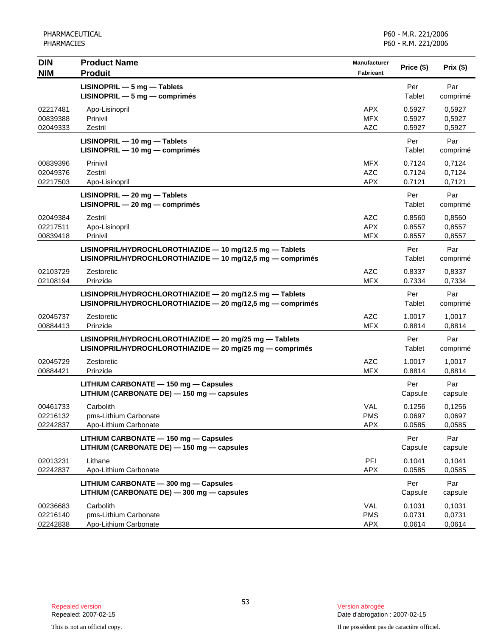| <b>DIN</b>                       | <b>Product Name</b>                                                                                                    | Manufacturer                           | Price (\$)                 | Prix (\$)                  |
|----------------------------------|------------------------------------------------------------------------------------------------------------------------|----------------------------------------|----------------------------|----------------------------|
| <b>NIM</b>                       | <b>Produit</b><br>$LISINOPRIL - 5 mg - Tables$<br>$LISINOPRIL - 5 mg - comprimés$                                      | Fabricant                              | Per<br>Tablet              | Par<br>comprimé            |
| 02217481<br>00839388<br>02049333 | Apo-Lisinopril<br>Prinivil<br>Zestril                                                                                  | <b>APX</b><br><b>MFX</b><br><b>AZC</b> | 0.5927<br>0.5927<br>0.5927 | 0,5927<br>0,5927<br>0,5927 |
|                                  | LISINOPRIL - 10 mg - Tablets<br>$LISINOPRIL - 10 mg - comprimés$                                                       |                                        | Per<br>Tablet              | Par<br>comprimé            |
| 00839396<br>02049376<br>02217503 | Prinivil<br>Zestril<br>Apo-Lisinopril                                                                                  | <b>MFX</b><br><b>AZC</b><br><b>APX</b> | 0.7124<br>0.7124<br>0.7121 | 0,7124<br>0,7124<br>0,7121 |
|                                  | $LISINOPRIL - 20 mg - Tables$<br>LISINOPRIL - 20 mg - comprimés                                                        |                                        | Per<br>Tablet              | Par<br>comprimé            |
| 02049384<br>02217511<br>00839418 | Zestril<br>Apo-Lisinopril<br>Prinivil                                                                                  | <b>AZC</b><br><b>APX</b><br><b>MFX</b> | 0.8560<br>0.8557<br>0.8557 | 0,8560<br>0,8557<br>0,8557 |
|                                  | LISINOPRIL/HYDROCHLOROTHIAZIDE - 10 mg/12.5 mg - Tablets<br>LISINOPRIL/HYDROCHLOROTHIAZIDE - 10 mg/12,5 mg - comprimés |                                        | Per<br>Tablet              | Par<br>comprimé            |
| 02103729<br>02108194             | Zestoretic<br>Prinzide                                                                                                 | <b>AZC</b><br><b>MFX</b>               | 0.8337<br>0.7334           | 0,8337<br>0,7334           |
|                                  | LISINOPRIL/HYDROCHLOROTHIAZIDE - 20 mg/12.5 mg - Tablets<br>LISINOPRIL/HYDROCHLOROTHIAZIDE - 20 mg/12,5 mg - comprimés |                                        | Per<br>Tablet              | Par<br>comprimé            |
| 02045737<br>00884413             | Zestoretic<br>Prinzide                                                                                                 | <b>AZC</b><br><b>MFX</b>               | 1.0017<br>0.8814           | 1,0017<br>0,8814           |
|                                  | LISINOPRIL/HYDROCHLOROTHIAZIDE - 20 mg/25 mg - Tablets<br>LISINOPRIL/HYDROCHLOROTHIAZIDE - 20 mg/25 mg - comprimés     |                                        | Per<br>Tablet              | Par<br>comprimé            |
| 02045729<br>00884421             | Zestoretic<br>Prinzide                                                                                                 | <b>AZC</b><br><b>MFX</b>               | 1.0017<br>0.8814           | 1,0017<br>0,8814           |
|                                  | LITHIUM CARBONATE - 150 mg - Capsules<br>LITHIUM (CARBONATE DE) - 150 mg - capsules                                    |                                        | Per<br>Capsule             | Par<br>capsule             |
| 00461733<br>02216132<br>02242837 | Carbolith<br>pms-Lithium Carbonate<br>Apo-Lithium Carbonate                                                            | VAL<br><b>PMS</b><br><b>APX</b>        | 0.1256<br>0.0697<br>0.0585 | 0,1256<br>0,0697<br>0,0585 |
|                                  | LITHIUM CARBONATE - 150 mg - Capsules<br>LITHIUM (CARBONATE DE) - 150 mg - capsules                                    |                                        | Per<br>Capsule             | Par<br>capsule             |
| 02013231<br>02242837             | Lithane<br>Apo-Lithium Carbonate                                                                                       | PFI<br><b>APX</b>                      | 0.1041<br>0.0585           | 0,1041<br>0,0585           |
|                                  | LITHIUM CARBONATE - 300 mg - Capsules<br>LITHIUM (CARBONATE DE) - 300 mg - capsules                                    |                                        | Per<br>Capsule             | Par<br>capsule             |
| 00236683<br>02216140<br>02242838 | Carbolith<br>pms-Lithium Carbonate<br>Apo-Lithium Carbonate                                                            | VAL<br><b>PMS</b><br><b>APX</b>        | 0.1031<br>0.0731<br>0.0614 | 0,1031<br>0,0731<br>0,0614 |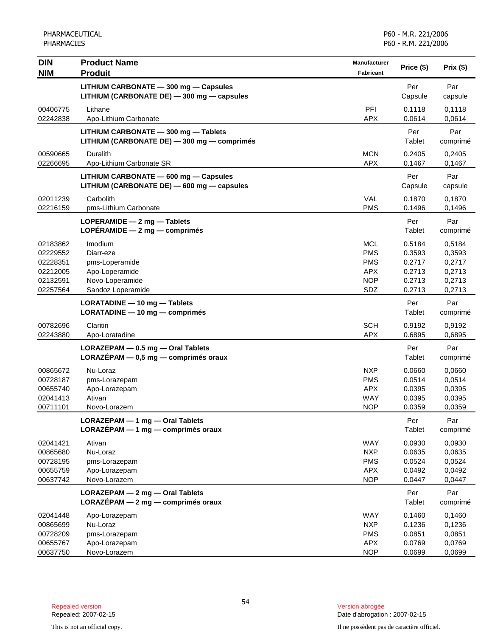| <b>DIN</b>                                                           | <b>Product Name</b>                                                                              | <b>Manufacturer</b>                                                       | Price (\$)                                               | Prix(\$)                                                 |
|----------------------------------------------------------------------|--------------------------------------------------------------------------------------------------|---------------------------------------------------------------------------|----------------------------------------------------------|----------------------------------------------------------|
| <b>NIM</b>                                                           | <b>Produit</b>                                                                                   | Fabricant                                                                 |                                                          |                                                          |
|                                                                      | LITHIUM CARBONATE - 300 mg - Capsules<br>LITHIUM (CARBONATE DE) - 300 mg - capsules              |                                                                           | Per<br>Capsule                                           | Par<br>capsule                                           |
| 00406775                                                             | Lithane                                                                                          | PFI                                                                       | 0.1118                                                   | 0,1118                                                   |
| 02242838                                                             | Apo-Lithium Carbonate                                                                            | <b>APX</b>                                                                | 0.0614                                                   | 0,0614                                                   |
|                                                                      | LITHIUM CARBONATE - 300 mg - Tablets<br>LITHIUM (CARBONATE DE) - 300 mg - comprimés              |                                                                           | Per<br>Tablet                                            | Par<br>comprimé                                          |
| 00590665<br>02266695                                                 | <b>Duralith</b><br>Apo-Lithium Carbonate SR                                                      | <b>MCN</b><br><b>APX</b>                                                  | 0.2405<br>0.1467                                         | 0,2405<br>0,1467                                         |
|                                                                      | LITHIUM CARBONATE - 600 mg - Capsules<br>LITHIUM (CARBONATE DE) - 600 mg - capsules              |                                                                           | Per<br>Capsule                                           | Par<br>capsule                                           |
| 02011239<br>02216159                                                 | Carbolith<br>pms-Lithium Carbonate                                                               | VAL<br><b>PMS</b>                                                         | 0.1870<br>0.1496                                         | 0,1870<br>0,1496                                         |
|                                                                      | LOPERAMIDE - 2 mg - Tablets<br>LOPÉRAMIDE $-2$ mg $-$ comprimés                                  |                                                                           | Per<br>Tablet                                            | Par<br>comprimé                                          |
| 02183862<br>02229552<br>02228351<br>02212005<br>02132591<br>02257564 | Imodium<br>Diarr-eze<br>pms-Loperamide<br>Apo-Loperamide<br>Novo-Loperamide<br>Sandoz Loperamide | <b>MCL</b><br><b>PMS</b><br><b>PMS</b><br><b>APX</b><br><b>NOP</b><br>SDZ | 0.5184<br>0.3593<br>0.2717<br>0.2713<br>0.2713<br>0.2713 | 0,5184<br>0,3593<br>0,2717<br>0,2713<br>0,2713<br>0,2713 |
|                                                                      | LORATADINE - 10 mg - Tablets<br>$LORATADINE - 10 mg - comprimés$                                 |                                                                           | Per<br>Tablet                                            | Par<br>comprimé                                          |
| 00782696<br>02243880                                                 | Claritin<br>Apo-Loratadine                                                                       | <b>SCH</b><br><b>APX</b>                                                  | 0.9192<br>0.6895                                         | 0,9192<br>0,6895                                         |
|                                                                      | LORAZEPAM - 0.5 mg - Oral Tablets<br>LORAZÉPAM $-$ 0,5 mg $-$ comprimés oraux                    |                                                                           | Per<br>Tablet                                            | Par<br>comprimé                                          |
| 00865672<br>00728187<br>00655740<br>02041413<br>00711101             | Nu-Loraz<br>pms-Lorazepam<br>Apo-Lorazepam<br>Ativan<br>Novo-Lorazem                             | <b>NXP</b><br><b>PMS</b><br><b>APX</b><br><b>WAY</b><br><b>NOP</b>        | 0.0660<br>0.0514<br>0.0395<br>0.0395<br>0.0359           | 0,0660<br>0,0514<br>0,0395<br>0,0395<br>0,0359           |
|                                                                      | LORAZEPAM - 1 mg - Oral Tablets<br>LORAZÉPAM - 1 mg - comprimés oraux                            |                                                                           | Per<br>Tablet                                            | Par<br>comprimé                                          |
| 02041421<br>00865680<br>00728195<br>00655759<br>00637742             | Ativan<br>Nu-Loraz<br>pms-Lorazepam<br>Apo-Lorazepam<br>Novo-Lorazem                             | WAY<br><b>NXP</b><br><b>PMS</b><br><b>APX</b><br><b>NOP</b>               | 0.0930<br>0.0635<br>0.0524<br>0.0492<br>0.0447           | 0,0930<br>0,0635<br>0,0524<br>0,0492<br>0,0447           |
|                                                                      | LORAZEPAM - 2 mg - Oral Tablets<br>$LORAZÉPAM - 2 mg - comprimés oraux$                          |                                                                           | Per<br>Tablet                                            | Par<br>comprimé                                          |
| 02041448<br>00865699<br>00728209<br>00655767<br>00637750             | Apo-Lorazepam<br>Nu-Loraz<br>pms-Lorazepam<br>Apo-Lorazepam<br>Novo-Lorazem                      | <b>WAY</b><br><b>NXP</b><br><b>PMS</b><br><b>APX</b><br><b>NOP</b>        | 0.1460<br>0.1236<br>0.0851<br>0.0769<br>0.0699           | 0,1460<br>0,1236<br>0,0851<br>0,0769<br>0,0699           |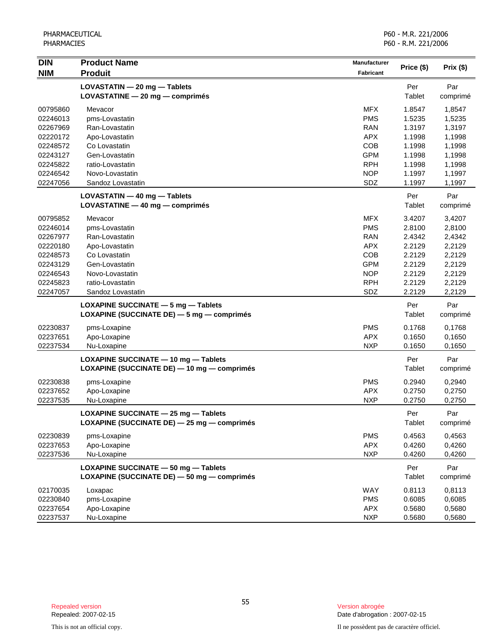| <b>DIN</b> | <b>Product Name</b>                         | <b>Manufacturer</b> |            |           |
|------------|---------------------------------------------|---------------------|------------|-----------|
| <b>NIM</b> | <b>Produit</b>                              | Fabricant           | Price (\$) | Prix (\$) |
|            | LOVASTATIN - 20 mg - Tablets                |                     | Per        | Par       |
|            | LOVASTATINE - 20 mg - comprimés             |                     | Tablet     | comprimé  |
|            |                                             |                     |            |           |
| 00795860   | Mevacor                                     | <b>MFX</b>          | 1.8547     | 1,8547    |
| 02246013   | pms-Lovastatin                              | <b>PMS</b>          | 1.5235     | 1,5235    |
| 02267969   | Ran-Lovastatin                              | <b>RAN</b>          | 1.3197     | 1,3197    |
| 02220172   | Apo-Lovastatin                              | <b>APX</b>          | 1.1998     | 1,1998    |
| 02248572   | Co Lovastatin                               | COB                 | 1.1998     | 1,1998    |
| 02243127   | Gen-Lovastatin                              | <b>GPM</b>          | 1.1998     | 1,1998    |
| 02245822   | ratio-Lovastatin                            | <b>RPH</b>          | 1.1998     | 1,1998    |
| 02246542   | Novo-Lovastatin                             | <b>NOP</b>          | 1.1997     | 1,1997    |
| 02247056   | Sandoz Lovastatin                           | SDZ                 | 1.1997     | 1,1997    |
|            | $LOVASTATIN - 40 mg - Tables$               |                     | Per        | Par       |
|            | LOVASTATINE - 40 mg - comprimés             |                     | Tablet     | comprimé  |
| 00795852   | Mevacor                                     | <b>MFX</b>          | 3.4207     | 3,4207    |
| 02246014   | pms-Lovastatin                              | <b>PMS</b>          | 2.8100     | 2,8100    |
| 02267977   | Ran-Lovastatin                              | <b>RAN</b>          | 2.4342     | 2,4342    |
| 02220180   | Apo-Lovastatin                              | <b>APX</b>          | 2.2129     | 2,2129    |
| 02248573   | Co Lovastatin                               | COB                 | 2.2129     | 2,2129    |
| 02243129   | Gen-Lovastatin                              | <b>GPM</b>          | 2.2129     | 2,2129    |
| 02246543   | Novo-Lovastatin                             | <b>NOP</b>          | 2.2129     | 2,2129    |
| 02245823   | ratio-Lovastatin                            | <b>RPH</b>          | 2.2129     | 2,2129    |
| 02247057   | Sandoz Lovastatin                           | SDZ                 | 2.2129     | 2,2129    |
|            | LOXAPINE SUCCINATE - 5 mg - Tablets         |                     | Per        | Par       |
|            | LOXAPINE (SUCCINATE DE) - 5 mg - comprimés  |                     | Tablet     | comprimé  |
|            |                                             | <b>PMS</b>          |            |           |
| 02230837   | pms-Loxapine<br>Apo-Loxapine                | <b>APX</b>          | 0.1768     | 0,1768    |
| 02237651   |                                             |                     | 0.1650     | 0,1650    |
| 02237534   | Nu-Loxapine                                 | <b>NXP</b>          | 0.1650     | 0,1650    |
|            | LOXAPINE SUCCINATE - 10 mg - Tablets        |                     | Per        | Par       |
|            | LOXAPINE (SUCCINATE DE) - 10 mg - comprimés |                     | Tablet     | comprimé  |
| 02230838   | pms-Loxapine                                | <b>PMS</b>          | 0.2940     | 0,2940    |
| 02237652   | Apo-Loxapine                                | <b>APX</b>          | 0.2750     | 0,2750    |
| 02237535   | Nu-Loxapine                                 | <b>NXP</b>          | 0.2750     | 0,2750    |
|            | LOXAPINE SUCCINATE - 25 mg - Tablets        |                     | Per        | Par       |
|            | LOXAPINE (SUCCINATE DE) - 25 mg - comprimés |                     | Tablet     | comprimé  |
|            |                                             |                     |            |           |
| 02230839   | pms-Loxapine                                | <b>PMS</b>          | 0.4563     | 0,4563    |
| 02237653   | Apo-Loxapine                                | <b>APX</b>          | 0.4260     | 0,4260    |
| 02237536   | Nu-Loxapine                                 | <b>NXP</b>          | 0.4260     | 0,4260    |
|            | LOXAPINE SUCCINATE - 50 mg - Tablets        |                     | Per        | Par       |
|            | LOXAPINE (SUCCINATE DE) - 50 mg - comprimés |                     | Tablet     | comprimé  |
| 02170035   | Loxapac                                     | WAY                 | 0.8113     | 0,8113    |
| 02230840   | pms-Loxapine                                | <b>PMS</b>          | 0.6085     | 0,6085    |
| 02237654   | Apo-Loxapine                                | <b>APX</b>          | 0.5680     | 0,5680    |
| 02237537   | Nu-Loxapine                                 | <b>NXP</b>          | 0.5680     | 0,5680    |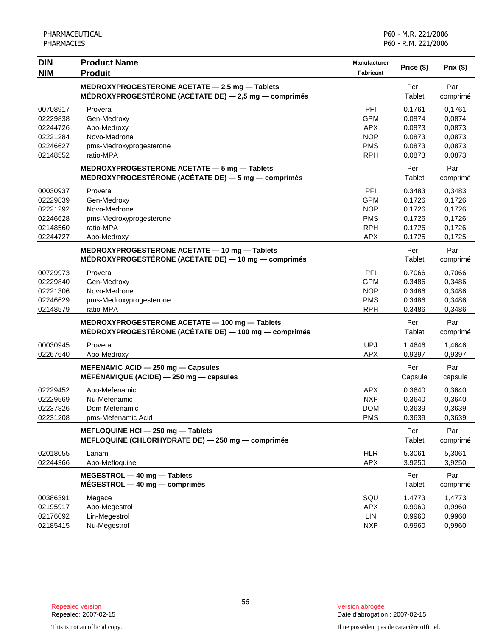| <b>DIN</b> | <b>Product Name</b>                                       | <b>Manufacturer</b> | Price (\$) | Prix(\$) |
|------------|-----------------------------------------------------------|---------------------|------------|----------|
| <b>NIM</b> | <b>Produit</b>                                            | Fabricant           |            |          |
|            | MEDROXYPROGESTERONE ACETATE - 2.5 mg - Tablets            |                     | Per        | Par      |
|            | MÉDROXYPROGESTÉRONE (ACÉTATE DE) $-$ 2,5 mg $-$ comprimés |                     | Tablet     | comprimé |
| 00708917   | Provera                                                   | PFI                 | 0.1761     | 0,1761   |
| 02229838   | Gen-Medroxy                                               | <b>GPM</b>          | 0.0874     | 0,0874   |
| 02244726   | Apo-Medroxy                                               | <b>APX</b>          | 0.0873     | 0,0873   |
| 02221284   | Novo-Medrone                                              | <b>NOP</b>          | 0.0873     | 0,0873   |
| 02246627   | pms-Medroxyprogesterone                                   | <b>PMS</b>          | 0.0873     | 0,0873   |
| 02148552   | ratio-MPA                                                 | <b>RPH</b>          | 0.0873     | 0,0873   |
|            | MEDROXYPROGESTERONE ACETATE - 5 mg - Tablets              |                     | Per        | Par      |
|            | MÉDROXYPROGESTÉRONE (ACÉTATE DE) - 5 mg - comprimés       |                     | Tablet     | comprimé |
| 00030937   | Provera                                                   | <b>PFI</b>          | 0.3483     | 0,3483   |
| 02229839   | Gen-Medroxy                                               | <b>GPM</b>          | 0.1726     | 0,1726   |
| 02221292   | Novo-Medrone                                              | <b>NOP</b>          | 0.1726     | 0,1726   |
| 02246628   | pms-Medroxyprogesterone                                   | <b>PMS</b>          | 0.1726     | 0,1726   |
| 02148560   | ratio-MPA                                                 | <b>RPH</b>          | 0.1726     | 0,1726   |
| 02244727   | Apo-Medroxy                                               | <b>APX</b>          | 0.1725     | 0,1725   |
|            | MEDROXYPROGESTERONE ACETATE - 10 mg - Tablets             |                     | Per        | Par      |
|            | MÉDROXYPROGESTÉRONE (ACÉTATE DE) $-$ 10 mg $-$ comprimés  |                     | Tablet     | comprimé |
| 00729973   | Provera                                                   | PFI                 | 0.7066     | 0,7066   |
| 02229840   | Gen-Medroxy                                               | <b>GPM</b>          | 0.3486     | 0,3486   |
| 02221306   | Novo-Medrone                                              | <b>NOP</b>          | 0.3486     | 0,3486   |
| 02246629   | pms-Medroxyprogesterone                                   | <b>PMS</b>          | 0.3486     | 0,3486   |
| 02148579   | ratio-MPA                                                 | <b>RPH</b>          | 0.3486     | 0,3486   |
|            | MEDROXYPROGESTERONE ACETATE - 100 mg - Tablets            |                     | Per        | Par      |
|            | MÉDROXYPROGESTÉRONE (ACÉTATE DE) — 100 mg — comprimés     |                     | Tablet     | comprimé |
| 00030945   | Provera                                                   | <b>UPJ</b>          | 1.4646     | 1,4646   |
| 02267640   | Apo-Medroxy                                               | <b>APX</b>          | 0.9397     | 0,9397   |
|            | MEFENAMIC ACID - 250 mg - Capsules                        |                     | Per        | Par      |
|            | MÉFÉNAMIQUE (ACIDE) $-$ 250 mg $-$ capsules               |                     | Capsule    | capsule  |
| 02229452   | Apo-Mefenamic                                             | APX                 | 0.3640     | 0,3640   |
| 02229569   | Nu-Mefenamic                                              | <b>NXP</b>          | 0.3640     | 0,3640   |
| 02237826   | Dom-Mefenamic                                             | <b>DOM</b>          | 0.3639     | 0,3639   |
| 02231208   | pms-Mefenamic Acid                                        | <b>PMS</b>          | 0.3639     | 0,3639   |
|            | MEFLOQUINE HCI - 250 mg - Tablets                         |                     | Per        | Par      |
|            | MEFLOQUINE (CHLORHYDRATE DE) - 250 mg - comprimés         |                     | Tablet     | comprimé |
| 02018055   | Lariam                                                    | <b>HLR</b>          | 5.3061     | 5,3061   |
| 02244366   | Apo-Mefloquine                                            | <b>APX</b>          | 3.9250     | 3,9250   |
|            | MEGESTROL - 40 mg - Tablets                               |                     | Per        | Par      |
|            | $MÉGESTROL - 40 mg - comprimés$                           |                     | Tablet     | comprimé |
| 00386391   | Megace                                                    | SQU                 | 1.4773     | 1,4773   |
| 02195917   | Apo-Megestrol                                             | <b>APX</b>          | 0.9960     | 0,9960   |
| 02176092   | Lin-Megestrol                                             | LIN                 | 0.9960     | 0,9960   |
| 02185415   | Nu-Megestrol                                              | <b>NXP</b>          | 0.9960     | 0,9960   |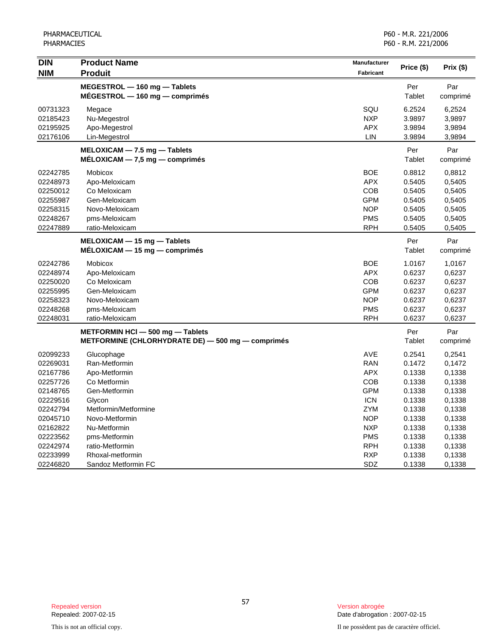| <b>DIN</b> | <b>Product Name</b>                                              | <b>Manufacturer</b> | Price (\$)    | Prix $(\$)$     |
|------------|------------------------------------------------------------------|---------------------|---------------|-----------------|
| <b>NIM</b> | <b>Produit</b>                                                   | <b>Fabricant</b>    |               |                 |
|            | MEGESTROL - 160 mg - Tablets<br>$MÉGESTROL - 160 mg - comprimés$ |                     | Per<br>Tablet | Par<br>comprimé |
| 00731323   | Megace                                                           | SQU                 | 6.2524        | 6,2524          |
| 02185423   | Nu-Megestrol                                                     | <b>NXP</b>          | 3.9897        | 3,9897          |
| 02195925   | Apo-Megestrol                                                    | <b>APX</b>          | 3.9894        | 3,9894          |
| 02176106   | Lin-Megestrol                                                    | LIN                 | 3.9894        | 3,9894          |
|            | MELOXICAM - 7.5 mg - Tablets<br>$MÉLOXICAM - 7,5 mg - comprimés$ |                     | Per<br>Tablet | Par<br>comprimé |
| 02242785   | Mobicox                                                          | <b>BOE</b>          | 0.8812        | 0,8812          |
| 02248973   | Apo-Meloxicam                                                    | <b>APX</b>          | 0.5405        | 0,5405          |
| 02250012   | Co Meloxicam                                                     | COB                 | 0.5405        | 0,5405          |
| 02255987   | Gen-Meloxicam                                                    | <b>GPM</b>          | 0.5405        | 0,5405          |
| 02258315   | Novo-Meloxicam                                                   | <b>NOP</b>          | 0.5405        | 0,5405          |
| 02248267   | pms-Meloxicam                                                    | <b>PMS</b>          | 0.5405        | 0,5405          |
| 02247889   | ratio-Meloxicam                                                  | <b>RPH</b>          | 0.5405        | 0,5405          |
|            | MELOXICAM - 15 mg - Tablets                                      |                     | Per           | Par             |
|            | $MELOXICAM - 15 mg - comprimés$                                  |                     | Tablet        | comprimé        |
| 02242786   | <b>Mobicox</b>                                                   | <b>BOE</b>          | 1.0167        | 1,0167          |
| 02248974   | Apo-Meloxicam                                                    | <b>APX</b>          | 0.6237        | 0,6237          |
| 02250020   | Co Meloxicam                                                     | COB                 | 0.6237        | 0,6237          |
| 02255995   | Gen-Meloxicam                                                    | <b>GPM</b>          | 0.6237        | 0,6237          |
| 02258323   | Novo-Meloxicam                                                   | <b>NOP</b>          | 0.6237        | 0,6237          |
| 02248268   | pms-Meloxicam                                                    | <b>PMS</b>          | 0.6237        | 0,6237          |
| 02248031   | ratio-Meloxicam                                                  | <b>RPH</b>          | 0.6237        | 0,6237          |
|            | METFORMIN HCI - 500 mg - Tablets                                 |                     | Per           | Par             |
|            | METFORMINE (CHLORHYDRATE DE) - 500 mg - comprimés                |                     | Tablet        | comprimé        |
| 02099233   | Glucophage                                                       | <b>AVE</b>          | 0.2541        | 0,2541          |
| 02269031   | Ran-Metformin                                                    | <b>RAN</b>          | 0.1472        | 0,1472          |
| 02167786   | Apo-Metformin                                                    | <b>APX</b>          | 0.1338        | 0,1338          |
| 02257726   | Co Metformin                                                     | COB                 | 0.1338        | 0,1338          |
| 02148765   | Gen-Metformin                                                    | <b>GPM</b>          | 0.1338        | 0,1338          |
| 02229516   | Glycon                                                           | <b>ICN</b>          | 0.1338        | 0,1338          |
| 02242794   | Metformin/Metformine                                             | <b>ZYM</b>          | 0.1338        | 0.1338          |
| 02045710   | Novo-Metformin                                                   | <b>NOP</b>          | 0.1338        | 0,1338          |
| 02162822   | Nu-Metformin                                                     | <b>NXP</b>          | 0.1338        | 0,1338          |
| 02223562   | pms-Metformin                                                    | <b>PMS</b>          | 0.1338        | 0,1338          |
| 02242974   | ratio-Metformin                                                  | <b>RPH</b>          | 0.1338        | 0,1338          |
| 02233999   | Rhoxal-metformin                                                 | <b>RXP</b>          | 0.1338        | 0,1338          |
| 02246820   | Sandoz Metformin FC                                              | SDZ                 | 0.1338        | 0,1338          |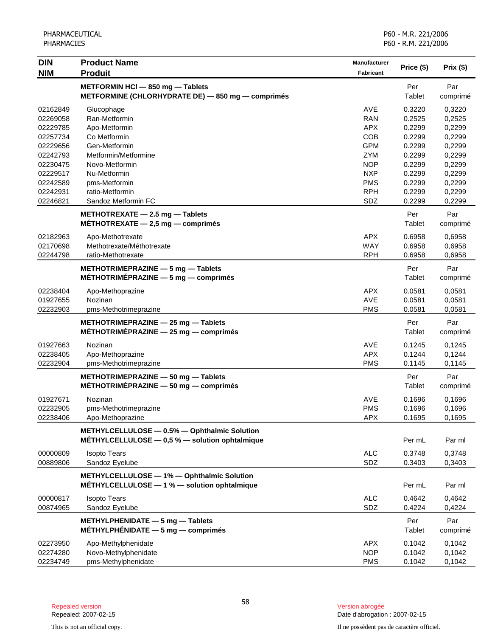| <b>DIN</b> | <b>Product Name</b>                                                                        | Manufacturer     |               |          |
|------------|--------------------------------------------------------------------------------------------|------------------|---------------|----------|
| <b>NIM</b> | <b>Produit</b>                                                                             | <b>Fabricant</b> | Price (\$)    | Prix(\$) |
|            | METFORMIN HCI - 850 mg - Tablets                                                           |                  | Per           | Par      |
|            | METFORMINE (CHLORHYDRATE DE) - 850 mg - comprimés                                          |                  | Tablet        | comprimé |
| 02162849   | Glucophage                                                                                 | AVE              | 0.3220        | 0,3220   |
| 02269058   | Ran-Metformin                                                                              | <b>RAN</b>       | 0.2525        | 0,2525   |
| 02229785   | Apo-Metformin                                                                              | APX.             | 0.2299        | 0,2299   |
| 02257734   | Co Metformin                                                                               | <b>COB</b>       | 0.2299        | 0,2299   |
| 02229656   | Gen-Metformin                                                                              | <b>GPM</b>       | 0.2299        | 0,2299   |
| 02242793   | Metformin/Metformine                                                                       | <b>ZYM</b>       | 0.2299        | 0,2299   |
| 02230475   | Novo-Metformin                                                                             | <b>NOP</b>       | 0.2299        | 0,2299   |
| 02229517   | Nu-Metformin                                                                               | <b>NXP</b>       | 0.2299        | 0,2299   |
| 02242589   | pms-Metformin                                                                              | <b>PMS</b>       | 0.2299        | 0,2299   |
| 02242931   | ratio-Metformin                                                                            | <b>RPH</b>       | 0.2299        | 0,2299   |
| 02246821   | Sandoz Metformin FC                                                                        | SDZ              | 0.2299        | 0,2299   |
|            | METHOTREXATE $-$ 2.5 mg $-$ Tablets                                                        |                  | Per           | Par      |
|            | $MÉTHOTREXATE - 2,5 mg - comprimés$                                                        |                  | Tablet        | comprimé |
| 02182963   | Apo-Methotrexate                                                                           | <b>APX</b>       | 0.6958        | 0,6958   |
| 02170698   | Methotrexate/Méthotrexate                                                                  | <b>WAY</b>       | 0.6958        | 0,6958   |
| 02244798   | ratio-Methotrexate                                                                         | <b>RPH</b>       | 0.6958        | 0,6958   |
|            |                                                                                            |                  |               |          |
|            | METHOTRIMEPRAZINE - 5 mg - Tablets                                                         |                  | Per           | Par      |
|            | MÉTHOTRIMÉPRAZINE $-5$ mg $-$ comprimés                                                    |                  | Tablet        | comprimé |
| 02238404   | Apo-Methoprazine                                                                           | <b>APX</b>       | 0.0581        | 0,0581   |
| 01927655   | Nozinan                                                                                    | AVE              | 0.0581        | 0,0581   |
| 02232903   | pms-Methotrimeprazine                                                                      | <b>PMS</b>       | 0.0581        | 0,0581   |
|            | METHOTRIMEPRAZINE - 25 mg - Tablets                                                        |                  | Per           | Par      |
|            | $MÉTHOTRIMÉPRAZINE - 25 mg - comprimés$                                                    |                  | Tablet        | comprimé |
| 01927663   | Nozinan                                                                                    | AVE              | 0.1245        | 0,1245   |
| 02238405   | Apo-Methoprazine                                                                           | <b>APX</b>       | 0.1244        | 0,1244   |
| 02232904   | pms-Methotrimeprazine                                                                      | <b>PMS</b>       | 0.1145        | 0,1145   |
|            |                                                                                            |                  |               |          |
|            | METHOTRIMEPRAZINE - 50 mg - Tablets<br>MÉTHOTRIMÉPRAZINE $-50$ mg $-$ comprimés            |                  | Per<br>Tablet | Par      |
|            |                                                                                            |                  |               | comprimé |
| 01927671   | Nozinan                                                                                    | <b>AVE</b>       | 0.1696        | 0,1696   |
| 02232905   | pms-Methotrimeprazine                                                                      | <b>PMS</b>       | 0.1696        | 0,1696   |
| 02238406   | Apo-Methoprazine                                                                           | APX              | 0.1695        | 0,1695   |
|            | METHYLCELLULOSE - 0.5% - Ophthalmic Solution                                               |                  |               |          |
|            | MÉTHYLCELLULOSE $-$ 0,5 % $-$ solution ophtalmique                                         |                  | Per mL        | Par ml   |
| 00000809   | <b>Isopto Tears</b>                                                                        | <b>ALC</b>       | 0.3748        | 0,3748   |
| 00889806   | Sandoz Eyelube                                                                             | SDZ              | 0.3403        | 0,3403   |
|            |                                                                                            |                  |               |          |
|            | METHYLCELLULOSE - 1% - Ophthalmic Solution<br>MÉTHYLCELLULOSE - 1 % - solution ophtalmique |                  | Per mL        | Par ml   |
|            |                                                                                            |                  |               |          |
| 00000817   | <b>Isopto Tears</b>                                                                        | <b>ALC</b>       | 0.4642        | 0,4642   |
| 00874965   | Sandoz Eyelube                                                                             | SDZ              | 0.4224        | 0,4224   |
|            | METHYLPHENIDATE - 5 mg - Tablets                                                           |                  | Per           | Par      |
|            | MÉTHYLPHÉNIDATE $-5$ mg $-$ comprimés                                                      |                  | Tablet        | comprimé |
| 02273950   | Apo-Methylphenidate                                                                        | <b>APX</b>       | 0.1042        | 0,1042   |
| 02274280   | Novo-Methylphenidate                                                                       | <b>NOP</b>       | 0.1042        | 0,1042   |
| 02234749   | pms-Methylphenidate                                                                        | <b>PMS</b>       | 0.1042        | 0,1042   |

This is not an official copy. Il ne possèdent pas de caractère officiel.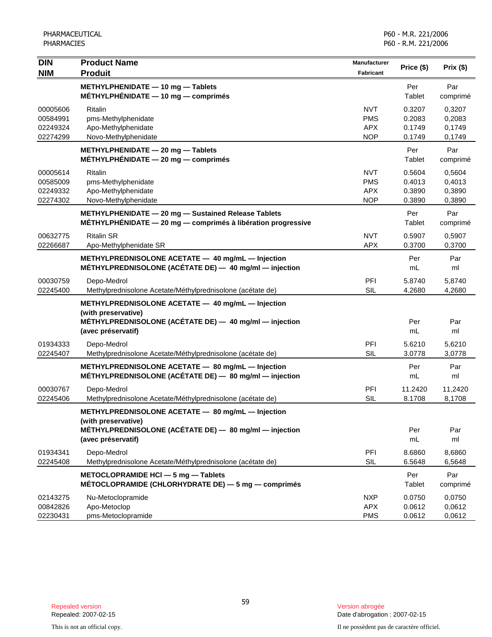| <b>DIN</b><br><b>NIM</b>                     | <b>Product Name</b><br><b>Produit</b>                                                                                                                    | Manufacturer<br>Fabricant                            | Price (\$)                           | Prix(\$)                             |
|----------------------------------------------|----------------------------------------------------------------------------------------------------------------------------------------------------------|------------------------------------------------------|--------------------------------------|--------------------------------------|
|                                              | METHYLPHENIDATE - 10 mg - Tablets<br>$MÉTHYLPHÉNIDATE - 10 mg - comprimés$                                                                               |                                                      | Per<br>Tablet                        | Par<br>comprimé                      |
| 00005606<br>00584991<br>02249324<br>02274299 | Ritalin<br>pms-Methylphenidate<br>Apo-Methylphenidate<br>Novo-Methylphenidate                                                                            | <b>NVT</b><br><b>PMS</b><br><b>APX</b><br><b>NOP</b> | 0.3207<br>0.2083<br>0.1749<br>0.1749 | 0,3207<br>0,2083<br>0,1749<br>0,1749 |
|                                              | METHYLPHENIDATE - 20 mg - Tablets<br>$MÉTHYLPHÉNIDATE - 20 mg - comprimés$                                                                               |                                                      | Per<br>Tablet                        | Par<br>comprimé                      |
| 00005614<br>00585009<br>02249332<br>02274302 | <b>Ritalin</b><br>pms-Methylphenidate<br>Apo-Methylphenidate<br>Novo-Methylphenidate                                                                     | <b>NVT</b><br><b>PMS</b><br><b>APX</b><br><b>NOP</b> | 0.5604<br>0.4013<br>0.3890<br>0.3890 | 0,5604<br>0,4013<br>0,3890<br>0,3890 |
|                                              | METHYLPHENIDATE - 20 mg - Sustained Release Tablets<br>MÉTHYLPHÉNIDATE - 20 mg - comprimés à libération progressive                                      |                                                      | Per<br>Tablet                        | Par<br>comprimé                      |
| 00632775<br>02266687                         | <b>Ritalin SR</b><br>Apo-Methylphenidate SR                                                                                                              | <b>NVT</b><br><b>APX</b>                             | 0.5907<br>0.3700                     | 0.5907<br>0,3700                     |
|                                              | METHYLPREDNISOLONE ACETATE - 40 mg/mL - Injection<br>MÉTHYLPREDNISOLONE (ACÉTATE DE) - 40 mg/ml - injection                                              |                                                      | Per<br>mL                            | Par<br>ml                            |
| 00030759<br>02245400                         | Depo-Medrol<br>Methylprednisolone Acetate/Méthylprednisolone (acétate de)                                                                                | PFI<br><b>SIL</b>                                    | 5.8740<br>4.2680                     | 5,8740<br>4,2680                     |
|                                              | METHYLPREDNISOLONE ACETATE - 40 mg/mL - Injection<br>(with preservative)<br>MÉTHYLPREDNISOLONE (ACÉTATE DE) - 40 mg/ml - injection<br>(avec préservatif) |                                                      | Per<br>mL                            | Par<br>ml                            |
| 01934333<br>02245407                         | Depo-Medrol<br>Methylprednisolone Acetate/Méthylprednisolone (acétate de)                                                                                | PFI<br><b>SIL</b>                                    | 5.6210<br>3.0778                     | 5,6210<br>3,0778                     |
|                                              | METHYLPREDNISOLONE ACETATE - 80 mg/mL - Injection<br>MÉTHYLPREDNISOLONE (ACÉTATE DE) - 80 mg/ml - injection                                              |                                                      | Per<br>mL                            | Par<br>ml                            |
| 00030767<br>02245406                         | Depo-Medrol<br>Methylprednisolone Acetate/Méthylprednisolone (acétate de)                                                                                | PFI<br><b>SIL</b>                                    | 11.2420<br>8.1708                    | 11,2420<br>8,1708                    |
|                                              | METHYLPREDNISOLONE ACETATE - 80 mg/mL - Injection<br>(with preservative)<br>MÉTHYLPREDNISOLONE (ACÉTATE DE) - 80 mg/ml - injection<br>(avec préservatif) |                                                      | Per<br>mL                            | Par<br>ml                            |
| 01934341<br>02245408                         | Depo-Medrol<br>Methylprednisolone Acetate/Méthylprednisolone (acétate de)                                                                                | PFI<br><b>SIL</b>                                    | 8.6860<br>6.5648                     | 8,6860<br>6,5648                     |
|                                              | METOCLOPRAMIDE HCI - 5 mg - Tablets<br>MÉTOCLOPRAMIDE (CHLORHYDRATE DE) $-5$ mg $-$ comprimés                                                            |                                                      | Per<br><b>Tablet</b>                 | Par<br>comprimé                      |
| 02143275<br>00842826<br>02230431             | Nu-Metoclopramide<br>Apo-Metoclop<br>pms-Metoclopramide                                                                                                  | <b>NXP</b><br><b>APX</b><br><b>PMS</b>               | 0.0750<br>0.0612<br>0.0612           | 0,0750<br>0,0612<br>0,0612           |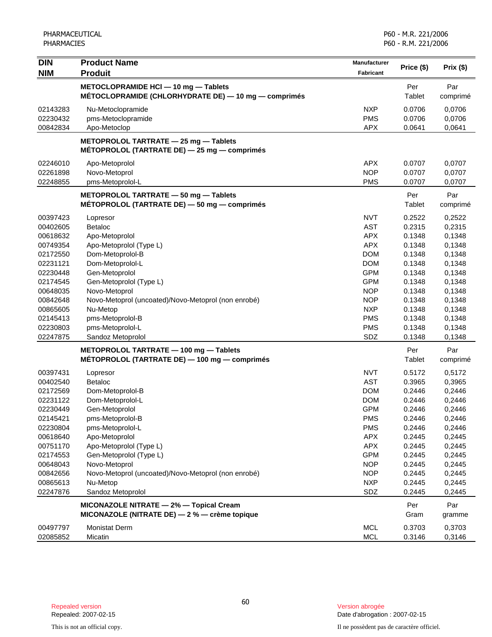| <b>DIN</b>                       | <b>Product Name</b>                                                                                          | Manufacturer                           | Price (\$)                 | Prix (\$)                  |
|----------------------------------|--------------------------------------------------------------------------------------------------------------|----------------------------------------|----------------------------|----------------------------|
| <b>NIM</b>                       | <b>Produit</b>                                                                                               | <b>Fabricant</b>                       |                            |                            |
|                                  | METOCLOPRAMIDE HCI-10 mg-Tablets<br>MÉTOCLOPRAMIDE (CHLORHYDRATE DE) - 10 mg - comprimés                     |                                        | Per<br>Tablet              | Par<br>comprimé            |
| 02143283                         | Nu-Metoclopramide                                                                                            | <b>NXP</b>                             | 0.0706                     | 0,0706                     |
| 02230432                         | pms-Metoclopramide                                                                                           | <b>PMS</b>                             | 0.0706                     | 0,0706                     |
| 00842834                         | Apo-Metoclop                                                                                                 | <b>APX</b>                             | 0.0641                     | 0,0641                     |
|                                  | METOPROLOL TARTRATE - 25 mg - Tablets<br>MÉTOPROLOL (TARTRATE DE) $-$ 25 mg $-$ comprimés                    |                                        |                            |                            |
| 02246010                         | Apo-Metoprolol                                                                                               | <b>APX</b>                             | 0.0707                     | 0,0707                     |
| 02261898                         | Novo-Metoprol                                                                                                | <b>NOP</b>                             | 0.0707                     | 0,0707                     |
| 02248855                         | pms-Metoprolol-L                                                                                             | <b>PMS</b>                             | 0.0707                     | 0,0707                     |
|                                  | METOPROLOL TARTRATE - 50 mg - Tablets<br>MÉTOPROLOL (TARTRATE DE) - 50 mg - comprimés                        |                                        | Per<br>Tablet              | Par<br>comprimé            |
| 00397423                         | Lopresor                                                                                                     | <b>NVT</b>                             | 0.2522                     | 0,2522                     |
| 00402605                         | <b>Betaloc</b>                                                                                               | <b>AST</b>                             | 0.2315                     | 0,2315                     |
| 00618632                         | Apo-Metoprolol                                                                                               | <b>APX</b>                             | 0.1348                     | 0,1348                     |
| 00749354                         | Apo-Metoprolol (Type L)                                                                                      | <b>APX</b>                             | 0.1348                     | 0,1348                     |
| 02172550                         | Dom-Metoprolol-B                                                                                             | <b>DOM</b>                             | 0.1348                     | 0,1348                     |
| 02231121                         | Dom-Metoprolol-L                                                                                             | <b>DOM</b>                             | 0.1348                     | 0,1348                     |
| 02230448                         | Gen-Metoprolol                                                                                               | <b>GPM</b>                             | 0.1348                     | 0,1348                     |
| 02174545                         | Gen-Metoprolol (Type L)                                                                                      | <b>GPM</b>                             | 0.1348                     | 0,1348                     |
| 00648035                         | Novo-Metoprol                                                                                                | <b>NOP</b>                             | 0.1348                     | 0,1348                     |
| 00842648                         | Novo-Metoprol (uncoated)/Novo-Metoprol (non enrobé)                                                          | <b>NOP</b>                             | 0.1348                     | 0,1348                     |
| 00865605                         | Nu-Metop                                                                                                     | <b>NXP</b>                             | 0.1348                     | 0,1348                     |
| 02145413                         | pms-Metoprolol-B                                                                                             | <b>PMS</b>                             | 0.1348                     | 0,1348                     |
| 02230803                         | pms-Metoprolol-L                                                                                             | <b>PMS</b>                             | 0.1348                     | 0,1348                     |
| 02247875                         | Sandoz Metoprolol<br>METOPROLOL TARTRATE - 100 mg - Tablets<br>MÉTOPROLOL (TARTRATE DE) - 100 mg - comprimés | SDZ                                    | 0.1348<br>Per<br>Tablet    | 0,1348<br>Par<br>comprimé  |
| 00397431                         | Lopresor                                                                                                     | <b>NVT</b>                             | 0.5172                     | 0,5172                     |
| 00402540<br>02172569             | <b>Betaloc</b>                                                                                               | <b>AST</b><br><b>DOM</b>               | 0.3965<br>0.2446           | 0,3965                     |
| 02231122<br>02230449             | Dom-Metoprolol-B<br>Dom-Metoprolol-L<br>Gen-Metoprolol                                                       | <b>DOM</b><br><b>GPM</b>               | 0.2446<br>0.2446           | 0,2446<br>0,2446<br>0,2446 |
| 02145421                         | pms-Metoprolol-B                                                                                             | <b>PMS</b>                             | 0.2446                     | 0,2446                     |
| 02230804                         | pms-Metoprolol-L                                                                                             | <b>PMS</b>                             | 0.2446                     | 0,2446                     |
| 00618640                         | Apo-Metoprolol                                                                                               | <b>APX</b>                             | 0.2445                     | 0,2445                     |
| 00751170                         | Apo-Metoprolol (Type L)                                                                                      | <b>APX</b>                             | 0.2445                     | 0,2445                     |
| 02174553<br>00648043<br>00842656 | Gen-Metoprolol (Type L)<br>Novo-Metoprol<br>Novo-Metoprol (uncoated)/Novo-Metoprol (non enrobé)<br>Nu-Metop  | <b>GPM</b><br><b>NOP</b><br><b>NOP</b> | 0.2445<br>0.2445<br>0.2445 | 0,2445<br>0,2445<br>0,2445 |
| 00865613                         | Sandoz Metoprolol                                                                                            | <b>NXP</b>                             | 0.2445                     | 0,2445                     |
| 02247876                         |                                                                                                              | SDZ                                    | 0.2445                     | 0,2445                     |
|                                  | MICONAZOLE NITRATE - 2% - Topical Cream<br>MICONAZOLE (NITRATE DE) - 2 % - crème topique                     |                                        | Per<br>Gram                | Par<br>gramme              |
| 00497797                         | <b>Monistat Derm</b>                                                                                         | <b>MCL</b>                             | 0.3703                     | 0,3703                     |
| 02085852                         | Micatin                                                                                                      | <b>MCL</b>                             | 0.3146                     | 0,3146                     |

Date d'abrogation : 2007-02-15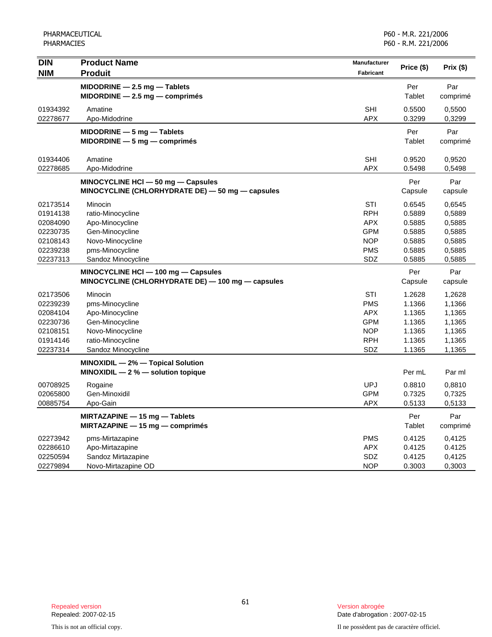PHARMACEUTICAL PHARMACIES

| <b>DIN</b> | <b>Product Name</b>                               | <b>Manufacturer</b> |            |          |
|------------|---------------------------------------------------|---------------------|------------|----------|
| <b>NIM</b> | <b>Produit</b>                                    | <b>Fabricant</b>    | Price (\$) | Prix(\$) |
|            | $MIDODRINE - 2.5 mg - Tables$                     |                     | Per        | Par      |
|            | $MIDORDINE - 2.5 mg - comprimés$                  |                     | Tablet     | comprimé |
| 01934392   | Amatine                                           | <b>SHI</b>          | 0.5500     | 0,5500   |
| 02278677   | Apo-Midodrine                                     | <b>APX</b>          | 0.3299     | 0,3299   |
|            | MIDODRINE - 5 mg - Tablets                        |                     | Per        | Par      |
|            | $MIDORDINE-5$ mg $-$ comprimés                    |                     | Tablet     | comprimé |
| 01934406   | Amatine                                           | <b>SHI</b>          | 0.9520     | 0,9520   |
| 02278685   | Apo-Midodrine                                     | <b>APX</b>          | 0.5498     | 0,5498   |
|            | MINOCYCLINE HCI - 50 mg - Capsules                |                     | Per        | Par      |
|            | MINOCYCLINE (CHLORHYDRATE DE) - 50 mg - capsules  |                     | Capsule    | capsule  |
| 02173514   | Minocin                                           | <b>STI</b>          | 0.6545     | 0,6545   |
| 01914138   | ratio-Minocycline                                 | <b>RPH</b>          | 0.5889     | 0,5889   |
| 02084090   | Apo-Minocycline                                   | <b>APX</b>          | 0.5885     | 0,5885   |
| 02230735   | Gen-Minocycline                                   | <b>GPM</b>          | 0.5885     | 0,5885   |
| 02108143   | Novo-Minocycline                                  | <b>NOP</b>          | 0.5885     | 0,5885   |
| 02239238   | pms-Minocycline                                   | <b>PMS</b>          | 0.5885     | 0,5885   |
| 02237313   | Sandoz Minocycline                                | SDZ                 | 0.5885     | 0,5885   |
|            | MINOCYCLINE HCI - 100 mg - Capsules               |                     | Per        | Par      |
|            | MINOCYCLINE (CHLORHYDRATE DE) - 100 mg - capsules |                     | Capsule    | capsule  |
| 02173506   | Minocin                                           | <b>STI</b>          | 1.2628     | 1,2628   |
| 02239239   | pms-Minocycline                                   | <b>PMS</b>          | 1.1366     | 1,1366   |
| 02084104   | Apo-Minocycline                                   | <b>APX</b>          | 1.1365     | 1,1365   |
| 02230736   | Gen-Minocycline                                   | GPM                 | 1.1365     | 1,1365   |
| 02108151   | Novo-Minocycline                                  | <b>NOP</b>          | 1.1365     | 1,1365   |
| 01914146   | ratio-Minocycline                                 | <b>RPH</b>          | 1.1365     | 1,1365   |
| 02237314   | Sandoz Minocycline                                | SDZ                 | 1.1365     | 1,1365   |
|            | MINOXIDIL - 2% - Topical Solution                 |                     |            |          |
|            | MINOXIDIL $-2$ % $-$ solution topique             |                     | Per mL     | Par ml   |
| 00708925   | Rogaine                                           | <b>UPJ</b>          | 0.8810     | 0,8810   |
| 02065800   | Gen-Minoxidil                                     | <b>GPM</b>          | 0.7325     | 0,7325   |
| 00885754   | Apo-Gain                                          | APX                 | 0.5133     | 0,5133   |
|            | MIRTAZAPINE - 15 mg - Tablets                     |                     | Per        | Par      |
|            | $MIRTAZAPINE - 15 mg - comprimés$                 |                     | Tablet     | comprimé |
| 02273942   | pms-Mirtazapine                                   | <b>PMS</b>          | 0.4125     | 0,4125   |
| 02286610   | Apo-Mirtazapine                                   | <b>APX</b>          | 0.4125     | 0.4125   |
| 02250594   | Sandoz Mirtazapine                                | <b>SDZ</b>          | 0.4125     | 0,4125   |
| 02279894   | Novo-Mirtazapine OD                               | <b>NOP</b>          | 0.3003     | 0,3003   |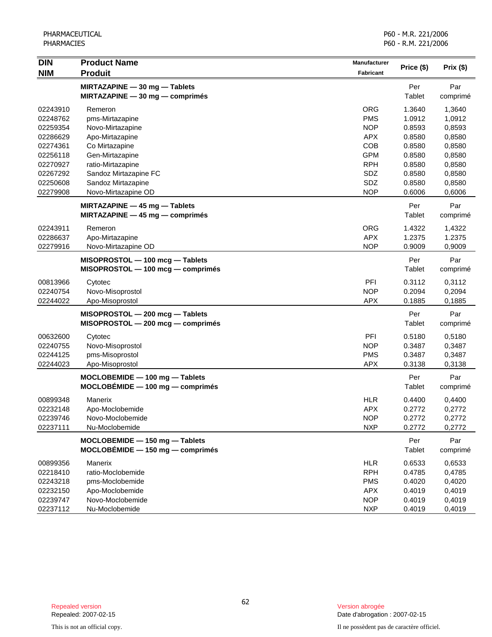| <b>DIN</b> | <b>Product Name</b>                | <b>Manufacturer</b> | Price (\$) | Prix(\$) |
|------------|------------------------------------|---------------------|------------|----------|
| <b>NIM</b> | <b>Produit</b>                     | Fabricant           |            |          |
|            | MIRTAZAPINE - 30 mg - Tablets      |                     | Per        | Par      |
|            | $MIRTAZAPINE - 30 mg - comprimés$  |                     | Tablet     | comprimé |
| 02243910   | Remeron                            | <b>ORG</b>          | 1.3640     | 1,3640   |
| 02248762   | pms-Mirtazapine                    | <b>PMS</b>          | 1.0912     | 1,0912   |
| 02259354   | Novo-Mirtazapine                   | <b>NOP</b>          | 0.8593     | 0,8593   |
| 02286629   | Apo-Mirtazapine                    | <b>APX</b>          | 0.8580     | 0,8580   |
| 02274361   | Co Mirtazapine                     | COB                 | 0.8580     | 0,8580   |
| 02256118   | Gen-Mirtazapine                    | <b>GPM</b>          | 0.8580     | 0,8580   |
| 02270927   | ratio-Mirtazapine                  | <b>RPH</b>          | 0.8580     | 0,8580   |
| 02267292   | Sandoz Mirtazapine FC              | SDZ                 | 0.8580     | 0,8580   |
| 02250608   | Sandoz Mirtazapine                 | SDZ                 | 0.8580     | 0,8580   |
| 02279908   | Novo-Mirtazapine OD                | <b>NOP</b>          | 0.6006     | 0,6006   |
|            | MIRTAZAPINE - 45 mg - Tablets      |                     | Per        | Par      |
|            | MIRTAZAPINE $-45$ mg $-$ comprimés |                     | Tablet     | comprimé |
| 02243911   | Remeron                            | <b>ORG</b>          | 1.4322     | 1,4322   |
| 02286637   | Apo-Mirtazapine                    | <b>APX</b>          | 1.2375     | 1.2375   |
| 02279916   | Novo-Mirtazapine OD                | <b>NOP</b>          | 0.9009     | 0,9009   |
|            |                                    |                     |            |          |
|            | MISOPROSTOL - 100 mcg - Tablets    |                     | Per        | Par      |
|            | MISOPROSTOL - 100 mcg - comprimés  |                     | Tablet     | comprimé |
| 00813966   | Cytotec                            | PFI                 | 0.3112     | 0,3112   |
| 02240754   | Novo-Misoprostol                   | <b>NOP</b>          | 0.2094     | 0,2094   |
| 02244022   | Apo-Misoprostol                    | <b>APX</b>          | 0.1885     | 0,1885   |
|            | MISOPROSTOL - 200 mcg - Tablets    |                     | Per        | Par      |
|            | MISOPROSTOL - 200 mcg - comprimés  |                     | Tablet     | comprimé |
| 00632600   | Cytotec                            | PFI                 | 0.5180     | 0,5180   |
| 02240755   | Novo-Misoprostol                   | <b>NOP</b>          | 0.3487     | 0,3487   |
| 02244125   | pms-Misoprostol                    | <b>PMS</b>          | 0.3487     | 0,3487   |
| 02244023   | Apo-Misoprostol                    | <b>APX</b>          | 0.3138     | 0,3138   |
|            | MOCLOBEMIDE - 100 mg - Tablets     |                     | Per        | Par      |
|            | MOCLOBÉMIDE - 100 mg - comprimés   |                     | Tablet     | comprimé |
| 00899348   | Manerix                            | <b>HLR</b>          | 0.4400     | 0,4400   |
| 02232148   | Apo-Moclobemide                    | <b>APX</b>          | 0.2772     | 0,2772   |
| 02239746   | Novo-Moclobemide                   | <b>NOP</b>          | 0.21/2     | 0,21/2   |
| 02237111   | Nu-Moclobemide                     | <b>NXP</b>          | 0.2772     | 0,2772   |
|            | MOCLOBEMIDE - 150 mg - Tablets     |                     | Per        | Par      |
|            | $MOCLOBÉMIDE - 150 mg - comprimés$ |                     | Tablet     | comprimé |
| 00899356   | Manerix                            | <b>HLR</b>          | 0.6533     | 0,6533   |
| 02218410   | ratio-Moclobemide                  | <b>RPH</b>          | 0.4785     | 0,4785   |
| 02243218   | pms-Moclobemide                    | <b>PMS</b>          | 0.4020     | 0,4020   |
| 02232150   | Apo-Moclobemide                    | <b>APX</b>          | 0.4019     | 0,4019   |
| 02239747   | Novo-Moclobemide                   | <b>NOP</b>          | 0.4019     | 0,4019   |
| 02237112   | Nu-Moclobemide                     | <b>NXP</b>          | 0.4019     | 0,4019   |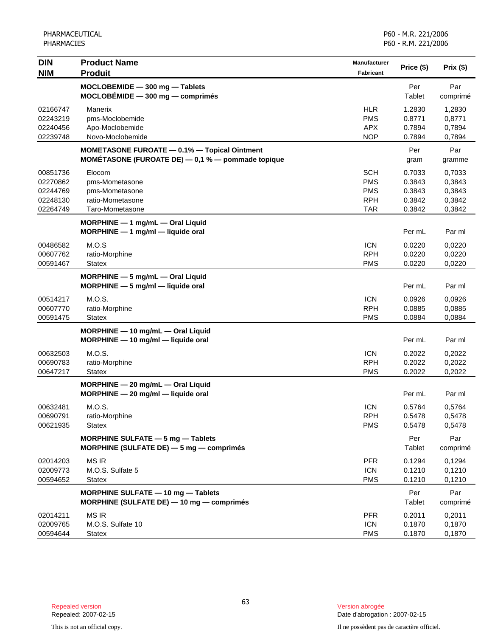| DIN                  | <b>Product Name</b>                               | <b>Manufacturer</b> | Price (\$) | Prix (\$) |
|----------------------|---------------------------------------------------|---------------------|------------|-----------|
| <b>NIM</b>           | <b>Produit</b>                                    | Fabricant           |            |           |
|                      | MOCLOBEMIDE - 300 mg - Tablets                    |                     | Per        | Par       |
|                      | $MOCLOBÉMIDE - 300 mg - comprimés$                |                     | Tablet     | comprimé  |
| 02166747             | Manerix                                           | <b>HLR</b>          | 1.2830     | 1,2830    |
| 02243219             | pms-Moclobemide                                   | <b>PMS</b>          | 0.8771     | 0,8771    |
| 02240456<br>02239748 | Apo-Moclobemide                                   | <b>APX</b>          | 0.7894     | 0,7894    |
|                      | Novo-Moclobemide                                  | <b>NOP</b>          | 0.7894     | 0,7894    |
|                      | MOMETASONE FUROATE - 0.1% - Topical Ointment      |                     | Per        | Par       |
|                      | MOMÉTASONE (FUROATE DE) - 0,1 % - pommade topique |                     | gram       | gramme    |
| 00851736             | Elocom                                            | <b>SCH</b>          | 0.7033     | 0,7033    |
| 02270862             | pms-Mometasone                                    | <b>PMS</b>          | 0.3843     | 0,3843    |
| 02244769             | pms-Mometasone                                    | <b>PMS</b>          | 0.3843     | 0,3843    |
| 02248130             | ratio-Mometasone                                  | <b>RPH</b>          | 0.3842     | 0,3842    |
| 02264749             | Taro-Mometasone                                   | <b>TAR</b>          | 0.3842     | 0,3842    |
|                      | MORPHINE $-1$ mg/mL $-$ Oral Liquid               |                     |            |           |
|                      | MORPHINE - 1 mg/ml - liquide oral                 |                     | Per mL     | Par ml    |
| 00486582             | M.O.S                                             | <b>ICN</b>          | 0.0220     | 0,0220    |
| 00607762             | ratio-Morphine                                    | <b>RPH</b>          | 0.0220     | 0,0220    |
| 00591467             | Statex                                            | <b>PMS</b>          | 0.0220     | 0,0220    |
|                      | MORPHINE - 5 mg/mL - Oral Liquid                  |                     |            |           |
|                      | $MORPHINE - 5 mg/ml - liquide$ oral               |                     | Per mL     | Par ml    |
| 00514217             | M.O.S.                                            | <b>ICN</b>          | 0.0926     | 0,0926    |
| 00607770             | ratio-Morphine                                    | <b>RPH</b>          | 0.0885     | 0,0885    |
| 00591475             | Statex                                            | <b>PMS</b>          | 0.0884     | 0,0884    |
|                      | MORPHINE - 10 mg/mL - Oral Liquid                 |                     |            |           |
|                      | $MORPHINE - 10$ mg/ml - liquide oral              |                     | Per mL     | Par ml    |
| 00632503             | M.O.S.                                            | <b>ICN</b>          | 0.2022     | 0,2022    |
| 00690783             | ratio-Morphine                                    | <b>RPH</b>          | 0.2022     | 0,2022    |
| 00647217             | <b>Statex</b>                                     | <b>PMS</b>          | 0.2022     | 0,2022    |
|                      | MORPHINE - 20 mg/mL - Oral Liquid                 |                     |            |           |
|                      | MORPHINE - 20 mg/ml - liquide oral                |                     | Per mL     | Par ml    |
| 00632481             | M.O.S.                                            | <b>ICN</b>          | 0.5764     | 0,5764    |
| 00690791             | ratio-Morphine                                    | <b>RPH</b>          | 0.5478     | 0,5478    |
| 00621935             | <b>Statex</b>                                     | <b>PMS</b>          | 0.5478     | 0,5478    |
|                      | MORPHINE SULFATE $-5$ mg $-$ Tablets              |                     | Per        | Par       |
|                      | MORPHINE (SULFATE DE) - 5 mg - comprimés          |                     | Tablet     | comprimé  |
| 02014203             | <b>MS IR</b>                                      | <b>PFR</b>          | 0.1294     | 0,1294    |
| 02009773             | M.O.S. Sulfate 5                                  | <b>ICN</b>          | 0.1210     | 0,1210    |
| 00594652             | <b>Statex</b>                                     | <b>PMS</b>          | 0.1210     | 0,1210    |
|                      | MORPHINE SULFATE - 10 mg - Tablets                |                     | Per        | Par       |
|                      | MORPHINE (SULFATE DE) - 10 mg - comprimés         |                     | Tablet     | comprimé  |
| 02014211             | <b>MS IR</b>                                      | <b>PFR</b>          | 0.2011     | 0,2011    |
| 02009765             | M.O.S. Sulfate 10                                 | <b>ICN</b>          | 0.1870     | 0,1870    |
| 00594644             | <b>Statex</b>                                     | <b>PMS</b>          | 0.1870     | 0,1870    |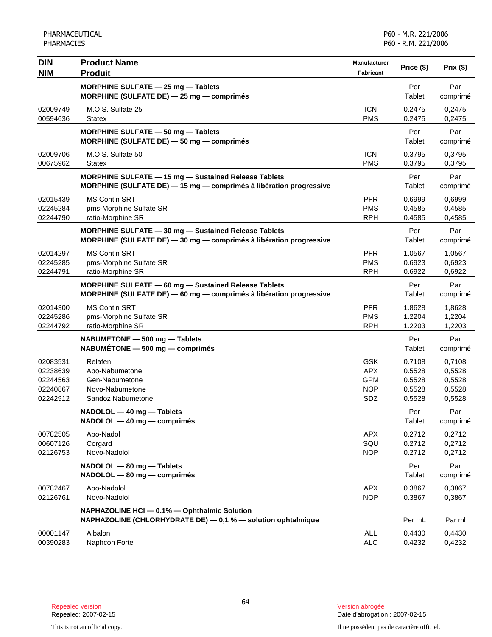| <b>DIN</b><br><b>NIM</b>                                 | <b>Product Name</b><br><b>Produit</b>                                                                                             | <b>Manufacturer</b><br>Fabricant                            | Price (\$)                                     | $Prix($ \$)                                    |
|----------------------------------------------------------|-----------------------------------------------------------------------------------------------------------------------------------|-------------------------------------------------------------|------------------------------------------------|------------------------------------------------|
|                                                          | MORPHINE SULFATE - 25 mg - Tablets<br>MORPHINE (SULFATE DE) - 25 mg - comprimés                                                   |                                                             | Per<br>Tablet                                  | Par<br>comprimé                                |
| 02009749<br>00594636                                     | M.O.S. Sulfate 25<br><b>Statex</b>                                                                                                | <b>ICN</b><br><b>PMS</b>                                    | 0.2475<br>0.2475                               | 0,2475<br>0,2475                               |
|                                                          | MORPHINE SULFATE - 50 mg - Tablets<br>MORPHINE (SULFATE DE) - 50 mg - comprimés                                                   |                                                             | Per<br>Tablet                                  | Par<br>comprimé                                |
| 02009706<br>00675962                                     | M.O.S. Sulfate 50<br><b>Statex</b>                                                                                                | <b>ICN</b><br><b>PMS</b>                                    | 0.3795<br>0.3795                               | 0,3795<br>0,3795                               |
|                                                          | <b>MORPHINE SULFATE - 15 mg - Sustained Release Tablets</b><br>MORPHINE (SULFATE DE) - 15 mg - comprimés à libération progressive |                                                             | Per<br>Tablet                                  | Par<br>comprimé                                |
| 02015439<br>02245284<br>02244790                         | <b>MS Contin SRT</b><br>pms-Morphine Sulfate SR<br>ratio-Morphine SR                                                              | <b>PFR</b><br><b>PMS</b><br><b>RPH</b>                      | 0.6999<br>0.4585<br>0.4585                     | 0,6999<br>0,4585<br>0,4585                     |
|                                                          | MORPHINE SULFATE - 30 mg - Sustained Release Tablets<br>MORPHINE (SULFATE DE) - 30 mg - comprimés à libération progressive        |                                                             | Per<br><b>Tablet</b>                           | Par<br>comprimé                                |
| 02014297<br>02245285<br>02244791                         | <b>MS Contin SRT</b><br>pms-Morphine Sulfate SR<br>ratio-Morphine SR                                                              | <b>PFR</b><br><b>PMS</b><br><b>RPH</b>                      | 1.0567<br>0.6923<br>0.6922                     | 1,0567<br>0,6923<br>0,6922                     |
|                                                          | MORPHINE SULFATE - 60 mg - Sustained Release Tablets<br>MORPHINE (SULFATE DE) - 60 mg - comprimés à libération progressive        |                                                             | Per<br>Tablet                                  | Par<br>comprimé                                |
| 02014300<br>02245286<br>02244792                         | <b>MS Contin SRT</b><br>pms-Morphine Sulfate SR<br>ratio-Morphine SR                                                              | <b>PFR</b><br><b>PMS</b><br><b>RPH</b>                      | 1.8628<br>1.2204<br>1.2203                     | 1,8628<br>1,2204<br>1,2203                     |
|                                                          | NABUMETONE - 500 mg - Tablets<br>$NABUMÉTONE - 500 mg - comprimés$                                                                |                                                             | Per<br>Tablet                                  | Par<br>comprimé                                |
| 02083531<br>02238639<br>02244563<br>02240867<br>02242912 | Relafen<br>Apo-Nabumetone<br>Gen-Nabumetone<br>Novo-Nabumetone<br>Sandoz Nabumetone                                               | <b>GSK</b><br><b>APX</b><br><b>GPM</b><br><b>NOP</b><br>SDZ | 0.7108<br>0.5528<br>0.5528<br>0.5528<br>0.5528 | 0,7108<br>0,5528<br>0,5528<br>0,5528<br>0,5528 |
|                                                          | NADOLOL - 40 mg - Tablets<br>NADOLOL - 40 mg - comprimés                                                                          |                                                             | Per<br>Tablet                                  | Par<br>comprimé                                |
| 00782505<br>00607126<br>02126753                         | Apo-Nadol<br>Corgard<br>Novo-Nadolol                                                                                              | <b>APX</b><br>SQU<br><b>NOP</b>                             | 0.2712<br>0.2712<br>0.2712                     | 0,2712<br>0,2712<br>0,2712                     |
|                                                          | NADOLOL - 80 mg - Tablets<br>NADOLOL - 80 mg - comprimés                                                                          |                                                             | Per<br>Tablet                                  | Par<br>comprimé                                |
| 00782467<br>02126761                                     | Apo-Nadolol<br>Novo-Nadolol                                                                                                       | <b>APX</b><br><b>NOP</b>                                    | 0.3867<br>0.3867                               | 0,3867<br>0,3867                               |
|                                                          | NAPHAZOLINE HCI - 0.1% - Ophthalmic Solution<br>NAPHAZOLINE (CHLORHYDRATE DE) - 0,1 % - solution ophtalmique                      |                                                             | Per mL                                         | Par ml                                         |
| 00001147<br>00390283                                     | Albalon<br>Naphcon Forte                                                                                                          | <b>ALL</b><br>ALC                                           | 0.4430<br>0.4232                               | 0,4430<br>0,4232                               |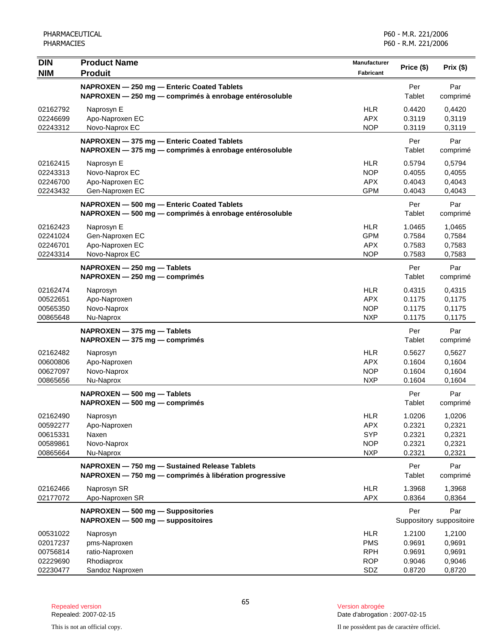| <b>DIN</b><br><b>NIM</b>                                 | <b>Product Name</b><br><b>Produit</b>                                                                   | Manufacturer<br>Fabricant                                          | Price (\$)                                     | Prix (\$)                                      |
|----------------------------------------------------------|---------------------------------------------------------------------------------------------------------|--------------------------------------------------------------------|------------------------------------------------|------------------------------------------------|
|                                                          | NAPROXEN - 250 mg - Enteric Coated Tablets<br>NAPROXEN - 250 mg - comprimés à enrobage entérosoluble    |                                                                    | Per<br>Tablet                                  | Par<br>comprimé                                |
| 02162792<br>02246699<br>02243312                         | Naprosyn E<br>Apo-Naproxen EC<br>Novo-Naprox EC                                                         | <b>HLR</b><br><b>APX</b><br><b>NOP</b>                             | 0.4420<br>0.3119<br>0.3119                     | 0,4420<br>0,3119<br>0,3119                     |
|                                                          | NAPROXEN - 375 mg - Enteric Coated Tablets<br>NAPROXEN - 375 mg - comprimés à enrobage entérosoluble    |                                                                    | Per<br>Tablet                                  | Par<br>comprimé                                |
| 02162415<br>02243313<br>02246700<br>02243432             | Naprosyn E<br>Novo-Naprox EC<br>Apo-Naproxen EC<br>Gen-Naproxen EC                                      | <b>HLR</b><br><b>NOP</b><br><b>APX</b><br><b>GPM</b>               | 0.5794<br>0.4055<br>0.4043<br>0.4043           | 0,5794<br>0,4055<br>0,4043<br>0,4043           |
|                                                          | NAPROXEN - 500 mg - Enteric Coated Tablets<br>NAPROXEN - 500 mg - comprimés à enrobage entérosoluble    |                                                                    | Per<br>Tablet                                  | Par<br>comprimé                                |
| 02162423<br>02241024<br>02246701<br>02243314             | Naprosyn E<br>Gen-Naproxen EC<br>Apo-Naproxen EC<br>Novo-Naprox EC                                      | <b>HLR</b><br><b>GPM</b><br><b>APX</b><br><b>NOP</b>               | 1.0465<br>0.7584<br>0.7583<br>0.7583           | 1,0465<br>0,7584<br>0,7583<br>0,7583           |
|                                                          | NAPROXEN - 250 mg - Tablets<br>NAPROXEN - 250 mg - comprimés                                            |                                                                    | Per<br>Tablet                                  | Par<br>comprimé                                |
| 02162474<br>00522651<br>00565350<br>00865648             | Naprosyn<br>Apo-Naproxen<br>Novo-Naprox<br>Nu-Naprox                                                    | <b>HLR</b><br><b>APX</b><br><b>NOP</b><br><b>NXP</b>               | 0.4315<br>0.1175<br>0.1175<br>0.1175           | 0,4315<br>0,1175<br>0,1175<br>0,1175           |
|                                                          | NAPROXEN - 375 mg - Tablets<br>NAPROXEN - 375 mg - comprimés                                            |                                                                    | Per<br>Tablet                                  | Par<br>comprimé                                |
| 02162482<br>00600806<br>00627097<br>00865656             | Naprosyn<br>Apo-Naproxen<br>Novo-Naprox<br>Nu-Naprox                                                    | <b>HLR</b><br><b>APX</b><br><b>NOP</b><br><b>NXP</b>               | 0.5627<br>0.1604<br>0.1604<br>0.1604           | 0,5627<br>0,1604<br>0,1604<br>0,1604           |
|                                                          | NAPROXEN - 500 mg - Tablets<br>NAPROXEN - 500 mg - comprimés                                            |                                                                    | Per<br>Tablet                                  | Par<br>comprimé                                |
| 02162490<br>00592277<br>00615331<br>00589861<br>00865664 | Naprosyn<br>Apo-Naproxen<br>Naxen<br>Novo-Naprox<br>Nu-Naprox                                           | <b>HLR</b><br><b>APX</b><br><b>SYP</b><br><b>NOP</b><br><b>NXP</b> | 1.0206<br>0.2321<br>0.2321<br>0.2321<br>0.2321 | 1,0206<br>0,2321<br>0,2321<br>0,2321<br>0,2321 |
|                                                          | NAPROXEN - 750 mg - Sustained Release Tablets<br>NAPROXEN - 750 mg - comprimés à libération progressive |                                                                    | Per<br><b>Tablet</b>                           | Par<br>comprimé                                |
| 02162466<br>02177072                                     | Naprosyn SR<br>Apo-Naproxen SR                                                                          | <b>HLR</b><br><b>APX</b>                                           | 1.3968<br>0.8364                               | 1,3968<br>0,8364                               |
|                                                          | NAPROXEN - 500 mg - Suppositories<br>$NAPROXEN - 500 mg - 2$ suppositoires                              |                                                                    | Per                                            | Par<br>Suppository suppositoire                |
| 00531022<br>02017237<br>00756814<br>02229690<br>02230477 | Naprosyn<br>pms-Naproxen<br>ratio-Naproxen<br>Rhodiaprox<br>Sandoz Naproxen                             | <b>HLR</b><br><b>PMS</b><br><b>RPH</b><br><b>ROP</b><br>SDZ        | 1.2100<br>0.9691<br>0.9691<br>0.9046<br>0.8720 | 1,2100<br>0,9691<br>0,9691<br>0,9046<br>0,8720 |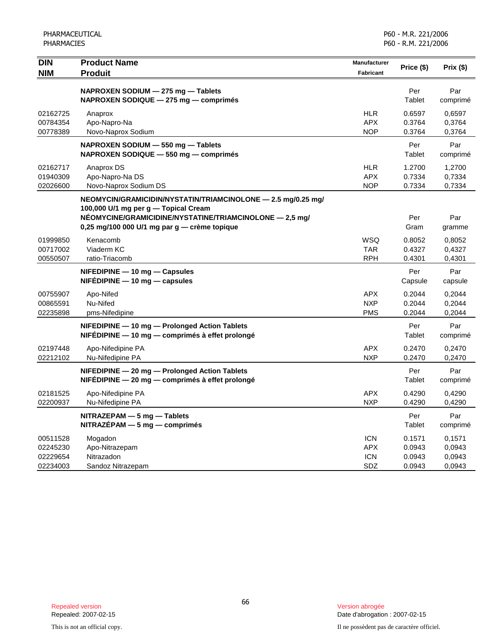| <b>DIN</b><br><b>NIM</b>                     | <b>Product Name</b><br><b>Produit</b>                                                                                                                                                                           | Manufacturer<br><b>Fabricant</b>              | Price (\$)                           | Prix (\$)                            |
|----------------------------------------------|-----------------------------------------------------------------------------------------------------------------------------------------------------------------------------------------------------------------|-----------------------------------------------|--------------------------------------|--------------------------------------|
|                                              | NAPROXEN SODIUM - 275 mg - Tablets<br>NAPROXEN SODIQUE - 275 mg - comprimés                                                                                                                                     |                                               | Per<br>Tablet                        | Par<br>comprimé                      |
| 02162725<br>00784354<br>00778389             | Anaprox<br>Apo-Napro-Na<br>Novo-Naprox Sodium                                                                                                                                                                   | <b>HLR</b><br><b>APX</b><br><b>NOP</b>        | 0.6597<br>0.3764<br>0.3764           | 0,6597<br>0,3764<br>0,3764           |
|                                              | NAPROXEN SODIUM - 550 mg - Tablets<br>NAPROXEN SODIQUE - 550 mg - comprimés                                                                                                                                     |                                               | Per<br>Tablet                        | Par<br>comprimé                      |
| 02162717<br>01940309<br>02026600             | Anaprox DS<br>Apo-Napro-Na DS<br>Novo-Naprox Sodium DS                                                                                                                                                          | <b>HLR</b><br><b>APX</b><br><b>NOP</b>        | 1.2700<br>0.7334<br>0.7334           | 1,2700<br>0,7334<br>0,7334           |
|                                              | NEOMYCIN/GRAMICIDIN/NYSTATIN/TRIAMCINOLONE - 2.5 mg/0.25 mg/<br>100,000 U/1 mg per g - Topical Cream<br>NÉOMYCINE/GRAMICIDINE/NYSTATINE/TRIAMCINOLONE - 2,5 mg/<br>0,25 mg/100 000 U/1 mg par g - crème topique |                                               | Per<br>Gram                          | Par<br>gramme                        |
| 01999850<br>00717002<br>00550507             | Kenacomb<br>Viaderm KC<br>ratio-Triacomb                                                                                                                                                                        | WSQ<br><b>TAR</b><br><b>RPH</b>               | 0.8052<br>0.4327<br>0.4301           | 0,8052<br>0,4327<br>0,4301           |
|                                              | NIFEDIPINE - 10 mg - Capsules<br>$NIFÉDIPINE - 10 mg - capsules$                                                                                                                                                |                                               | Per<br>Capsule                       | Par<br>capsule                       |
| 00755907<br>00865591<br>02235898             | Apo-Nifed<br>Nu-Nifed<br>pms-Nifedipine                                                                                                                                                                         | <b>APX</b><br><b>NXP</b><br><b>PMS</b>        | 0.2044<br>0.2044<br>0.2044           | 0,2044<br>0,2044<br>0,2044           |
|                                              | NIFEDIPINE - 10 mg - Prolonged Action Tablets<br>NIFÉDIPINE - 10 mg - comprimés à effet prolongé                                                                                                                |                                               | Per<br>Tablet                        | Par<br>comprimé                      |
| 02197448<br>02212102                         | Apo-Nifedipine PA<br>Nu-Nifedipine PA                                                                                                                                                                           | <b>APX</b><br><b>NXP</b>                      | 0.2470<br>0.2470                     | 0,2470<br>0,2470                     |
|                                              | NIFEDIPINE - 20 mg - Prolonged Action Tablets<br>NIFÉDIPINE - 20 mg - comprimés à effet prolongé                                                                                                                |                                               | Per<br>Tablet                        | Par<br>comprimé                      |
| 02181525<br>02200937                         | Apo-Nifedipine PA<br>Nu-Nifedipine PA                                                                                                                                                                           | <b>APX</b><br><b>NXP</b>                      | 0.4290<br>0.4290                     | 0,4290<br>0,4290                     |
|                                              | NITRAZEPAM - 5 mg - Tablets<br>$NITRAZÉPAM - 5 mg - comprimés$                                                                                                                                                  |                                               | Per<br>Tablet                        | Par<br>comprimé                      |
| 00511528<br>02245230<br>02229654<br>02234003 | Mogadon<br>Apo-Nitrazepam<br>Nitrazadon<br>Sandoz Nitrazepam                                                                                                                                                    | <b>ICN</b><br><b>APX</b><br><b>ICN</b><br>SDZ | 0.1571<br>0.0943<br>0.0943<br>0.0943 | 0,1571<br>0,0943<br>0,0943<br>0,0943 |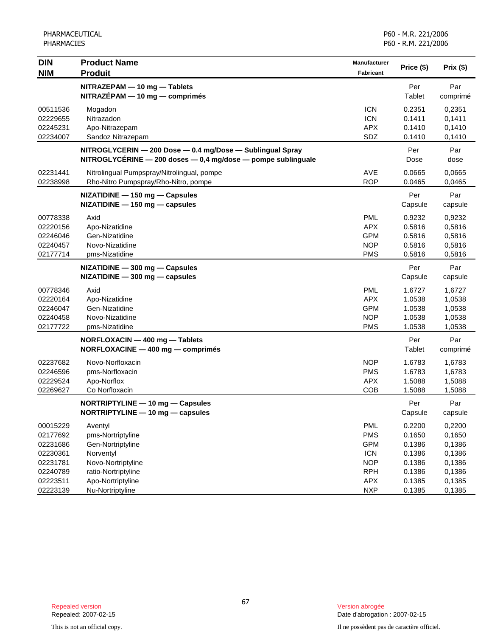| <b>DIN</b><br><b>NIM</b> | <b>Product Name</b><br><b>Produit</b>                                                                                           | Manufacturer<br>Fabricant | Price (\$)     | Prix (\$)       |
|--------------------------|---------------------------------------------------------------------------------------------------------------------------------|---------------------------|----------------|-----------------|
|                          | NITRAZEPAM - 10 mg - Tablets<br>$NITRAZÉPAM - 10 mg - comprimés$                                                                |                           | Per<br>Tablet  | Par<br>comprimé |
| 00511536                 | Mogadon                                                                                                                         | <b>ICN</b>                | 0.2351         | 0,2351          |
| 02229655                 | Nitrazadon                                                                                                                      | <b>ICN</b>                | 0.1411         | 0,1411          |
| 02245231                 | Apo-Nitrazepam                                                                                                                  | <b>APX</b>                | 0.1410         | 0,1410          |
| 02234007                 | Sandoz Nitrazepam                                                                                                               | SDZ                       | 0.1410         | 0,1410          |
|                          | NITROGLYCERIN - 200 Dose - 0.4 mg/Dose - Sublingual Spray<br>$NITROGLYCÉRINE - 200$ doses $- 0,4$ mg/dose $-$ pompe sublinguale |                           | Per<br>Dose    | Par<br>dose     |
| 02231441                 | Nitrolingual Pumpspray/Nitrolingual, pompe                                                                                      | <b>AVE</b>                | 0.0665         | 0,0665          |
| 02238998                 | Rho-Nitro Pumpspray/Rho-Nitro, pompe                                                                                            | <b>ROP</b>                | 0.0465         | 0,0465          |
|                          | NIZATIDINE - 150 mg - Capsules<br>NIZATIDINE - 150 mg - capsules                                                                |                           | Per<br>Capsule | Par<br>capsule  |
| 00778338                 | Axid                                                                                                                            | <b>PML</b>                | 0.9232         | 0,9232          |
| 02220156                 | Apo-Nizatidine                                                                                                                  | <b>APX</b>                | 0.5816         | 0,5816          |
| 02246046                 | Gen-Nizatidine                                                                                                                  | <b>GPM</b>                | 0.5816         | 0,5816          |
| 02240457                 | Novo-Nizatidine                                                                                                                 | <b>NOP</b>                | 0.5816         | 0,5816          |
| 02177714                 | pms-Nizatidine                                                                                                                  | <b>PMS</b>                | 0.5816         | 0,5816          |
|                          | NIZATIDINE - 300 mg - Capsules<br>$NIZATIDINE - 300 mg - capsules$                                                              |                           | Per<br>Capsule | Par<br>capsule  |
| 00778346                 | Axid                                                                                                                            | <b>PML</b>                | 1.6727         | 1,6727          |
| 02220164                 | Apo-Nizatidine                                                                                                                  | <b>APX</b>                | 1.0538         | 1,0538          |
| 02246047                 | Gen-Nizatidine                                                                                                                  | <b>GPM</b>                | 1.0538         | 1,0538          |
| 02240458                 | Novo-Nizatidine                                                                                                                 | <b>NOP</b>                | 1.0538         | 1,0538          |
| 02177722                 | pms-Nizatidine                                                                                                                  | <b>PMS</b>                | 1.0538         | 1,0538          |
|                          | NORFLOXACIN - 400 mg - Tablets<br>NORFLOXACINE - 400 mg - comprimés                                                             |                           | Per<br>Tablet  | Par<br>comprimé |
| 02237682                 | Novo-Norfloxacin                                                                                                                | <b>NOP</b>                | 1.6783         | 1,6783          |
| 02246596                 | pms-Norfloxacin                                                                                                                 | <b>PMS</b>                | 1.6783         | 1,6783          |
| 02229524                 | Apo-Norflox                                                                                                                     | <b>APX</b>                | 1.5088         | 1,5088          |
| 02269627                 | Co Norfloxacin                                                                                                                  | COB                       | 1.5088         | 1,5088          |
|                          | NORTRIPTYLINE - 10 mg - Capsules<br>NORTRIPTYLINE $-$ 10 mg $-$ capsules                                                        |                           | Per<br>Capsule | Par<br>capsule  |
| 00015229                 | Aventyl                                                                                                                         | <b>PML</b>                | 0.2200         | 0,2200          |
| 02177692                 | pms-Nortriptyline                                                                                                               | <b>PMS</b>                | 0.1650         | 0,1650          |
| 02231686                 | Gen-Nortriptyline                                                                                                               | <b>GPM</b>                | 0.1386         | 0,1386          |
| 02230361                 | Norventyl                                                                                                                       | <b>ICN</b>                | 0.1386         | 0,1386          |
| 02231781                 | Novo-Nortriptyline                                                                                                              | <b>NOP</b>                | 0.1386         | 0,1386          |
| 02240789                 | ratio-Nortriptyline                                                                                                             | <b>RPH</b>                | 0.1386         | 0,1386          |
| 02223511                 | Apo-Nortriptyline                                                                                                               | <b>APX</b>                | 0.1385         | 0,1385          |
| 02223139                 | Nu-Nortriptyline                                                                                                                | <b>NXP</b>                | 0.1385         | 0,1385          |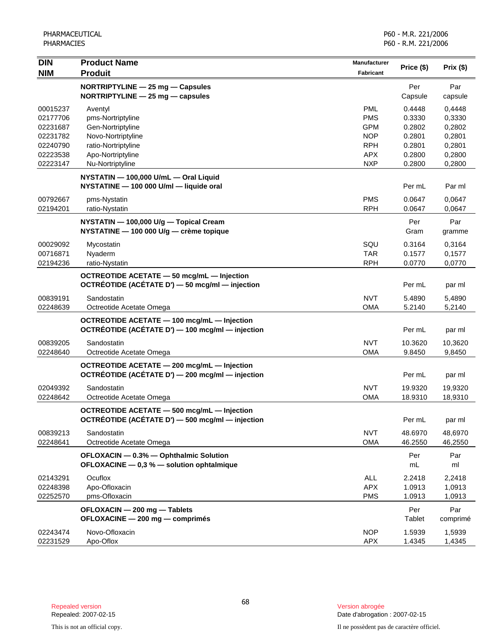| <b>DIN</b>           | <b>Product Name</b>                                                                             | <b>Manufacturer</b> | Price (\$)        | Prix (\$)         |
|----------------------|-------------------------------------------------------------------------------------------------|---------------------|-------------------|-------------------|
| <b>NIM</b>           | <b>Produit</b>                                                                                  | Fabricant           |                   |                   |
|                      | NORTRIPTYLINE - 25 mg - Capsules                                                                |                     | Per               | Par               |
|                      | NORTRIPTYLINE - 25 mg - capsules                                                                |                     | Capsule           | capsule           |
| 00015237             | Aventyl                                                                                         | <b>PML</b>          | 0.4448            | 0,4448            |
| 02177706             | pms-Nortriptyline                                                                               | <b>PMS</b>          | 0.3330            | 0,3330            |
| 02231687             | Gen-Nortriptyline                                                                               | <b>GPM</b>          | 0.2802            | 0,2802            |
| 02231782             | Novo-Nortriptyline                                                                              | <b>NOP</b>          | 0.2801            | 0,2801            |
| 02240790             | ratio-Nortriptyline                                                                             | <b>RPH</b>          | 0.2801            | 0,2801            |
| 02223538             | Apo-Nortriptyline                                                                               | <b>APX</b>          | 0.2800            | 0,2800            |
| 02223147             | Nu-Nortriptyline                                                                                | <b>NXP</b>          | 0.2800            | 0,2800            |
|                      | NYSTATIN - 100,000 U/mL - Oral Liquid<br>NYSTATINE - 100 000 U/ml - liquide oral                |                     | Per mL            | Par ml            |
| 00792667             | pms-Nystatin                                                                                    | <b>PMS</b>          | 0.0647            | 0,0647            |
| 02194201             | ratio-Nystatin                                                                                  | <b>RPH</b>          | 0.0647            | 0,0647            |
|                      | NYSTATIN - 100,000 U/g - Topical Cream                                                          |                     | Per               | Par               |
|                      | NYSTATINE - 100 000 U/g - crème topique                                                         |                     | Gram              | gramme            |
| 00029092             | Mycostatin                                                                                      | SQU                 | 0.3164            | 0,3164            |
| 00716871             | Nyaderm                                                                                         | <b>TAR</b>          | 0.1577            | 0,1577            |
| 02194236             | ratio-Nystatin                                                                                  | <b>RPH</b>          | 0.0770            | 0,0770            |
|                      |                                                                                                 |                     |                   |                   |
|                      | OCTREOTIDE ACETATE - 50 mcg/mL - Injection<br>OCTRÉOTIDE (ACÉTATE D') - 50 mcg/ml - injection   |                     | Per mL            | par ml            |
| 00839191             | Sandostatin                                                                                     | <b>NVT</b>          | 5.4890            | 5,4890            |
| 02248639             | Octreotide Acetate Omega                                                                        | <b>OMA</b>          | 5.2140            | 5,2140            |
|                      | OCTREOTIDE ACETATE - 100 mcg/mL - Injection<br>OCTRÉOTIDE (ACÉTATE D') - 100 mcg/ml - injection |                     | Per mL            | par ml            |
|                      |                                                                                                 | <b>NVT</b>          |                   |                   |
| 00839205<br>02248640 | Sandostatin<br>Octreotide Acetate Omega                                                         | <b>OMA</b>          | 10.3620<br>9.8450 | 10,3620<br>9,8450 |
|                      |                                                                                                 |                     |                   |                   |
|                      | OCTREOTIDE ACETATE - 200 mcg/mL - Injection<br>OCTRÉOTIDE (ACÉTATE D') - 200 mcg/ml - injection |                     | Per mL            | par ml            |
| 02049392             | Sandostatin                                                                                     | <b>NVT</b>          | 19.9320           | 19,9320           |
| 02248642             | Octreotide Acetate Omega                                                                        | <b>OMA</b>          | 18.9310           | 18,9310           |
|                      | OCTREOTIDE ACETATE - 500 mcg/mL - Injection<br>OCTREOTIDE (ACETATE D') — 500 mcg/ml — injection |                     | Per mL            | par ml            |
| 00839213             | Sandostatin                                                                                     | <b>NVT</b>          | 48.6970           | 48,6970           |
| 02248641             | Octreotide Acetate Omega                                                                        | <b>OMA</b>          | 46.2550           | 46,2550           |
|                      | OFLOXACIN - 0.3% - Ophthalmic Solution<br>OFLOXACINE - 0,3 % - solution ophtalmique             |                     | Per<br>mL.        | Par<br>ml         |
| 02143291             | Ocuflox                                                                                         | <b>ALL</b>          | 2.2418            | 2,2418            |
| 02248398             | Apo-Ofloxacin                                                                                   | <b>APX</b>          | 1.0913            | 1,0913            |
| 02252570             | pms-Ofloxacin                                                                                   | <b>PMS</b>          | 1.0913            | 1,0913            |
|                      | OFLOXACIN - 200 mg - Tablets                                                                    |                     | Per               | Par               |
|                      | OFLOXACINE - 200 mg - comprimés                                                                 |                     | Tablet            | comprimé          |
| 02243474             | Novo-Ofloxacin                                                                                  | <b>NOP</b>          | 1.5939            | 1,5939            |
| 02231529             | Apo-Oflox                                                                                       | <b>APX</b>          | 1.4345            | 1,4345            |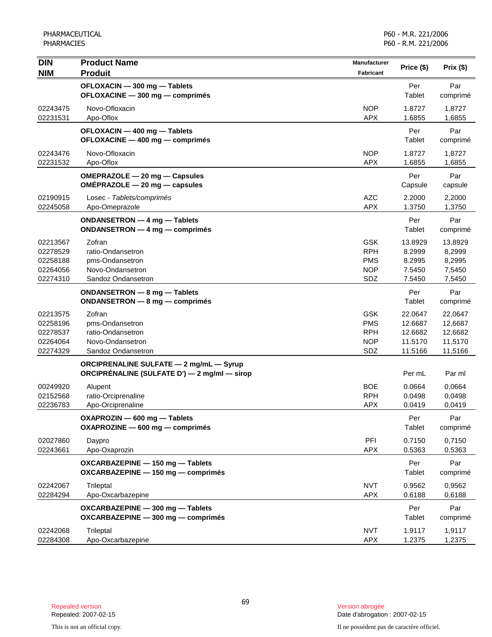| <b>DIN</b>                                               | <b>Product Name</b>                                                                            | Manufacturer                                                | Price (\$)                                          | Prix (\$)                                           |
|----------------------------------------------------------|------------------------------------------------------------------------------------------------|-------------------------------------------------------------|-----------------------------------------------------|-----------------------------------------------------|
| <b>NIM</b>                                               | <b>Produit</b>                                                                                 | <b>Fabricant</b>                                            |                                                     |                                                     |
|                                                          | OFLOXACIN - 300 mg - Tablets<br>OFLOXACINE - 300 mg - comprimés                                |                                                             | Per<br>Tablet                                       | Par<br>comprimé                                     |
| 02243475<br>02231531                                     | Novo-Ofloxacin<br>Apo-Oflox                                                                    | <b>NOP</b><br><b>APX</b>                                    | 1.8727<br>1.6855                                    | 1,8727<br>1,6855                                    |
|                                                          | OFLOXACIN - 400 mg - Tablets<br>OFLOXACINE - 400 mg - comprimés                                |                                                             | Per<br>Tablet                                       | Par<br>comprimé                                     |
| 02243476<br>02231532                                     | Novo-Ofloxacin<br>Apo-Oflox                                                                    | <b>NOP</b><br><b>APX</b>                                    | 1.8727<br>1.6855                                    | 1,8727<br>1,6855                                    |
|                                                          | OMEPRAZOLE - 20 mg - Capsules<br>OMÉPRAZOLE - 20 mg - capsules                                 |                                                             | Per<br>Capsule                                      | Par<br>capsule                                      |
| 02190915<br>02245058                                     | Losec - Tablets/comprimés<br>Apo-Omeprazole                                                    | <b>AZC</b><br><b>APX</b>                                    | 2.2000<br>1.3750                                    | 2,2000<br>1,3750                                    |
|                                                          | ONDANSETRON - 4 mg - Tablets<br>ONDANSETRON - 4 mg - comprimés                                 |                                                             | Per<br>Tablet                                       | Par<br>comprimé                                     |
| 02213567<br>02278529<br>02258188<br>02264056<br>02274310 | Zofran<br>ratio-Ondansetron<br>pms-Ondansetron<br>Novo-Ondansetron<br>Sandoz Ondansetron       | <b>GSK</b><br><b>RPH</b><br><b>PMS</b><br><b>NOP</b><br>SDZ | 13.8929<br>8.2999<br>8.2995<br>7.5450<br>7.5450     | 13,8929<br>8,2999<br>8,2995<br>7,5450<br>7,5450     |
|                                                          | ONDANSETRON - 8 mg - Tablets<br>ONDANSETRON - 8 mg - comprimés                                 |                                                             | Per<br>Tablet                                       | Par<br>comprimé                                     |
| 02213575<br>02258196<br>02278537<br>02264064<br>02274329 | Zofran<br>pms-Ondansetron<br>ratio-Ondansetron<br>Novo-Ondansetron<br>Sandoz Ondansetron       | <b>GSK</b><br><b>PMS</b><br><b>RPH</b><br><b>NOP</b><br>SDZ | 22.0647<br>12.6687<br>12.6682<br>11.5170<br>11.5166 | 22,0647<br>12,6687<br>12,6682<br>11,5170<br>11,5166 |
|                                                          | <b>ORCIPRENALINE SULFATE - 2 mg/mL - Syrup</b><br>ORCIPRÉNALINE (SULFATE D') — 2 mg/ml — sirop |                                                             | Per mL                                              | Par ml                                              |
| 00249920<br>02152568<br>02236783                         | Alupent<br>ratio-Orciprenaline<br>Apo-Orciprenaline                                            | <b>BOE</b><br><b>RPH</b><br><b>APX</b>                      | 0.0664<br>0.0498<br>0.0419                          | 0,0664<br>0,0498<br>0,0419                          |
|                                                          | OXAPROZIN - 600 mg - Tablets<br>OXAPROZINE - 600 mg - comprimés                                |                                                             | Per<br>Tablet                                       | Par<br>comprimé                                     |
| 02027860<br>02243661                                     | Daypro<br>Apo-Oxaprozin                                                                        | PFI<br><b>APX</b>                                           | 0.7150<br>0.5363                                    | 0,7150<br>0,5363                                    |
|                                                          | OXCARBAZEPINE - 150 mg - Tablets<br>OXCARBAZEPINE - 150 mg - comprimés                         |                                                             | Per<br>Tablet                                       | Par<br>comprimé                                     |
| 02242067<br>02284294                                     | Trileptal<br>Apo-Oxcarbazepine                                                                 | <b>NVT</b><br><b>APX</b>                                    | 0.9562<br>0.6188                                    | 0,9562<br>0,6188                                    |
|                                                          | OXCARBAZEPINE - 300 mg - Tablets<br>OXCARBAZEPINE - 300 mg - comprimés                         |                                                             | Per<br>Tablet                                       | Par<br>comprimé                                     |
| 02242068<br>02284308                                     | Trileptal<br>Apo-Oxcarbazepine                                                                 | <b>NVT</b><br><b>APX</b>                                    | 1.9117<br>1.2375                                    | 1,9117<br>1,2375                                    |

Date d'abrogation : 2007-02-15

This is not an official copy. Il ne possèdent pas de caractère officiel.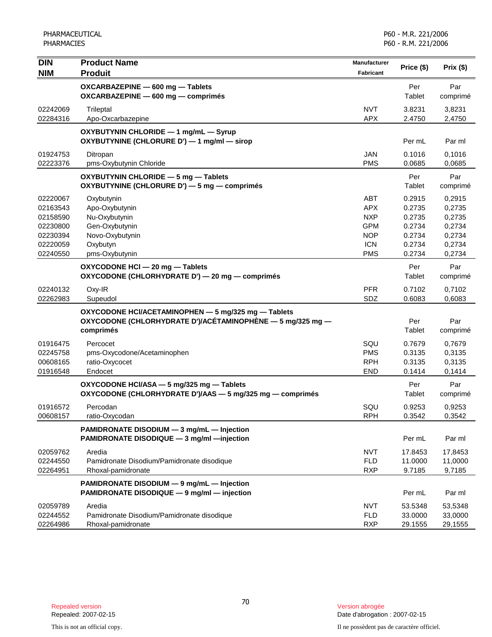| <b>DIN</b>           | <b>Product Name</b>                                                                                               | <b>Manufacturer</b>      | Price (\$)       | Prix(\$)         |
|----------------------|-------------------------------------------------------------------------------------------------------------------|--------------------------|------------------|------------------|
| <b>NIM</b>           | <b>Produit</b>                                                                                                    | Fabricant                |                  |                  |
|                      | OXCARBAZEPINE - 600 mg - Tablets<br>OXCARBAZEPINE - 600 mg - comprimés                                            |                          | Per<br>Tablet    | Par<br>comprimé  |
|                      |                                                                                                                   |                          |                  |                  |
| 02242069<br>02284316 | Trileptal<br>Apo-Oxcarbazepine                                                                                    | <b>NVT</b><br><b>APX</b> | 3.8231<br>2.4750 | 3,8231<br>2,4750 |
|                      | OXYBUTYNIN CHLORIDE - 1 mg/mL - Syrup                                                                             |                          |                  |                  |
|                      | OXYBUTYNINE (CHLORURE D') - 1 mg/ml - sirop                                                                       |                          | Per mL           | Par ml           |
| 01924753             | Ditropan                                                                                                          | <b>JAN</b>               | 0.1016           | 0,1016           |
| 02223376             | pms-Oxybutynin Chloride                                                                                           | <b>PMS</b>               | 0.0685           | 0,0685           |
|                      | OXYBUTYNIN CHLORIDE - 5 mg - Tablets<br>OXYBUTYNINE (CHLORURE D') - 5 mg - comprimés                              |                          | Per<br>Tablet    | Par<br>comprimé  |
| 02220067             | Oxybutynin                                                                                                        | <b>ABT</b>               | 0.2915           | 0,2915           |
| 02163543             | Apo-Oxybutynin                                                                                                    | <b>APX</b>               | 0.2735           | 0,2735           |
| 02158590             | Nu-Oxybutynin                                                                                                     | <b>NXP</b>               | 0.2735           | 0,2735           |
| 02230800             | Gen-Oxybutynin                                                                                                    | <b>GPM</b>               | 0.2734           | 0,2734           |
| 02230394<br>02220059 | Novo-Oxybutynin                                                                                                   | <b>NOP</b>               | 0.2734<br>0.2734 | 0,2734           |
| 02240550             | Oxybutyn<br>pms-Oxybutynin                                                                                        | <b>ICN</b><br><b>PMS</b> | 0.2734           | 0,2734<br>0,2734 |
|                      |                                                                                                                   |                          |                  |                  |
|                      | OXYCODONE HCI - 20 mg - Tablets<br>OXYCODONE (CHLORHYDRATE D') - 20 mg - comprimés                                |                          | Per<br>Tablet    | Par<br>comprimé  |
| 02240132             | Oxy-IR                                                                                                            | <b>PFR</b>               | 0.7102           | 0,7102           |
| 02262983             | Supeudol                                                                                                          | SDZ                      | 0.6083           | 0,6083           |
|                      | OXYCODONE HCI/ACETAMINOPHEN - 5 mg/325 mg - Tablets<br>OXYCODONE (CHLORHYDRATE D')/ACÉTAMINOPHÈNE — 5 mg/325 mg — |                          | Per              | Par              |
|                      | comprimés                                                                                                         |                          | Tablet           | comprimé         |
| 01916475             | Percocet                                                                                                          | SQU                      | 0.7679           | 0,7679           |
| 02245758             | pms-Oxycodone/Acetaminophen                                                                                       | <b>PMS</b>               | 0.3135           | 0,3135           |
| 00608165             | ratio-Oxycocet                                                                                                    | <b>RPH</b>               | 0.3135           | 0,3135           |
| 01916548             | Endocet                                                                                                           | <b>END</b>               | 0.1414           | 0,1414           |
|                      | OXYCODONE HCI/ASA - 5 mg/325 mg - Tablets<br>OXYCODONE (CHLORHYDRATE D')/AAS - 5 mg/325 mg - comprimés            |                          | Per<br>Tablet    | Par<br>comprimé  |
| 01916572             | Percodan                                                                                                          | SQU                      | 0.9253           | 0,9253           |
| 00608157             | ratio-Oxycodan                                                                                                    | <b>RPH</b>               | 0.3542           | 0,3542           |
|                      | PAMIDRONATE DISODIUM - 3 mg/mL - Injection<br>PAMIDRONATE DISODIQUE - 3 mg/ml - injection                         |                          | Per mL           | Par ml           |
| 02059762             | Aredia                                                                                                            | <b>NVT</b>               | 17.8453          | 17,8453          |
| 02244550             | Pamidronate Disodium/Pamidronate disodique                                                                        | <b>FLD</b>               | 11.0000          | 11,0000          |
| 02264951             | Rhoxal-pamidronate                                                                                                | <b>RXP</b>               | 9.7185           | 9,7185           |
|                      | PAMIDRONATE DISODIUM - 9 mg/mL - Injection<br>PAMIDRONATE DISODIQUE - 9 mg/ml - injection                         |                          | Per mL           | Par ml           |
| 02059789             | Aredia                                                                                                            | <b>NVT</b>               | 53.5348          | 53,5348          |
| 02244552             | Pamidronate Disodium/Pamidronate disodique                                                                        | <b>FLD</b>               | 33.0000          | 33,0000          |
| 02264986             | Rhoxal-pamidronate                                                                                                | <b>RXP</b>               | 29.1555          | 29,1555          |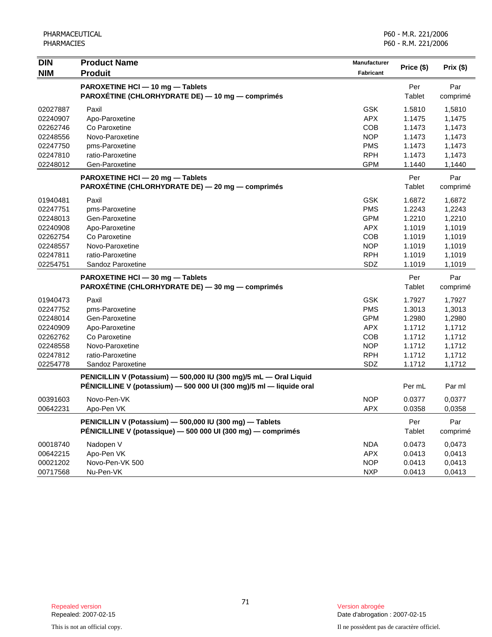| <b>DIN</b><br><b>NIM</b> | <b>Product Name</b><br><b>Produit</b>                                                                                                    | Manufacturer<br>Fabricant | Price (\$)       | Prix $(\$)$     |
|--------------------------|------------------------------------------------------------------------------------------------------------------------------------------|---------------------------|------------------|-----------------|
|                          | PAROXETINE HCI - 10 mg - Tablets                                                                                                         |                           | Per              | Par             |
|                          | PAROXÉTINE (CHLORHYDRATE DE) - 10 mg - comprimés                                                                                         |                           | Tablet           | comprimé        |
| 02027887                 | Paxil                                                                                                                                    | <b>GSK</b>                | 1.5810           | 1,5810          |
| 02240907                 | Apo-Paroxetine                                                                                                                           | <b>APX</b>                | 1.1475           | 1,1475          |
| 02262746                 | Co Paroxetine                                                                                                                            | COB                       | 1.1473           | 1,1473          |
| 02248556                 | Novo-Paroxetine                                                                                                                          | <b>NOP</b>                | 1.1473           | 1,1473          |
| 02247750                 | pms-Paroxetine                                                                                                                           | <b>PMS</b>                | 1.1473           | 1,1473          |
| 02247810                 | ratio-Paroxetine                                                                                                                         | <b>RPH</b>                | 1.1473           | 1,1473          |
| 02248012                 | Gen-Paroxetine                                                                                                                           | GPM                       | 1.1440           | 1,1440          |
|                          | PAROXETINE HCI - 20 mg - Tablets<br>PAROXÉTINE (CHLORHYDRATE DE) - 20 mg - comprimés                                                     |                           | Per<br>Tablet    | Par<br>comprimé |
|                          |                                                                                                                                          |                           |                  |                 |
| 01940481                 | Paxil                                                                                                                                    | <b>GSK</b>                | 1.6872           | 1,6872          |
| 02247751                 | pms-Paroxetine                                                                                                                           | <b>PMS</b>                | 1.2243           | 1,2243          |
| 02248013                 | Gen-Paroxetine                                                                                                                           | <b>GPM</b>                | 1.2210           | 1,2210          |
| 02240908                 | Apo-Paroxetine                                                                                                                           | <b>APX</b>                | 1.1019           | 1,1019          |
| 02262754                 | Co Paroxetine                                                                                                                            | COB                       | 1.1019           | 1,1019          |
| 02248557                 | Novo-Paroxetine                                                                                                                          | <b>NOP</b>                | 1.1019           | 1,1019          |
| 02247811<br>02254751     | ratio-Paroxetine<br>Sandoz Paroxetine                                                                                                    | <b>RPH</b><br>SDZ         | 1.1019<br>1.1019 | 1,1019          |
|                          |                                                                                                                                          |                           |                  | 1,1019          |
|                          | PAROXETINE HCI - 30 mg - Tablets<br>PAROXÉTINE (CHLORHYDRATE DE) - 30 mg - comprimés                                                     |                           | Per<br>Tablet    | Par<br>comprimé |
| 01940473                 | Paxil                                                                                                                                    | <b>GSK</b>                | 1.7927           | 1,7927          |
| 02247752                 | pms-Paroxetine                                                                                                                           | <b>PMS</b>                | 1.3013           | 1,3013          |
| 02248014                 | Gen-Paroxetine                                                                                                                           | <b>GPM</b>                | 1.2980           | 1,2980          |
| 02240909                 | Apo-Paroxetine                                                                                                                           | <b>APX</b>                | 1.1712           | 1,1712          |
| 02262762                 | Co Paroxetine                                                                                                                            | <b>COB</b>                | 1.1712           | 1,1712          |
| 02248558                 | Novo-Paroxetine                                                                                                                          | <b>NOP</b>                | 1.1712           | 1,1712          |
| 02247812                 | ratio-Paroxetine                                                                                                                         | <b>RPH</b>                | 1.1712           | 1,1712          |
| 02254778                 | Sandoz Paroxetine                                                                                                                        | <b>SDZ</b>                | 1.1712           | 1,1712          |
|                          | PENICILLIN V (Potassium) - 500,000 IU (300 mg)/5 mL - Oral Liquid<br>PÉNICILLINE V (potassium) - 500 000 UI (300 mg)/5 ml - liquide oral |                           | Per mL           | Par ml          |
| 00391603                 | Novo-Pen-VK                                                                                                                              | <b>NOP</b>                | 0.0377           | 0,0377          |
| 00642231                 | Apo-Pen VK                                                                                                                               | <b>APX</b>                | 0.0358           | 0,0358          |
|                          | PENICILLIN V (Potassium) - 500,000 IU (300 mg) - Tablets                                                                                 |                           | Per              | Par             |
|                          | PÉNICILLINE V (potassique) - 500 000 UI (300 mg) - comprimés                                                                             |                           | Tablet           | comprimé        |
| 00018740                 | Nadopen V                                                                                                                                | <b>NDA</b>                | 0.0473           | 0,0473          |
| 00642215                 | Apo-Pen VK                                                                                                                               | <b>APX</b>                | 0.0413           | 0,0413          |
| 00021202                 | Novo-Pen-VK 500                                                                                                                          | <b>NOP</b>                | 0.0413           | 0,0413          |
| 00717568                 | Nu-Pen-VK                                                                                                                                | <b>NXP</b>                | 0.0413           | 0,0413          |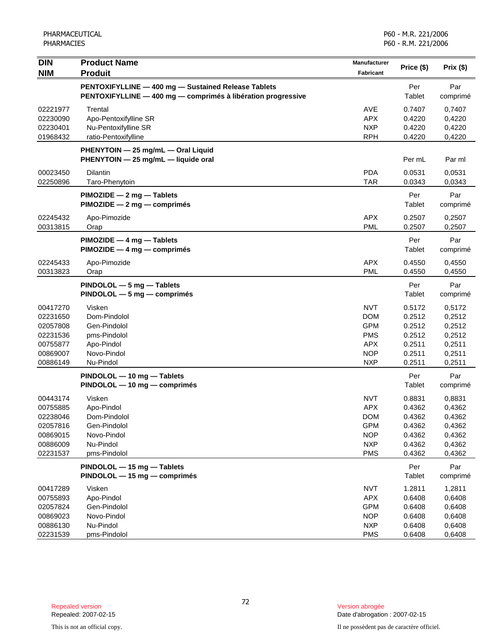| <b>DIN</b><br><b>NIM</b>                                                         | <b>Product Name</b><br><b>Produit</b>                                                                               | <b>Manufacturer</b><br><b>Fabricant</b>                                                        | Price (\$)                                                         | Prix (\$)                                                          |
|----------------------------------------------------------------------------------|---------------------------------------------------------------------------------------------------------------------|------------------------------------------------------------------------------------------------|--------------------------------------------------------------------|--------------------------------------------------------------------|
|                                                                                  | PENTOXIFYLLINE - 400 mg - Sustained Release Tablets<br>PENTOXIFYLLINE - 400 mg - comprimés à libération progressive |                                                                                                | Per<br>Tablet                                                      | Par<br>comprimé                                                    |
| 02221977<br>02230090<br>02230401<br>01968432                                     | Trental<br>Apo-Pentoxifylline SR<br>Nu-Pentoxifylline SR<br>ratio-Pentoxifylline                                    | <b>AVE</b><br><b>APX</b><br><b>NXP</b><br><b>RPH</b>                                           | 0.7407<br>0.4220<br>0.4220<br>0.4220                               | 0,7407<br>0,4220<br>0,4220<br>0,4220                               |
|                                                                                  | PHENYTOIN - 25 mg/mL - Oral Liquid<br>PHENYTOIN - 25 mg/mL - liquide oral                                           |                                                                                                | Per mL                                                             | Par ml                                                             |
| 00023450<br>02250896                                                             | <b>Dilantin</b><br>Taro-Phenytoin                                                                                   | <b>PDA</b><br><b>TAR</b>                                                                       | 0.0531<br>0.0343                                                   | 0,0531<br>0,0343                                                   |
|                                                                                  | PIMOZIDE - 2 mg - Tablets<br>PIMOZIDE - 2 mg - comprimés                                                            |                                                                                                | Per<br>Tablet                                                      | Par<br>comprimé                                                    |
| 02245432<br>00313815                                                             | Apo-Pimozide<br>Orap                                                                                                | APX<br><b>PML</b>                                                                              | 0.2507<br>0.2507                                                   | 0,2507<br>0,2507                                                   |
|                                                                                  | PIMOZIDE - 4 mg - Tablets<br>PIMOZIDE - 4 mg - comprimés                                                            |                                                                                                | Per<br>Tablet                                                      | Par<br>comprimé                                                    |
| 02245433<br>00313823                                                             | Apo-Pimozide<br>Orap                                                                                                | <b>APX</b><br><b>PML</b>                                                                       | 0.4550<br>0.4550                                                   | 0,4550<br>0,4550                                                   |
|                                                                                  | PINDOLOL - 5 mg - Tablets<br>PINDOLOL - 5 mg - comprimés                                                            |                                                                                                | Per<br>Tablet                                                      | Par<br>comprimé                                                    |
| 00417270<br>02231650<br>02057808<br>02231536<br>00755877<br>00869007<br>00886149 | Visken<br>Dom-Pindolol<br>Gen-Pindolol<br>pms-Pindolol<br>Apo-Pindol<br>Novo-Pindol<br>Nu-Pindol                    | <b>NVT</b><br><b>DOM</b><br><b>GPM</b><br><b>PMS</b><br><b>APX</b><br><b>NOP</b><br><b>NXP</b> | 0.5172<br>0.2512<br>0.2512<br>0.2512<br>0.2511<br>0.2511<br>0.2511 | 0,5172<br>0,2512<br>0,2512<br>0,2512<br>0,2511<br>0,2511<br>0,2511 |
|                                                                                  | PINDOLOL - 10 mg - Tablets<br>PINDOLOL - 10 mg - comprimés                                                          |                                                                                                | Per<br>Tablet                                                      | Par<br>comprimé                                                    |
| 00443174<br>00755885<br>02238046<br>02057816<br>00869015<br>00886009<br>02231537 | Visken<br>Apo-Pindol<br>Dom-Pindolol<br>Gen-Pindolol<br>Novo-Pindol<br>Nu-Pindol<br>pms-Pindolol                    | <b>NVT</b><br><b>APX</b><br><b>DOM</b><br><b>GPM</b><br><b>NOP</b><br><b>NXP</b><br><b>PMS</b> | 0.8831<br>0.4362<br>0.4362<br>0.4362<br>0.4362<br>0.4362<br>0.4362 | 0,8831<br>0,4362<br>0,4362<br>0,4362<br>0,4362<br>0,4362<br>0,4362 |
|                                                                                  | PINDOLOL - 15 mg - Tablets<br>PINDOLOL - 15 mg - comprimés                                                          |                                                                                                | Per<br>Tablet                                                      | Par<br>comprimé                                                    |
| 00417289<br>00755893<br>02057824<br>00869023<br>00886130<br>02231539             | Visken<br>Apo-Pindol<br>Gen-Pindolol<br>Novo-Pindol<br>Nu-Pindol<br>pms-Pindolol                                    | <b>NVT</b><br><b>APX</b><br><b>GPM</b><br><b>NOP</b><br><b>NXP</b><br><b>PMS</b>               | 1.2811<br>0.6408<br>0.6408<br>0.6408<br>0.6408<br>0.6408           | 1,2811<br>0,6408<br>0,6408<br>0,6408<br>0,6408<br>0,6408           |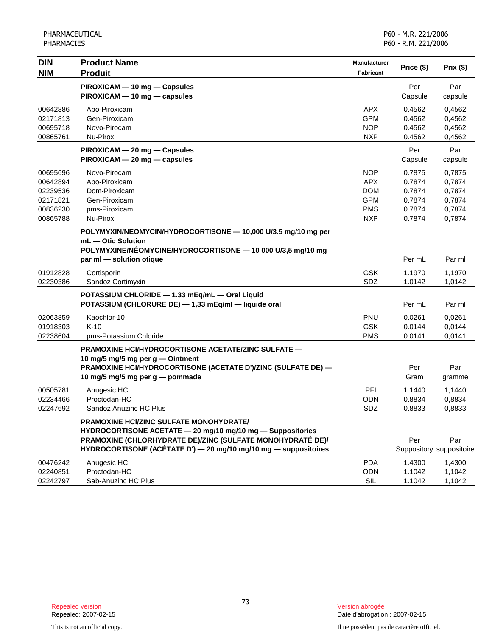| <b>DIN</b><br><b>NIM</b>                                             | <b>Product Name</b><br><b>Produit</b>                                                                                                                                                                                                  | <b>Manufacturer</b><br><b>Fabricant</b>                                          | Price (\$)                                               | Prix (\$)                                                |
|----------------------------------------------------------------------|----------------------------------------------------------------------------------------------------------------------------------------------------------------------------------------------------------------------------------------|----------------------------------------------------------------------------------|----------------------------------------------------------|----------------------------------------------------------|
|                                                                      | PIROXICAM - 10 mg - Capsules<br>PIROXICAM - 10 mg - capsules                                                                                                                                                                           |                                                                                  | Per<br>Capsule                                           | Par<br>capsule                                           |
| 00642886<br>02171813<br>00695718<br>00865761                         | Apo-Piroxicam<br>Gen-Piroxicam<br>Novo-Pirocam<br>Nu-Pirox                                                                                                                                                                             | <b>APX</b><br><b>GPM</b><br><b>NOP</b><br><b>NXP</b>                             | 0.4562<br>0.4562<br>0.4562<br>0.4562                     | 0,4562<br>0,4562<br>0,4562<br>0,4562                     |
|                                                                      | PIROXICAM - 20 mg - Capsules<br>PIROXICAM - 20 mg - capsules                                                                                                                                                                           |                                                                                  | Per<br>Capsule                                           | Par<br>capsule                                           |
| 00695696<br>00642894<br>02239536<br>02171821<br>00836230<br>00865788 | Novo-Pirocam<br>Apo-Piroxicam<br>Dom-Piroxicam<br>Gen-Piroxicam<br>pms-Piroxicam<br>Nu-Pirox                                                                                                                                           | <b>NOP</b><br><b>APX</b><br><b>DOM</b><br><b>GPM</b><br><b>PMS</b><br><b>NXP</b> | 0.7875<br>0.7874<br>0.7874<br>0.7874<br>0.7874<br>0.7874 | 0,7875<br>0,7874<br>0,7874<br>0,7874<br>0,7874<br>0,7874 |
|                                                                      | POLYMYXIN/NEOMYCIN/HYDROCORTISONE - 10,000 U/3.5 mg/10 mg per<br>$mL$ $-$ Otic Solution<br>POLYMYXINE/NÉOMYCINE/HYDROCORTISONE - 10 000 U/3,5 mg/10 mg<br>par ml - solution otique                                                     |                                                                                  | Per mL                                                   | Par ml                                                   |
| 01912828<br>02230386                                                 | Cortisporin<br>Sandoz Cortimyxin                                                                                                                                                                                                       | <b>GSK</b><br>SDZ                                                                | 1.1970<br>1.0142                                         | 1,1970<br>1,0142                                         |
|                                                                      | POTASSIUM CHLORIDE - 1.33 mEq/mL - Oral Liquid<br>POTASSIUM (CHLORURE DE) - 1,33 mEq/ml - liquide oral                                                                                                                                 |                                                                                  | Per mL                                                   | Par ml                                                   |
| 02063859<br>01918303<br>02238604                                     | Kaochlor-10<br>$K-10$<br>pms-Potassium Chloride                                                                                                                                                                                        | <b>PNU</b><br><b>GSK</b><br><b>PMS</b>                                           | 0.0261<br>0.0144<br>0.0141                               | 0,0261<br>0,0144<br>0,0141                               |
|                                                                      | <b>PRAMOXINE HCI/HYDROCORTISONE ACETATE/ZINC SULFATE —</b><br>10 mg/5 mg/5 mg per g - Ointment<br>PRAMOXINE HCI/HYDROCORTISONE (ACETATE D')/ZINC (SULFATE DE) -<br>10 mg/5 mg/5 mg per g - pommade                                     |                                                                                  | Per<br>Gram                                              | Par<br>gramme                                            |
| 00505781<br>02234466<br>02247692                                     | Anugesic HC<br>Proctodan-HC<br>Sandoz Anuzinc HC Plus                                                                                                                                                                                  | PFI<br><b>ODN</b><br>SDZ                                                         | 1.1440<br>0.8834<br>0.8833                               | 1,1440<br>0,8834<br>0,8833                               |
|                                                                      | PRAMOXINE HCI/ZINC SULFATE MONOHYDRATE/<br>HYDROCORTISONE ACETATE - 20 mg/10 mg/10 mg - Suppositories<br>PRAMOXINE (CHLORHYDRATE DE)/ZINC (SULFATE MONOHYDRATÉ DE)/<br>HYDROCORTISONE (ACÉTATE D') - 20 mg/10 mg/10 mg - suppositoires |                                                                                  | Per<br>Suppository suppositoire                          | Par                                                      |
| 00476242<br>02240851<br>02242797                                     | Anugesic HC<br>Proctodan-HC<br>Sab-Anuzinc HC Plus                                                                                                                                                                                     | <b>PDA</b><br>ODN<br>SIL                                                         | 1.4300<br>1.1042<br>1.1042                               | 1,4300<br>1,1042<br>1,1042                               |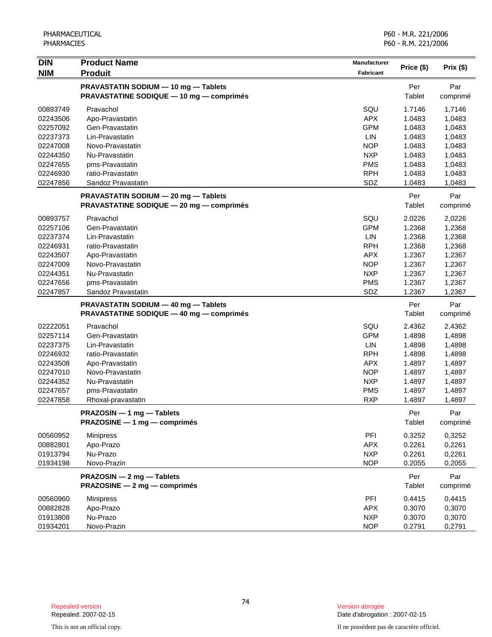| <b>DIN</b> | <b>Product Name</b>                             | Manufacturer |            |           |
|------------|-------------------------------------------------|--------------|------------|-----------|
| <b>NIM</b> | <b>Produit</b>                                  | Fabricant    | Price (\$) | Prix (\$) |
|            | PRAVASTATIN SODIUM - 10 mg - Tablets            |              | Per        | Par       |
|            | <b>PRAVASTATINE SODIQUE - 10 mg - comprimés</b> |              | Tablet     | comprimé  |
| 00893749   | Pravachol                                       | SQU          | 1.7146     | 1,7146    |
| 02243506   | Apo-Pravastatin                                 | <b>APX</b>   | 1.0483     | 1,0483    |
| 02257092   | Gen-Pravastatin                                 | <b>GPM</b>   | 1.0483     | 1,0483    |
| 02237373   | Lin-Pravastatin                                 | LIN          | 1.0483     | 1,0483    |
| 02247008   | Novo-Pravastatin                                | <b>NOP</b>   | 1.0483     | 1,0483    |
| 02244350   | Nu-Pravastatin                                  | <b>NXP</b>   | 1.0483     | 1,0483    |
| 02247655   | pms-Pravastatin                                 | <b>PMS</b>   | 1.0483     | 1,0483    |
| 02246930   | ratio-Pravastatin                               | <b>RPH</b>   | 1.0483     | 1,0483    |
| 02247856   | Sandoz Pravastatin                              | SDZ          | 1.0483     | 1,0483    |
|            | PRAVASTATIN SODIUM - 20 mg - Tablets            |              | Per        | Par       |
|            | <b>PRAVASTATINE SODIQUE - 20 mg - comprimés</b> |              | Tablet     | comprimé  |
| 00893757   | Pravachol                                       | SQU          | 2.0226     | 2,0226    |
| 02257106   | Gen-Pravastatin                                 | <b>GPM</b>   | 1.2368     | 1,2368    |
| 02237374   | Lin-Pravastatin                                 | <b>LIN</b>   | 1.2368     | 1,2368    |
| 02246931   | ratio-Pravastatin                               | <b>RPH</b>   | 1.2368     | 1,2368    |
| 02243507   | Apo-Pravastatin                                 | <b>APX</b>   | 1.2367     | 1,2367    |
| 02247009   | Novo-Pravastatin                                | <b>NOP</b>   | 1.2367     | 1,2367    |
| 02244351   | Nu-Pravastatin                                  | <b>NXP</b>   | 1.2367     | 1,2367    |
| 02247656   | pms-Pravastatin                                 | <b>PMS</b>   | 1.2367     | 1,2367    |
| 02247857   | Sandoz Pravastatin                              | SDZ          | 1.2367     | 1,2367    |
|            | PRAVASTATIN SODIUM - 40 mg - Tablets            |              | Per        | Par       |
|            | PRAVASTATINE SODIQUE - 40 mg - comprimés        |              | Tablet     | comprimé  |
| 02222051   | Pravachol                                       | SQU          | 2.4362     | 2,4362    |
| 02257114   | Gen-Pravastatin                                 | <b>GPM</b>   | 1.4898     | 1,4898    |
| 02237375   | Lin-Pravastatin                                 | LIN          | 1.4898     | 1,4898    |
| 02246932   | ratio-Pravastatin                               | <b>RPH</b>   | 1.4898     | 1,4898    |
| 02243508   | Apo-Pravastatin                                 | <b>APX</b>   | 1.4897     | 1,4897    |
| 02247010   | Novo-Pravastatin                                | <b>NOP</b>   | 1.4897     | 1,4897    |
| 02244352   | Nu-Pravastatin                                  | <b>NXP</b>   | 1.4897     | 1,4897    |
| 02247657   | pms-Pravastatin                                 | <b>PMS</b>   | 1.4897     | 1,4897    |
| 02247858   | Rhoxal-pravastatin                              | <b>RXP</b>   | 1.4897     | 1,4897    |
|            | PRAZOSIN - 1 mg - Tablets                       |              | Per        | Par       |
|            | PRAZOSINE - 1 mg - comprimés                    |              | Tablet     | comprimé  |
| 00560952   | <b>Minipress</b>                                | PFI          | 0.3252     | 0,3252    |
| 00882801   | Apo-Prazo                                       | <b>APX</b>   | 0.2261     | 0,2261    |
| 01913794   | Nu-Prazo                                        | <b>NXP</b>   | 0.2261     | 0,2261    |
| 01934198   | Novo-Prazin                                     | <b>NOP</b>   | 0.2055     | 0,2055    |
|            | PRAZOSIN - 2 mg - Tablets                       |              | Per        | Par       |
|            | PRAZOSINE - 2 mg - comprimés                    |              | Tablet     | comprimé  |
| 00560960   | <b>Minipress</b>                                | PFI          | 0.4415     | 0,4415    |
| 00882828   | Apo-Prazo                                       | <b>APX</b>   | 0.3070     | 0,3070    |
| 01913808   | Nu-Prazo                                        | <b>NXP</b>   | 0.3070     | 0,3070    |
| 01934201   | Novo-Prazin                                     | <b>NOP</b>   | 0.2791     | 0,2791    |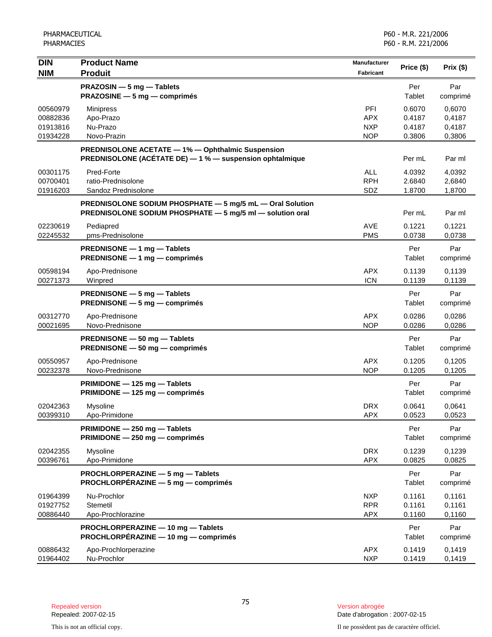| <b>DIN</b>                                   | <b>Product Name</b>                                                                                                    | Manufacturer                                  |                                      | Prix (\$)                            |
|----------------------------------------------|------------------------------------------------------------------------------------------------------------------------|-----------------------------------------------|--------------------------------------|--------------------------------------|
| <b>NIM</b>                                   | <b>Produit</b>                                                                                                         | Fabricant                                     | Price (\$)                           |                                      |
|                                              | PRAZOSIN - 5 mg - Tablets<br>PRAZOSINE - 5 mg - comprimés                                                              |                                               | Per<br>Tablet                        | Par<br>comprimé                      |
| 00560979<br>00882836<br>01913816<br>01934228 | <b>Minipress</b><br>Apo-Prazo<br>Nu-Prazo<br>Novo-Prazin                                                               | PFI<br><b>APX</b><br><b>NXP</b><br><b>NOP</b> | 0.6070<br>0.4187<br>0.4187<br>0.3806 | 0,6070<br>0,4187<br>0,4187<br>0,3806 |
|                                              | <b>PREDNISOLONE ACETATE - 1% - Ophthalmic Suspension</b><br>PREDNISOLONE (ACÉTATE DE) - 1 % - suspension ophtalmique   |                                               | Per mL                               | Par ml                               |
| 00301175<br>00700401<br>01916203             | Pred-Forte<br>ratio-Prednisolone<br>Sandoz Prednisolone                                                                | <b>ALL</b><br><b>RPH</b><br>SDZ               | 4.0392<br>2.6840<br>1.8700           | 4,0392<br>2,6840<br>1,8700           |
|                                              | PREDNISOLONE SODIUM PHOSPHATE - 5 mg/5 mL - Oral Solution<br>PREDNISOLONE SODIUM PHOSPHATE - 5 mg/5 ml - solution oral |                                               | Per mL                               | Par ml                               |
| 02230619<br>02245532                         | Pediapred<br>pms-Prednisolone                                                                                          | <b>AVE</b><br><b>PMS</b>                      | 0.1221<br>0.0738                     | 0,1221<br>0,0738                     |
|                                              | PREDNISONE - 1 mg - Tablets<br>PREDNISONE - 1 mg - comprimés                                                           |                                               | Per<br>Tablet                        | Par<br>comprimé                      |
| 00598194<br>00271373                         | Apo-Prednisone<br>Winpred                                                                                              | <b>APX</b><br><b>ICN</b>                      | 0.1139<br>0.1139                     | 0,1139<br>0,1139                     |
|                                              | PREDNISONE - 5 mg - Tablets<br>PREDNISONE - 5 mg - comprimés                                                           |                                               | Per<br>Tablet                        | Par<br>comprimé                      |
| 00312770<br>00021695                         | Apo-Prednisone<br>Novo-Prednisone                                                                                      | <b>APX</b><br><b>NOP</b>                      | 0.0286<br>0.0286                     | 0,0286<br>0,0286                     |
|                                              | PREDNISONE - 50 mg - Tablets<br>PREDNISONE - 50 mg - comprimés                                                         |                                               | Per<br>Tablet                        | Par<br>comprimé                      |
| 00550957<br>00232378                         | Apo-Prednisone<br>Novo-Prednisone                                                                                      | <b>APX</b><br><b>NOP</b>                      | 0.1205<br>0.1205                     | 0,1205<br>0,1205                     |
|                                              | PRIMIDONE - 125 mg - Tablets<br>PRIMIDONE - 125 mg - comprimés                                                         |                                               | Per<br>Tablet                        | Par<br>comprimé                      |
| 02042363<br>00399310                         | Mysoline<br>Apo-Primidone                                                                                              | <b>DRX</b><br><b>APX</b>                      | 0.0641<br>0.0523                     | 0,0641<br>0,0523                     |
|                                              | PRIMIDONE - 250 mg - Tablets<br>PRIMIDONE - 250 mg - comprimés                                                         |                                               | Per<br>Tablet                        | Par<br>comprimé                      |
| 02042355<br>00396761                         | Mysoline<br>Apo-Primidone                                                                                              | <b>DRX</b><br><b>APX</b>                      | 0.1239<br>0.0825                     | 0,1239<br>0,0825                     |
|                                              | PROCHLORPERAZINE - 5 mg - Tablets<br>PROCHLORPÉRAZINE - 5 mg - comprimés                                               |                                               | Per<br>Tablet                        | Par<br>comprimé                      |
| 01964399<br>01927752<br>00886440             | Nu-Prochlor<br>Stemetil<br>Apo-Prochlorazine                                                                           | <b>NXP</b><br><b>RPR</b><br><b>APX</b>        | 0.1161<br>0.1161<br>0.1160           | 0,1161<br>0,1161<br>0,1160           |
|                                              | PROCHLORPERAZINE - 10 mg - Tablets<br>PROCHLORPÉRAZINE - 10 mg - comprimés                                             |                                               | Per<br>Tablet                        | Par<br>comprimé                      |
| 00886432<br>01964402                         | Apo-Prochlorperazine<br>Nu-Prochlor                                                                                    | <b>APX</b><br><b>NXP</b>                      | 0.1419<br>0.1419                     | 0,1419<br>0,1419                     |

Date d'abrogation : 2007-02-15

This is not an official copy. Il ne possèdent pas de caractère officiel.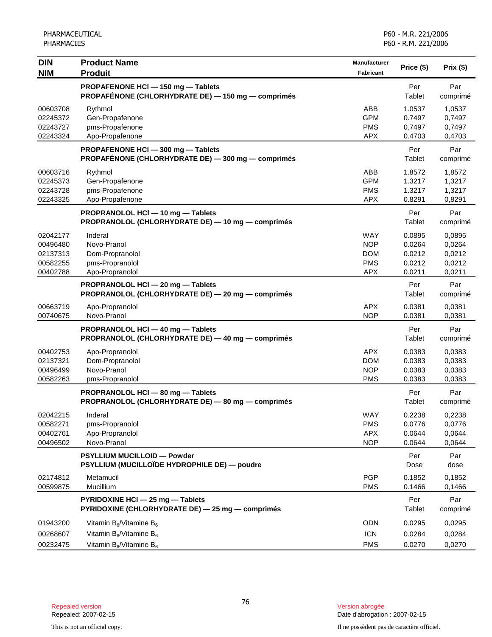| <b>DIN</b>                                               | <b>Product Name</b>                                                                             | <b>Manufacturer</b>                                                |                                                |                                                |
|----------------------------------------------------------|-------------------------------------------------------------------------------------------------|--------------------------------------------------------------------|------------------------------------------------|------------------------------------------------|
| <b>NIM</b>                                               | <b>Produit</b>                                                                                  | Fabricant                                                          | Price (\$)                                     | Prix (\$)                                      |
|                                                          | PROPAFENONE HCl - 150 mg - Tablets<br>PROPAFÉNONE (CHLORHYDRATE DE) - 150 mg - comprimés        |                                                                    | Per<br>Tablet                                  | Par<br>comprimé                                |
| 00603708<br>02245372<br>02243727<br>02243324             | Rythmol<br>Gen-Propafenone<br>pms-Propafenone<br>Apo-Propafenone                                | ABB<br><b>GPM</b><br><b>PMS</b><br><b>APX</b>                      | 1.0537<br>0.7497<br>0.7497<br>0.4703           | 1,0537<br>0,7497<br>0,7497<br>0,4703           |
|                                                          | PROPAFENONE HCI-300 mg-Tablets<br>PROPAFÉNONE (CHLORHYDRATE DE) - 300 mg - comprimés            |                                                                    | Per<br>Tablet                                  | Par<br>comprimé                                |
| 00603716<br>02245373<br>02243728<br>02243325             | Rythmol<br>Gen-Propafenone<br>pms-Propafenone<br>Apo-Propafenone                                | ABB<br><b>GPM</b><br><b>PMS</b><br><b>APX</b>                      | 1.8572<br>1.3217<br>1.3217<br>0.8291           | 1,8572<br>1,3217<br>1,3217<br>0,8291           |
|                                                          | PROPRANOLOL HCI - 10 mg - Tablets<br>PROPRANOLOL (CHLORHYDRATE DE) - 10 mg - comprimés          |                                                                    | Per<br>Tablet                                  | Par<br>comprimé                                |
| 02042177<br>00496480<br>02137313<br>00582255<br>00402788 | Inderal<br>Novo-Pranol<br>Dom-Propranolol<br>pms-Propranolol<br>Apo-Propranolol                 | <b>WAY</b><br><b>NOP</b><br><b>DOM</b><br><b>PMS</b><br><b>APX</b> | 0.0895<br>0.0264<br>0.0212<br>0.0212<br>0.0211 | 0,0895<br>0,0264<br>0,0212<br>0,0212<br>0,0211 |
|                                                          | PROPRANOLOL HCI - 20 mg - Tablets<br>PROPRANOLOL (CHLORHYDRATE DE) - 20 mg - comprimés          |                                                                    | Per<br>Tablet                                  | Par<br>comprimé                                |
| 00663719<br>00740675                                     | Apo-Propranolol<br>Novo-Pranol                                                                  | <b>APX</b><br><b>NOP</b>                                           | 0.0381<br>0.0381                               | 0,0381<br>0,0381                               |
|                                                          | PROPRANOLOL HCI - 40 mg - Tablets<br>PROPRANOLOL (CHLORHYDRATE DE) - 40 mg - comprimés          |                                                                    | Per<br>Tablet                                  | Par<br>comprimé                                |
| 00402753<br>02137321<br>00496499<br>00582263             | Apo-Propranolol<br>Dom-Propranolol<br>Novo-Pranol<br>pms-Propranolol                            | <b>APX</b><br><b>DOM</b><br><b>NOP</b><br><b>PMS</b>               | 0.0383<br>0.0383<br>0.0383<br>0.0383           | 0,0383<br>0,0383<br>0,0383<br>0,0383           |
|                                                          | PROPRANOLOL HCI - 80 mg - Tablets<br>PROPRANOLOL (CHLORHYDRATE DE) - 80 mg - comprimés          |                                                                    | Per<br>Tablet                                  | Par<br>comprimé                                |
| 02042215<br>00582271<br>00402761<br>00496502             | Inderal<br>pms-Propranolol<br>Apo-Propranolol<br>Novo-Pranol                                    | WAY<br><b>PMS</b><br><b>APX</b><br><b>NOP</b>                      | 0.2238<br>0.0776<br>0.0644<br>0.0644           | 0,2238<br>0,0776<br>0,0644<br>0,0644           |
|                                                          | <b>PSYLLIUM MUCILLOID - Powder</b><br>PSYLLIUM (MUCILLOÏDE HYDROPHILE DE) — poudre              |                                                                    | Per<br>Dose                                    | Par<br>dose                                    |
| 02174812<br>00599875                                     | Metamucil<br>Mucillium                                                                          | <b>PGP</b><br><b>PMS</b>                                           | 0.1852<br>0.1466                               | 0,1852<br>0,1466                               |
|                                                          | PYRIDOXINE HCI - 25 mg - Tablets<br>PYRIDOXINE (CHLORHYDRATE DE) - 25 mg - comprimés            |                                                                    | Per<br>Tablet                                  | Par<br>comprimé                                |
| 01943200<br>00268607<br>00232475                         | Vitamin $B_6$ /Vitamine $B_6$<br>Vitamin $B_6$ /Vitamine $B_6$<br>Vitamin $B_6$ /Vitamine $B_6$ | <b>ODN</b><br><b>ICN</b><br><b>PMS</b>                             | 0.0295<br>0.0284<br>0.0270                     | 0,0295<br>0,0284<br>0,0270                     |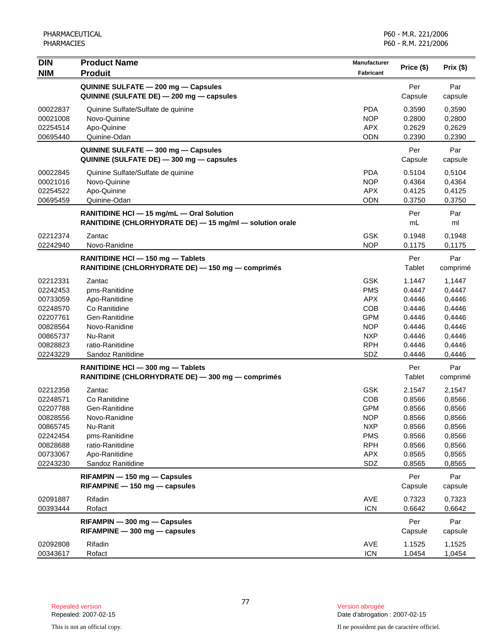| <b>DIN</b> | <b>Product Name</b>                                      | <b>Manufacturer</b> | Price (\$) |           |
|------------|----------------------------------------------------------|---------------------|------------|-----------|
| <b>NIM</b> | <b>Produit</b>                                           | Fabricant           |            | Prix (\$) |
|            | QUININE SULFATE - 200 mg - Capsules                      |                     | Per        | Par       |
|            | QUININE (SULFATE DE) - 200 mg - capsules                 |                     | Capsule    | capsule   |
| 00022837   | Quinine Sulfate/Sulfate de quinine                       | <b>PDA</b>          | 0.3590     | 0,3590    |
| 00021008   | Novo-Quinine                                             | <b>NOP</b>          | 0.2800     | 0,2800    |
| 02254514   | Apo-Quinine                                              | <b>APX</b>          | 0.2629     | 0,2629    |
| 00695440   | Quinine-Odan                                             | <b>ODN</b>          | 0.2390     | 0,2390    |
|            | QUININE SULFATE - 300 mg - Capsules                      |                     | Per        | Par       |
|            | QUININE (SULFATE DE) - 300 mg - capsules                 |                     | Capsule    | capsule   |
| 00022845   | Quinine Sulfate/Sulfate de quinine                       | <b>PDA</b>          | 0.5104     | 0,5104    |
| 00021016   | Novo-Quinine                                             | <b>NOP</b>          | 0.4364     | 0,4364    |
| 02254522   | Apo-Quinine                                              | <b>APX</b>          | 0.4125     | 0,4125    |
| 00695459   | Quinine-Odan                                             | <b>ODN</b>          | 0.3750     | 0,3750    |
|            | RANITIDINE HCI - 15 mg/mL - Oral Solution                |                     | Per        | Par       |
|            | RANITIDINE (CHLORHYDRATE DE) - 15 mg/ml - solution orale |                     | mL         | ml        |
| 02212374   | Zantac                                                   | <b>GSK</b>          | 0.1948     | 0,1948    |
| 02242940   | Novo-Ranidine                                            | <b>NOP</b>          | 0.1175     | 0,1175    |
|            | RANITIDINE HCI - 150 mg - Tablets                        |                     | Per        | Par       |
|            | RANITIDINE (CHLORHYDRATE DE) - 150 mg - comprimés        |                     | Tablet     | comprimé  |
| 02212331   | Zantac                                                   | <b>GSK</b>          | 1.1447     | 1,1447    |
| 02242453   | pms-Ranitidine                                           | <b>PMS</b>          | 0.4447     | 0,4447    |
| 00733059   | Apo-Ranitidine                                           | <b>APX</b>          | 0.4446     | 0,4446    |
| 02248570   | Co Ranitidine                                            | <b>COB</b>          | 0.4446     | 0,4446    |
| 02207761   | Gen-Ranitidine                                           | <b>GPM</b>          | 0.4446     | 0,4446    |
| 00828564   | Novo-Ranidine                                            | <b>NOP</b>          | 0.4446     | 0,4446    |
| 00865737   | Nu-Ranit                                                 | <b>NXP</b>          | 0.4446     | 0,4446    |
| 00828823   | ratio-Ranitidine                                         | <b>RPH</b>          | 0.4446     | 0,4446    |
| 02243229   | Sandoz Ranitidine                                        | SDZ                 | 0.4446     | 0,4446    |
|            | RANITIDINE HCI - 300 mg - Tablets                        |                     | Per        | Par       |
|            | RANITIDINE (CHLORHYDRATE DE) - 300 mg - comprimés        |                     | Tablet     | comprimé  |
| 02212358   | Zantac                                                   | <b>GSK</b>          | 2.1547     | 2,1547    |
| 02248571   | Co Ranitidine                                            | COB                 | 0.8566     | 0,8566    |
| 02207788   | Gen-Ranitidine                                           | <b>GPM</b>          | 0.8566     | 0,8566    |
| 00828556   | Novo-Ranidine                                            | <b>NOP</b>          | 0.8566     | 0,8566    |
| 00865745   | Nu-Ranit                                                 | <b>NXP</b>          | 0.8566     | 0,8566    |
| 02242454   | pms-Ranitidine                                           | <b>PMS</b>          | 0.8566     | 0,8566    |
| 00828688   | ratio-Ranitidine                                         | <b>RPH</b>          | 0.8566     | 0,8566    |
| 00733067   | Apo-Ranitidine                                           | <b>APX</b>          | 0.8565     | 0,8565    |
| 02243230   | Sandoz Ranitidine                                        | SDZ                 | 0.8565     | 0,8565    |
|            | RIFAMPIN - 150 mg - Capsules                             |                     | Per        | Par       |
|            | RIFAMPINE - 150 mg - capsules                            |                     | Capsule    | capsule   |
| 02091887   | Rifadin                                                  | <b>AVE</b>          | 0.7323     | 0,7323    |
| 00393444   | Rofact                                                   | <b>ICN</b>          | 0.6642     | 0,6642    |
|            | RIFAMPIN - 300 mg - Capsules                             |                     | Per        | Par       |
|            | RIFAMPINE - 300 mg - capsules                            |                     | Capsule    | capsule   |
| 02092808   | Rifadin                                                  | AVE                 | 1.1525     | 1,1525    |
| 00343617   | Rofact                                                   | <b>ICN</b>          | 1.0454     | 1,0454    |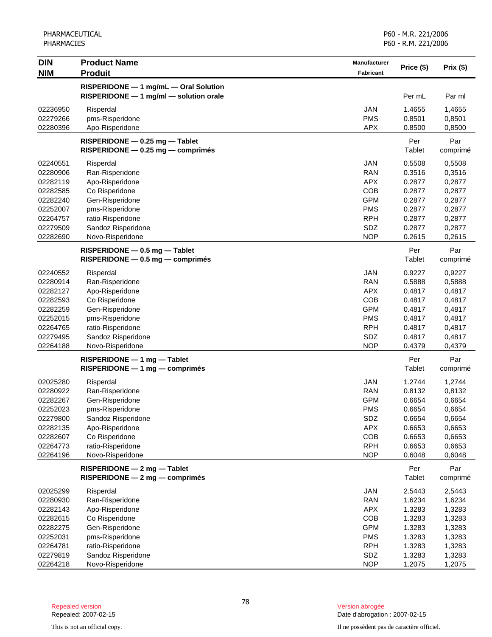| <b>DIN</b>           | <b>Product Name</b>                    | <b>Manufacturer</b>      |                  |                  |
|----------------------|----------------------------------------|--------------------------|------------------|------------------|
| <b>NIM</b>           | <b>Produit</b>                         | <b>Fabricant</b>         | Price (\$)       | Prix(\$)         |
|                      | RISPERIDONE - 1 mg/mL - Oral Solution  |                          |                  |                  |
|                      | RISPERIDONE - 1 mg/ml - solution orale |                          | Per mL           | Par ml           |
|                      |                                        |                          |                  |                  |
| 02236950<br>02279266 | Risperdal                              | <b>JAN</b><br><b>PMS</b> | 1.4655<br>0.8501 | 1,4655           |
| 02280396             | pms-Risperidone<br>Apo-Risperidone     | <b>APX</b>               | 0.8500           | 0,8501<br>0,8500 |
|                      |                                        |                          |                  |                  |
|                      | $RISPERIDONE - 0.25 mg - Tablet$       |                          | Per              | Par              |
|                      | RISPERIDONE - 0.25 mg - comprimés      |                          | Tablet           | comprimé         |
| 02240551             | Risperdal                              | <b>JAN</b>               | 0.5508           | 0,5508           |
| 02280906             | Ran-Risperidone                        | <b>RAN</b>               | 0.3516           | 0,3516           |
| 02282119             | Apo-Risperidone                        | <b>APX</b>               | 0.2877           | 0,2877           |
| 02282585             | Co Risperidone                         | COB                      | 0.2877           | 0,2877           |
| 02282240             | Gen-Risperidone                        | <b>GPM</b>               | 0.2877           | 0,2877           |
| 02252007             | pms-Risperidone                        | <b>PMS</b>               | 0.2877           | 0,2877           |
| 02264757             | ratio-Risperidone                      | <b>RPH</b>               | 0.2877           | 0,2877           |
| 02279509             | Sandoz Risperidone                     | <b>SDZ</b>               | 0.2877           | 0,2877           |
| 02282690             | Novo-Risperidone                       | <b>NOP</b>               | 0.2615           | 0,2615           |
|                      | $RISPERIDONE - 0.5 mg - Table$         |                          | Per              | Par              |
|                      | $RISPERIDONE - 0.5 mg - comprimés$     |                          | Tablet           | comprimé         |
| 02240552             | Risperdal                              | JAN                      | 0.9227           | 0,9227           |
| 02280914             | Ran-Risperidone                        | <b>RAN</b>               | 0.5888           | 0,5888           |
| 02282127             | Apo-Risperidone                        | <b>APX</b>               | 0.4817           | 0,4817           |
| 02282593             | Co Risperidone                         | COB                      | 0.4817           | 0,4817           |
| 02282259             | Gen-Risperidone                        | <b>GPM</b>               | 0.4817           | 0,4817           |
| 02252015             | pms-Risperidone                        | <b>PMS</b>               | 0.4817           | 0,4817           |
| 02264765             | ratio-Risperidone                      | <b>RPH</b>               | 0.4817           | 0,4817           |
| 02279495             | Sandoz Risperidone                     | SDZ                      | 0.4817           | 0,4817           |
| 02264188             | Novo-Risperidone                       | <b>NOP</b>               | 0.4379           | 0,4379           |
|                      | $RISPERIDONE - 1 mg - Table$           |                          | Per              | Par              |
|                      | RISPERIDONE - 1 mg - comprimés         |                          | Tablet           | comprimé         |
|                      |                                        |                          |                  |                  |
| 02025280             | Risperdal                              | <b>JAN</b>               | 1.2744           | 1,2744           |
| 02280922             | Ran-Risperidone                        | <b>RAN</b>               | 0.8132           | 0,8132           |
| 02282267             | Gen-Risperidone                        | <b>GPM</b>               | 0.6654           | 0,6654           |
| 02252023             | pms-Risperidone                        | <b>PMS</b>               | 0.6654           | 0,6654           |
| 02279800             | Sandoz Risperidone                     | SDZ                      | 0.6654           | 0,6654           |
| 02282135             | Apo-Risperidone                        | <b>APX</b>               | 0.6653           | 0,6653           |
| 02282607             | Co Risperidone                         | COB                      | 0.6653           | 0,6653           |
| 02264773             | ratio-Risperidone                      | <b>RPH</b><br><b>NOP</b> | 0.6653<br>0.6048 | 0,6653           |
| 02264196             | Novo-Risperidone                       |                          |                  | 0,6048           |
|                      | RISPERIDONE - 2 mg - Tablet            |                          | Per              | Par              |
|                      | RISPERIDONE - 2 mg - comprimés         |                          | <b>Tablet</b>    | comprimé         |
| 02025299             | Risperdal                              | <b>JAN</b>               | 2.5443           | 2,5443           |
| 02280930             | Ran-Risperidone                        | <b>RAN</b>               | 1.6234           | 1,6234           |
| 02282143             | Apo-Risperidone                        | <b>APX</b>               | 1.3283           | 1,3283           |
| 02282615             | Co Risperidone                         | COB                      | 1.3283           | 1,3283           |
| 02282275             | Gen-Risperidone                        | <b>GPM</b>               | 1.3283           | 1,3283           |
| 02252031             | pms-Risperidone                        | <b>PMS</b>               | 1.3283           | 1,3283           |
| 02264781             | ratio-Risperidone                      | <b>RPH</b>               | 1.3283           | 1,3283           |
| 02279819             | Sandoz Risperidone                     | SDZ                      | 1.3283           | 1,3283           |
| 02264218             | Novo-Risperidone                       | <b>NOP</b>               | 1.2075           | 1,2075           |

Date d'abrogation : 2007-02-15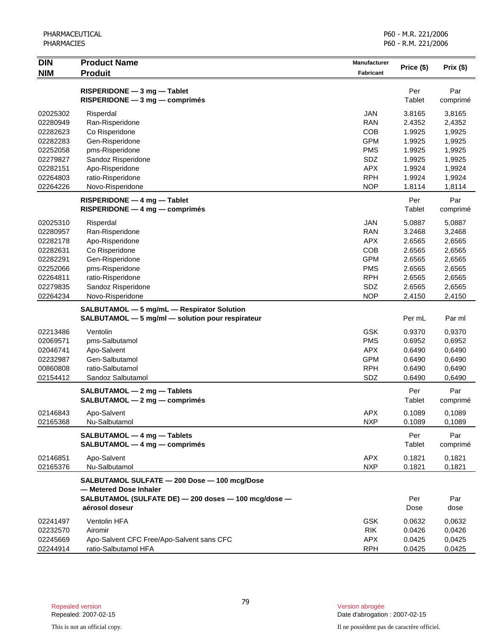| <b>DIN</b><br><b>NIM</b> | <b>Product Name</b><br><b>Produit</b>                                                          | <b>Manufacturer</b>      | Price (\$)       | Prix(\$)         |
|--------------------------|------------------------------------------------------------------------------------------------|--------------------------|------------------|------------------|
|                          |                                                                                                | Fabricant                |                  |                  |
|                          | RISPERIDONE - 3 mg - Tablet                                                                    |                          | Per              | Par              |
|                          | $RISPERIDONE - 3 mg - comprimés$                                                               |                          | Tablet           | comprimé         |
| 02025302                 | Risperdal                                                                                      | <b>JAN</b>               | 3.8165           | 3,8165           |
| 02280949                 | Ran-Risperidone                                                                                | <b>RAN</b>               | 2.4352           | 2,4352           |
| 02282623                 | Co Risperidone                                                                                 | COB                      | 1.9925           | 1,9925           |
| 02282283                 | Gen-Risperidone                                                                                | <b>GPM</b>               | 1.9925           | 1,9925           |
| 02252058                 | pms-Risperidone                                                                                | <b>PMS</b>               | 1.9925           | 1,9925           |
| 02279827                 | Sandoz Risperidone                                                                             | SDZ                      | 1.9925           | 1,9925           |
| 02282151                 | Apo-Risperidone                                                                                | <b>APX</b>               | 1.9924           | 1,9924           |
| 02264803<br>02264226     | ratio-Risperidone<br>Novo-Risperidone                                                          | <b>RPH</b><br><b>NOP</b> | 1.9924<br>1.8114 | 1,9924<br>1,8114 |
|                          |                                                                                                |                          |                  |                  |
|                          | RISPERIDONE - 4 mg - Tablet                                                                    |                          | Per              | Par              |
|                          | $RISPERIDONE - 4 mg - comprimés$                                                               |                          | Tablet           | comprimé         |
| 02025310                 | Risperdal                                                                                      | <b>JAN</b>               | 5.0887           | 5,0887           |
| 02280957                 | Ran-Risperidone                                                                                | <b>RAN</b>               | 3.2468           | 3,2468           |
| 02282178                 | Apo-Risperidone                                                                                | <b>APX</b>               | 2.6565           | 2,6565           |
| 02282631                 | Co Risperidone                                                                                 | COB                      | 2.6565           | 2,6565           |
| 02282291                 | Gen-Risperidone                                                                                | <b>GPM</b>               | 2.6565           | 2,6565           |
| 02252066<br>02264811     | pms-Risperidone<br>ratio-Risperidone                                                           | <b>PMS</b><br><b>RPH</b> | 2.6565<br>2.6565 | 2,6565<br>2,6565 |
| 02279835                 | Sandoz Risperidone                                                                             | SDZ                      | 2.6565           | 2,6565           |
| 02264234                 | Novo-Risperidone                                                                               | <b>NOP</b>               | 2.4150           | 2,4150           |
|                          |                                                                                                |                          |                  |                  |
|                          | SALBUTAMOL - 5 mg/mL - Respirator Solution<br>SALBUTAMOL - 5 mg/ml - solution pour respirateur |                          | Per mL           | Par ml           |
| 02213486                 | Ventolin                                                                                       | <b>GSK</b>               | 0.9370           | 0,9370           |
| 02069571                 | pms-Salbutamol                                                                                 | <b>PMS</b>               | 0.6952           | 0,6952           |
| 02046741                 | Apo-Salvent                                                                                    | <b>APX</b>               | 0.6490           | 0,6490           |
| 02232987                 | Gen-Salbutamol                                                                                 | <b>GPM</b>               | 0.6490           | 0,6490           |
| 00860808                 | ratio-Salbutamol                                                                               | <b>RPH</b>               | 0.6490           | 0,6490           |
| 02154412                 | Sandoz Salbutamol                                                                              | SDZ                      | 0.6490           | 0,6490           |
|                          | SALBUTAMOL - 2 mg - Tablets                                                                    |                          | Per              | Par              |
|                          | SALBUTAMOL - 2 mg - comprimés                                                                  |                          | Tablet           | comprimé         |
| 02146843                 | Apo-Salvent                                                                                    | <b>APX</b>               | 0.1089           | 0,1089           |
| 02165368                 | Nu-Salbutamol                                                                                  | <b>NXP</b>               | 0.1089           | 0,1089           |
|                          | SALBUTAMOL - 4 mg - Tablets                                                                    |                          | Per              | Par              |
|                          | SALBUTAMOL - 4 mg - comprimés                                                                  |                          | Tablet           | comprimé         |
| 02146851                 | Apo-Salvent                                                                                    | <b>APX</b>               | 0.1821           | 0,1821           |
| 02165376                 | Nu-Salbutamol                                                                                  | <b>NXP</b>               | 0.1821           | 0,1821           |
|                          | SALBUTAMOL SULFATE - 200 Dose - 100 mcg/Dose<br>- Metered Dose Inhaler                         |                          |                  |                  |
|                          | SALBUTAMOL (SULFATE DE) - 200 doses - 100 mcg/dose -                                           |                          | Per              | Par              |
|                          | aérosol doseur                                                                                 |                          | Dose             | dose             |
| 02241497                 | Ventolin HFA                                                                                   | <b>GSK</b>               | 0.0632           | 0,0632           |
| 02232570                 | Airomir                                                                                        | <b>RIK</b>               | 0.0426           | 0,0426           |
| 02245669                 | Apo-Salvent CFC Free/Apo-Salvent sans CFC                                                      | <b>APX</b>               | 0.0425           | 0,0425           |
| 02244914                 | ratio-Salbutamol HFA                                                                           | <b>RPH</b>               | 0.0425           | 0,0425           |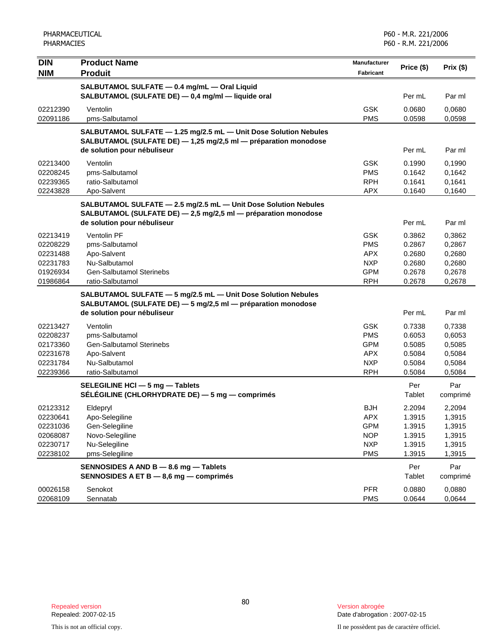| <b>DIN</b><br><b>NIM</b>                                             | <b>Product Name</b><br><b>Produit</b>                                                                                                                              | Manufacturer<br>Fabricant                                                        | Price (\$)                                               | Prix(\$)                                                 |
|----------------------------------------------------------------------|--------------------------------------------------------------------------------------------------------------------------------------------------------------------|----------------------------------------------------------------------------------|----------------------------------------------------------|----------------------------------------------------------|
|                                                                      | SALBUTAMOL SULFATE - 0.4 mg/mL - Oral Liquid<br>SALBUTAMOL (SULFATE DE) - 0,4 mg/ml - liquide oral                                                                 |                                                                                  | Per mL                                                   | Par ml                                                   |
| 02212390<br>02091186                                                 | Ventolin<br>pms-Salbutamol                                                                                                                                         | <b>GSK</b><br><b>PMS</b>                                                         | 0.0680<br>0.0598                                         | 0,0680<br>0,0598                                         |
|                                                                      | SALBUTAMOL SULFATE - 1.25 mg/2.5 mL - Unit Dose Solution Nebules<br>SALBUTAMOL (SULFATE DE) - 1,25 mg/2,5 ml - préparation monodose<br>de solution pour nébuliseur |                                                                                  | Per mL                                                   | Par ml                                                   |
| 02213400<br>02208245<br>02239365<br>02243828                         | Ventolin<br>pms-Salbutamol<br>ratio-Salbutamol<br>Apo-Salvent                                                                                                      | <b>GSK</b><br><b>PMS</b><br><b>RPH</b><br><b>APX</b>                             | 0.1990<br>0.1642<br>0.1641<br>0.1640                     | 0,1990<br>0,1642<br>0,1641<br>0,1640                     |
|                                                                      | SALBUTAMOL SULFATE - 2.5 mg/2.5 mL - Unit Dose Solution Nebules<br>SALBUTAMOL (SULFATE DE) - 2,5 mg/2,5 ml - préparation monodose<br>de solution pour nébuliseur   |                                                                                  | Per mL                                                   | Par ml                                                   |
| 02213419<br>02208229<br>02231488<br>02231783<br>01926934<br>01986864 | <b>Ventolin PF</b><br>pms-Salbutamol<br>Apo-Salvent<br>Nu-Salbutamol<br><b>Gen-Salbutamol Sterinebs</b><br>ratio-Salbutamol                                        | <b>GSK</b><br><b>PMS</b><br><b>APX</b><br><b>NXP</b><br><b>GPM</b><br><b>RPH</b> | 0.3862<br>0.2867<br>0.2680<br>0.2680<br>0.2678<br>0.2678 | 0,3862<br>0,2867<br>0,2680<br>0,2680<br>0,2678<br>0,2678 |
|                                                                      | SALBUTAMOL SULFATE - 5 mg/2.5 mL - Unit Dose Solution Nebules<br>SALBUTAMOL (SULFATE DE) - 5 mg/2,5 ml - préparation monodose<br>de solution pour nébuliseur       |                                                                                  | Per mL                                                   | Par ml                                                   |
| 02213427<br>02208237<br>02173360<br>02231678<br>02231784<br>02239366 | Ventolin<br>pms-Salbutamol<br><b>Gen-Salbutamol Sterinebs</b><br>Apo-Salvent<br>Nu-Salbutamol<br>ratio-Salbutamol                                                  | <b>GSK</b><br><b>PMS</b><br><b>GPM</b><br><b>APX</b><br><b>NXP</b><br><b>RPH</b> | 0.7338<br>0.6053<br>0.5085<br>0.5084<br>0.5084<br>0.5084 | 0,7338<br>0,6053<br>0,5085<br>0,5084<br>0,5084<br>0,5084 |
|                                                                      | SELEGILINE HCI - 5 mg - Tablets<br>SÉLÉGILINE (CHLORHYDRATE DE) — 5 mg — comprimés                                                                                 |                                                                                  | Per<br>Tablet                                            | Par<br>comprimé                                          |
| 02123312<br>02230641<br>02231036<br>02068087<br>02230717<br>02238102 | Eldepryl<br>Apo-Selegiline<br>Gen-Selegiline<br>Novo-Selegiline<br>Nu-Selegiline<br>pms-Selegiline                                                                 | <b>BJH</b><br>APX<br><b>GPM</b><br><b>NOP</b><br><b>NXP</b><br><b>PMS</b>        | 2.2094<br>1.3915<br>1.3915<br>1.3915<br>1.3915<br>1.3915 | 2,2094<br>1,3915<br>1,3915<br>1,3915<br>1,3915<br>1,3915 |
|                                                                      | SENNOSIDES A AND B - 8.6 mg - Tablets<br>SENNOSIDES A ET B - 8,6 mg - comprimés                                                                                    |                                                                                  | Per<br>Tablet                                            | Par<br>comprimé                                          |
| 00026158<br>02068109                                                 | Senokot<br>Sennatab                                                                                                                                                | <b>PFR</b><br><b>PMS</b>                                                         | 0.0880<br>0.0644                                         | 0,0880<br>0,0644                                         |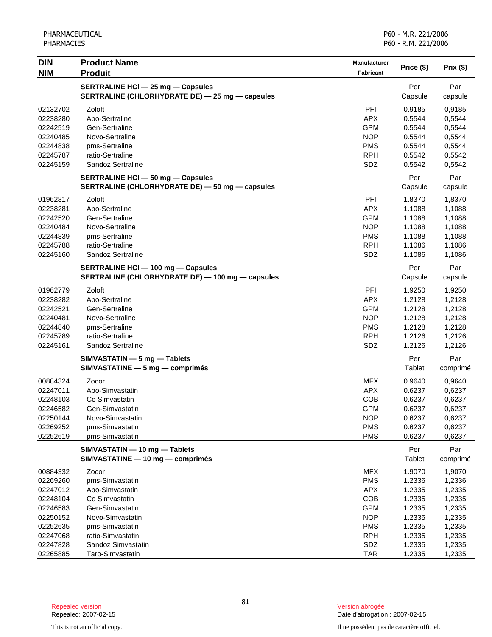| <b>DIN</b> | <b>Product Name</b>                              | Manufacturer | Price (\$) | Prix(\$) |
|------------|--------------------------------------------------|--------------|------------|----------|
| <b>NIM</b> | <b>Produit</b>                                   | Fabricant    |            |          |
|            | <b>SERTRALINE HCI - 25 mg - Capsules</b>         |              | Per        | Par      |
|            | SERTRALINE (CHLORHYDRATE DE) - 25 mg - capsules  |              | Capsule    | capsule  |
| 02132702   | Zoloft                                           | PFI          | 0.9185     | 0,9185   |
| 02238280   | Apo-Sertraline                                   | <b>APX</b>   | 0.5544     | 0,5544   |
| 02242519   | Gen-Sertraline                                   | <b>GPM</b>   | 0.5544     | 0,5544   |
| 02240485   | Novo-Sertraline                                  | <b>NOP</b>   | 0.5544     | 0,5544   |
| 02244838   | pms-Sertraline                                   | <b>PMS</b>   | 0.5544     | 0,5544   |
| 02245787   | ratio-Sertraline                                 | <b>RPH</b>   | 0.5542     | 0,5542   |
| 02245159   | Sandoz Sertraline                                | SDZ          | 0.5542     | 0,5542   |
|            | <b>SERTRALINE HCI - 50 mg - Capsules</b>         |              | Per        | Par      |
|            | SERTRALINE (CHLORHYDRATE DE) - 50 mg - capsules  |              | Capsule    | capsule  |
| 01962817   | Zoloft                                           | PFI          | 1.8370     | 1,8370   |
| 02238281   | Apo-Sertraline                                   | <b>APX</b>   | 1.1088     | 1,1088   |
| 02242520   | Gen-Sertraline                                   | <b>GPM</b>   | 1.1088     | 1,1088   |
| 02240484   | Novo-Sertraline                                  | <b>NOP</b>   | 1.1088     | 1,1088   |
| 02244839   | pms-Sertraline                                   | <b>PMS</b>   | 1.1088     | 1,1088   |
| 02245788   | ratio-Sertraline                                 | <b>RPH</b>   | 1.1086     | 1,1086   |
| 02245160   | Sandoz Sertraline                                | SDZ          | 1.1086     | 1,1086   |
|            | <b>SERTRALINE HCI - 100 mg - Capsules</b>        |              | Per        | Par      |
|            | SERTRALINE (CHLORHYDRATE DE) - 100 mg - capsules |              | Capsule    | capsule  |
| 01962779   | Zoloft                                           | PFI          | 1.9250     | 1,9250   |
| 02238282   | Apo-Sertraline                                   | <b>APX</b>   | 1.2128     | 1,2128   |
| 02242521   | Gen-Sertraline                                   | <b>GPM</b>   | 1.2128     | 1,2128   |
| 02240481   | Novo-Sertraline                                  | <b>NOP</b>   | 1.2128     | 1,2128   |
| 02244840   | pms-Sertraline                                   | <b>PMS</b>   | 1.2128     | 1,2128   |
| 02245789   | ratio-Sertraline                                 | <b>RPH</b>   | 1.2126     | 1,2126   |
| 02245161   | Sandoz Sertraline                                | SDZ          | 1.2126     | 1,2126   |
|            | SIMVASTATIN - 5 mg - Tablets                     |              | Per        | Par      |
|            | SIMVASTATINE - 5 mg - comprimés                  |              | Tablet     | comprimé |
| 00884324   | Zocor                                            | <b>MFX</b>   | 0.9640     | 0,9640   |
| 02247011   | Apo-Simvastatin                                  | <b>APX</b>   | 0.6237     | 0,6237   |
| 02248103   | Co Simvastatin                                   | COB          | 0.6237     | 0,6237   |
| 02246582   | Gen-Simvastatin                                  | <b>GPM</b>   | 0.6237     | 0,6237   |
| 02250144   | Novo-Simvastatin                                 | <b>NOP</b>   | 0.6237     | 0,6237   |
| 02269252   | pms-Simvastatin                                  | <b>PMS</b>   | 0.6237     | 0,6237   |
| 02252619   | pms-Simvastatin                                  | <b>PMS</b>   | 0.6237     | 0,6237   |
|            | SIMVASTATIN - 10 mg - Tablets                    |              | Per        | Par      |
|            | SIMVASTATINE - 10 mg - comprimés                 |              | Tablet     | comprimé |
| 00884332   | Zocor                                            | <b>MFX</b>   | 1.9070     | 1,9070   |
| 02269260   | pms-Simvastatin                                  | <b>PMS</b>   | 1.2336     | 1,2336   |
| 02247012   | Apo-Simvastatin                                  | <b>APX</b>   | 1.2335     | 1,2335   |
| 02248104   | Co Simvastatin                                   | COB          | 1.2335     | 1,2335   |
| 02246583   | Gen-Simvastatin                                  | <b>GPM</b>   | 1.2335     | 1,2335   |
| 02250152   | Novo-Simvastatin                                 | <b>NOP</b>   | 1.2335     | 1,2335   |
| 02252635   | pms-Simvastatin                                  | <b>PMS</b>   | 1.2335     | 1,2335   |
| 02247068   | ratio-Simvastatin                                | <b>RPH</b>   | 1.2335     | 1,2335   |
| 02247828   | Sandoz Simvastatin                               | SDZ          | 1.2335     | 1,2335   |
| 02265885   | Taro-Simvastatin                                 | <b>TAR</b>   | 1.2335     | 1,2335   |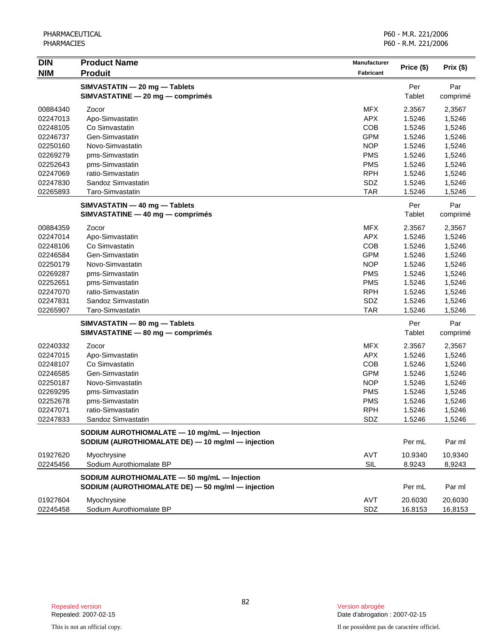| <b>DIN</b> | <b>Product Name</b>                               | Manufacturer | Price (\$) |           |
|------------|---------------------------------------------------|--------------|------------|-----------|
| <b>NIM</b> | <b>Produit</b>                                    | Fabricant    |            | Prix (\$) |
|            | SIMVASTATIN - 20 mg - Tablets                     |              | Per        | Par       |
|            | SIMVASTATINE - 20 mg - comprimés                  |              | Tablet     | comprimé  |
| 00884340   | Zocor                                             | <b>MFX</b>   | 2.3567     | 2,3567    |
| 02247013   | Apo-Simvastatin                                   | <b>APX</b>   | 1.5246     | 1,5246    |
| 02248105   | Co Simvastatin                                    | COB          | 1.5246     | 1,5246    |
| 02246737   | Gen-Simvastatin                                   | <b>GPM</b>   | 1.5246     | 1,5246    |
| 02250160   | Novo-Simvastatin                                  | <b>NOP</b>   | 1.5246     | 1,5246    |
| 02269279   | pms-Simvastatin                                   | <b>PMS</b>   | 1.5246     | 1,5246    |
| 02252643   | pms-Simvastatin                                   | <b>PMS</b>   | 1.5246     | 1,5246    |
| 02247069   | ratio-Simvastatin                                 | <b>RPH</b>   | 1.5246     | 1,5246    |
| 02247830   | Sandoz Simvastatin                                | SDZ          | 1.5246     | 1,5246    |
| 02265893   | Taro-Simvastatin                                  | <b>TAR</b>   | 1.5246     | 1,5246    |
|            | SIMVASTATIN - 40 mg - Tablets                     |              | Per        | Par       |
|            | SIMVASTATINE - 40 mg - comprimés                  |              | Tablet     | comprimé  |
| 00884359   | Zocor                                             | <b>MFX</b>   | 2.3567     | 2,3567    |
| 02247014   | Apo-Simvastatin                                   | <b>APX</b>   | 1.5246     | 1,5246    |
| 02248106   | Co Simvastatin                                    | COB          | 1.5246     | 1,5246    |
| 02246584   | Gen-Simvastatin                                   | <b>GPM</b>   | 1.5246     | 1,5246    |
| 02250179   | Novo-Simvastatin                                  | <b>NOP</b>   | 1.5246     | 1,5246    |
| 02269287   | pms-Simvastatin                                   | <b>PMS</b>   | 1.5246     | 1,5246    |
| 02252651   | pms-Simvastatin                                   | <b>PMS</b>   | 1.5246     | 1,5246    |
| 02247070   | ratio-Simvastatin                                 | <b>RPH</b>   | 1.5246     | 1,5246    |
| 02247831   | Sandoz Simvastatin                                | SDZ          | 1.5246     | 1,5246    |
| 02265907   | Taro-Simvastatin                                  | <b>TAR</b>   | 1.5246     | 1,5246    |
|            | SIMVASTATIN - 80 mg - Tablets                     |              | Per        | Par       |
|            | SIMVASTATINE - 80 mg - comprimés                  |              | Tablet     | comprimé  |
| 02240332   | Zocor                                             | <b>MFX</b>   | 2.3567     | 2,3567    |
| 02247015   | Apo-Simvastatin                                   | <b>APX</b>   | 1.5246     | 1,5246    |
| 02248107   | Co Simvastatin                                    | COB          | 1.5246     | 1,5246    |
| 02246585   | Gen-Simvastatin                                   | <b>GPM</b>   | 1.5246     | 1,5246    |
| 02250187   | Novo-Simvastatin                                  | <b>NOP</b>   | 1.5246     | 1,5246    |
| 02269295   | pms-Simvastatin                                   | <b>PMS</b>   | 1.5246     | 1,5246    |
| 02252678   | pms-Simvastatin                                   | <b>PMS</b>   | 1.5246     | 1,5246    |
| 02247071   | ratio-Simvastatin                                 | <b>RPH</b>   | 1.5246     | 1,5246    |
| 02247833   | Sandoz Simvastatin                                | SDZ          | 1.5246     | 1,5246    |
|            | SODIUM AUROTHIOMALATE - 10 mg/mL - Injection      |              |            |           |
|            | SODIUM (AUROTHIOMALATE DE) - 10 mg/ml - injection |              | Per mL     | Par ml    |
| 01927620   | Myochrysine                                       | AVT          | 10.9340    | 10,9340   |
| 02245456   | Sodium Aurothiomalate BP                          | SIL          | 8.9243     | 8,9243    |
|            | SODIUM AUROTHIOMALATE - 50 mg/mL - Injection      |              |            |           |
|            | SODIUM (AUROTHIOMALATE DE) - 50 mg/ml - injection |              | Per mL     | Par ml    |
| 01927604   | Myochrysine                                       | AVT          | 20.6030    | 20,6030   |
| 02245458   | Sodium Aurothiomalate BP                          | SDZ          | 16.8153    | 16,8153   |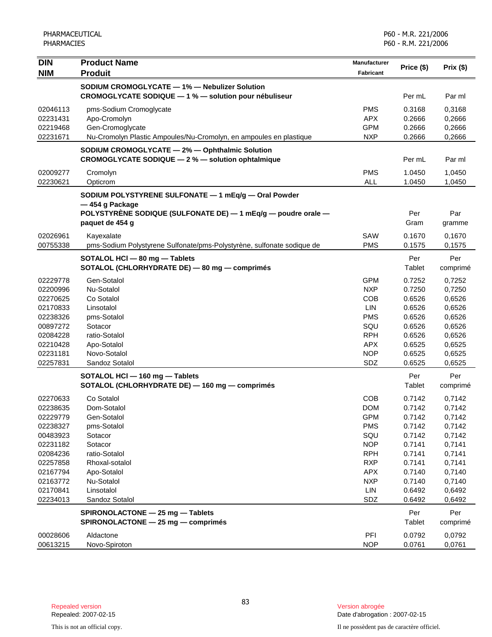| <b>DIN</b> | <b>Product Name</b>                                                                                 | <b>Manufacturer</b> |            |          |
|------------|-----------------------------------------------------------------------------------------------------|---------------------|------------|----------|
| <b>NIM</b> | <b>Produit</b>                                                                                      | <b>Fabricant</b>    | Price (\$) | Prix(\$) |
|            | SODIUM CROMOGLYCATE - 1% - Nebulizer Solution                                                       |                     |            |          |
|            | CROMOGLYCATE SODIQUE - 1 % - solution pour nébuliseur                                               |                     | Per mL     | Par ml   |
| 02046113   |                                                                                                     | <b>PMS</b>          | 0.3168     | 0,3168   |
| 02231431   | pms-Sodium Cromoglycate<br>Apo-Cromolyn                                                             | <b>APX</b>          | 0.2666     | 0,2666   |
| 02219468   | Gen-Cromoglycate                                                                                    | <b>GPM</b>          | 0.2666     | 0,2666   |
| 02231671   | Nu-Cromolyn Plastic Ampoules/Nu-Cromolyn, en ampoules en plastique                                  | <b>NXP</b>          | 0.2666     | 0,2666   |
|            |                                                                                                     |                     |            |          |
|            | SODIUM CROMOGLYCATE - 2% - Ophthalmic Solution<br>CROMOGLYCATE SODIQUE - 2 % - solution ophtalmique |                     | Per mL     | Par ml   |
| 02009277   | Cromolyn                                                                                            | <b>PMS</b>          | 1.0450     | 1,0450   |
| 02230621   | Opticrom                                                                                            | <b>ALL</b>          | 1.0450     | 1,0450   |
|            | SODIUM POLYSTYRENE SULFONATE - 1 mEq/g - Oral Powder                                                |                     |            |          |
|            | -454 g Package                                                                                      |                     |            |          |
|            | POLYSTYRÈNE SODIQUE (SULFONATE DE) - 1 mEq/g - poudre orale -                                       |                     | Per        | Par      |
|            | paquet de 454 g                                                                                     |                     | Gram       | gramme   |
| 02026961   | Kayexalate                                                                                          | SAW                 | 0.1670     | 0,1670   |
| 00755338   | pms-Sodium Polystyrene Sulfonate/pms-Polystyrène, sulfonate sodique de                              | <b>PMS</b>          | 0.1575     | 0.1575   |
|            | SOTALOL HCI - 80 mg - Tablets                                                                       |                     | Per        | Per      |
|            | SOTALOL (CHLORHYDRATE DE) - 80 mg - comprimés                                                       |                     | Tablet     | comprimé |
| 02229778   | Gen-Sotalol                                                                                         | <b>GPM</b>          | 0.7252     | 0,7252   |
| 02200996   | Nu-Sotalol                                                                                          | <b>NXP</b>          | 0.7250     | 0,7250   |
| 02270625   | Co Sotalol                                                                                          | <b>COB</b>          | 0.6526     | 0,6526   |
| 02170833   | Linsotalol                                                                                          | LIN                 | 0.6526     | 0,6526   |
| 02238326   | pms-Sotalol                                                                                         | <b>PMS</b>          | 0.6526     | 0,6526   |
| 00897272   | Sotacor                                                                                             | SQU                 | 0.6526     | 0,6526   |
| 02084228   | ratio-Sotalol                                                                                       | <b>RPH</b>          | 0.6526     | 0,6526   |
| 02210428   | Apo-Sotalol                                                                                         | <b>APX</b>          | 0.6525     | 0,6525   |
| 02231181   | Novo-Sotalol                                                                                        | <b>NOP</b>          | 0.6525     | 0,6525   |
| 02257831   | Sandoz Sotalol                                                                                      | SDZ                 | 0.6525     | 0,6525   |
|            | SOTALOL HCI - 160 mg - Tablets                                                                      |                     | Per        | Per      |
|            | SOTALOL (CHLORHYDRATE DE) - 160 mg - comprimés                                                      |                     | Tablet     | comprimé |
| 02270633   | Co Sotalol                                                                                          | COB                 | 0.7142     | 0,7142   |
| 02238635   | Dom-Sotalol                                                                                         | <b>DOM</b>          | 0.7142     | 0,7142   |
| 02229779   | Gen-Sotalol                                                                                         | <b>GPM</b>          | 0.7142     | 0,7142   |
| 02238327   | pms-Sotalol                                                                                         | <b>PMS</b>          | 0.7142     | 0,7142   |
| 00483923   | Sotacor                                                                                             | SQU                 | 0.7142     | 0,7142   |
| 02231182   | Sotacor                                                                                             | <b>NOP</b>          | 0.7141     | 0,7141   |
| 02084236   | ratio-Sotalol                                                                                       | <b>RPH</b>          | 0.7141     | 0,7141   |
| 02257858   | Rhoxal-sotalol                                                                                      | <b>RXP</b>          | 0.7141     | 0,7141   |
| 02167794   | Apo-Sotalol                                                                                         | <b>APX</b>          | 0.7140     | 0,7140   |
| 02163772   | Nu-Sotalol                                                                                          | <b>NXP</b>          | 0.7140     | 0,7140   |
| 02170841   | Linsotalol                                                                                          | LIN                 | 0.6492     | 0,6492   |
| 02234013   | Sandoz Sotalol                                                                                      | SDZ                 | 0.6492     | 0,6492   |
|            | SPIRONOLACTONE - 25 mg - Tablets                                                                    |                     | Per        | Per      |
|            | SPIRONOLACTONE - 25 mg - comprimés                                                                  |                     | Tablet     | comprimé |
| 00028606   | Aldactone                                                                                           | PFI                 | 0.0792     | 0,0792   |
| 00613215   | Novo-Spiroton                                                                                       | <b>NOP</b>          | 0.0761     | 0,0761   |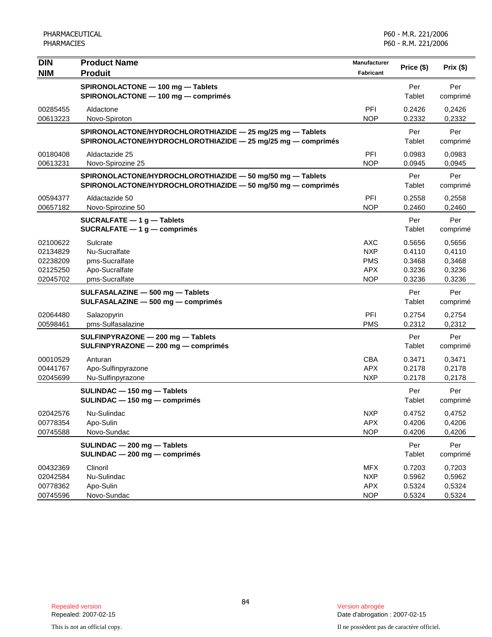| <b>DIN</b><br><b>NIM</b>                                 | <b>Product Name</b><br><b>Produit</b>                                                                                      | <b>Manufacturer</b><br><b>Fabricant</b>                     | Price (\$)                                     | Prix (\$)                                      |
|----------------------------------------------------------|----------------------------------------------------------------------------------------------------------------------------|-------------------------------------------------------------|------------------------------------------------|------------------------------------------------|
|                                                          | SPIRONOLACTONE - 100 mg - Tablets<br>SPIRONOLACTONE - 100 mg - comprimés                                                   |                                                             | Per<br>Tablet                                  | Per<br>comprimé                                |
| 00285455<br>00613223                                     | Aldactone<br>Novo-Spiroton                                                                                                 | PFI<br><b>NOP</b>                                           | 0.2426<br>0.2332                               | 0,2426<br>0,2332                               |
|                                                          | SPIRONOLACTONE/HYDROCHLOROTHIAZIDE - 25 mg/25 mg - Tablets<br>SPIRONOLACTONE/HYDROCHLOROTHIAZIDE - 25 mg/25 mg - comprimés |                                                             | Per<br>Tablet                                  | Per<br>comprimé                                |
| 00180408<br>00613231                                     | Aldactazide 25<br>Novo-Spirozine 25                                                                                        | PFI<br><b>NOP</b>                                           | 0.0983<br>0.0945                               | 0,0983<br>0,0945                               |
|                                                          | SPIRONOLACTONE/HYDROCHLOROTHIAZIDE - 50 mg/50 mg - Tablets<br>SPIRONOLACTONE/HYDROCHLOROTHIAZIDE - 50 mg/50 mg - comprimés |                                                             | Per<br>Tablet                                  | Per<br>comprimé                                |
| 00594377<br>00657182                                     | Aldactazide 50<br>Novo-Spirozine 50                                                                                        | PFI<br><b>NOP</b>                                           | 0.2558<br>0.2460                               | 0,2558<br>0,2460                               |
|                                                          | SUCRALFATE $-1$ g $-$ Tablets<br>SUCRALFATE $-1$ g $-$ comprimés                                                           |                                                             | Per<br>Tablet                                  | Per<br>comprimé                                |
| 02100622<br>02134829<br>02238209<br>02125250<br>02045702 | Sulcrate<br>Nu-Sucralfate<br>pms-Sucralfate<br>Apo-Sucralfate<br>pms-Sucralfate                                            | AXC<br><b>NXP</b><br><b>PMS</b><br><b>APX</b><br><b>NOP</b> | 0.5656<br>0.4110<br>0.3468<br>0.3236<br>0.3236 | 0,5656<br>0,4110<br>0,3468<br>0,3236<br>0,3236 |
|                                                          | SULFASALAZINE - 500 mg - Tablets<br>SULFASALAZINE - 500 mg - comprimés                                                     |                                                             | Per<br>Tablet                                  | Per<br>comprimé                                |
| 02064480<br>00598461                                     | Salazopyrin<br>pms-Sulfasalazine                                                                                           | <b>PFI</b><br><b>PMS</b>                                    | 0.2754<br>0.2312                               | 0,2754<br>0,2312                               |
|                                                          | SULFINPYRAZONE - 200 mg - Tablets<br>SULFINPYRAZONE - 200 mg - comprimés                                                   |                                                             | Per<br>Tablet                                  | Per<br>comprimé                                |
| 00010529<br>00441767<br>02045699                         | Anturan<br>Apo-Sulfinpyrazone<br>Nu-Sulfinpyrazone                                                                         | <b>CBA</b><br><b>APX</b><br><b>NXP</b>                      | 0.3471<br>0.2178<br>0.2178                     | 0,3471<br>0,2178<br>0,2178                     |
|                                                          | SULINDAC - 150 mg - Tablets<br>SULINDAC - 150 mg - comprimés                                                               |                                                             | Per<br>Tablet                                  | Per<br>comprimé                                |
| 02042576<br>00778354<br>00745588                         | Nu-Sulindac<br>Apo-Sulin<br>Novo-Sundac                                                                                    | <b>NXP</b><br><b>APX</b><br><b>NOP</b>                      | 0.4752<br>0.4206<br>0.4206                     | 0,4752<br>0,4206<br>0,4206                     |
|                                                          | SULINDAC - 200 mg - Tablets<br>SULINDAC - 200 mg - comprimés                                                               |                                                             | Per<br>Tablet                                  | Per<br>comprimé                                |
| 00432369<br>02042584<br>00778362<br>00745596             | Clinoril<br>Nu-Sulindac<br>Apo-Sulin<br>Novo-Sundac                                                                        | <b>MFX</b><br><b>NXP</b><br><b>APX</b><br><b>NOP</b>        | 0.7203<br>0.5962<br>0.5324<br>0.5324           | 0,7203<br>0,5962<br>0,5324<br>0,5324           |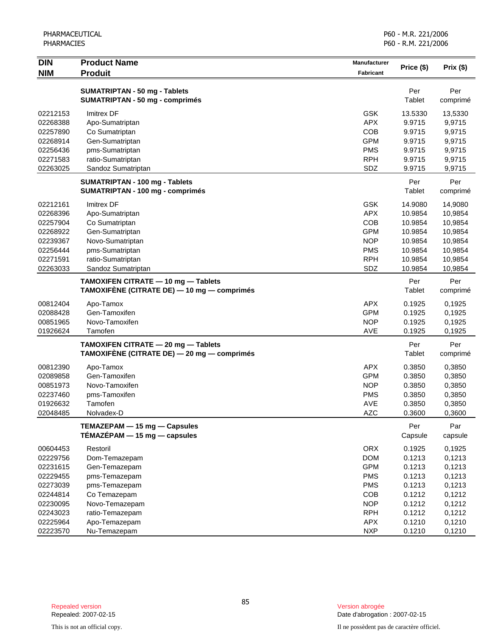| <b>DIN</b> | <b>Product Name</b>                                                                | <b>Manufacturer</b> | Price (\$)     | Prix $(\$)$     |
|------------|------------------------------------------------------------------------------------|---------------------|----------------|-----------------|
| <b>NIM</b> | <b>Produit</b>                                                                     | Fabricant           |                |                 |
|            | <b>SUMATRIPTAN - 50 mg - Tablets</b><br><b>SUMATRIPTAN - 50 mg - comprimés</b>     |                     | Per<br>Tablet  | Per<br>comprimé |
| 02212153   | <b>Imitrex DF</b>                                                                  | <b>GSK</b>          | 13.5330        | 13,5330         |
| 02268388   | Apo-Sumatriptan                                                                    | <b>APX</b>          | 9.9715         | 9,9715          |
| 02257890   | Co Sumatriptan                                                                     | <b>COB</b>          | 9.9715         | 9,9715          |
| 02268914   | Gen-Sumatriptan                                                                    | <b>GPM</b>          | 9.9715         | 9,9715          |
| 02256436   | pms-Sumatriptan                                                                    | <b>PMS</b>          | 9.9715         | 9,9715          |
| 02271583   | ratio-Sumatriptan                                                                  | <b>RPH</b>          | 9.9715         | 9,9715          |
| 02263025   | Sandoz Sumatriptan                                                                 | SDZ                 | 9.9715         | 9,9715          |
|            | <b>SUMATRIPTAN - 100 mg - Tablets</b>                                              |                     | Per            | Per             |
|            | <b>SUMATRIPTAN - 100 mg - comprimés</b>                                            |                     | Tablet         | comprimé        |
| 02212161   | Imitrex DF                                                                         | <b>GSK</b>          | 14.9080        | 14,9080         |
| 02268396   | Apo-Sumatriptan                                                                    | <b>APX</b>          | 10.9854        | 10,9854         |
| 02257904   | Co Sumatriptan                                                                     | COB                 | 10.9854        | 10,9854         |
| 02268922   | Gen-Sumatriptan                                                                    | <b>GPM</b>          | 10.9854        | 10,9854         |
| 02239367   | Novo-Sumatriptan                                                                   | <b>NOP</b>          | 10.9854        | 10,9854         |
| 02256444   | pms-Sumatriptan                                                                    | <b>PMS</b>          | 10.9854        | 10,9854         |
| 02271591   | ratio-Sumatriptan                                                                  | <b>RPH</b>          | 10.9854        | 10,9854         |
| 02263033   | Sandoz Sumatriptan                                                                 | SDZ                 | 10.9854        | 10,9854         |
|            | TAMOXIFEN CITRATE - 10 mg - Tablets<br>TAMOXIFÈNE (CITRATE DE) — 10 mg — comprimés |                     | Per<br>Tablet  | Per<br>comprimé |
| 00812404   | Apo-Tamox                                                                          | <b>APX</b>          | 0.1925         | 0,1925          |
| 02088428   | Gen-Tamoxifen                                                                      | <b>GPM</b>          | 0.1925         | 0,1925          |
| 00851965   | Novo-Tamoxifen                                                                     | <b>NOP</b>          | 0.1925         | 0,1925          |
| 01926624   | Tamofen                                                                            | AVE                 | 0.1925         | 0,1925          |
|            | TAMOXIFEN CITRATE - 20 mg - Tablets<br>TAMOXIFÈNE (CITRATE DE) — 20 mg — comprimés |                     | Per<br>Tablet  | Per<br>comprimé |
| 00812390   | Apo-Tamox                                                                          | <b>APX</b>          | 0.3850         | 0,3850          |
| 02089858   | Gen-Tamoxifen                                                                      | <b>GPM</b>          | 0.3850         | 0,3850          |
| 00851973   | Novo-Tamoxifen                                                                     | <b>NOP</b>          | 0.3850         | 0,3850          |
| 02237460   | pms-Tamoxifen                                                                      | <b>PMS</b>          | 0.3850         | 0,3850          |
| 01926632   | Tamofen                                                                            | <b>AVE</b>          | 0.3850         | 0,3850          |
| 02048485   | Nolvadex-D                                                                         | <b>AZC</b>          | 0.3600         | 0,3600          |
|            | TEMAZEPAM - 15 mg - Capsules<br>$TÉMAZÉPAM - 15 mg - capsules$                     |                     | Per<br>Capsule | Par<br>capsule  |
| 00604453   | Restoril                                                                           | <b>ORX</b>          | 0.1925         | 0,1925          |
| 02229756   | Dom-Temazepam                                                                      | <b>DOM</b>          | 0.1213         | 0,1213          |
| 02231615   | Gen-Temazepam                                                                      | <b>GPM</b>          | 0.1213         | 0,1213          |
| 02229455   | pms-Temazepam                                                                      | <b>PMS</b>          | 0.1213         | 0,1213          |
| 02273039   | pms-Temazepam                                                                      | <b>PMS</b>          | 0.1213         | 0,1213          |
| 02244814   | Co Temazepam                                                                       | COB                 | 0.1212         | 0,1212          |
| 02230095   | Novo-Temazepam                                                                     | <b>NOP</b>          | 0.1212         | 0,1212          |
| 02243023   | ratio-Temazepam                                                                    | <b>RPH</b>          | 0.1212         | 0,1212          |
| 02225964   | Apo-Temazepam                                                                      | <b>APX</b>          | 0.1210         | 0,1210          |
| 02223570   | Nu-Temazepam                                                                       | <b>NXP</b>          | 0.1210         | 0,1210          |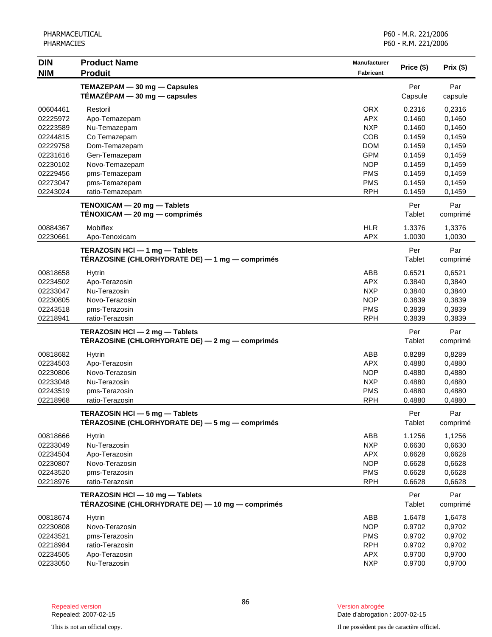| <b>DIN</b>           | <b>Product Name</b>                                          | <b>Manufacturer</b>      |                  |                  |
|----------------------|--------------------------------------------------------------|--------------------------|------------------|------------------|
| <b>NIM</b>           | <b>Produit</b>                                               | Fabricant                | Price (\$)       | Prix(\$)         |
|                      | TEMAZEPAM - 30 mg - Capsules                                 |                          | Per              | Par              |
|                      | $TÉMAZÉPAM - 30 mg - capsules$                               |                          | Capsule          | capsule          |
|                      |                                                              |                          |                  |                  |
| 00604461             | Restoril                                                     | <b>ORX</b><br><b>APX</b> | 0.2316<br>0.1460 | 0,2316           |
| 02225972<br>02223589 | Apo-Temazepam<br>Nu-Temazepam                                | <b>NXP</b>               | 0.1460           | 0,1460<br>0,1460 |
| 02244815             | Co Temazepam                                                 | COB                      | 0.1459           | 0,1459           |
| 02229758             | Dom-Temazepam                                                | <b>DOM</b>               | 0.1459           | 0,1459           |
| 02231616             | Gen-Temazepam                                                | <b>GPM</b>               | 0.1459           | 0,1459           |
| 02230102             | Novo-Temazepam                                               | <b>NOP</b>               | 0.1459           | 0,1459           |
| 02229456             | pms-Temazepam                                                | <b>PMS</b>               | 0.1459           | 0,1459           |
| 02273047             | pms-Temazepam                                                | <b>PMS</b>               | 0.1459           | 0,1459           |
| 02243024             | ratio-Temazepam                                              | <b>RPH</b>               | 0.1459           | 0,1459           |
|                      |                                                              |                          |                  |                  |
|                      | TENOXICAM - 20 mg - Tablets<br>TÉNOXICAM - 20 mg - comprimés |                          | Per<br>Tablet    | Par<br>comprimé  |
|                      |                                                              |                          |                  |                  |
| 00884367             | Mobiflex                                                     | <b>HLR</b>               | 1.3376           | 1,3376           |
| 02230661             | Apo-Tenoxicam                                                | <b>APX</b>               | 1.0030           | 1,0030           |
|                      | TERAZOSIN HCI - 1 mg - Tablets                               |                          | Per              | Par              |
|                      | TÉRAZOSINE (CHLORHYDRATE DE) - 1 mg - comprimés              |                          | Tablet           | comprimé         |
| 00818658             | <b>Hytrin</b>                                                | ABB                      | 0.6521           | 0,6521           |
| 02234502             | Apo-Terazosin                                                | <b>APX</b>               | 0.3840           | 0,3840           |
| 02233047             | Nu-Terazosin                                                 | <b>NXP</b>               | 0.3840           | 0,3840           |
| 02230805             | Novo-Terazosin                                               | <b>NOP</b>               | 0.3839           | 0,3839           |
| 02243518             | pms-Terazosin                                                | <b>PMS</b>               | 0.3839           | 0,3839           |
| 02218941             | ratio-Terazosin                                              | <b>RPH</b>               | 0.3839           | 0,3839           |
|                      | TERAZOSIN HCI - 2 mg - Tablets                               |                          | Per              | Par              |
|                      | TÉRAZOSINE (CHLORHYDRATE DE) - 2 mg - comprimés              |                          | Tablet           | comprimé         |
| 00818682             |                                                              | ABB                      | 0.8289           |                  |
| 02234503             | <b>Hytrin</b><br>Apo-Terazosin                               | <b>APX</b>               | 0.4880           | 0,8289<br>0,4880 |
| 02230806             | Novo-Terazosin                                               | <b>NOP</b>               | 0.4880           | 0,4880           |
| 02233048             | Nu-Terazosin                                                 | <b>NXP</b>               | 0.4880           | 0,4880           |
| 02243519             | pms-Terazosin                                                | <b>PMS</b>               | 0.4880           | 0,4880           |
| 02218968             | ratio-Terazosin                                              | <b>RPH</b>               | 0.4880           | 0,4880           |
|                      |                                                              |                          |                  |                  |
|                      | TERAZOSIN HCI - 5 mg - Tablets                               |                          | Per              | Par              |
|                      | TÉRAZOSINE (CHLORHYDRATE DE) - 5 mg - comprimés              |                          | Tablet           | comprimé         |
| 00818666             | <b>Hytrin</b>                                                | ABB                      | 1.1256           | 1,1256           |
| 02233049             | Nu-Terazosin                                                 | <b>NXP</b>               | 0.6630           | 0,6630           |
| 02234504             | Apo-Terazosin                                                | <b>APX</b>               | 0.6628           | 0,6628           |
| 02230807             | Novo-Terazosin                                               | <b>NOP</b>               | 0.6628           | 0,6628           |
| 02243520             | pms-Terazosin                                                | <b>PMS</b>               | 0.6628           | 0,6628           |
| 02218976             | ratio-Terazosin                                              | <b>RPH</b>               | 0.6628           | 0,6628           |
|                      | TERAZOSIN HCI - 10 mg - Tablets                              |                          | Per              | Par              |
|                      | TÉRAZOSINE (CHLORHYDRATE DE) — 10 mg — comprimés             |                          | Tablet           | comprimé         |
| 00818674             | <b>Hytrin</b>                                                | ABB                      | 1.6478           | 1,6478           |
| 02230808             | Novo-Terazosin                                               | <b>NOP</b>               | 0.9702           | 0,9702           |
| 02243521             | pms-Terazosin                                                | <b>PMS</b>               | 0.9702           | 0,9702           |
| 02218984             | ratio-Terazosin                                              | <b>RPH</b>               | 0.9702           | 0,9702           |
| 02234505             | Apo-Terazosin                                                | <b>APX</b>               | 0.9700           | 0,9700           |
| 02233050             | Nu-Terazosin                                                 | <b>NXP</b>               | 0.9700           | 0,9700           |

Date d'abrogation : 2007-02-15

This is not an official copy. Il ne possèdent pas de caractère officiel.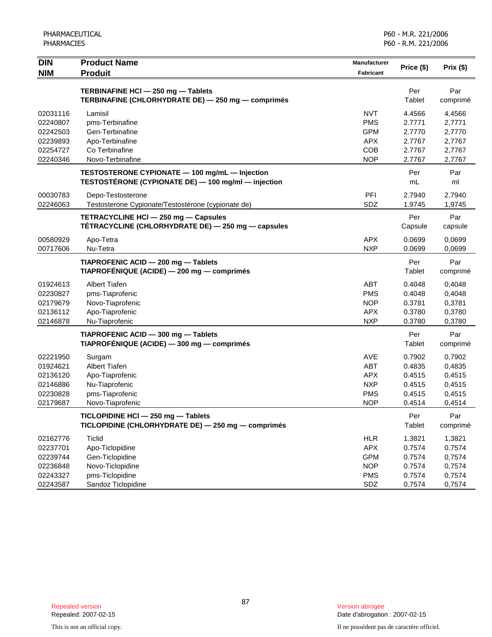| <b>DIN</b>           | <b>Product Name</b>                                                                      | Manufacturer             | Price (\$)       | Prix (\$)        |
|----------------------|------------------------------------------------------------------------------------------|--------------------------|------------------|------------------|
| <b>NIM</b>           | <b>Produit</b>                                                                           | <b>Fabricant</b>         |                  |                  |
|                      |                                                                                          |                          | Per              | Par              |
|                      | TERBINAFINE HCI - 250 mg - Tablets<br>TERBINAFINE (CHLORHYDRATE DE) - 250 mg - comprimés |                          | Tablet           | comprimé         |
|                      |                                                                                          |                          |                  |                  |
| 02031116             | Lamisil                                                                                  | <b>NVT</b>               | 4.4566           | 4,4566           |
| 02240807<br>02242503 | pms-Terbinafine<br>Gen-Terbinafine                                                       | <b>PMS</b><br><b>GPM</b> | 2.7771<br>2.7770 | 2,7771           |
| 02239893             | Apo-Terbinafine                                                                          | <b>APX</b>               | 2.7767           | 2,7770<br>2,7767 |
| 02254727             | Co Terbinafine                                                                           | COB                      | 2.7767           | 2,7767           |
| 02240346             | Novo-Terbinafine                                                                         | <b>NOP</b>               | 2.7767           | 2,7767           |
|                      | TESTOSTERONE CYPIONATE - 100 mg/mL - Injection                                           |                          | Per              | Par              |
|                      | TESTOSTÉRONE (CYPIONATE DE) - 100 mg/ml - injection                                      |                          | mL               | ml               |
| 00030783             | Depo-Testosterone                                                                        | PFI                      | 2.7940           | 2,7940           |
| 02246063             | Testosterone Cypionate/Testostérone (cypionate de)                                       | SDZ                      | 1.9745           | 1,9745           |
|                      | TETRACYCLINE HCI - 250 mg - Capsules                                                     |                          | Per              | Par              |
|                      | TÉTRACYCLINE (CHLORHYDRATE DE) - 250 mg - capsules                                       |                          | Capsule          | capsule          |
| 00580929             | Apo-Tetra                                                                                | <b>APX</b>               | 0.0699           | 0,0699           |
| 00717606             | Nu-Tetra                                                                                 | <b>NXP</b>               | 0.0699           | 0,0699           |
|                      | TIAPROFENIC ACID - 200 mg - Tablets                                                      |                          | Per              | Par              |
|                      | TIAPROFÉNIQUE (ACIDE) — 200 mg — comprimés                                               |                          | Tablet           | comprimé         |
| 01924613             | <b>Albert Tiafen</b>                                                                     | ABT                      | 0.4048           | 0,4048           |
| 02230827             | pms-Tiaprofenic                                                                          | <b>PMS</b>               | 0.4048           | 0,4048           |
| 02179679             | Novo-Tiaprofenic                                                                         | <b>NOP</b>               | 0.3781           | 0,3781           |
| 02136112             | Apo-Tiaprofenic                                                                          | <b>APX</b>               | 0.3780           | 0,3780           |
| 02146878             | Nu-Tiaprofenic                                                                           | <b>NXP</b>               | 0.3780           | 0,3780           |
|                      | TIAPROFENIC ACID - 300 mg - Tablets                                                      |                          | Per              | Par              |
|                      | TIAPROFÉNIQUE (ACIDE) - 300 mg - comprimés                                               |                          | Tablet           | comprimé         |
| 02221950             | Surgam                                                                                   | AVE                      | 0.7902           | 0,7902           |
| 01924621             | <b>Albert Tiafen</b>                                                                     | <b>ABT</b>               | 0.4835           | 0,4835           |
| 02136120             | Apo-Tiaprofenic                                                                          | <b>APX</b>               | 0.4515           | 0,4515           |
| 02146886             | Nu-Tiaprofenic                                                                           | <b>NXP</b>               | 0.4515           | 0,4515           |
| 02230828             | pms-Tiaprofenic                                                                          | <b>PMS</b>               | 0.4515           | 0,4515           |
| 02179687             | Novo-Tiaprofenic                                                                         | <b>NOP</b>               | 0.4514           | 0,4514           |
|                      | TICLOPIDINE HCI - 250 mg - Tablets                                                       |                          | Per              | Par              |
|                      | TICLOPIDINE (CHLORHYDRATE DE) - 250 mg - comprimés                                       |                          | Tablet           | comprimé         |
| 02162776             | <b>Ticlid</b>                                                                            | <b>HLR</b>               | 1.3821           | 1,3821           |
| 02237701             | Apo-Ticlopidine                                                                          | <b>APX</b>               | 0.7574           | 0,7574           |
| 02239744             | Gen-Ticlopidine                                                                          | <b>GPM</b>               | 0.7574           | 0,7574           |
| 02236848             | Novo-Ticlopidine                                                                         | <b>NOP</b>               | 0.7574           | 0,7574           |
| 02243327             | pms-Ticlopidine                                                                          | <b>PMS</b>               | 0.7574           | 0,7574           |
| 02243587             | Sandoz Ticlopidine                                                                       | SDZ                      | 0.7574           | 0,7574           |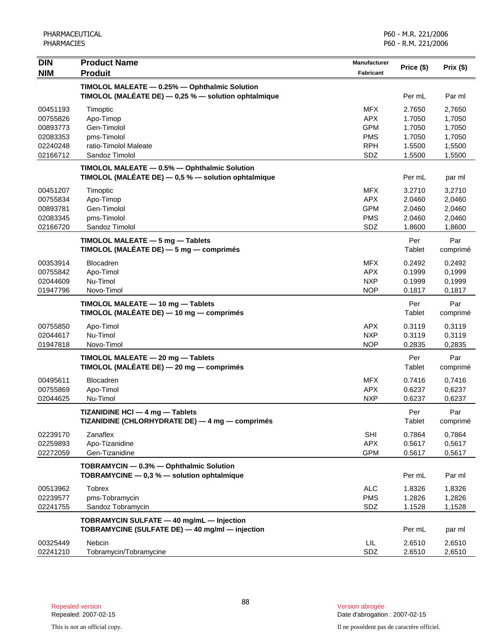| <b>DIN</b>                                                           | <b>Product Name</b>                                                                                      | Manufacturer                                                              | Price (\$)                                               | Prix (\$)                                                |
|----------------------------------------------------------------------|----------------------------------------------------------------------------------------------------------|---------------------------------------------------------------------------|----------------------------------------------------------|----------------------------------------------------------|
| <b>NIM</b>                                                           | <b>Produit</b>                                                                                           | Fabricant                                                                 |                                                          |                                                          |
|                                                                      | TIMOLOL MALEATE - 0.25% - Ophthalmic Solution<br>TIMOLOL (MALÉATE DE) $-0.25$ % $-$ solution ophtalmique |                                                                           | Per mL                                                   | Par ml                                                   |
| 00451193<br>00755826<br>00893773<br>02083353<br>02240248<br>02166712 | Timoptic<br>Apo-Timop<br>Gen-Timolol<br>pms-Timolol<br>ratio-Timolol Maleate<br>Sandoz Timolol           | <b>MFX</b><br><b>APX</b><br><b>GPM</b><br><b>PMS</b><br><b>RPH</b><br>SDZ | 2.7650<br>1.7050<br>1.7050<br>1.7050<br>1.5500<br>1.5500 | 2,7650<br>1,7050<br>1,7050<br>1,7050<br>1,5500<br>1,5500 |
|                                                                      | TIMOLOL MALEATE - 0.5% - Ophthalmic Solution<br>TIMOLOL (MALÉATE DE) $-0.5$ % $-$ solution ophtalmique   |                                                                           | Per mL                                                   | par ml                                                   |
| 00451207<br>00755834<br>00893781<br>02083345<br>02166720             | Timoptic<br>Apo-Timop<br>Gen-Timolol<br>pms-Timolol<br>Sandoz Timolol                                    | <b>MFX</b><br><b>APX</b><br><b>GPM</b><br><b>PMS</b><br>SDZ               | 3.2710<br>2.0460<br>2.0460<br>2.0460<br>1.8600           | 3,2710<br>2,0460<br>2,0460<br>2,0460<br>1,8600           |
|                                                                      | TIMOLOL MALEATE - 5 mg - Tablets<br>TIMOLOL (MALÉATE DE) $-5$ mg $-$ comprimés                           |                                                                           | Per<br>Tablet                                            | Par<br>comprimé                                          |
| 00353914<br>00755842<br>02044609<br>01947796                         | Blocadren<br>Apo-Timol<br>Nu-Timol<br>Novo-Timol                                                         | <b>MFX</b><br><b>APX</b><br><b>NXP</b><br><b>NOP</b>                      | 0.2492<br>0.1999<br>0.1999<br>0.1817                     | 0,2492<br>0,1999<br>0,1999<br>0,1817                     |
|                                                                      | TIMOLOL MALEATE - 10 mg - Tablets<br>TIMOLOL (MALÉATE DE) — 10 mg — comprimés                            |                                                                           | Per<br>Tablet                                            | Par<br>comprimé                                          |
| 00755850<br>02044617<br>01947818                                     | Apo-Timol<br>Nu-Timol<br>Novo-Timol                                                                      | <b>APX</b><br><b>NXP</b><br><b>NOP</b>                                    | 0.3119<br>0.3119<br>0.2835                               | 0,3119<br>0,3119<br>0,2835                               |
|                                                                      | TIMOLOL MALEATE - 20 mg - Tablets<br>TIMOLOL (MALÉATE DE) - 20 mg - comprimés                            |                                                                           | Per<br>Tablet                                            | Par<br>comprimé                                          |
| 00495611<br>00755869<br>02044625                                     | <b>Blocadren</b><br>Apo-Timol<br>Nu-Timol                                                                | <b>MFX</b><br><b>APX</b><br><b>NXP</b>                                    | 0.7416<br>0.6237<br>0.6237                               | 0,7416<br>0,6237<br>0,6237                               |
|                                                                      | TIZANIDINE HCI - 4 mg - Tablets<br>TIZANIDINE (CHLORHYDRATE DE) - 4 mg - comprimés                       |                                                                           | Per<br>Tablet                                            | Par<br>comprimé                                          |
| 02239170<br>02259893<br>02272059                                     | Zanaflex<br>Apo-Tizanidine<br>Gen-Tizanidine                                                             | <b>SHI</b><br><b>APX</b><br><b>GPM</b>                                    | 0.7864<br>0.5617<br>0.5617                               | 0.7864<br>0,5617<br>0,5617                               |
|                                                                      | TOBRAMYCIN - 0.3% - Ophthalmic Solution<br>TOBRAMYCINE - 0,3 % - solution ophtalmique                    |                                                                           | Per mL                                                   | Par ml                                                   |
| 00513962<br>02239577<br>02241755                                     | <b>Tobrex</b><br>pms-Tobramycin<br>Sandoz Tobramycin                                                     | <b>ALC</b><br><b>PMS</b><br>SDZ                                           | 1.8326<br>1.2826<br>1.1528                               | 1,8326<br>1,2826<br>1,1528                               |
|                                                                      | TOBRAMYCIN SULFATE - 40 mg/mL - Injection<br>TOBRAMYCINE (SULFATE DE) - 40 mg/ml - injection             |                                                                           | Per mL                                                   | par ml                                                   |
| 00325449<br>02241210                                                 | Nebcin<br>Tobramycin/Tobramycine                                                                         | LIL.<br>SDZ                                                               | 2.6510<br>2.6510                                         | 2,6510<br>2,6510                                         |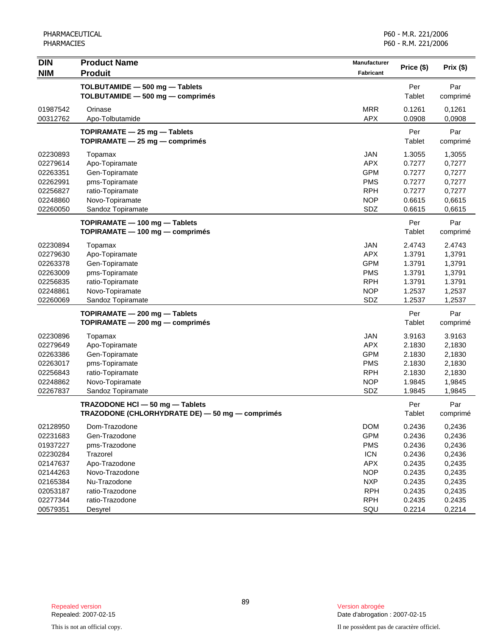PHARMACEUTICAL PHARMACIES

| <b>DIN</b> | <b>Product Name</b>                             | Manufacturer | Price (\$) | Prix (\$) |
|------------|-------------------------------------------------|--------------|------------|-----------|
| <b>NIM</b> | <b>Produit</b>                                  | Fabricant    |            |           |
|            | TOLBUTAMIDE - 500 mg - Tablets                  |              | Per        | Par       |
|            | TOLBUTAMIDE - 500 mg - comprimés                |              | Tablet     | comprimé  |
| 01987542   | Orinase                                         | <b>MRR</b>   | 0.1261     | 0,1261    |
| 00312762   | Apo-Tolbutamide                                 | <b>APX</b>   | 0.0908     | 0,0908    |
|            | TOPIRAMATE - 25 mg - Tablets                    |              | Per        | Par       |
|            | TOPIRAMATE - 25 mg - comprimés                  |              | Tablet     | comprimé  |
| 02230893   | Topamax                                         | <b>JAN</b>   | 1.3055     | 1,3055    |
| 02279614   | Apo-Topiramate                                  | <b>APX</b>   | 0.7277     | 0,7277    |
| 02263351   | Gen-Topiramate                                  | <b>GPM</b>   | 0.7277     | 0,7277    |
| 02262991   | pms-Topiramate                                  | <b>PMS</b>   | 0.7277     | 0,7277    |
| 02256827   | ratio-Topiramate                                | <b>RPH</b>   | 0.7277     | 0,7277    |
| 02248860   | Novo-Topiramate                                 | <b>NOP</b>   | 0.6615     | 0,6615    |
| 02260050   | Sandoz Topiramate                               | SDZ          | 0.6615     | 0,6615    |
|            | TOPIRAMATE - 100 mg - Tablets                   |              | Per        | Par       |
|            | $TOPIRAMATE - 100 mg - comprimés$               |              | Tablet     | comprimé  |
| 02230894   | Topamax                                         | <b>JAN</b>   | 2.4743     | 2.4743    |
| 02279630   | Apo-Topiramate                                  | <b>APX</b>   | 1.3791     | 1,3791    |
| 02263378   | Gen-Topiramate                                  | <b>GPM</b>   | 1.3791     | 1,3791    |
| 02263009   | pms-Topiramate                                  | <b>PMS</b>   | 1.3791     | 1,3791    |
| 02256835   | ratio-Topiramate                                | <b>RPH</b>   | 1.3791     | 1.3791    |
| 02248861   | Novo-Topiramate                                 | <b>NOP</b>   | 1.2537     | 1,2537    |
| 02260069   | Sandoz Topiramate                               | SDZ          | 1.2537     | 1,2537    |
|            | TOPIRAMATE - 200 mg - Tablets                   |              | Per        | Par       |
|            | TOPIRAMATE - 200 mg - comprimés                 |              | Tablet     | comprimé  |
| 02230896   | Topamax                                         | <b>JAN</b>   | 3.9163     | 3.9163    |
| 02279649   | Apo-Topiramate                                  | <b>APX</b>   | 2.1830     | 2,1830    |
| 02263386   | Gen-Topiramate                                  | <b>GPM</b>   | 2.1830     | 2,1830    |
| 02263017   | pms-Topiramate                                  | <b>PMS</b>   | 2.1830     | 2,1830    |
| 02256843   | ratio-Topiramate                                | <b>RPH</b>   | 2.1830     | 2,1830    |
| 02248862   | Novo-Topiramate                                 | <b>NOP</b>   | 1.9845     | 1,9845    |
| 02267837   | Sandoz Topiramate                               | SDZ          | 1.9845     | 1,9845    |
|            | TRAZODONE HCI - 50 mg - Tablets                 |              | Per        | Par       |
|            | TRAZODONE (CHLORHYDRATE DE) - 50 mg - comprimés |              | Tablet     | comprimé  |
| 02128950   | Dom-Trazodone                                   | <b>DOM</b>   | 0.2436     | 0,2436    |
| 02231683   | Gen-Trazodone                                   | <b>GPM</b>   | 0.2436     | 0,2436    |
| 01937227   | pms-Trazodone                                   | <b>PMS</b>   | 0.2436     | 0,2436    |
| 02230284   | Trazorel                                        | <b>ICN</b>   | 0.2436     | 0,2436    |
| 02147637   | Apo-Trazodone                                   | <b>APX</b>   | 0.2435     | 0,2435    |
| 02144263   | Novo-Trazodone                                  | <b>NOP</b>   | 0.2435     | 0,2435    |
| 02165384   | Nu-Trazodone                                    | <b>NXP</b>   | 0.2435     | 0,2435    |
| 02053187   | ratio-Trazodone                                 | <b>RPH</b>   | 0.2435     | 0,2435    |
| 02277344   | ratio-Trazodone                                 | <b>RPH</b>   | 0.2435     | 0.2435    |
| 00579351   | Desyrel                                         | SQU          | 0.2214     | 0,2214    |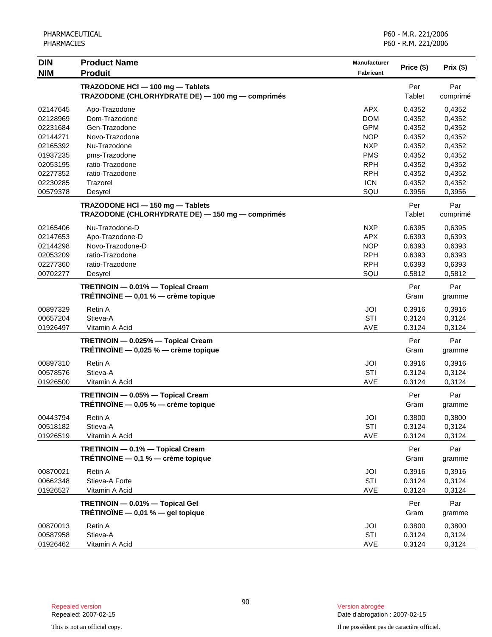| <b>DIN</b> | <b>Product Name</b>                              | Manufacturer |            | Prix(\$) |
|------------|--------------------------------------------------|--------------|------------|----------|
| <b>NIM</b> | <b>Produit</b>                                   | Fabricant    | Price (\$) |          |
|            | TRAZODONE HCI - 100 mg - Tablets                 |              | Per        | Par      |
|            | TRAZODONE (CHLORHYDRATE DE) - 100 mg - comprimés |              | Tablet     | comprimé |
| 02147645   | Apo-Trazodone                                    | <b>APX</b>   | 0.4352     | 0,4352   |
| 02128969   | Dom-Trazodone                                    | <b>DOM</b>   | 0.4352     | 0,4352   |
| 02231684   | Gen-Trazodone                                    | <b>GPM</b>   | 0.4352     | 0,4352   |
| 02144271   | Novo-Trazodone                                   | <b>NOP</b>   | 0.4352     | 0,4352   |
| 02165392   | Nu-Trazodone                                     | <b>NXP</b>   | 0.4352     | 0,4352   |
| 01937235   | pms-Trazodone                                    | <b>PMS</b>   | 0.4352     | 0,4352   |
| 02053195   | ratio-Trazodone                                  | <b>RPH</b>   | 0.4352     | 0,4352   |
| 02277352   | ratio-Trazodone                                  | <b>RPH</b>   | 0.4352     | 0,4352   |
| 02230285   | Trazorel                                         | <b>ICN</b>   | 0.4352     | 0,4352   |
| 00579378   | Desyrel                                          | SQU          | 0.3956     | 0,3956   |
|            | TRAZODONE HCI - 150 mg - Tablets                 |              | Per        | Par      |
|            | TRAZODONE (CHLORHYDRATE DE) - 150 mg - comprimés |              | Tablet     | comprimé |
| 02165406   | Nu-Trazodone-D                                   | <b>NXP</b>   | 0.6395     | 0,6395   |
| 02147653   | Apo-Trazodone-D                                  | <b>APX</b>   | 0.6393     | 0,6393   |
| 02144298   | Novo-Trazodone-D                                 | <b>NOP</b>   | 0.6393     | 0,6393   |
| 02053209   | ratio-Trazodone                                  | <b>RPH</b>   | 0.6393     | 0,6393   |
| 02277360   | ratio-Trazodone                                  | <b>RPH</b>   | 0.6393     | 0,6393   |
| 00702277   | Desyrel                                          | SQU          | 0.5812     | 0,5812   |
|            | TRETINOIN - 0.01% - Topical Cream                |              | Per        | Par      |
|            | TRÉTINOÏNE $-$ 0,01 % $-$ crème topique          |              | Gram       | gramme   |
| 00897329   | Retin A                                          | JOI          | 0.3916     | 0,3916   |
| 00657204   | Stieva-A                                         | STI          | 0.3124     | 0,3124   |
| 01926497   | Vitamin A Acid                                   | <b>AVE</b>   | 0.3124     | 0,3124   |
|            | TRETINOIN - 0.025% - Topical Cream               |              | Per        | Par      |
|            | TRÉTINOÏNE $-$ 0,025 % $-$ crème topique         |              | Gram       | gramme   |
| 00897310   | <b>Retin A</b>                                   | JOI          | 0.3916     | 0,3916   |
| 00578576   | Stieva-A                                         | <b>STI</b>   | 0.3124     | 0,3124   |
| 01926500   | Vitamin A Acid                                   | <b>AVE</b>   | 0.3124     | 0,3124   |
|            | TRETINOIN - 0.05% - Topical Cream                |              | Per        | Par      |
|            | TRÉTINOÏNE - 0,05 % - crème topique              |              | Gram       | gramme   |
| 00443794   | Retin A                                          | JOI          | 0.3800     | 0,3800   |
| 00518182   | Stieva-A                                         | STI          | 0.3124     | 0,3124   |
| 01926519   | Vitamin A Acid                                   | AVE          | 0.3124     | 0,3124   |
|            | TRETINOIN - 0.1% - Topical Cream                 |              | Per        | Par      |
|            | TRÉTINOÏNE - 0,1 % - crème topique               |              | Gram       | gramme   |
| 00870021   | Retin A                                          | JOI          | 0.3916     | 0,3916   |
| 00662348   | Stieva-A Forte                                   | STI          | 0.3124     | 0,3124   |
| 01926527   | Vitamin A Acid                                   | AVE          | 0.3124     | 0,3124   |
|            | TRETINOIN - 0.01% - Topical Gel                  |              | Per        | Par      |
|            | TRÉTINOÏNE - 0,01 % - gel topique                |              | Gram       | gramme   |
| 00870013   | Retin A                                          | JOI          | 0.3800     | 0,3800   |
| 00587958   | Stieva-A                                         | STI          | 0.3124     | 0,3124   |
| 01926462   | Vitamin A Acid                                   | AVE          | 0.3124     | 0,3124   |

Date d'abrogation : 2007-02-15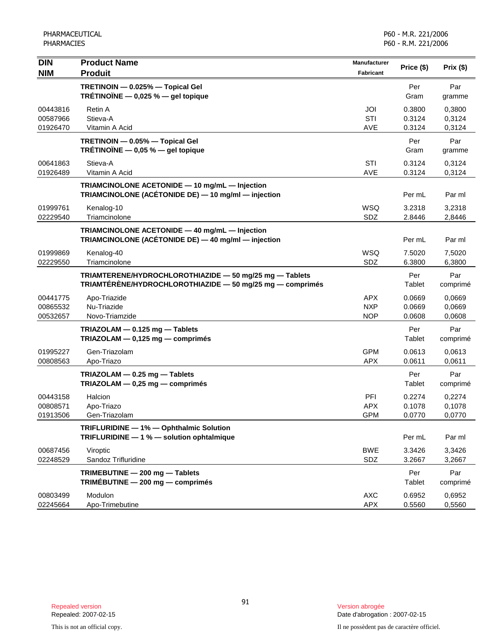| <b>DIN</b><br><b>NIM</b>         | <b>Product Name</b><br><b>Produit</b>                                                                                | Manufacturer<br>Fabricant              | Price (\$)                 | Prix (\$)                  |
|----------------------------------|----------------------------------------------------------------------------------------------------------------------|----------------------------------------|----------------------------|----------------------------|
|                                  | TRETINOIN - 0.025% - Topical Gel<br>TRÉTINOÏNE $-$ 0,025 % $-$ gel topique                                           |                                        | Per<br>Gram                | Par<br>gramme              |
| 00443816<br>00587966<br>01926470 | Retin A<br>Stieva-A<br>Vitamin A Acid                                                                                | JOI<br>STI<br><b>AVE</b>               | 0.3800<br>0.3124<br>0.3124 | 0,3800<br>0,3124<br>0,3124 |
|                                  | TRETINOIN - 0.05% - Topical Gel<br>TRÉTINOÏNE $-$ 0,05 % $-$ gel topique                                             |                                        | Per<br>Gram                | Par<br>gramme              |
| 00641863<br>01926489             | Stieva-A<br>Vitamin A Acid                                                                                           | <b>STI</b><br><b>AVE</b>               | 0.3124<br>0.3124           | 0,3124<br>0,3124           |
|                                  | TRIAMCINOLONE ACETONIDE - 10 mg/mL - Injection<br>TRIAMCINOLONE (ACÉTONIDE DE) - 10 mg/ml - injection                |                                        | Per mL                     | Par ml                     |
| 01999761<br>02229540             | Kenalog-10<br>Triamcinolone                                                                                          | <b>WSQ</b><br>SDZ                      | 3.2318<br>2.8446           | 3,2318<br>2,8446           |
|                                  | TRIAMCINOLONE ACETONIDE - 40 mg/mL - Injection<br>TRIAMCINOLONE (ACÉTONIDE DE) — 40 mg/ml — injection                |                                        | Per mL                     | Par ml                     |
| 01999869<br>02229550             | Kenalog-40<br>Triamcinolone                                                                                          | WSQ<br>SDZ                             | 7.5020<br>6.3800           | 7,5020<br>6,3800           |
|                                  | TRIAMTERENE/HYDROCHLOROTHIAZIDE - 50 mg/25 mg - Tablets<br>TRIAMTÉRÈNE/HYDROCHLOROTHIAZIDE - 50 mg/25 mg - comprimés |                                        | Per<br>Tablet              | Par<br>comprimé            |
| 00441775<br>00865532<br>00532657 | Apo-Triazide<br>Nu-Triazide<br>Novo-Triamzide                                                                        | <b>APX</b><br><b>NXP</b><br><b>NOP</b> | 0.0669<br>0.0669<br>0.0608 | 0,0669<br>0,0669<br>0,0608 |
|                                  | TRIAZOLAM - 0.125 mg - Tablets<br>TRIAZOLAM - 0,125 mg - comprimés                                                   |                                        | Per<br>Tablet              | Par<br>comprimé            |
| 01995227<br>00808563             | Gen-Triazolam<br>Apo-Triazo                                                                                          | <b>GPM</b><br><b>APX</b>               | 0.0613<br>0.0611           | 0,0613<br>0,0611           |
|                                  | TRIAZOLAM - 0.25 mg - Tablets<br>$TRIAZOLAM - 0,25 mg - comprimés$                                                   |                                        | Per<br>Tablet              | Par<br>comprimé            |
| 00443158<br>00808571<br>01913506 | Halcion<br>Apo-Triazo<br>Gen-Triazolam                                                                               | PFI<br><b>APX</b><br><b>GPM</b>        | 0.2274<br>0.1078<br>0.0770 | 0,2274<br>0,1078<br>0,0770 |
|                                  | TRIFLURIDINE - 1% - Ophthalmic Solution<br>TRIFLURIDINE - 1 % - solution ophtalmique                                 |                                        | Per mL                     | Par ml                     |
| 00687456<br>02248529             | Viroptic<br>Sandoz Trifluridine                                                                                      | <b>BWE</b><br>SDZ                      | 3.3426<br>3.2667           | 3,3426<br>3,2667           |
|                                  | TRIMEBUTINE - 200 mg - Tablets<br>TRIMÉBUTINE $-200$ mg $-$ comprimés                                                |                                        | Per<br><b>Tablet</b>       | Par<br>comprimé            |
| 00803499<br>02245664             | Modulon<br>Apo-Trimebutine                                                                                           | <b>AXC</b><br><b>APX</b>               | 0.6952<br>0.5560           | 0,6952<br>0,5560           |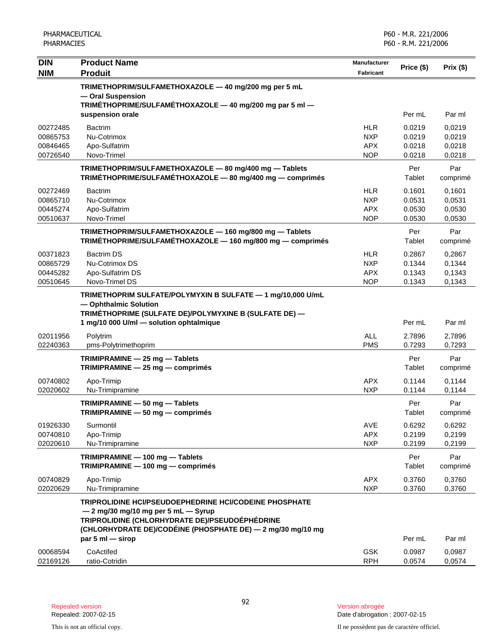| <b>DIN</b><br><b>NIM</b>                     | <b>Product Name</b><br><b>Produit</b>                                                                                                                                                                                                 | <b>Manufacturer</b><br><b>Fabricant</b>              | Price (\$)                           | Prix (\$)                            |
|----------------------------------------------|---------------------------------------------------------------------------------------------------------------------------------------------------------------------------------------------------------------------------------------|------------------------------------------------------|--------------------------------------|--------------------------------------|
|                                              | TRIMETHOPRIM/SULFAMETHOXAZOLE - 40 mg/200 mg per 5 mL<br>- Oral Suspension<br>TRIMÉTHOPRIME/SULFAMÉTHOXAZOLE - 40 mg/200 mg par 5 ml -                                                                                                |                                                      |                                      |                                      |
|                                              | suspension orale                                                                                                                                                                                                                      |                                                      | Per mL                               | Par ml                               |
| 00272485<br>00865753<br>00846465<br>00726540 | <b>Bactrim</b><br>Nu-Cotrimox<br>Apo-Sulfatrim<br>Novo-Trimel                                                                                                                                                                         | <b>HLR</b><br><b>NXP</b><br><b>APX</b><br><b>NOP</b> | 0.0219<br>0.0219<br>0.0218<br>0.0218 | 0,0219<br>0,0219<br>0,0218<br>0,0218 |
|                                              | TRIMETHOPRIM/SULFAMETHOXAZOLE - 80 mg/400 mg - Tablets<br>TRIMÉTHOPRIME/SULFAMÉTHOXAZOLE - 80 mg/400 mg - comprimés                                                                                                                   |                                                      | Per<br>Tablet                        | Par<br>comprimé                      |
| 00272469<br>00865710<br>00445274<br>00510637 | <b>Bactrim</b><br>Nu-Cotrimox<br>Apo-Sulfatrim<br>Novo-Trimel                                                                                                                                                                         | <b>HLR</b><br><b>NXP</b><br><b>APX</b><br><b>NOP</b> | 0.1601<br>0.0531<br>0.0530<br>0.0530 | 0,1601<br>0,0531<br>0,0530<br>0,0530 |
|                                              | TRIMETHOPRIM/SULFAMETHOXAZOLE - 160 mg/800 mg - Tablets<br>TRIMÉTHOPRIME/SULFAMÉTHOXAZOLE - 160 mg/800 mg - comprimés                                                                                                                 |                                                      | Per<br>Tablet                        | Par<br>comprimé                      |
| 00371823<br>00865729<br>00445282<br>00510645 | <b>Bactrim DS</b><br>Nu-Cotrimox DS<br>Apo-Sulfatrim DS<br>Novo-Trimel DS                                                                                                                                                             | <b>HLR</b><br><b>NXP</b><br><b>APX</b><br><b>NOP</b> | 0.2867<br>0.1344<br>0.1343<br>0.1343 | 0,2867<br>0,1344<br>0,1343<br>0,1343 |
|                                              | TRIMETHOPRIM SULFATE/POLYMYXIN B SULFATE - 1 mg/10,000 U/mL<br>- Ophthalmic Solution<br>TRIMÉTHOPRIME (SULFATE DE)/POLYMYXINE B (SULFATE DE) -                                                                                        |                                                      |                                      |                                      |
|                                              | 1 mg/10 000 U/ml - solution ophtalmique                                                                                                                                                                                               |                                                      | Per mL                               | Par ml                               |
| 02011956<br>02240363                         | Polytrim<br>pms-Polytrimethoprim                                                                                                                                                                                                      | <b>ALL</b><br><b>PMS</b>                             | 2.7896<br>0.7293                     | 2,7896<br>0,7293                     |
|                                              | TRIMIPRAMINE - 25 mg - Tablets<br>TRIMIPRAMINE - 25 mg - comprimés                                                                                                                                                                    |                                                      | Per<br>Tablet                        | Par<br>comprimé                      |
| 00740802<br>02020602                         | Apo-Trimip<br>Nu-Trimipramine                                                                                                                                                                                                         | <b>APX</b><br><b>NXP</b>                             | 0.1144<br>0.1144                     | 0,1144<br>0,1144                     |
|                                              | TRIMIPRAMINE - 50 mg - Tablets<br>TRIMIPRAMINE - 50 mg - comprimés                                                                                                                                                                    |                                                      | Per<br>Tablet                        | Par<br>comprimé                      |
| 01926330<br>00740810<br>02020610             | Surmontil<br>Apo-Trimip<br>Nu-Trimipramine                                                                                                                                                                                            | AVE<br><b>APX</b><br><b>NXP</b>                      | 0.6292<br>0.2199<br>0.2199           | 0,6292<br>0,2199<br>0,2199           |
|                                              | TRIMIPRAMINE - 100 mg - Tablets<br>TRIMIPRAMINE - 100 mg - comprimés                                                                                                                                                                  |                                                      | Per<br>Tablet                        | Par<br>comprimé                      |
| 00740829<br>02020629                         | Apo-Trimip<br>Nu-Trimipramine                                                                                                                                                                                                         | <b>APX</b><br><b>NXP</b>                             | 0.3760<br>0.3760                     | 0,3760<br>0,3760                     |
|                                              | TRIPROLIDINE HCI/PSEUDOEPHEDRINE HCI/CODEINE PHOSPHATE<br>$-2$ mg/30 mg/10 mg per 5 mL $-$ Syrup<br>TRIPROLIDINE (CHLORHYDRATE DE)/PSEUDOÉPHÉDRINE<br>(CHLORHYDRATE DE)/CODÉINE (PHOSPHATE DE) — 2 mg/30 mg/10 mg<br>par 5 ml - sirop |                                                      | Per mL                               | Par ml                               |
| 00068594<br>02169126                         | CoActifed<br>ratio-Cotridin                                                                                                                                                                                                           | <b>GSK</b><br><b>RPH</b>                             | 0.0987<br>0.0574                     | 0,0987<br>0,0574                     |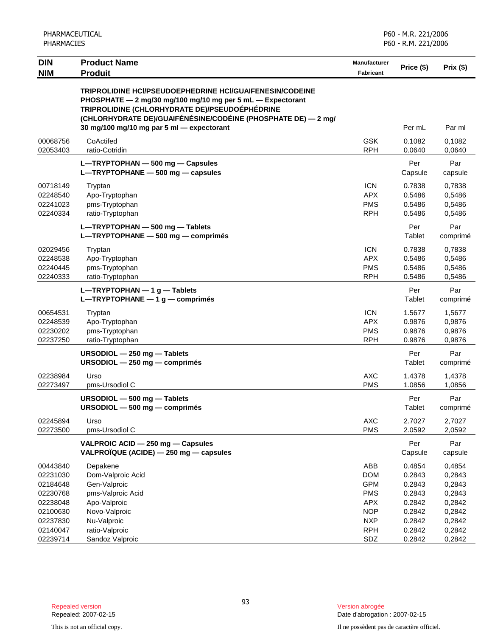| <b>DIN</b> | <b>Product Name</b>                                                                                                                                                                                                                              | Manufacturer     | Price (\$)     | Prix $(\$)$     |
|------------|--------------------------------------------------------------------------------------------------------------------------------------------------------------------------------------------------------------------------------------------------|------------------|----------------|-----------------|
| <b>NIM</b> | <b>Produit</b>                                                                                                                                                                                                                                   | <b>Fabricant</b> |                |                 |
|            | <b>TRIPROLIDINE HCI/PSEUDOEPHEDRINE HCI/GUAIFENESIN/CODEINE</b><br>PHOSPHATE - 2 mg/30 mg/100 mg/10 mg per 5 mL - Expectorant<br>TRIPROLIDINE (CHLORHYDRATE DE)/PSEUDOÉPHÉDRINE<br>(CHLORHYDRATE DE)/GUAIFÉNÉSINE/CODÉINE (PHOSPHATE DE) — 2 mg/ |                  |                |                 |
|            | 30 mg/100 mg/10 mg par 5 ml - expectorant                                                                                                                                                                                                        |                  | Per mL         | Par ml          |
| 00068756   | CoActifed                                                                                                                                                                                                                                        | <b>GSK</b>       | 0.1082         | 0,1082          |
| 02053403   | ratio-Cotridin                                                                                                                                                                                                                                   | <b>RPH</b>       | 0.0640         | 0,0640          |
|            | L-TRYPTOPHAN - 500 mg - Capsules<br>L-TRYPTOPHANE - 500 mg - capsules                                                                                                                                                                            |                  | Per<br>Capsule | Par<br>capsule  |
| 00718149   | Tryptan                                                                                                                                                                                                                                          | <b>ICN</b>       | 0.7838         | 0,7838          |
| 02248540   | Apo-Tryptophan                                                                                                                                                                                                                                   | <b>APX</b>       | 0.5486         | 0,5486          |
| 02241023   | pms-Tryptophan                                                                                                                                                                                                                                   | <b>PMS</b>       | 0.5486         | 0,5486          |
| 02240334   | ratio-Tryptophan                                                                                                                                                                                                                                 | <b>RPH</b>       | 0.5486         | 0,5486          |
|            | L-TRYPTOPHAN - 500 mg - Tablets<br>L-TRYPTOPHANE - 500 mg - comprimés                                                                                                                                                                            |                  | Per<br>Tablet  | Par<br>comprimé |
| 02029456   | Tryptan                                                                                                                                                                                                                                          | <b>ICN</b>       | 0.7838         | 0,7838          |
| 02248538   | Apo-Tryptophan                                                                                                                                                                                                                                   | <b>APX</b>       | 0.5486         | 0,5486          |
| 02240445   | pms-Tryptophan                                                                                                                                                                                                                                   | <b>PMS</b>       | 0.5486         | 0,5486          |
| 02240333   | ratio-Tryptophan                                                                                                                                                                                                                                 | <b>RPH</b>       | 0.5486         | 0,5486          |
|            | L-TRYPTOPHAN $-1$ g - Tablets<br>L-TRYPTOPHANE - 1 g - comprimés                                                                                                                                                                                 |                  | Per<br>Tablet  | Par<br>comprimé |
| 00654531   | Tryptan                                                                                                                                                                                                                                          | <b>ICN</b>       | 1.5677         | 1,5677          |
| 02248539   | Apo-Tryptophan                                                                                                                                                                                                                                   | <b>APX</b>       | 0.9876         | 0,9876          |
| 02230202   | pms-Tryptophan                                                                                                                                                                                                                                   | <b>PMS</b>       | 0.9876         | 0,9876          |
| 02237250   | ratio-Tryptophan                                                                                                                                                                                                                                 | <b>RPH</b>       | 0.9876         | 0,9876          |
|            | URSODIOL - 250 mg - Tablets<br>URSODIOL - 250 mg - comprimés                                                                                                                                                                                     |                  | Per<br>Tablet  | Par<br>comprimé |
| 02238984   | Urso                                                                                                                                                                                                                                             | <b>AXC</b>       | 1.4378         | 1,4378          |
| 02273497   | pms-Ursodiol C                                                                                                                                                                                                                                   | <b>PMS</b>       | 1.0856         | 1,0856          |
|            | URSODIOL - 500 mg - Tablets<br>URSODIOL - 500 mg - comprimés                                                                                                                                                                                     |                  | Per<br>Tablet  | Par<br>comprimé |
| 02245894   | Urso                                                                                                                                                                                                                                             | AXC              | 2.7027         | 2,7027          |
| 02273500   | pms-Ursodiol C                                                                                                                                                                                                                                   | <b>PMS</b>       | 2.0592         | 2,0592          |
|            | VALPROIC ACID - 250 mg - Capsules<br>VALPROÏQUE (ACIDE) - 250 mg - capsules                                                                                                                                                                      |                  | Per<br>Capsule | Par<br>capsule  |
| 00443840   | Depakene                                                                                                                                                                                                                                         | ABB              | 0.4854         | 0,4854          |
| 02231030   | Dom-Valproic Acid                                                                                                                                                                                                                                | <b>DOM</b>       | 0.2843         | 0,2843          |
| 02184648   | Gen-Valproic                                                                                                                                                                                                                                     | <b>GPM</b>       | 0.2843         | 0,2843          |
| 02230768   | pms-Valproic Acid                                                                                                                                                                                                                                | <b>PMS</b>       | 0.2843         | 0,2843          |
| 02238048   | Apo-Valproic                                                                                                                                                                                                                                     | <b>APX</b>       | 0.2842         | 0,2842          |
| 02100630   | Novo-Valproic                                                                                                                                                                                                                                    | <b>NOP</b>       | 0.2842         | 0,2842          |
| 02237830   | Nu-Valproic                                                                                                                                                                                                                                      | <b>NXP</b>       | 0.2842         | 0,2842          |
| 02140047   | ratio-Valproic                                                                                                                                                                                                                                   | <b>RPH</b>       | 0.2842         | 0,2842          |
| 02239714   | Sandoz Valproic                                                                                                                                                                                                                                  | SDZ              | 0.2842         | 0,2842          |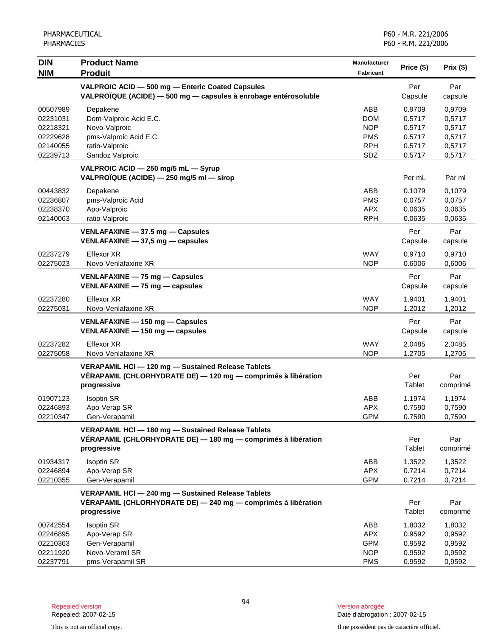| <b>DIN</b>           | <b>Product Name</b>                                                                                                                | <b>Manufacturer</b>      |                  |                  |
|----------------------|------------------------------------------------------------------------------------------------------------------------------------|--------------------------|------------------|------------------|
| <b>NIM</b>           | <b>Produit</b>                                                                                                                     | Fabricant                | Price (\$)       | Prix (\$)        |
|                      | VALPROIC ACID - 500 mg - Enteric Coated Capsules<br>VALPROÏQUE (ACIDE) - 500 mg - capsules à enrobage entérosoluble                |                          | Per<br>Capsule   | Par<br>capsule   |
| 00507989<br>02231031 | Depakene<br>Dom-Valproic Acid E.C.                                                                                                 | ABB<br><b>DOM</b>        | 0.9709<br>0.5717 | 0,9709<br>0,5717 |
| 02218321             | Novo-Valproic                                                                                                                      | <b>NOP</b>               | 0.5717           | 0,5717           |
| 02229628             | pms-Valproic Acid E.C.                                                                                                             | <b>PMS</b>               | 0.5717           | 0,5717           |
| 02140055             | ratio-Valproic                                                                                                                     | <b>RPH</b>               | 0.5717           | 0,5717           |
| 02239713             | Sandoz Valproic                                                                                                                    | SDZ                      | 0.5717           | 0,5717           |
|                      | VALPROIC ACID - 250 mg/5 mL - Syrup<br>VALPROÏQUE (ACIDE) - 250 mg/5 ml - sirop                                                    |                          | Per mL           | Par ml           |
| 00443832             | Depakene                                                                                                                           | ABB                      | 0.1079           | 0,1079           |
| 02236807             | pms-Valproic Acid                                                                                                                  | <b>PMS</b>               | 0.0757           | 0,0757           |
| 02238370             | Apo-Valproic                                                                                                                       | <b>APX</b>               | 0.0635           | 0,0635           |
| 02140063             | ratio-Valproic                                                                                                                     | <b>RPH</b>               | 0.0635           | 0,0635           |
|                      | VENLAFAXINE - 37.5 mg - Capsules<br>VENLAFAXINE $-$ 37,5 mg $-$ capsules                                                           |                          | Per<br>Capsule   | Par<br>capsule   |
| 02237279<br>02275023 | <b>Effexor XR</b><br>Novo-Venlafaxine XR                                                                                           | <b>WAY</b><br><b>NOP</b> | 0.9710<br>0.6006 | 0,9710<br>0,6006 |
|                      | VENLAFAXINE - 75 mg - Capsules<br>VENLAFAXINE - 75 mg - capsules                                                                   |                          | Per<br>Capsule   | Par<br>capsule   |
| 02237280<br>02275031 | <b>Effexor XR</b><br>Novo-Venlafaxine XR                                                                                           | <b>WAY</b><br><b>NOP</b> | 1.9401<br>1.2012 | 1,9401<br>1,2012 |
|                      | VENLAFAXINE - 150 mg - Capsules<br>VENLAFAXINE - 150 mg - capsules                                                                 |                          | Per<br>Capsule   | Par<br>capsule   |
| 02237282<br>02275058 | <b>Effexor XR</b><br>Novo-Venlafaxine XR                                                                                           | <b>WAY</b><br><b>NOP</b> | 2.0485<br>1.2705 | 2,0485<br>1,2705 |
|                      | VERAPAMIL HCl - 120 mg - Sustained Release Tablets<br>VÉRAPAMIL (CHLORHYDRATE DE) - 120 mg - comprimés à libération<br>progressive |                          | Per<br>Tablet    | Par<br>comprimé  |
| 01907123             | <b>Isoptin SR</b>                                                                                                                  | ABB                      | 1.1974           | 1,1974           |
| 02246893             | Apo-Verap SR                                                                                                                       | <b>APX</b>               | 0.7590           | 0,7590           |
| 02210347             | Gen-Verapamil                                                                                                                      | <b>GPM</b>               | 0.7590           | 0,7590           |
|                      | VERAPAMIL HCl - 180 mg - Sustained Release Tablets<br>VÉRAPAMIL (CHLORHYDRATE DE) - 180 mg - comprimés à libération<br>progressive |                          | Per<br>Tablet    | Par<br>comprimé  |
| 01934317             | <b>Isoptin SR</b>                                                                                                                  | ABB                      | 1.3522           | 1,3522           |
| 02246894             | Apo-Verap SR                                                                                                                       | <b>APX</b>               | 0.7214           | 0,7214           |
| 02210355             | Gen-Verapamil                                                                                                                      | <b>GPM</b>               | 0.7214           | 0,7214           |
|                      | VERAPAMIL HCI - 240 mg - Sustained Release Tablets<br>VÉRAPAMIL (CHLORHYDRATE DE) - 240 mg - comprimés à libération<br>progressive |                          | Per<br>Tablet    | Par<br>comprimé  |
| 00742554             | <b>Isoptin SR</b>                                                                                                                  | ABB                      | 1.8032           | 1,8032           |
| 02246895             | Apo-Verap SR                                                                                                                       | <b>APX</b>               | 0.9592           | 0,9592           |
| 02210363             | Gen-Verapamil                                                                                                                      | <b>GPM</b>               | 0.9592           | 0,9592           |
| 02211920             | Novo-Veramil SR                                                                                                                    | <b>NOP</b>               | 0.9592           | 0,9592           |
| 02237791             | pms-Verapamil SR                                                                                                                   | <b>PMS</b>               | 0.9592           | 0,9592           |

Date d'abrogation : 2007-02-15

This is not an official copy. Il ne possèdent pas de caractère officiel.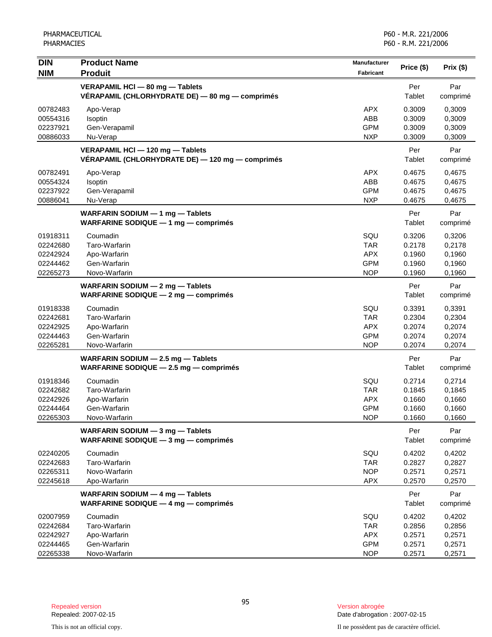| <b>DIN</b>                                               | <b>Product Name</b>                                                                  | <b>Manufacturer</b>                                         | Price (\$)                                     | Prix (\$)                                      |
|----------------------------------------------------------|--------------------------------------------------------------------------------------|-------------------------------------------------------------|------------------------------------------------|------------------------------------------------|
| <b>NIM</b>                                               | <b>Produit</b>                                                                       | <b>Fabricant</b>                                            |                                                |                                                |
|                                                          | VERAPAMIL HCI - 80 mg - Tablets<br>VÉRAPAMIL (CHLORHYDRATE DE) — 80 mg — comprimés   |                                                             | Per<br>Tablet                                  | Par<br>comprimé                                |
| 00782483<br>00554316<br>02237921<br>00886033             | Apo-Verap<br>Isoptin<br>Gen-Verapamil<br>Nu-Verap                                    | <b>APX</b><br>ABB<br><b>GPM</b><br><b>NXP</b>               | 0.3009<br>0.3009<br>0.3009<br>0.3009           | 0,3009<br>0,3009<br>0,3009<br>0,3009           |
|                                                          | VERAPAMIL HCI - 120 mg - Tablets<br>VÉRAPAMIL (CHLORHYDRATE DE) — 120 mg — comprimés |                                                             | Per<br>Tablet                                  | Par<br>comprimé                                |
| 00782491<br>00554324<br>02237922<br>00886041             | Apo-Verap<br>Isoptin<br>Gen-Verapamil<br>Nu-Verap                                    | <b>APX</b><br>ABB<br><b>GPM</b><br><b>NXP</b>               | 0.4675<br>0.4675<br>0.4675<br>0.4675           | 0,4675<br>0,4675<br>0,4675<br>0,4675           |
|                                                          | WARFARIN SODIUM - 1 mg - Tablets<br><b>WARFARINE SODIQUE - 1 mg - comprimés</b>      |                                                             | Per<br>Tablet                                  | Par<br>comprimé                                |
| 01918311<br>02242680<br>02242924<br>02244462<br>02265273 | Coumadin<br>Taro-Warfarin<br>Apo-Warfarin<br>Gen-Warfarin<br>Novo-Warfarin           | SQU<br><b>TAR</b><br><b>APX</b><br><b>GPM</b><br><b>NOP</b> | 0.3206<br>0.2178<br>0.1960<br>0.1960<br>0.1960 | 0,3206<br>0,2178<br>0,1960<br>0,1960<br>0,1960 |
|                                                          | WARFARIN SODIUM - 2 mg - Tablets<br>WARFARINE SODIQUE $-2$ mg $-$ comprimes          |                                                             | Per<br>Tablet                                  | Par<br>comprimé                                |
| 01918338<br>02242681<br>02242925<br>02244463<br>02265281 | Coumadin<br>Taro-Warfarin<br>Apo-Warfarin<br>Gen-Warfarin<br>Novo-Warfarin           | SQU<br><b>TAR</b><br><b>APX</b><br><b>GPM</b><br><b>NOP</b> | 0.3391<br>0.2304<br>0.2074<br>0.2074<br>0.2074 | 0,3391<br>0,2304<br>0,2074<br>0,2074<br>0,2074 |
|                                                          | WARFARIN SODIUM - 2.5 mg - Tablets<br>WARFARINE SODIQUE - 2.5 mg - comprimés         |                                                             | Per<br>Tablet                                  | Par<br>comprimé                                |
| 01918346<br>02242682<br>02242926<br>02244464<br>02265303 | Coumadin<br>Taro-Warfarin<br>Apo-Warfarin<br>Gen-Warfarin<br>Novo-Warfarin           | SQU<br><b>TAR</b><br><b>APX</b><br><b>GPM</b><br><b>NOP</b> | 0.2714<br>0.1845<br>0.1660<br>0.1660<br>0.1660 | 0,2714<br>0,1845<br>0,1660<br>0,1660<br>0,1660 |
|                                                          | WARFARIN SODIUM - 3 mg - Tablets<br><b>WARFARINE SODIQUE - 3 mg - comprimés</b>      |                                                             | Per<br>Tablet                                  | Par<br>comprimé                                |
| 02240205<br>02242683<br>02265311<br>02245618             | Coumadin<br>Taro-Warfarin<br>Novo-Warfarin<br>Apo-Warfarin                           | SQU<br><b>TAR</b><br><b>NOP</b><br><b>APX</b>               | 0.4202<br>0.2827<br>0.2571<br>0.2570           | 0,4202<br>0,2827<br>0,2571<br>0,2570           |
|                                                          | WARFARIN SODIUM - 4 mg - Tablets<br><b>WARFARINE SODIQUE - 4 mg - comprimés</b>      |                                                             | Per<br>Tablet                                  | Par<br>comprimé                                |
| 02007959<br>02242684<br>02242927<br>02244465<br>02265338 | Coumadin<br>Taro-Warfarin<br>Apo-Warfarin<br>Gen-Warfarin<br>Novo-Warfarin           | SQU<br><b>TAR</b><br><b>APX</b><br><b>GPM</b><br><b>NOP</b> | 0.4202<br>0.2856<br>0.2571<br>0.2571<br>0.2571 | 0,4202<br>0,2856<br>0,2571<br>0,2571<br>0,2571 |

Date d'abrogation : 2007-02-15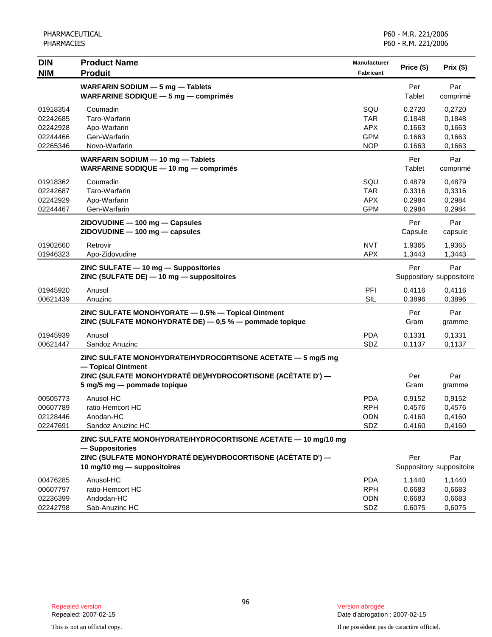| <b>DIN</b><br><b>NIM</b>                                 | <b>Product Name</b><br><b>Produit</b>                                                                                                           | Manufacturer<br><b>Fabricant</b>                            | Price (\$)                                     | Prix (\$)                                      |
|----------------------------------------------------------|-------------------------------------------------------------------------------------------------------------------------------------------------|-------------------------------------------------------------|------------------------------------------------|------------------------------------------------|
|                                                          | WARFARIN SODIUM - 5 mg - Tablets<br><b>WARFARINE SODIQUE - 5 mg - comprimés</b>                                                                 |                                                             | Per<br>Tablet                                  | Par<br>comprimé                                |
| 01918354<br>02242685<br>02242928<br>02244466<br>02265346 | Coumadin<br>Taro-Warfarin<br>Apo-Warfarin<br>Gen-Warfarin<br>Novo-Warfarin                                                                      | SQU<br><b>TAR</b><br><b>APX</b><br><b>GPM</b><br><b>NOP</b> | 0.2720<br>0.1848<br>0.1663<br>0.1663<br>0.1663 | 0,2720<br>0,1848<br>0,1663<br>0,1663<br>0,1663 |
|                                                          | WARFARIN SODIUM - 10 mg - Tablets<br>WARFARINE SODIQUE - 10 mg - comprimés                                                                      |                                                             | Per<br>Tablet                                  | Par<br>comprimé                                |
| 01918362<br>02242687<br>02242929<br>02244467             | Coumadin<br>Taro-Warfarin<br>Apo-Warfarin<br>Gen-Warfarin                                                                                       | SQU<br><b>TAR</b><br><b>APX</b><br><b>GPM</b>               | 0.4879<br>0.3316<br>0.2984<br>0.2984           | 0,4879<br>0,3316<br>0,2984<br>0,2984           |
|                                                          | ZIDOVUDINE - 100 mg - Capsules<br>ZIDOVUDINE - 100 mg - capsules                                                                                |                                                             | Per<br>Capsule                                 | Par<br>capsule                                 |
| 01902660<br>01946323                                     | Retrovir<br>Apo-Zidovudine                                                                                                                      | <b>NVT</b><br><b>APX</b>                                    | 1.9365<br>1.3443                               | 1,9365<br>1,3443                               |
|                                                          | ZINC SULFATE - 10 mg - Suppositories<br>ZINC (SULFATE DE) - 10 mg - suppositoires                                                               |                                                             | Per                                            | Par<br>Suppository suppositoire                |
| 01945920<br>00621439                                     | Anusol<br>Anuzinc                                                                                                                               | PFI<br><b>SIL</b>                                           | 0.4116<br>0.3896                               | 0,4116<br>0,3896                               |
|                                                          | ZINC SULFATE MONOHYDRATE - 0.5% - Topical Ointment<br>ZINC (SULFATE MONOHYDRATÉ DE) - 0,5 % - pommade topique                                   |                                                             | Per<br>Gram                                    | Par<br>gramme                                  |
| 01945939<br>00621447                                     | Anusol<br>Sandoz Anuzinc                                                                                                                        | <b>PDA</b><br>SDZ                                           | 0.1331<br>0.1137                               | 0,1331<br>0,1137                               |
|                                                          | ZINC SULFATE MONOHYDRATE/HYDROCORTISONE ACETATE - 5 mg/5 mg<br>- Topical Ointment                                                               |                                                             |                                                |                                                |
|                                                          | ZINC (SULFATE MONOHYDRATÉ DE)/HYDROCORTISONE (ACÉTATE D') —<br>5 mg/5 mg - pommade topique                                                      |                                                             | Per<br>Gram                                    | Par<br>gramme                                  |
| 00505773<br>00607789<br>02128446<br>02247691             | Anusol-HC<br>ratio-Hemcort HC<br>Anodan-HC<br>Sandoz Anuzinc HC                                                                                 | <b>PDA</b><br><b>RPH</b><br>ODN<br>SDZ                      | 0.9152<br>0.4576<br>0.4160<br>0.4160           | 0,9152<br>0,4576<br>0,4160<br>0.4160           |
|                                                          | ZINC SULFATE MONOHYDRATE/HYDROCORTISONE ACETATE - 10 mg/10 mg<br>- Suppositories<br>ZINC (SULFATE MONOHYDRATÉ DE)/HYDROCORTISONE (ACÉTATE D') — |                                                             | Per                                            | Par                                            |
|                                                          | 10 mg/10 mg - suppositoires                                                                                                                     |                                                             |                                                | Suppository suppositoire                       |
| 00476285<br>00607797<br>02236399<br>02242798             | Anusol-HC<br>ratio-Hemcort HC<br>Andodan-HC<br>Sab-Anuzinc HC                                                                                   | <b>PDA</b><br><b>RPH</b><br><b>ODN</b><br>SDZ               | 1.1440<br>0.6683<br>0.6683<br>0.6075           | 1,1440<br>0,6683<br>0,6683<br>0,6075           |